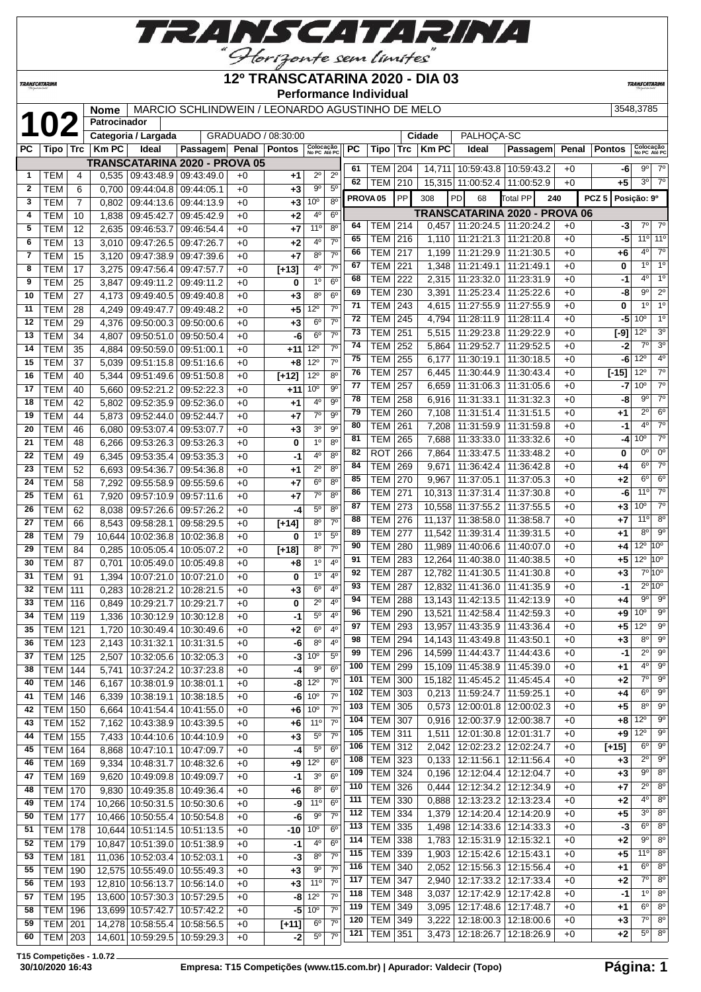

## **12º TRANSCATARINA 2020 - DIA 03**

**TRANSCATARIN** 

**TRANSCATARINA** 

#### **Performance Individual**

| 3548.3785 |
|-----------|

|              |                                  |                | <b>Nome</b>    |                              | MARCIO SCHLINDWEIN / LEONARDO AGUSTINHO DE MELO              |              |                     |                                    |                               |                     |                          |            |                  |                                   |                                                              |              |                  | 3548,3785                      |                                        |
|--------------|----------------------------------|----------------|----------------|------------------------------|--------------------------------------------------------------|--------------|---------------------|------------------------------------|-------------------------------|---------------------|--------------------------|------------|------------------|-----------------------------------|--------------------------------------------------------------|--------------|------------------|--------------------------------|----------------------------------------|
|              | <b>102</b>                       |                | Patrocinador   |                              |                                                              |              |                     |                                    |                               |                     |                          |            |                  |                                   |                                                              |              |                  |                                |                                        |
| PC           |                                  |                | $Km$ PC        | Categoria / Largada<br>Ideal | Passagem Penal Pontos                                        |              | GRADUADO / 08:30:00 |                                    |                               | <b>PC</b>           |                          | Trc        | Cidade<br>Km PC  | PALHOÇA-SC<br>Ideal               | Passagem                                                     |              | <b>Pontos</b>    |                                |                                        |
|              | Tipo   Trc                       |                |                |                              | TRANSCATARINA 2020 - PROVA 05                                |              |                     | Colocação<br>No PC Até PC          |                               |                     | Tipo                     |            |                  |                                   |                                                              | Penal        |                  | Colocação<br>No PC Até PC      |                                        |
| $\mathbf{1}$ | TEM                              | 4              | 0.535          |                              | 09:43:48.9 09:43:49.0                                        | $+0$         | $+1$                | $2^{\circ}$                        | $2^{\circ}$                   | 61                  | TEM                      | 204        |                  |                                   | 14,711 10:59:43.8 10:59:43.2                                 | $+0$         | -6               | 9º                             | $7^\circ$                              |
| $\mathbf{2}$ | <b>TEM</b>                       | 6              | 0.700          | 09:44:04.8                   | 09:44:05.1                                                   | $+0$         | $+3$                | $9^{\circ}$                        | 5 <sup>0</sup>                | 62                  | <b>TEM</b>               | 210        |                  | 15,315 11:00:52.4 11:00:52.9      |                                                              | $+0$         | $+5$             | $3^{\circ}$                    | $7^\circ$                              |
| 3            | <b>TEM</b>                       | $\overline{7}$ | 0,802          | 09:44:13.6 09:44:13.9        |                                                              | $+0$         | $+3$                | 10 <sup>o</sup>                    | 8 <sup>o</sup>                | PROVA <sub>05</sub> |                          | PP         | 308              | PD<br>68                          | Total PP<br>240                                              |              | PCZ <sub>5</sub> | Posição: 9º                    |                                        |
| 4            | <b>TEM</b>                       | 10             | 1,838          | 09:45:42.7                   | 09:45:42.9                                                   | $+0$         | $+2$                | 4°                                 | 6 <sup>o</sup>                |                     |                          |            |                  |                                   | <b>TRANSCATARINA 2020 - PROVA 06</b>                         |              |                  |                                |                                        |
| 5            | <b>TEM</b>                       | 12             | 2,635          | 09:46:53.7                   | 09:46:54.4                                                   | +0           | $+7$                | 11°                                | $8^{\circ}$                   | 64                  | <b>TEM</b>               | 214        |                  |                                   | 0,457 11:20:24.5 11:20:24.2                                  | $+0$         | -3               | $7^{\circ}$<br>$11°$ 11°       | $7^\circ$                              |
| 6            | <b>TEM</b>                       | 13             | 3,010          | 09:47:26.5                   | 09:47:26.7                                                   | +0           | +2                  | 4 <sup>0</sup>                     | 7 <sup>0</sup>                | 65<br>66            | <b>TEM</b>               | 216        | 1,110<br>1.199   |                                   | 11:21:21.3 11:21:20.8<br>11:21:29.9 11:21:30.5               | $+0$         | -5               | $4^{\circ}$                    | $7^\circ$                              |
| 7            | <b>TEM</b>                       | 15             | 3,120          | 09:47:38.9                   | 09:47:39.6                                                   | $+0$         | $+7$                | 8 <sup>o</sup>                     | 7 <sup>0</sup>                | 67                  | TEM<br>TEM               | 217<br>221 | 1,348            | 11:21:49.1 11:21:49.1             |                                                              | $+0$<br>$+0$ | +6<br>0          | $1^{\circ}$                    | 1 <sup>o</sup>                         |
| 8            | <b>TEM</b>                       | 17             | 3,275          | 09:47:56.4 09:47:57.7        |                                                              | $+0$         | $[+13]$             | 4°<br>$1^{\circ}$                  | 7 <sup>0</sup><br>$6^{\circ}$ | 68                  | TEM                      | 222        | 2,315            | 11:23:32.0                        | 11:23:31.9                                                   | $+0$         | -1               | $4^{\circ}$                    | 1 <sup>o</sup>                         |
| 9<br>10      | <b>TEM</b><br><b>TEM</b>         | 25<br>27       | 3,847          | 09:49:11.2                   | 09:49:11.2                                                   | $+0$         | 0                   | $8^{\circ}$                        | $6^{\circ}$                   | 69                  | <b>TEM</b>               | 230        | 3,391            |                                   | 11:25:23.4   11:25:22.6                                      | $+0$         | -8               | $9^{\circ}$                    | $2^{\circ}$                            |
| 11           | <b>TEM</b>                       | 28             | 4,173<br>4,249 | 09:49:47.7                   | 09:49:40.5   09:49:40.8<br>09:49:48.2                        | $+0$<br>$+0$ | $+3$<br>$+5$        | $12^{\circ}$                       | $7^\circ$                     | 71                  | <b>TEM</b>               | 243        | 4,615            | 11:27:55.9 11:27:55.9             |                                                              | $+0$         | 0                | $1^{\circ}$                    | 1 <sup>o</sup>                         |
| 12           | <b>TEM</b>                       | 29             | 4,376          |                              | 09:50:00.3 09:50:00.6                                        | $+0$         | $+3$                | 6 <sup>o</sup>                     | $7^\circ$                     | 72                  | TEM                      | 245        | 4,794            | 11:28:11.9                        | 11:28:11.4                                                   | $+0$         | -5               | 10 <sup>o</sup>                | 1 <sup>o</sup>                         |
| 13           | <b>TEM</b>                       | 34             | 4,807          | 09:50:51.0                   | 09:50:50.4                                                   | $+0$         | -6                  | $6^{\circ}$                        | $7^\circ$                     | 73                  | <b>TEM</b>               | 251        | 5,515            | 11:29:23.8 11:29:22.9             |                                                              | $+0$         | $[-9]$           | $12^{\circ}$                   | 3 <sup>o</sup>                         |
| 14           | <b>TEM</b>                       | 35             | 4,884          |                              | 09:50:59.0 09:51:00.1                                        | $+0$         | +11                 | $12^{\circ}$                       | $7^\circ$                     | 74                  | <b>TEM</b>               | 252        | 5,864            | 11:29:52.7   11:29:52.5           |                                                              | $+0$         | -2               | $7^\circ$                      | 3 <sup>o</sup>                         |
| 15           | <b>TEM</b>                       | 37             | 5,039          |                              | 09:51:15.8 09:51:16.6                                        | +0           | $+8$                | $12^{\circ}$                       | 7 <sup>0</sup>                | 75                  | <b>TEM</b>               | 255        | 6,177            |                                   | 11:30:19.1   11:30:18.5                                      | $+0$         | -6               | $12^{\circ}$                   | 4 <sup>0</sup>                         |
| 16           | <b>TEM</b>                       | 40             | 5,344          | 09:51:49.6 09:51:50.8        |                                                              | $+0$         | $[+12]$             | $12^{\circ}$                       | 8 <sup>o</sup>                | 76                  | <b>TEM</b>               | 257        | 6,445            |                                   | 11:30:44.9   11:30:43.4                                      | $+0$         | $[-15]$          | $12^{\circ}$                   | $7^\circ$                              |
| 17           | <b>TEM</b>                       | 40             | 5,660          | 09:52:21.2 09:52:22.3        |                                                              | $+0$         | +11                 | 10 <sup>o</sup>                    | $9^{\circ}$                   | 77                  | TEM                      | 257        | 6,659            |                                   | 11:31:06.3 11:31:05.6                                        | $+0$         | -7               | 10 <sup>o</sup>                | $7^\circ$                              |
| 18           | <b>TEM</b>                       | 42             | 5,802          | 09:52:35.9 09:52:36.0        |                                                              | $+0$         | $+1$                | 4°                                 | 9 <sup>o</sup>                | 78                  | TEM                      | 258        | 6,916            | 11:31:33.1   11:31:32.3           |                                                              | $+0$         | -8               | $9^{\circ}$                    | $7^\circ$                              |
| 19           | <b>TEM</b>                       | 44             | 5,873          | 09:52:44.0                   | 09:52:44.7                                                   | $+0$         | $+7$                | $7^\circ$                          | 9 <sup>0</sup>                | 79                  | TEM                      | 260        | 7,108            |                                   | 11:31:51.4   11:31:51.5                                      | $+0$         | +1               | $2^{\circ}$                    | 6 <sup>o</sup>                         |
| 20           | <b>TEM</b>                       | 46             | 6,080          | 09:53:07.4                   | 09:53:07.7                                                   | $+0$         | $+3$                | 3 <sup>o</sup>                     | $9^{\circ}$                   | 80                  | <b>TEM</b>               | 261        | 7,208            |                                   | 11:31:59.9   11:31:59.8                                      | $+0$         | -1               | $4^{\circ}$<br>10 <sup>o</sup> | 7 <sup>o</sup><br>$7^\circ$            |
| 21           | <b>TEM</b>                       | 48             | 6,266          | 09:53:26.3                   | 09:53:26.3                                                   | $+0$         | 0                   | 1 <sup>0</sup>                     | $8^{\circ}$                   | 81<br>82            | TEM<br>ROT               | 265<br>266 | 7.688<br>7,864   | 11:33:47.5   11:33:48.2           | 11:33:33.0 11:33:32.6                                        | $+0$<br>$+0$ | -4<br>0          | 0 <sup>0</sup>                 | $0^{\circ}$                            |
| 22           | <b>TEM</b>                       | 49             | 6,345          | 09:53:35.4                   | 09:53:35.3                                                   | $+0$         | -1                  | 4°                                 | $8^{\circ}$                   | 84                  | <b>TEM</b>               | 269        | 9,671            |                                   | 11:36:42.4   11:36:42.8                                      | $+0$         | +4               | $6^{\circ}$                    | $7^\circ$                              |
| 23           | <b>TEM</b>                       | 52             | 6,693          | 09:54:36.7                   | 09:54:36.8                                                   | $+0$         | +1                  | $2^{\circ}$                        | 8 <sup>o</sup><br>$8^{\circ}$ | 85                  | <b>TEM</b>               | 270        | 9,967            |                                   | 11:37:05.1   11:37:05.3                                      | $+0$         | +2               | $6^{\circ}$                    | 6 <sup>o</sup>                         |
| 24           | <b>TEM</b>                       | 58             | 7,292          | 09:55:58.9                   | 09:55:59.6                                                   | +0           | $+7$                | 6 <sup>o</sup><br>7 <sup>o</sup>   | 8 <sup>0</sup>                | 86                  | TEM                      | 271        |                  | 10,313 11:37:31.4 11:37:30.8      |                                                              | $+0$         | -6               | 11°                            | $7^\circ$                              |
| 25<br>26     | <b>TEM</b><br><b>TEM</b>         | 61             | 7,920          |                              | 09:57:10.9 09:57:11.6                                        | $+0$         | +7<br>-4            | 5 <sup>0</sup>                     | 8 <sup>o</sup>                | 87                  | TEM                      | 273        |                  | 10,558 11:37:55.2 11:37:55.5      |                                                              | $+0$         | $+3$             | 10 <sup>o</sup>                | $7^\circ$                              |
| 27           | <b>TEM</b>                       | 62<br>66       | 8,038<br>8,543 | 09:58:28.1                   | 09:57:26.6 09:57:26.2<br>09:58:29.5                          | $+0$<br>$+0$ | $[+14]$             | 8 <sup>0</sup>                     | 7 <sup>0</sup>                | 88                  | <b>TEM</b>               | 276        |                  | 11,137 11:38:58.0 11:38:58.7      |                                                              | $+0$         | $+7$             | 11°                            | $8^{\circ}$                            |
| 28           | <b>TEM</b>                       | 79             | 10,644         | 10:02:36.8   10:02:36.8      |                                                              | $+0$         | 0                   | 1 <sup>0</sup>                     | $5^{\circ}$                   | 89                  | TEM                      | 277        |                  | 11,542 11:39:31.4 11:39:31.5      |                                                              | $+0$         | +1               | 8°                             | $9^{\circ}$                            |
| 29           | <b>TEM</b>                       | 84             | 0,285          |                              | 10:05:05.4   10:05:07.2                                      | $+0$         | $[+18]$             | $8^{\circ}$                        | $7^\circ$                     | 90                  | <b>TEM</b>               | 280        |                  | 11,989 11:40:06.6 11:40:07.0      |                                                              | $+0$         | $+4$             | $12^{\circ}$ 10 $^{\circ}$     |                                        |
| 30           | <b>TEM</b>                       | 87             | 0,701          |                              | 10:05:49.0   10:05:49.8                                      | $+0$         | +8                  | $1^{\circ}$                        | $4^{\circ}$                   | 91                  | TEM                      | 283        |                  | 12,264 11:40:38.0 11:40:38.5      |                                                              | $+0$         | +5               | $12^{\circ}$                   | 10 <sup>o</sup>                        |
| 31           | <b>TEM</b>                       | 91             | 1,394          | 10:07:21.0   10:07:21.0      |                                                              | $+0$         | 0                   | $1^{\circ}$                        | 4 <sup>0</sup>                | 92                  | <b>TEM</b>               | 287        |                  | 12,782 11:41:30.5 11:41:30.8      |                                                              | $+0$         | $+3$             |                                | 7°10°                                  |
| 32           | <b>TEM</b>                       | 111            | 0,283          | 10:28:21.2                   | 10:28:21.5                                                   | +0           | $+3$                | 6°                                 | 4 <sup>0</sup>                | 93                  | <b>TEM</b>               | 287        |                  | 12,832 11:41:36.0 11:41:35.9      |                                                              | $+0$         | -1               |                                | $2^{\circ}10^{\circ}$                  |
| 33           | <b>TEM</b>                       | 116            | 0,849          | 10:29:21.7                   | 10:29:21.7                                                   | $+0$         | 0                   | $2^{\circ}$                        | 4 <sup>0</sup>                | 94                  | <b>TEM</b>               | 288        |                  | 13, 143 11: 42: 13.5 11: 42: 13.9 |                                                              | $+0$         | +4               | $9^{\circ}$                    | $9^\circ$                              |
| 34           | <b>TEM 119</b>                   |                | 1,336          | 10:30:12.9 10:30:12.8        |                                                              | $+0$         | $-1$                | $5^{\circ}$                        | 4 <sup>0</sup>                | 96                  | <b>TEM</b>               | 290        |                  | 13,521 11:42:58.4 11:42:59.3      |                                                              | $+0$         | +9               | $10^{\circ}$                   | 9 <sup>o</sup>                         |
| 35           | <b>TEM</b> 121                   |                |                |                              | 1,720 10:30:49.4 10:30:49.6                                  | $+0$         | $+2$                | $6^{\circ}$                        | 4 <sup>o</sup>                | 97                  | TEM                      | 293        |                  |                                   | 13,957 11:43:35.9 11:43:36.4                                 | $+0$         |                  | $+5$ 12 <sup>o</sup>           | $9^{\circ}$                            |
| 36           | <b>TEM 123</b>                   |                | 2,143          |                              | 10:31:32.1   10:31:31.5                                      | +0           | -6                  | $8^{\circ}$                        | $4^{\circ}$                   | 98                  | <b>TEM 294</b>           |            |                  | 14,143 11:43:49.8 11:43:50.1      |                                                              | $+0$         | $+3$             | $8^{\circ}$                    | $9^{\circ}$<br>$2^{\circ}$ $9^{\circ}$ |
| 37           | <b>TEM 125</b>                   |                | 2,507          |                              | 10:32:05.6   10:32:05.3                                      | $+0$         | -31                 | 10 <sup>o</sup>                    | $5^{\circ}$                   | 99<br>100           | <b>TEM</b><br><b>TEM</b> | 296<br>299 |                  |                                   | 14,599 11:44:43.7   11:44:43.6                               | $+0$         | $-1$             | $4^{\circ}$                    | $9^{\circ}$                            |
| 38           | <b>TEM 144</b>                   |                | 5,741          |                              | 10:37:24.2 10:37:23.8                                        | $+0$         | -4                  | $9^{\circ}$                        | 6 <sup>o</sup>                | 101                 | <b>TEM 300</b>           |            |                  |                                   | 15,109 11:45:38.9 11:45:39.0<br>15,182 11:45:45.2 11:45:45.4 | $+0$<br>$+0$ | +1<br>$+2$       |                                | 7° 9°                                  |
| 40           | <b>TEM 146</b>                   |                | 6,167          |                              | 10:38:01.9 10:38:01.1                                        | $+0$         | -8                  | $12^{\circ}$                       | $7^{\circ}$                   | 102                 | <b>TEM 303</b>           |            |                  | $0,213$   11:59:24.7   11:59:25.1 |                                                              | $+0$         | +4               | $6^{\circ}$                    | $9^{\circ}$                            |
| 41           | <b>TEM 146</b>                   |                | 6,339          |                              | 10:38:19.1   10:38:18.5                                      | $+0$         | -6                  | 10 <sup>o</sup><br>10 <sup>o</sup> | $7^\circ$<br>$7^\circ$        | 103                 | <b>TEM 305</b>           |            |                  |                                   | $0,573$   12:00:01.8   12:00:02.3                            | $+0$         | +5               | $8^{\circ}$                    | $9^\circ$                              |
| 42<br>43     | <b>TEM   150</b><br>$TEM$ 152    |                | 6.664<br>7,162 |                              | 10:41:54.4   10:41:55.0<br>10:43:38.9 10:43:39.5             | $+0$         | +6<br>+6            | 11 <sup>°</sup>                    | $\overline{7^0}$              | 104                 | TEM                      | 307        |                  |                                   | 0,916   12:00:37.9   12:00:38.7                              | $+0$         | +8               | $12^{\circ}$                   | $9^{\circ}$                            |
| 44           | <b>TEM 155</b>                   |                | 7,433          |                              | 10:44:10.6   10:44:10.9                                      | +0<br>$+0$   | $+3$                | $5^{\circ}$                        | 7 <sup>o</sup>                | 105                 | <b>TEM</b>               | 311        | 1,511            |                                   | 12:01:30.8 12:01:31.7                                        | +0           | $+9$             | $12^{\circ}$                   | $9^{\circ}$                            |
| 45           | $TEM$ 164                        |                | 8,868          | 10:47:10.1   10:47:09.7      |                                                              | $+0$         | -4                  | $5^{\circ}$                        | 6 <sup>o</sup>                | 106                 | <b>TEM 312</b>           |            | 2,042            |                                   | 12:02:23.2 12:02:24.7                                        | $+0$         | $[+15]$          | $6^{\circ}$                    | $9^\circ$                              |
| 46           | <b>TEM 169</b>                   |                | 9,334          |                              | 10:48:31.7   10:48:32.6                                      | $+0$         | $+9$                | $12^{\circ}$                       | 6 <sup>o</sup>                | 108                 | TEM 323                  |            |                  |                                   | $0,133$   12:11:56.1   12:11:56.4                            | $+0$         | $+3$             | $2^{\circ}$                    | $9^{\circ}$                            |
| 47           | <b>TEM 169</b>                   |                | 9,620          | 10:49:09.8 10:49:09.7        |                                                              | $+0$         | $-1$                | 3 <sup>o</sup>                     | 6 <sup>o</sup>                | 109                 | <b>TEM</b>               | 324        | 0,196            |                                   | 12:12:04.4   12:12:04.7                                      | $+0$         | $+3$             | 9º                             | $8^\circ$                              |
| 48           | <b>TEM 170</b>                   |                | 9,830          |                              | 10:49:35.8 10:49:36.4                                        | $+0$         | $+6$                | $8^{\circ}$                        | 6 <sup>o</sup>                | 110                 | <b>TEM</b>               | 326        | 0,444            |                                   | 12:12:34.2   12:12:34.9                                      | $+0$         | +7               | $2^{\circ}$                    | $8^{\circ}$                            |
| 49           | <b>TEM 174</b>                   |                |                |                              | 10,266 10:50:31.5 10:50:30.6                                 | $+0$         | -9                  | 11°                                | 6 <sup>o</sup>                | 111                 | TEM 330                  |            | 0,888            |                                   | 12:13:23.2 12:13:23.4                                        | $+0$         | $+2$             |                                | $4^{\circ}$ 8°                         |
| 50           | <b>TEM 177</b>                   |                |                |                              | 10,466 10:50:55.4 10:50:54.8                                 | $+0$         | -6                  | 90                                 | $7^\circ$                     | 112                 | <b>TEM 334</b>           |            | 1,379            |                                   | 12:14:20.4   12:14:20.9                                      | $+0$         | $+5$             | $3^{\circ}$                    | $8^{\circ}$                            |
| 51           | <b>TEM 178</b>                   |                |                |                              | 10,644   10:51:14.5   10:51:13.5                             | $+0$         | -10                 | 10 <sup>o</sup>                    | $6^{\circ}$                   | 113                 | <b>TEM 335</b>           |            | 1,498            |                                   | 12:14:33.6   12:14:33.3                                      | $+0$         | -3               | $6^{\circ}$                    | $8^{\circ}$                            |
| 52           | TEM   179                        |                |                |                              | 10,847 10:51:39.0 10:51:38.9                                 | +0           | -1                  | 40                                 | 6 <sup>o</sup>                | 114                 | <b>TEM</b>               | 338        | 1,783            |                                   | 12:15:31.9   12:15:32.1                                      | $+0$         | $+2$             | $9^{\circ}$                    | $8^{\circ}$                            |
| 53           | <b>TEM 181</b>                   |                |                | 11,036 10:52:03.4 10:52:03.1 |                                                              | $+0$         | -3                  | $8^{\circ}$                        | 7 <sup>0</sup>                | 115                 | <b>TEM</b>               | 339        | 1,903            |                                   | 12:15:42.6   12:15:43.1                                      | $+0$         | $+5$             | $11^{\circ}$ 8°                |                                        |
| 55           | <b>TEM   190</b>                 |                |                |                              | 12,575 10:55:49.0 10:55:49.3                                 | $+0$         | $+3$                | $9^{\circ}$                        | $7^\circ$                     | 116                 | <b>TEM</b>               | 340        | 2,052            |                                   | 12:15:56.3   12:15:56.4                                      | $+0$         | +1               | $6^{\circ}$                    | $8^{\circ}$<br>$7^\circ$ 8°            |
| 56           | TEM   193                        |                |                |                              | 12,810 10:56:13.7 10:56:14.0                                 | $+0$         | $+3$                | $11^{\circ}$                       | $7^\circ$                     | 117<br>118          | <b>TEM 347</b><br>TEM    | 348        | 2,940  <br>3,037 |                                   | 12:17:33.2   12:17:33.4<br>12:17:42.9   12:17:42.8           | $+0$<br>$+0$ | $+2$<br>-1       | $1^{\circ}$                    | $8^{\circ}$                            |
| 57           | <b>TEM   195</b>                 |                |                |                              | 13,600 10:57:30.3 10:57:29.5                                 | $+0$         | -8                  | 12°                                | $7^\circ$                     | 119                 | <b>TEM</b>               | 349        | 3,095            |                                   | 12:17:48.6   12:17:48.7                                      | $+0$         | $+1$             | 6°                             | $8^\circ$                              |
| 58<br>59     | <b>TEM 196</b><br><b>TEM 201</b> |                |                |                              | 13,699 10:57:42.7 10:57:42.2<br>14,278 10:58:55.4 10:58:56.5 | $+0$         | $-5$                | $ 10^{\circ} $<br>$6^{\circ}$      | $7^\circ$<br>$7^{\circ}$      | 120                 | <b>TEM 349</b>           |            | 3,222            |                                   | 12:18:00.3   12:18:00.6                                      | $+0$         | $+3$             |                                | $7^\circ$ 8°                           |
| 60           | <b>TEM 203</b>                   |                |                |                              | 14,601 10:59:29.5 10:59:29.3                                 | $+0$<br>$+0$ | $[+11]$<br>-2       | $5^{\circ}$                        | $7^\circ$                     | 121                 | <b>TEM 351</b>           |            | 3,473            |                                   | 12:18:26.7   12:18:26.9                                      | $+0$         | +2               |                                | $5^\circ$ 8°                           |
|              |                                  |                |                |                              |                                                              |              |                     |                                    |                               |                     |                          |            |                  |                                   |                                                              |              |                  |                                |                                        |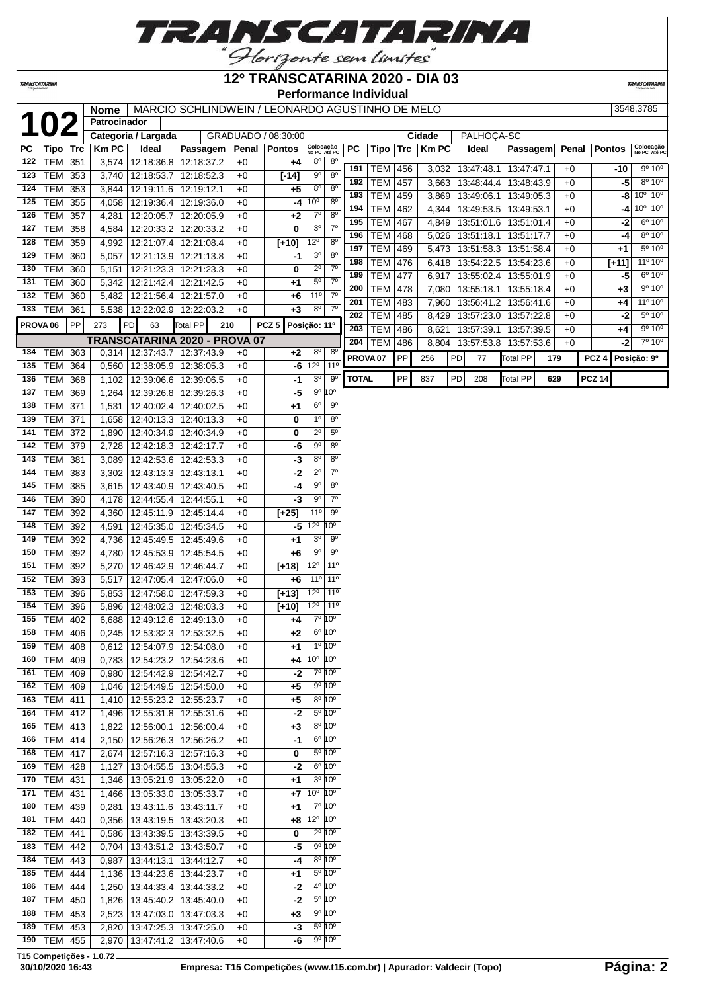

## **12º TRANSCATARINA 2020 - DIA 03**

**TRANSCATARIN** 

**TRANSCATARINA** 

## **Performance Individual**

|  | 185   LEM   444 |  | 1,136   13:44:23.6   13:44  |  |
|--|-----------------|--|-----------------------------|--|
|  | 186   TEM   444 |  | 1.250   13:44:33.4   13:44  |  |
|  | 187   TEM   450 |  | 1.826   13:45:40.2   13:4   |  |
|  | 188   TEM   453 |  | 2,523   13:47:03.0   13:47  |  |
|  |                 |  | $2.020$ $12.47.25$ $142.47$ |  |

Nome MARCIO SCHLINDWEIN / LEONARDO AGUSTINHO DE MELO 3548,3785

|     | <b>102</b>          |           | Patrocinador |                      |                                   |       |                     |                                 |                                |              |                     |     |              |    |            |                 |     |       |                  |                                  |
|-----|---------------------|-----------|--------------|----------------------|-----------------------------------|-------|---------------------|---------------------------------|--------------------------------|--------------|---------------------|-----|--------------|----|------------|-----------------|-----|-------|------------------|----------------------------------|
|     |                     |           |              | Categoria / Largada  |                                   |       | GRADUADO / 08:30:00 |                                 |                                |              |                     |     | Cidade       |    | PALHOCA-SC |                 |     |       |                  |                                  |
| РC  | Tipo   Trc          |           | <b>Km PC</b> | Ideal                | Passagem                          | Penal | <b>Pontos</b>       | Colocação<br>No PC Até PC       |                                | PC           | Tipo                | Trc | <b>Km PC</b> |    | Ideal      | Passagem        |     | Penal | <b>Pontos</b>    | Colocação<br>No PC Até PC        |
| 122 | <b>TEM 351</b>      |           | 3,574        | 12:18:36.8           | 12:18:37.2                        | +0    | +4                  | $8^{\circ}$                     | 8 <sup>o</sup>                 |              |                     |     |              |    |            |                 |     |       |                  |                                  |
| 123 | <b>TEM 353</b>      |           | 3,740        | 12:18:53.7           | 12:18:52.3                        | $+0$  | $[-14]$             | $9^{\circ}$                     | $8^{\circ}$                    | 191          | <b>TEM 456</b>      |     | 3,032        |    | 13:47:48.1 | 13:47:47.1      |     | $+0$  | -10              | 9°10°                            |
| 124 | <b>TEM</b>          | 353       | 3,844        | 12:19:11.6           | 12:19:12.1                        | $+0$  | +5                  | 8 <sup>o</sup>                  | $8^{\circ}$                    | 192          | <b>TEM</b>          | 457 | 3,663        |    | 13:48:44.4 | 13:48:43.9      |     | $+0$  | $-5$             | $8^{\circ}10^{\circ}$            |
| 125 | <b>TEM</b>          | 355       | 4,058        | 12:19:36.4           | 12:19:36.0                        | $+0$  | -4                  | 10 <sup>o</sup>                 | $8^{\circ}$                    | 193          | <b>TEM</b>          | 459 | 3,869        |    | 13:49:06.1 | 13:49:05.3      |     | $+0$  |                  | $10^{\circ}$ 10 $^{\circ}$<br>-8 |
| 126 | TEM                 | 357       | 4,281        | 12:20:05.7           | 12:20:05.9                        | $+0$  | +2                  | $7^\circ$                       | $8^{\circ}$                    | 194          | <b>TEM</b>          | 462 | 4,344        |    | 13:49:53.5 | 13:49:53.1      |     | $+0$  |                  | $10^{\circ}$ 10°<br>$-4$         |
| 127 | <b>TEM</b>          | 358       | 4,584        | 12:20:33.2           | 12:20:33.2                        | +0    | 0                   | 3 <sup>o</sup>                  | $7^\circ$                      | 195          | <b>TEM</b>          | 467 | 4,849        |    | 13:51:01.6 | 13:51:01.4      |     | $+0$  | $-2$             | 6°10°                            |
| 128 | <b>TEM</b>          | 359       | 4,992        | 12:21:07.4           | 12:21:08.4                        | $+0$  | $[+10]$             | $12^{\circ}$                    | $8^{\circ}$                    | 196          | <b>TEM</b>          | 468 | 5,026        |    | 13:51:18.1 | 13:51:17.7      |     | $+0$  | -4               | $8^{\circ}10^{\circ}$            |
| 129 | <b>TEM 360</b>      |           | 5,057        | 12:21:13.9           | 12:21:13.8                        | $+0$  | -1                  | 3 <sup>o</sup>                  | 8 <sup>o</sup>                 | 197          | <b>TEM</b>          | 469 | 5,473        |    | 13:51:58.3 | 13:51:58.4      |     | $+0$  | $+1$             | $5^{\circ}10^{\circ}$            |
| 130 | <b>TEM</b>          | 360       | 5,151        | 12:21:23.3           | 12:21:23.3                        | $+0$  | 0                   | $2^{\circ}$                     | $7^\circ$                      | 198          | <b>TEM</b>          | 476 | 6,418        |    | 13:54:22.5 | 13:54:23.6      |     | $+0$  | $[+11]$          | $11^{\circ}10^{\circ}$           |
| 131 | <b>TEM</b>          | 360       | 5,342        | 12:21:42.4           | 12:21:42.5                        | $+0$  | +1                  | $5^{\circ}$                     | 7 <sup>o</sup>                 | 199          | <b>TEM</b>          | 477 | 6,917        |    | 13:55:02.4 | 13:55:01.9      |     | $+0$  | -5               | $6^{\circ}10^{\circ}$            |
| 132 | <b>TEM</b>          | 360       | 5,482        | 12:21:56.4           | 12:21:57.0                        | $+0$  | +6                  | 11 <sup>0</sup>                 | $7^\circ$                      | 200          | <b>TEM</b>          | 478 | 7,080        |    | 13:55:18.1 | 13:55:18.4      |     | $+0$  | $+3$             | 9°10°                            |
|     | 133   TEM   361     |           |              | 5,538 12:22:02.9     | 12:22:03.2                        | $+0$  | $+3$                | $8^{\circ}$                     | $7^\circ$                      | 201          | <b>TEM</b>          | 483 | 7,960        |    | 13:56:41.2 | 13:56:41.6      |     | $+0$  | +4               | $11^{\circ}10^{\circ}$           |
|     |                     |           |              |                      |                                   |       |                     |                                 |                                | 202          | <b>TEM</b>          | 485 | 8,429        |    | 13:57:23.0 | 13:57:22.8      |     | $+0$  | -2               | $5^{\circ}10^{\circ}$            |
|     | PROVA <sub>06</sub> | <b>PP</b> | 273          | 63<br>PD             | Total PP                          | 210   | PCZ <sub>5</sub>    | Posição: 11º                    |                                | 203          | <b>TEM</b>          | 486 | 8,621        |    | 13:57:39.1 | 13:57:39.5      |     | $+0$  | +4               | 9°10°                            |
|     |                     |           |              |                      | TRANSCATARINA 2020 - PROVA 07     |       |                     |                                 |                                | 204          | <b>TEM</b>          | 486 | 8,804        |    | 13:57:53.8 | 13:57:53.6      |     | $+0$  | -2               | 7°10°                            |
|     | 134   TEM   363     |           | 0,314        | 12:37:43.7           | 12:37:43.9                        | $+0$  | +2                  | $8^{\circ}$                     | 8 <sup>o</sup>                 |              | PROVA <sub>07</sub> | PP  | 256          | PD | 77         | <b>Total PP</b> | 179 |       | PCZ <sub>4</sub> | Posição: 9º                      |
| 135 | <b>TEM</b>          | 364       | 0,560        | 12:38:05.9           | 12:38:05.3                        | $+0$  | -6                  | $12^{\circ}$                    | 11 <sup>o</sup>                |              |                     |     |              |    |            |                 |     |       |                  |                                  |
| 136 | TEM                 | 368       | 1,102        | 12:39:06.6           | 12:39:06.5                        | $+0$  | -1                  | 3 <sup>o</sup>                  | 90                             | <b>TOTAL</b> |                     | PP  | 837          | PD | 208        | <b>Total PP</b> | 629 |       | <b>PCZ 14</b>    |                                  |
| 137 | <b>TEM</b>          | 369       | 1,264        | 12:39:26.8           | 12:39:26.3                        | $+0$  | -5                  |                                 | 9º 10º                         |              |                     |     |              |    |            |                 |     |       |                  |                                  |
| 138 | <b>TEM</b>          | 371       | 1,531        | 12:40:02.4           | 12:40:02.5                        | $+0$  | +1                  | 6 <sup>o</sup>                  | $9^{\circ}$                    |              |                     |     |              |    |            |                 |     |       |                  |                                  |
| 139 | <b>TEM</b>          | 371       | 1,658        | 12:40:13.3           | 12:40:13.3                        | +0    | 0                   | $1^{\circ}$                     | $8^{\circ}$                    |              |                     |     |              |    |            |                 |     |       |                  |                                  |
| 141 | <b>TEM 372</b>      |           | 1,890        | 12:40:34.9           | 12:40:34.9                        | $+0$  | 0                   | $\overline{2^0}$                | $5^{\circ}$                    |              |                     |     |              |    |            |                 |     |       |                  |                                  |
| 142 | <b>TEM 379</b>      |           | 2,728        | 12:42:18.3           | 12:42:17.7                        | $+0$  | -6                  | $9^{\circ}$                     | $8^{\circ}$                    |              |                     |     |              |    |            |                 |     |       |                  |                                  |
| 143 | <b>TEM 381</b>      |           | 3,089        | 12:42:53.6           | 12:42:53.3                        | $+0$  | -3                  | $8^{\circ}$                     | $8^{\circ}$                    |              |                     |     |              |    |            |                 |     |       |                  |                                  |
| 144 | <b>TEM</b>          | 383       | 3,302        | 12:43:13.3           | 12:43:13.1                        | $+0$  | -2                  | $\overline{2^0}$                | $7^\circ$                      |              |                     |     |              |    |            |                 |     |       |                  |                                  |
| 145 | <b>TEM</b>          | 385       | 3,615        | 12:43:40.9           | 12:43:40.5                        | $+0$  | -4                  | $\overline{9^{\circ}}$          | $8^{\circ}$                    |              |                     |     |              |    |            |                 |     |       |                  |                                  |
| 146 | <b>TEM</b>          | 390       | 4,178        | 12:44:55.4           | 12:44:55.1                        | $+0$  | -3                  | $9^{\circ}$                     | $7^{\circ}$                    |              |                     |     |              |    |            |                 |     |       |                  |                                  |
| 147 | <b>TEM</b>          | 392       | 4,360        | 12:45:11.9           | 12:45:14.4                        | $+0$  | $[+25]$             | $11^{\circ}$                    | $9^{\circ}$                    |              |                     |     |              |    |            |                 |     |       |                  |                                  |
| 148 | <b>TEM</b>          | 392       | 4,591        | 12:45:35.0           | 12:45:34.5                        | $+0$  | -5                  | $12^{\circ}$                    | 10 <sup>o</sup>                |              |                     |     |              |    |            |                 |     |       |                  |                                  |
| 149 | <b>TEM</b>          | 392       | 4,736        | 12:45:49.5           | 12:45:49.6                        | +0    | +1                  | 3 <sup>o</sup>                  | 90                             |              |                     |     |              |    |            |                 |     |       |                  |                                  |
| 150 | TEM                 | 392       | 4,780        | 12:45:53.9           | 12:45:54.5                        | +0    | $+6$                | $9^{\circ}$                     | $9^{\circ}$                    |              |                     |     |              |    |            |                 |     |       |                  |                                  |
| 151 | TEM 392             |           | 5,270        | 12:46:42.9           | 12:46:44.7                        | $+0$  | $[+18]$             | 12 <sup>o</sup>                 | 11 <sup>0</sup>                |              |                     |     |              |    |            |                 |     |       |                  |                                  |
| 152 | TEM 393             |           | 5,517        | 12:47:05.4           | 12:47:06.0                        | +0    | $+6$                | 11 <sup>°</sup>                 | $11^{\circ}$                   |              |                     |     |              |    |            |                 |     |       |                  |                                  |
| 153 | <b>TEM</b>          | 396       | 5,853        | 12:47:58.0           | 12:47:59.3                        | +0    | $[-13]$             | $12^{\circ}$                    | $11^{\circ}$                   |              |                     |     |              |    |            |                 |     |       |                  |                                  |
| 154 | <b>TEM</b>          | 396       | 5,896        | 12:48:02.3           | 12:48:03.3                        | $+0$  | $[+10]$             | $12^{\circ}$                    | 11 <sup>0</sup>                |              |                     |     |              |    |            |                 |     |       |                  |                                  |
| 155 | <b>TEM</b>          | 402       | 6,688        | 12:49:12.6           | 12:49:13.0                        | $+0$  | +4                  |                                 | 7º 10°                         |              |                     |     |              |    |            |                 |     |       |                  |                                  |
| 158 | <b>TEM   406</b>    |           | 0,245        | 12:53:32.3           | 12:53:32.5                        | $+0$  | +2                  |                                 | $6^{\circ} 10^{\circ}$         |              |                     |     |              |    |            |                 |     |       |                  |                                  |
|     | 159   TEM   $408$   |           |              |                      | 0,612   12:54:07.9   12:54:08.0   | $+0$  | +1                  |                                 | $1^{\circ} 10^{\circ}$         |              |                     |     |              |    |            |                 |     |       |                  |                                  |
|     | 160   TEM   409     |           |              | 0,783 12:54:23.2     | 12:54:23.6                        | +0    | +4                  | 10 <sup>°</sup> 10 <sup>°</sup> |                                |              |                     |     |              |    |            |                 |     |       |                  |                                  |
| 161 | $ TEM $ 409         |           |              | $0,980$ 12:54:42.9   | 12:54:42.7                        | +0    | $-2$                |                                 | $7°$ 10 $°$                    |              |                     |     |              |    |            |                 |     |       |                  |                                  |
|     | 162   TEM   409     |           |              | 1,046 12:54:49.5     | 12:54:50.0                        | $+0$  | +5                  |                                 | 9º 10°                         |              |                     |     |              |    |            |                 |     |       |                  |                                  |
|     | 163   TEM   411     |           |              | $1,410$ 12:55:23.2   | 12:55:23.7                        | $+0$  | $+5$                |                                 | $8^{\circ} 10^{\circ}$         |              |                     |     |              |    |            |                 |     |       |                  |                                  |
|     | 164   TEM   412     |           | 1,496        | 12:55:31.8           | 12:55:31.6                        | $+0$  | -2                  |                                 | $5^\circ 10^\circ$             |              |                     |     |              |    |            |                 |     |       |                  |                                  |
|     | 165   TEM   413     |           | 1,822        | 12:56:00.1           | 12:56:00.4                        | $+0$  | $+3$                |                                 | $8°$ 10 $°$                    |              |                     |     |              |    |            |                 |     |       |                  |                                  |
|     | 166   TEM   414     |           | 2,150        | 12:56:26.3           | 12:56:26.2                        | $+0$  | -1                  |                                 | 6°10°                          |              |                     |     |              |    |            |                 |     |       |                  |                                  |
|     | 168   TEM   417     |           | 2,674        | 12:57:16.3           | 12:57:16.3                        | $+0$  | 0                   |                                 | $5^\circ 10^\circ$             |              |                     |     |              |    |            |                 |     |       |                  |                                  |
|     | 169   TEM   428     |           | 1,127        | 13:04:55.5           | 13:04:55.3                        | +0    | -2                  |                                 | 6º 10°                         |              |                     |     |              |    |            |                 |     |       |                  |                                  |
|     | 170   TEM   431     |           | 1,346        | 13:05:21.9           | 13:05:22.0                        | +0    | +1                  |                                 | 3º 10º                         |              |                     |     |              |    |            |                 |     |       |                  |                                  |
| 171 | TEM 431             |           | 1,466        | 13:05:33.0           | 13:05:33.7                        | +0    | $+7$                | $10^{\circ}$ $10^{\circ}$       |                                |              |                     |     |              |    |            |                 |     |       |                  |                                  |
|     | 180   TEM   439     |           | 0,281        | 13:43:11.6           | 13:43:11.7                        | $+0$  | +1                  |                                 | 7º 10°                         |              |                     |     |              |    |            |                 |     |       |                  |                                  |
|     | 181   TEM   440     |           |              |                      | $0,356$   13:43:19.5   13:43:20.3 | $+0$  | +8                  | $12^{\circ}$ 10 $^{\circ}$      |                                |              |                     |     |              |    |            |                 |     |       |                  |                                  |
|     | 182   TEM   441     |           |              | 0,586   13:43:39.5   | 13:43:39.5                        | $+0$  | 0                   |                                 | $2^{\circ} 10^{\circ}$         |              |                     |     |              |    |            |                 |     |       |                  |                                  |
|     | 183   TEM   442     |           |              | $0,704$   13:43:51.2 | 13:43:50.7                        | $+0$  | -5                  |                                 | 9°10°                          |              |                     |     |              |    |            |                 |     |       |                  |                                  |
|     | 184   TEM   443     |           | 0,987        | 13:44:13.1           | 13:44:12.7                        | $+0$  | -4                  |                                 | 8°10°                          |              |                     |     |              |    |            |                 |     |       |                  |                                  |
|     | 185   TEM   444     |           |              | 1,136   13:44:23.6   | 13:44:23.7                        | $+0$  | +1                  |                                 | 5º 10°                         |              |                     |     |              |    |            |                 |     |       |                  |                                  |
| 186 | TEM                 | 444       | 1,250        | 13:44:33.4           | 13:44:33.2                        | +0    | -2                  |                                 | 4 <sup>o</sup> 10 <sup>o</sup> |              |                     |     |              |    |            |                 |     |       |                  |                                  |
|     | 187   TEM   450     |           |              | $1,826$   13:45:40.2 | 13:45:40.0                        | +0    | -2                  |                                 | $5^\circ 10^\circ$             |              |                     |     |              |    |            |                 |     |       |                  |                                  |
|     | 188   TEM   453     |           | 2,523        | 13:47:03.0           | 13:47:03.3                        |       | $+3$                |                                 | 9°10°                          |              |                     |     |              |    |            |                 |     |       |                  |                                  |
|     |                     |           |              |                      |                                   | +0    |                     |                                 | $5^\circ 10^\circ$             |              |                     |     |              |    |            |                 |     |       |                  |                                  |
|     | 189   TEM   453     |           |              | 2,820   13:47:25.3   | 13:47:25.0                        | $+0$  | -3                  |                                 |                                |              |                     |     |              |    |            |                 |     |       |                  |                                  |
|     | 190   TEM   455     |           |              |                      | 2,970   13:47:41.2   13:47:40.6   | $+0$  | -6                  |                                 | 9° 10°                         |              |                     |     |              |    |            |                 |     |       |                  |                                  |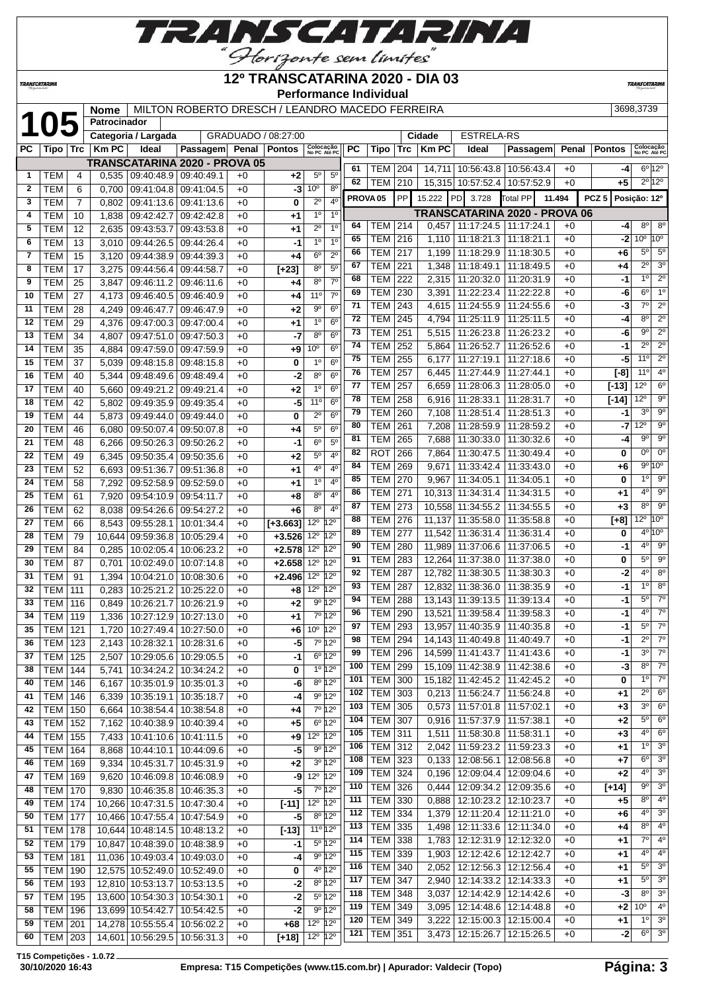

## **12º TRANSCATARINA 2020 - DIA 03**

**TRANSCATARIN** 

**TRANSCATARINA** 

#### **Performance Individual**

| N ROBERTO DRESCH / LEANDRO MACEDO FERREIRA |  |  |
|--------------------------------------------|--|--|

|              |                  |                | <b>Nome</b>  |                                | MILTON ROBERTO DRESCH / LEANDRO MACEDO FERREIRA |      |                     |                                      |                |                     |                          |            |              |                                                                          |                               |              |                  | 3698,3739                 |                                    |
|--------------|------------------|----------------|--------------|--------------------------------|-------------------------------------------------|------|---------------------|--------------------------------------|----------------|---------------------|--------------------------|------------|--------------|--------------------------------------------------------------------------|-------------------------------|--------------|------------------|---------------------------|------------------------------------|
|              | 105              |                | Patrocinador |                                |                                                 |      |                     |                                      |                |                     |                          |            |              |                                                                          |                               |              |                  |                           |                                    |
|              |                  |                |              | Categoria / Largada            |                                                 |      | GRADUADO / 08:27:00 |                                      |                |                     |                          |            | Cidade       | <b>ESTRELA-RS</b>                                                        |                               |              |                  |                           |                                    |
| PC           | Tipo ∣ Trc       |                | <b>Km PC</b> | Ideal                          | Passagem Penal Pontos                           |      |                     | Colocação<br>No PC Até PC            |                | <b>PC</b>           | Tipo                     | Trc        | <b>Km PC</b> | Ideal                                                                    | Passagem                      | Penal        | <b>Pontos</b>    | Colocação<br>No PC Até PC |                                    |
|              |                  |                |              |                                | <b>TRANSCATARINA 2020 - PROVA 05</b>            |      |                     |                                      |                | 61                  | <b>TEM</b>               | 204        |              | 14,711   10:56:43.8   10:56:43.4                                         |                               | $+0$         | -4               | $6^{\circ}$ 12°           |                                    |
| 1            | TEM              | 4              | 0,535        | 09:40:48.9 09:40:49.1          |                                                 | $+0$ | $+2$                | $5^{\circ}$                          | $5^{\circ}$    | 62                  | <b>TEM</b>               | 210        |              | 15,315 10:57:52.4 10:57:52.9                                             |                               | $+0$         | +5               | $2^{\circ}12^{\circ}$     |                                    |
| $\mathbf{2}$ | <b>TEM</b>       | 6              | 0.700        | 09:41:04.8                     | 09:41:04.5                                      | $+0$ | -3                  | $10^{\circ}$                         | $8^{\circ}$    |                     |                          |            |              |                                                                          |                               |              |                  |                           |                                    |
| 3            | <b>TEM</b>       | $\overline{7}$ | 0,802        | 09:41:13.6   09:41:13.6        |                                                 | $+0$ | 0                   | $2^{\circ}$                          | 4 <sup>0</sup> | PROVA <sub>05</sub> |                          | <b>PP</b>  | 15.222       | PD 3.728                                                                 | Total PP                      | 11.494       | PCZ <sub>5</sub> | Posição: 12º              |                                    |
| 4            | <b>TEM</b>       | 10             | 1,838        | 09:42:42.7                     | 09:42:42.8                                      | $+0$ | +1                  | $1^{\circ}$                          | $1^{\circ}$    |                     |                          |            |              |                                                                          | TRANSCATARINA 2020 - PROVA 06 |              |                  |                           |                                    |
| 5            | <b>TEM</b>       | 12             | 2,635        | 09:43:53.7                     | 09:43:53.8                                      | $+0$ | +1                  | $2^{\circ}$                          | 1 <sup>0</sup> | 64                  | TEM                      | 214        | 0,457        | 11:17:24.5   11:17:24.1                                                  |                               | $+0$         | -4               | 8 <sup>o</sup>            | $8^{\circ}$                        |
| 6            | <b>TEM</b>       | 13             | 3,010        | 09:44:26.5                     | 09:44:26.4                                      | $+0$ | $-1$                | 1 <sup>0</sup>                       | 1 <sup>0</sup> | 65                  | <b>TEM</b>               | 216        | 1,110        | 11:18:21.3   11:18:21.1                                                  |                               | $+0$         | -2               | 10 <sup>o</sup>           | $10^{\circ}$                       |
| 7            | <b>TEM</b>       | 15             | 3.120        | 09:44:38.9 09:44:39.3          |                                                 | $+0$ | $+4$                | 6 <sup>o</sup>                       | $2^{\circ}$    | 66                  | TEM                      | 217        | 1,199        | 11:18:29.9 11:18:30.5                                                    |                               | $+0$         | +6               | $5^{\circ}$               | $5^\circ$                          |
| 8            | <b>TEM</b>       | 17             | 3,275        | 09:44:56.4                     | 09:44:58.7                                      | $+0$ | $[+23]$             | $8^{\circ}$                          | $5^{\circ}$    | 67                  | <b>TEM</b>               | 221        | 1,348        | 11:18:49.1                                                               | 11:18:49.5                    | $+0$         | +4               | $2^{\circ}$               | 3 <sup>0</sup>                     |
| 9            | <b>TEM</b>       | 25             | 3,847        | 09:46:11.2                     | 09:46:11.6                                      | $+0$ | +4                  | $8^{\circ}$                          | $7^{\circ}$    | 68                  | TEM                      | 222        | 2,315        | 11:20:32.0   11:20:31.9                                                  |                               | $+0$         | -1               | $1^{\circ}$               | $2^{\circ}$                        |
| 10           | <b>TEM</b>       | 27             | 4,173        | 09:46:40.5   09:46:40.9        |                                                 | $+0$ | +4                  | 11°                                  | $7^\circ$      | 69                  | <b>TEM</b>               | 230        | 3,391        | 11:22:23.4   11:22:22.8                                                  |                               | $+0$         | -6               | $6^{\circ}$<br>$7^\circ$  | 1 <sup>o</sup><br>$\overline{2^0}$ |
| 11           | <b>TEM</b>       | 28             | 4,249        | 09:46:47.7                     | 09:46:47.9                                      | $+0$ | $+2$                | $9^{\circ}$                          | 6 <sup>o</sup> | 71                  | <b>TEM</b>               | 243        | 4,615        | 11:24:55.9   11:24:55.6                                                  |                               | $+0$         | -3               |                           | $\overline{2^0}$                   |
| 12           | <b>TEM</b>       | 29             | 4,376        | 09:47:00.3   09:47:00.4        |                                                 | $+0$ | +1                  | 1 <sup>0</sup>                       | 6 <sup>o</sup> | 72                  | <b>TEM</b>               | 245        | 4,794        | 11:25:11.9                                                               | 11:25:11.5                    | $+0$         | -4               | $8^{\circ}$               |                                    |
| 13           | <b>TEM</b>       | 34             | 4,807        | 09:47:51.0 09:47:50.3          |                                                 | $+0$ | -7                  | 80                                   | $6^{\circ}$    | 73                  | <b>TEM</b>               | 251        | 5,515        | 11:26:23.8 11:26:23.2                                                    |                               | $+0$         | -6               | 9º<br>$2^{\circ}$         | $2^{\circ}$<br>$2^{\circ}$         |
| 14           | <b>TEM</b>       | 35             | 4,884        | 09:47:59.0 09:47:59.9          |                                                 | $+0$ | +9                  | $10^{\circ}$                         | 6 <sup>o</sup> | 74                  | <b>TEM</b>               | 252        | 5,864        | 11:26:52.7   11:26:52.6                                                  |                               | $+0$         | -1               |                           | $2^{\circ}$                        |
| 15           | <b>TEM</b>       | 37             | 5,039        | 09:48:15.8                     | 09:48:15.8                                      | $+0$ | 0                   | 1 <sup>0</sup>                       | $6^{\circ}$    | 75                  | <b>TEM</b>               | 255        | 6,177        | 11:27:19.1                                                               | 11:27:18.6                    | $+0$         | -5               | $11^{\circ}$<br>11°       | 4 <sup>0</sup>                     |
| 16           | <b>TEM</b>       | 40             | 5,344        | 09:48:49.6   09:48:49.4        |                                                 | $+0$ | -2                  | $8^{\circ}$                          | 6 <sup>o</sup> | 76                  | <b>TEM</b>               | 257        | 6,445        | 11:27:44.9   11:27:44.1                                                  |                               | $+0$         | $[-8]$           |                           |                                    |
| 17           | <b>TEM</b>       | 40             | 5,660        | 09:49:21.2 09:49:21.4          |                                                 | $+0$ | +2                  | 1 <sup>0</sup>                       | 6 <sup>o</sup> | 77                  | <b>TEM</b>               | 257        | 6,659        | 11:28:06.3   11:28:05.0                                                  |                               | $+0$         | $[-13]$          | $12^{\circ}$              | $6^{\circ}$                        |
| 18           | <b>TEM</b>       | 42             | 5,802        | 09:49:35.9 09:49:35.4          |                                                 | $+0$ | -5                  | 11°                                  | $6^{\circ}$    | 78                  | TEM                      | 258        | 6,916        | 11:28:33.1   11:28:31.7                                                  |                               | $+0$         | [-14]            | $12^{\circ}$              | $9^{\circ}$                        |
| 19           | <b>TEM</b>       | 44             | 5,873        | 09:49:44.0                     | 09:49:44.0                                      | $+0$ | 0                   | $2^{\circ}$                          | 6 <sup>o</sup> | 79                  | <b>TEM</b>               | 260        | 7,108        |                                                                          | 11:28:51.4   11:28:51.3       | $+0$         | -1               | 3 <sup>o</sup>            | $9^{\circ}$<br>$\overline{9^0}$    |
| 20           | <b>TEM</b>       | 46             | 6,080        | 09:50:07.4   09:50:07.8        |                                                 | $+0$ | +4                  | $5^{\rm o}$                          | 6 <sup>o</sup> | 80                  | <b>TEM</b>               | 261        | 7,208        |                                                                          | 11:28:59.9   11:28:59.2       | $+0$         | -7               | $12^{\circ}$<br>90        | $9^\circ$                          |
| 21           | <b>TEM</b>       | 48             | 6,266        | 09:50:26.3 09:50:26.2          |                                                 | $+0$ | -1                  | $6^{\circ}$                          | $5^{\circ}$    | 81                  | <b>TEM</b>               | 265        | 7,688        | 11:30:33.0   11:30:32.6                                                  |                               | $+0$         | -4               | 0°                        | $0^{\circ}$                        |
| 22           | <b>TEM</b>       | 49             | 6,345        | 09:50:35.4                     | 09:50:35.6                                      | $+0$ | +2                  | $5^{\circ}$                          | $4^{\circ}$    | 82                  | ROT                      | 266        | 7,864        | 11:30:47.5   11:30:49.4                                                  |                               | $+0$         | 0                | $9^{\circ}10^{\circ}$     |                                    |
| 23           | <b>TEM</b>       | 52             | 6,693        | 09:51:36.7                     | 09:51:36.8                                      | $+0$ | +1                  | 4°                                   | 4 <sup>0</sup> | 84                  | <b>TEM</b>               | 269        | 9,671        | 11:33:42.4   11:33:43.0                                                  |                               | $+0$         | +6               | $1^{\circ}$               | $9^{\circ}$                        |
| 24           | <b>TEM</b>       | 58             | 7,292        | 09:52:58.9 09:52:59.0          |                                                 | $+0$ | $+1$                | 1 <sup>0</sup>                       | 4 <sup>0</sup> | 85<br>86            | <b>TEM</b>               | 270        | 9,967        | 11:34:05.1                                                               | 11:34:05.1                    | $+0$         | 0                | 4°                        | $9^\circ$                          |
| 25           | <b>TEM</b>       | 61             | 7,920        | 09:54:10.9 09:54:11.7          |                                                 | $+0$ | $+8$                | 8 <sup>o</sup>                       | 4 <sup>0</sup> |                     | <b>TEM</b>               | 271        |              | 10,313 11:34:31.4 11:34:31.5                                             |                               | $+0$         | +1               | 8 <sup>0</sup>            | 9 <sup>o</sup>                     |
| 26           | <b>TEM</b>       | 62             | 8,038        | 09:54:26.6 09:54:27.2          |                                                 | $+0$ | $+6$                | 8 <sup>0</sup>                       | 4 <sup>0</sup> | 87<br>88            | TEM                      | 273        |              | 10,558 11:34:55.2 11:34:55.5                                             |                               | $+0$         | $+3$             | $12^{\circ}$              | 10 <sup>o</sup>                    |
| 27           | <b>TEM</b>       | 66             | 8,543        | 09:55:28.1                     | 10:01:34.4                                      | $+0$ | $[+3.663]$          | $12^{\circ}$                         | $12^{\circ}$   | 89                  | <b>TEM</b>               | 276        | 11,137       | 11:35:58.0   11:35:58.8                                                  |                               | $+0$         | $[+8]$           | $4^{\circ}10^{\circ}$     |                                    |
| 28           | <b>TEM</b>       | 79             | 10,644       | 09:59:36.8                     | 10:05:29.4                                      | $+0$ | $+3.526$            | $12^{\circ}$                         | 12°            | 90                  | <b>TEM</b><br><b>TEM</b> | 277        | 11,542       | 11:36:31.4   11:36:31.4                                                  |                               | $+0$         | 0                | $4^{\circ}$               | $9^\circ$                          |
| 29           | <b>TEM</b>       | 84             | 0,285        | 10:02:05.4                     | 10:06:23.2                                      | $+0$ | $+2.578$            | 12 <sup>0</sup> 12 <sup>0</sup>      |                | 91                  |                          | 280        |              | 11,989 11:37:06.6 11:37:06.5<br>12,264 11:37:38.0 11:37:38.0             |                               | $+0$         | -1<br>0          | $5^{\circ}$               | $9^{\circ}$                        |
| 30           | <b>TEM</b>       | 87             | 0,701        | 10:02:49.0                     | 10:07:14.8                                      | $+0$ | $+2.658$            | 12º 12º                              |                | 92                  | <b>TEM</b><br><b>TEM</b> | 283<br>287 |              |                                                                          |                               | $+0$         |                  | $4^{\circ}$               | 8 <sup>o</sup>                     |
| 31           | <b>TEM</b>       | 91             | 1,394        | 10:04:21.0                     | 10:08:30.6                                      | $+0$ | $+2.496$            | $12^{\circ}$                         | $12^{\circ}$   | 93                  | <b>TEM</b>               |            |              | 12,782 11:38:30.5 11:38:30.3<br>12,832 11:38:36.0 11:38:35.9             |                               | $+0$<br>$+0$ | -2               | 1 <sup>°</sup>            | 8 <sup>o</sup>                     |
| 32           | <b>TEM</b>       | 111            | 0,283        | 10:25:21.2                     | 10:25:22.0                                      | $+0$ | +8                  | 12º 12º                              |                | 94                  | <b>TEM</b>               | 287<br>288 |              | 13,143 11:39:13.5 11:39:13.4                                             |                               | $+0$         | -1<br>-1         | $5^{\circ}$               | $\overline{7^0}$                   |
| 33           | <b>TEM</b>       | 116            | 0,849        | 10:26:21.7                     | 10:26:21.9                                      | $+0$ | $+2$                | 9º 12º                               |                | 96                  | <b>TEM</b>               | 290        |              | 13,521 11:39:58.4 11:39:58.3                                             |                               | $+0$         | -1               | 4 <sup>0</sup>            | $7^\circ$                          |
| 34           | <b>TEM</b>       | 119            | 1,336        | 10:27:12.9 10:27:13.0          |                                                 | $+0$ | $+1$                | 7º 12º                               |                | 97                  | <b>TEM</b>               |            |              |                                                                          |                               | $+0$         | -1               | $5^{\circ}$               | $7^\circ$                          |
| 35           | <b>TEM</b> 121   |                |              |                                | 1,720 10:27:49.4 10:27:50.0                     | $+0$ |                     | $+6$ 10 <sup>o</sup> 12 <sup>o</sup> |                | 98                  |                          | 293<br>294 |              | 13,957 11:40:35.9 11:40:35.8<br>14, 143 11: 40: 49.8 11: 40: 49.7        |                               | $+0$         | -1               | $2^{\circ}$               | $7^\circ$                          |
| 36           | <b>TEM 123</b>   |                | 2,143        | 10:28:32.1   10:28:31.6        |                                                 | $+0$ | -5                  | 7º 12º                               |                | 99                  | TEM<br><b>TEM</b>        | 296        |              | 14,599 11:41:43.7   11:41:43.6                                           |                               | $+0$         | -1               | $3^{\circ}$               | $7^\circ$                          |
| 37           | <b>TEM 125</b>   |                | 2,507        | 10:29:05.6   10:29:05.5        |                                                 | $+0$ | -1                  | 6º 12º                               |                | 100                 | <b>TEM</b>               | 299        |              | 15,109 11:42:38.9 11:42:38.6                                             |                               | $+0$         | $-3$             | 8°                        | $7^\circ$                          |
| 38           | <b>TEM 144</b>   |                | 5,741        | 10:34:24.2 10:34:24.2          |                                                 | $+0$ | 0                   | $1^{\circ} 12^{\circ}$               |                |                     |                          |            |              |                                                                          |                               |              |                  | 1 <sup>0</sup>            | $7^\circ$                          |
| 40           | <b>TEM 146</b>   |                | 6,167        |                                | 10:35:01.9 10:35:01.3                           | $+0$ | -6                  | 8º 12º                               |                | 101<br>102          | <b>TEM</b><br><b>TEM</b> | 300<br>303 |              | 15, 182 11: 42: 45. 2 11: 42: 45. 2<br>$0,213$   11:56:24.7   11:56:24.8 |                               | $+0$<br>$+0$ | 0                | $2^{\circ}$               | $6^{\circ}$                        |
| 41           | <b>TEM 146</b>   |                | 6,339        | 10:35:19.1                     | 10:35:18.7                                      | $+0$ | -4                  | 9º 12º                               |                | 103                 | <b>TEM</b>               | 305        |              | $0,573$   11:57:01.8   11:57:02.1                                        |                               |              | +1               | $3^{\circ}$               | $6^{\circ}$                        |
| 42           | TEM              | 150            | 6,664        |                                | 10:38:54.4   10:38:54.8                         | $+0$ | +4                  | 7º 12º                               |                | 104                 | <b>TEM</b>               | 307        |              | $0,916$   11:57:37.9   11:57:38.1                                        |                               | $+0$<br>$+0$ | $+3$<br>+2       | $5^{\circ}$               | 6 <sup>o</sup>                     |
| 43           | <b>TEM 152</b>   |                | 7,162        |                                | 10:40:38.9 10:40:39.4                           | $+0$ | $+5$                | $6^{\circ} 12^{\circ}$               |                | 105                 | <b>TEM</b>               | 311        | 1,511        | 11:58:30.8   11:58:31.1                                                  |                               | $+0$         | $+3$             | $4^{\circ}$               | $6^{\circ}$                        |
| 44           | <b>TEM 155</b>   |                | 7,433        | 10:41:10.6 10:41:11.5          |                                                 | $+0$ | +9                  | 12º 12º                              |                | 106                 | <b>TEM</b>               | 312        |              | 2,042   11:59:23.2   11:59:23.3                                          |                               | $+0$         | +1               | $1^{\circ}$               | 3 <sup>o</sup>                     |
| 45           | <b>TEM 164</b>   |                | 8,868        |                                | 10:44:10.1   10:44:09.6                         | $+0$ | $-5$                | 9° 12°                               |                | 108                 | <b>TEM</b>               | 323        | 0,133        | 12:08:56.1   12:08:56.8                                                  |                               | $+0$         | +7               | $6^{\circ}$               | 3 <sup>o</sup>                     |
| 46           | <b>TEM 169</b>   |                | 9,334        | 10:45:31.7   10:45:31.9        |                                                 | $+0$ | $+2$                | $3^{\circ} 12^{\circ}$               |                | 109                 | <b>TEM</b>               | 324        | 0,196        |                                                                          | 12:09:04.4   12:09:04.6       | $+0$         | +2               | 4º                        | 3 <sup>o</sup>                     |
| 47           | <b>TEM 169</b>   |                | 9,620        | 10:46:09.8 10:46:08.9          |                                                 | $+0$ | -9                  | $12^{\circ}$ 12 <sup>°</sup>         |                | 110                 | <b>TEM</b>               | 326        |              |                                                                          |                               | $+0$         |                  | 9º                        | 3 <sup>o</sup>                     |
| 48           | <b>TEM 170</b>   |                | 9,830        |                                | 10:46:35.8 10:46:35.3                           | $+0$ | -5                  | 7°12°                                |                | 111                 | <b>TEM</b>               | 330        | 0,444        | 12:10:23.2 12:10:23.7                                                    | 12:09:34.2   12:09:35.6       |              | $[+14]$          | $8^{\circ}$               | 4 <sup>0</sup>                     |
| 49           | <b>TEM 174</b>   |                |              | 10,266 10:47:31.5 10:47:30.4   |                                                 | $+0$ | $[-11]$             | 12º 12º                              |                | 112                 | <b>TEM</b>               | 334        | 0,888        | 1,379   12:11:20.4   12:11:21.0                                          |                               | $+0$<br>$+0$ | +5<br>+6         | 4º                        | 3 <sup>o</sup>                     |
| 50           | <b>TEM 177</b>   |                |              | 10,466 10:47:55.4 10:47:54.9   |                                                 | $+0$ | $-5$                | 8º 12º                               |                | 113                 | <b>TEM</b>               | 335        | 1,498        | 12:11:33.6   12:11:34.0                                                  |                               | $+0$         | +4               | $8^{\circ}$               | 4 <sup>o</sup>                     |
| 51           | <b>TEM   178</b> |                |              | 10,644 10:48:14.5 10:48:13.2   |                                                 | $+0$ | $[-13]$             | $11^{\circ}12^{\circ}$               |                | 114                 | <b>TEM</b>               | 338        | 1,783        |                                                                          | 12:12:31.9   12:12:32.0       | $+0$         | +1               | 7º                        | 4 <sup>0</sup>                     |
| 52           | <b>TEM 179</b>   |                |              | 10,847 10:48:39.0   10:48:38.9 |                                                 | $+0$ | -1                  | $5^{\circ}12^{\circ}$                |                | 115                 | <b>TEM</b>               | 339        | 1,903        | 12:12:42.6   12:12:42.7                                                  |                               | $+0$         | +1               | 4º                        | 4 <sup>o</sup>                     |
| 53           | TEM              | 181            |              | 11,036 10:49:03.4 10:49:03.0   |                                                 | $+0$ | $-4$                | 9°12°                                |                | 116                 | <b>TEM</b>               | 340        | 2,052        |                                                                          | 12:12:56.3   12:12:56.4       | $+0$         | +1               | $5^{\circ}$               | 3 <sup>o</sup>                     |
| 55           | <b>TEM   190</b> |                |              | 12,575 10:52:49.0 10:52:49.0   |                                                 | $+0$ | 0                   | 4º 12º                               |                | 117                 | <b>TEM</b>               | 347        | 2,940        |                                                                          | 12:14:33.2   12:14:33.3       | $+0$         | +1               | $5^{\circ}$               | 3 <sup>o</sup>                     |
| 56           | TEM   193        |                |              | 12,810 10:53:13.7 10:53:13.5   |                                                 | $+0$ | -2                  | 8º 12º                               |                | 118                 | <b>TEM</b>               | 348        | 3,037        |                                                                          | 12:14:42.9   12:14:42.6       | $+0$         | -3               | $8^{\circ}$               | 3 <sup>o</sup>                     |
| 57           | <b>TEM 195</b>   |                |              | 13,600 10:54:30.3 10:54:30.1   |                                                 | $+0$ | $-2$                | 5º 12º                               |                | 119                 | <b>TEM</b>               | 349        | 3,095        |                                                                          | 12:14:48.6   12:14:48.8       | $+0$         | +2               | 10 <sup>o</sup>           | 4 <sup>o</sup>                     |
| 58           | <b>TEM   196</b> |                |              | 13,699 10:54:42.7 10:54:42.5   |                                                 | $+0$ | $-2$                | $9^{\circ} 12^{\circ}$               |                | 120                 | <b>TEM</b>               | 349        | 3,222        |                                                                          | 12:15:00.3   12:15:00.4       | $+0$         | +1               | $1^{\circ}$               | 3 <sup>o</sup>                     |
| 59           | <b>TEM 201</b>   |                |              | 14,278 10:55:55.4 10:56:02.2   |                                                 | $+0$ | $+68$               | 12 <sup>0</sup> 12 <sup>0</sup>      |                | 121                 | TEM 351                  |            | 3,473        |                                                                          | 12:15:26.7   12:15:26.5       | $+0$         | -2               | $6^{\circ}$               | 3 <sup>o</sup>                     |
| 60           | <b>TEM 203</b>   |                |              | 14,601 10:56:29.5 10:56:31.3   |                                                 | $+0$ | $[+18]$             | $12^{\circ}$ 12 <sup>°</sup>         |                |                     |                          |            |              |                                                                          |                               |              |                  |                           |                                    |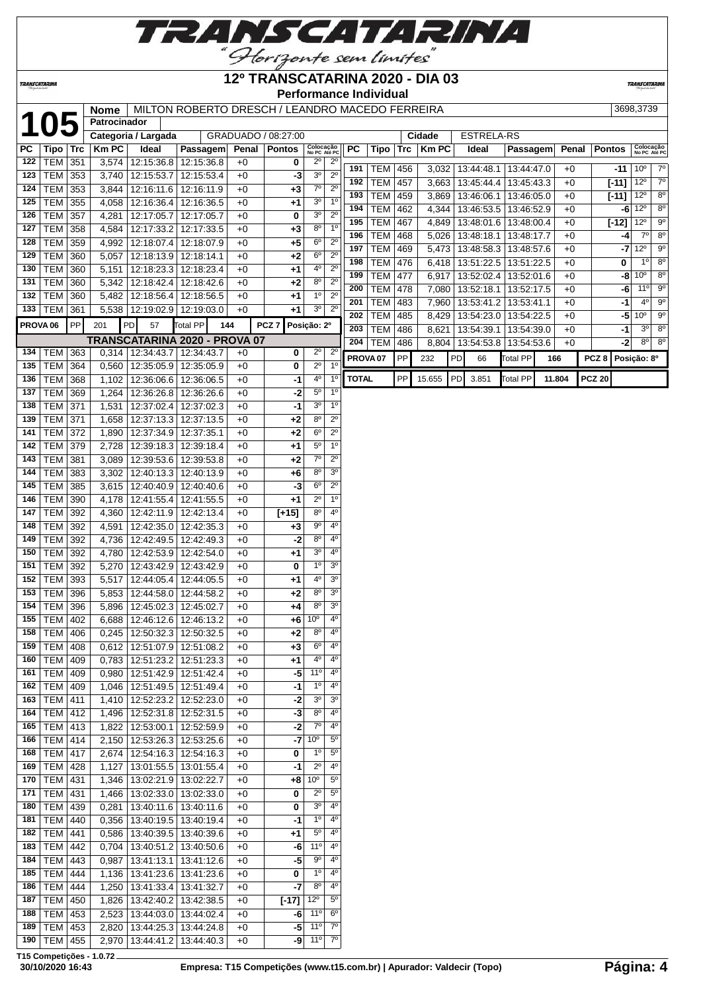

## **12º TRANSCATARINA 2020 - DIA 03**

**TRANSCATARIN** 

**TRANSCATARINA** 

**Performance Individual**

|                     |                  |     | <b>Nome</b>  |                             | MILTON ROBERTO DRESCH / LEANDRO MACEDO FERREIRA |       |                     |                           |                |                     |            |     |              |             |                         |            |        |                    | 3698,3739                           |
|---------------------|------------------|-----|--------------|-----------------------------|-------------------------------------------------|-------|---------------------|---------------------------|----------------|---------------------|------------|-----|--------------|-------------|-------------------------|------------|--------|--------------------|-------------------------------------|
|                     | <b>105</b>       |     | Patrocinador |                             |                                                 |       |                     |                           |                |                     |            |     |              |             |                         |            |        |                    |                                     |
|                     |                  |     |              | Categoria / Largada         |                                                 |       | GRADUADO / 08:27:00 |                           |                |                     |            |     | Cidade       |             | <b>ESTRELA-RS</b>       |            |        |                    |                                     |
| PC                  | Tipo   Trc       |     | KmPC         | Ideal                       | Passagem                                        | Penal | <b>Pontos</b>       | Colocação<br>No PC Até PC |                | PC                  | Tipo       | Trc | <b>Km PC</b> | Ideal       |                         | Passagem   | Penal  | <b>Pontos</b>      | Colocação<br>No PC Até PC           |
| 122                 | $ TEM $ 351      |     | 3,574        | 12:15:36.8                  | 12:15:36.8                                      | $+0$  | 0                   | $2^{\circ}$               | $2^{\circ}$    | 191                 | TEM   456  |     | 3,032        | 13:44:48.1  |                         | 13:44:47.0 | $+0$   | $-11$              | $7^\circ$<br>$10^{\circ}$           |
| 123                 | TEM              | 353 | 3,740        | 12:15:53.7                  | 12:15:53.4                                      | $+0$  | -3                  | 3 <sup>o</sup>            | $2^{\circ}$    | 192                 | <b>TEM</b> | 457 | 3,663        | 13:45:44.4  |                         | 13:45:43.3 | $+0$   |                    | $12^{\circ}$<br>$7^\circ$           |
| 124                 | <b>TEM</b>       | 353 | 3,844        | 12:16:11.6                  | 12:16:11.9                                      | $+0$  | $+3$                | $7^\circ$                 | $2^{\circ}$    | 193                 | <b>TEM</b> | 459 | 3,869        | 13:46:06.1  |                         | 13:46:05.0 | $+0$   | $[-11]$<br>$[-11]$ | $12^{\circ}$<br>$8^{\circ}$         |
| 125                 | <b>TEM</b>       | 355 | 4,058        | 12:16:36.4                  | 12:16:36.5                                      | $+0$  | +1                  | 3 <sup>o</sup>            | $1^{\circ}$    | 194                 | <b>TEM</b> |     |              |             |                         |            |        |                    | $-6$ 12 <sup>o</sup><br>$8^{\circ}$ |
| 126                 | <b>TEM</b>       | 357 | 4,281        | 12:17:05.7                  | 12:17:05.7                                      | $+0$  | 0                   | 3 <sup>o</sup>            | $2^{\circ}$    |                     |            | 462 | 4,344        | 13:46:53.5  |                         | 13:46:52.9 | $+0$   |                    | $9^\circ$                           |
| 127                 | <b>TEM</b>       | 358 | 4,584        | 12:17:33.2                  | 12:17:33.5                                      | $+0$  | +3                  | 8 <sup>o</sup>            | 1 <sup>0</sup> | 195                 | <b>TEM</b> | 467 | 4,849        | 13:48:01.6  |                         | 13:48:00.4 | $+0$   | $[-12]$            | $12^{\circ}$                        |
| 128                 | <b>TEM</b>       | 359 | 4,992        | 12:18:07.4                  | 12:18:07.9                                      | $+0$  | $+5$                | $6^{\circ}$               | $2^{\circ}$    | 196                 | <b>TEM</b> | 468 | 5,026        | 13:48:18.1  |                         | 13:48:17.7 | $+0$   | -4                 | $7^\circ$<br>$8^{\circ}$            |
| 129                 | <b>TEM</b>       | 360 | 5,057        | 12:18:13.9                  | 12:18:14.1                                      | $+0$  | +2                  | $6^{\circ}$               | $2^{\circ}$    | 197                 | <b>TEM</b> | 469 | 5,473        | 13:48:58.3  |                         | 13:48:57.6 | $+0$   | $-7$               | $9^{\circ}$<br>$12^{\circ}$         |
| 130                 | <b>TEM</b>       | 360 | 5,151        | 12:18:23.3                  | 12:18:23.4                                      | $+0$  | +1                  | 4°                        | $2^{\circ}$    | 198                 | <b>TEM</b> | 476 | 6,418        | 13:51:22.5  |                         | 13:51:22.5 | $+0$   | 0                  | $8^{\circ}$<br>$1^{\circ}$          |
| 131                 | <b>TEM</b>       | 360 | 5,342        | 12:18:42.4                  | 12:18:42.6                                      | $+0$  | +2                  | $8^{\circ}$               | $2^{\circ}$    | 199                 | <b>TEM</b> | 477 | 6,917        | 13:52:02.4  |                         | 13:52:01.6 | $+0$   | -8                 | $10^{\circ}$<br>$8^{\circ}$         |
| 132                 | <b>TEM</b>       | 360 | 5,482        | 12:18:56.4                  | 12:18:56.5                                      | $+0$  | +1                  | 1 <sup>0</sup>            | $2^{\circ}$    | 200                 | <b>TEM</b> | 478 | 7,080        | 13:52:18.1  |                         | 13:52:17.5 | $+0$   | -6                 | $9^{\circ}$<br>$11^{\circ}$         |
| 133                 | TEM              | 361 | 5,538        | 12:19:02.9                  | 12:19:03.0                                      | $+0$  | +1                  | 3 <sup>o</sup>            | $2^{\circ}$    | 201                 | <b>TEM</b> | 483 | 7,960        |             | 13:53:41.2   13:53:41.1 |            | $+0$   | $-1$               | $4^{\circ}$<br>$9^{\circ}$          |
| PROVA <sub>06</sub> |                  | PP  | 201          | PD<br>57                    | Total PP<br>144                                 |       | PCZ <sub>7</sub>    | Posição: 2º               |                | 202                 | TEM        | 485 | 8,429        |             | 13:54:23.0   13:54:22.5 |            | $+0$   | $-5$               | 10 <sup>o</sup><br>$9^{\circ}$      |
|                     |                  |     |              |                             |                                                 |       |                     |                           |                | 203                 | <b>TEM</b> | 486 | 8,621        | 13:54:39.1  |                         | 13:54:39.0 | $+0$   | $-1$               | $3^{\circ}$<br>$8^{\circ}$          |
|                     |                  |     |              | 0.314 12:34:43.7            | TRANSCATARINA 2020 - PROVA 07                   |       |                     | $2^{\circ}$               | $2^{\circ}$    | 204                 | <b>TEM</b> | 486 | 8,804        | 13:54:53.8  |                         | 13:54:53.6 | $+0$   | -21                | $8^{\circ}$<br>$8^{\circ}$          |
| 134                 | <b>TEM</b>       | 363 |              |                             | 12:34:43.7                                      | $+0$  | 0                   | $2^{\circ}$               | 1 <sup>0</sup> | PROVA <sub>07</sub> |            | PP  | 232          | PD<br>66    | <b>Total PP</b>         | 166        |        | PCZ <sub>8</sub>   | Posição: 8º                         |
| 135                 | TEM              | 364 | 0,560        | 12:35:05.9                  | 12:35:05.9                                      | $+0$  | 0                   | 4 <sup>0</sup>            | $1^{\circ}$    | <b>TOTAL</b>        |            | PP  | 15.655       | PD<br>3.851 | Total PP                |            | 11.804 | <b>PCZ 20</b>      |                                     |
| 136                 | TEM              | 368 | 1,102        | 12:36:06.6                  | 12:36:06.5                                      | $+0$  | -1                  |                           |                |                     |            |     |              |             |                         |            |        |                    |                                     |
| 137                 | <b>TEM</b>       | 369 | 1,264        | 12:36:26.8                  | 12:36:26.6                                      | $+0$  | $-2$                | $5^{\circ}$               | 1 <sup>0</sup> |                     |            |     |              |             |                         |            |        |                    |                                     |
| 138                 | <b>TEM</b>       | 371 | 1,531        | 12:37:02.4                  | 12:37:02.3                                      | $+0$  | -1                  | 3 <sup>o</sup>            | 1 <sup>0</sup> |                     |            |     |              |             |                         |            |        |                    |                                     |
| 139                 | <b>TEM</b>       | 371 | 1,658        | 12:37:13.3                  | 12:37:13.5                                      | $+0$  | +2                  | $8^{\circ}$               | $2^{\circ}$    |                     |            |     |              |             |                         |            |        |                    |                                     |
| 141                 | <b>TEM</b>       | 372 | 1,890        | 12:37:34.9                  | 12:37:35.1                                      | $+0$  | $+2$                | $6^{\circ}$               | $2^{\circ}$    |                     |            |     |              |             |                         |            |        |                    |                                     |
| 142                 | <b>TEM</b>       | 379 | 2,728        | 12:39:18.3                  | 12:39:18.4                                      | $+0$  | +1                  | $5^{\circ}$               | 1 <sup>0</sup> |                     |            |     |              |             |                         |            |        |                    |                                     |
| 143                 | <b>TEM</b>       | 381 | 3,089        | 12:39:53.6                  | 12:39:53.8                                      | $+0$  | +2                  | $7^\circ$                 | $2^{\circ}$    |                     |            |     |              |             |                         |            |        |                    |                                     |
| 144                 | <b>TEM</b>       | 383 | 3,302        | 12:40:13.3                  | 12:40:13.9                                      | $+0$  | +6                  | 8 <sup>o</sup>            | 3 <sup>o</sup> |                     |            |     |              |             |                         |            |        |                    |                                     |
| 145                 | <b>TEM</b>       | 385 | 3,615        | 12:40:40.9                  | 12:40:40.6                                      | $+0$  | -3                  | $6^{\circ}$               | $2^{\circ}$    |                     |            |     |              |             |                         |            |        |                    |                                     |
| 146                 | TEM              | 390 | 4,178        | 12:41:55.4                  | 12:41:55.5                                      | $+0$  | +1                  | $2^{\circ}$               | $1^{\circ}$    |                     |            |     |              |             |                         |            |        |                    |                                     |
| 147                 | <b>TEM</b>       | 392 | 4,360        | 12:42:11.9                  | 12:42:13.4                                      | $+0$  | $[t+15]$            | $8^{\circ}$               | $4^{\circ}$    |                     |            |     |              |             |                         |            |        |                    |                                     |
| 148                 | <b>TEM</b>       | 392 | 4,591        | 12:42:35.0                  | 12:42:35.3                                      | $+0$  | +3                  | $\overline{9^{\circ}}$    | $4^{\circ}$    |                     |            |     |              |             |                         |            |        |                    |                                     |
| 149                 | <b>TEM</b>       | 392 | 4,736        | 12:42:49.5                  | 12:42:49.3                                      | $+0$  | -2                  | $8^{\circ}$               | $4^{\circ}$    |                     |            |     |              |             |                         |            |        |                    |                                     |
| 150                 | <b>TEM</b>       | 392 | 4,780        | 12:42:53.9                  | 12:42:54.0                                      | $+0$  | $+1$                | 3 <sup>o</sup>            | $4^{\circ}$    |                     |            |     |              |             |                         |            |        |                    |                                     |
| 151                 | <b>TEM</b>       | 392 | 5,270        | 12:43:42.9                  | 12:43:42.9                                      | $+0$  | 0                   | 1 <sup>0</sup>            | 3 <sup>o</sup> |                     |            |     |              |             |                         |            |        |                    |                                     |
| 152                 | <b>TEM</b>       | 393 | 5,517        | 12:44:05.4                  | 12:44:05.5                                      | $+0$  | +1                  | 4°                        | 3 <sup>o</sup> |                     |            |     |              |             |                         |            |        |                    |                                     |
| 153                 | <b>TEM</b>       | 396 | 5,853        | 12:44:58.0                  | 12:44:58.2                                      | $+0$  | +2                  | 8 <sup>o</sup>            | 3 <sup>o</sup> |                     |            |     |              |             |                         |            |        |                    |                                     |
| 154                 | <b>TEM</b>       | 396 | 5,896        | 12:45:02.3                  | 12:45:02.7                                      | $+0$  | +4                  | $8^{\circ}$               | 3 <sup>o</sup> |                     |            |     |              |             |                         |            |        |                    |                                     |
| 155                 | TEM 402          |     | 6,688        | 12:46:12.6 12:46:13.2       |                                                 | $+0$  | +6                  | 10 <sup>o</sup>           | 4°             |                     |            |     |              |             |                         |            |        |                    |                                     |
|                     | 158 TEM 406      |     |              | 0,245 12:50:32.3 12:50:32.5 |                                                 | $+0$  | $+2$                | $8^{\circ}$               | 4 <sup>0</sup> |                     |            |     |              |             |                         |            |        |                    |                                     |
| 159                 | TEM   408        |     | 0,612        | 12:51:07.9                  | 12:51:08.2                                      | $+0$  | +3                  | $6^{\circ}$               | $4^{\circ}$    |                     |            |     |              |             |                         |            |        |                    |                                     |
| 160                 | TEM              | 409 | 0,783        | 12:51:23.2                  | 12:51:23.3                                      | $+0$  | +1                  | $4^{\circ}$               | $4^{\circ}$    |                     |            |     |              |             |                         |            |        |                    |                                     |
| 161                 | <b>TEM</b>       | 409 | 0,980        | 12:51:42.9                  | 12:51:42.4                                      | $+0$  | -5                  | 11°                       | $4^{\circ}$    |                     |            |     |              |             |                         |            |        |                    |                                     |
| 162                 | <b>TEM</b>       | 409 | 1,046        | 12:51:49.5                  | 12:51:49.4                                      | $+0$  | -1                  | $1^{\circ}$               | $4^{\circ}$    |                     |            |     |              |             |                         |            |        |                    |                                     |
| 163                 | <b>TEM</b>       | 411 | 1,410        | 12:52:23.2                  | 12:52:23.0                                      | $+0$  | -2                  | 3 <sup>o</sup>            | 30             |                     |            |     |              |             |                         |            |        |                    |                                     |
| 164                 | $ TEM $ 412      |     | 1,496        | 12:52:31.8                  | 12:52:31.5                                      | +0    | -3                  | $8^{\circ}$               | $4^{\circ}$    |                     |            |     |              |             |                         |            |        |                    |                                     |
| 165                 | TEM 413          |     | 1,822        | 12:53:00.1                  | 12:52:59.9                                      | $+0$  | $-2$                | $7^\circ$                 | $4^{\circ}$    |                     |            |     |              |             |                         |            |        |                    |                                     |
| 166                 | TEM 414          |     | 2,150        | 12:53:26.3                  | 12:53:25.6                                      | $+0$  | $-7$                | 10 <sup>o</sup>           | $5^{\circ}$    |                     |            |     |              |             |                         |            |        |                    |                                     |
| 168                 | TEM              | 417 | 2,674        | 12:54:16.3                  | 12:54:16.3                                      | $+0$  | 0                   | $1^{\circ}$               | $5^{\circ}$    |                     |            |     |              |             |                         |            |        |                    |                                     |
| 169                 | $ $ TEM $ $      | 428 | 1,127        | 13:01:55.5                  | 13:01:55.4                                      | $+0$  | $-1$                | $2^{\circ}$               | $4^{\circ}$    |                     |            |     |              |             |                         |            |        |                    |                                     |
| 170                 | <b>TEM</b>       | 431 | 1,346        | 13:02:21.9                  | 13:02:22.7                                      | $+0$  | +8                  | 10 <sup>o</sup>           | $5^{\circ}$    |                     |            |     |              |             |                         |            |        |                    |                                     |
| 171                 | <b>TEM</b>       | 431 | 1,466        | 13:02:33.0                  | 13:02:33.0                                      | $+0$  | 0                   | $2^{\circ}$               | $5^{\circ}$    |                     |            |     |              |             |                         |            |        |                    |                                     |
| 180                 | <b>TEM</b>       | 439 | 0,281        | 13:40:11.6                  | 13:40:11.6                                      | $+0$  | 0                   | 3 <sup>o</sup>            | 4°             |                     |            |     |              |             |                         |            |        |                    |                                     |
| 181                 | <b>TEM</b>       | 440 | 0,356        | 13:40:19.5                  | 13:40:19.4                                      | $+0$  | -1                  | $1^{\circ}$               | 4°             |                     |            |     |              |             |                         |            |        |                    |                                     |
| 182                 | <b>TEM</b>       | 441 | 0,586        | 13:40:39.5                  | 13:40:39.6                                      | +0    | +1                  | $5^{\circ}$               | $4^{\circ}$    |                     |            |     |              |             |                         |            |        |                    |                                     |
| 183                 | $ \text{TEM} $   | 442 | 0,704        | 13:40:51.2                  | 13:40:50.6                                      | $+0$  | -6                  | 11 <sup>°</sup>           | $4^{\circ}$    |                     |            |     |              |             |                         |            |        |                    |                                     |
| 184                 | TEM              | 443 | 0,987        | 13:41:13.1                  | 13:41:12.6                                      | $+0$  | -5                  | $9^{\circ}$               | $4^{\circ}$    |                     |            |     |              |             |                         |            |        |                    |                                     |
| 185                 | TEM              | 444 | 1,136        | 13:41:23.6                  | 13:41:23.6                                      | +0    | 0                   | $1^{\circ}$               | $4^{\circ}$    |                     |            |     |              |             |                         |            |        |                    |                                     |
| 186                 | $ \texttt{TEM} $ | 444 | 1,250        | 13:41:33.4                  | 13:41:32.7                                      | $+0$  | $-7$                | $8^{\circ}$               | $4^{\circ}$    |                     |            |     |              |             |                         |            |        |                    |                                     |
| 187                 | <b>TEM</b>       | 450 | 1,826        | 13:42:40.2                  | 13:42:38.5                                      | $+0$  | $[-17]$             | $12^{\circ}$              | $5^{\circ}$    |                     |            |     |              |             |                         |            |        |                    |                                     |
| 188                 | <b>TEM</b>       | 453 | 2,523        | 13:44:03.0                  | 13:44:02.4                                      | $+0$  | -6                  | 11°                       | $6^{\circ}$    |                     |            |     |              |             |                         |            |        |                    |                                     |
| 189                 | <b>TEM</b>       | 453 | 2,820        | 13:44:25.3                  | 13:44:24.8                                      | +0    | -5                  | 11°                       | $7^\circ$      |                     |            |     |              |             |                         |            |        |                    |                                     |
|                     | 190   TEM   455  |     |              | 2,970   13:44:41.2          | 13:44:40.3                                      | $+0$  | $-9$                | $11^{\circ}$              | $7^{\circ}$    |                     |            |     |              |             |                         |            |        |                    |                                     |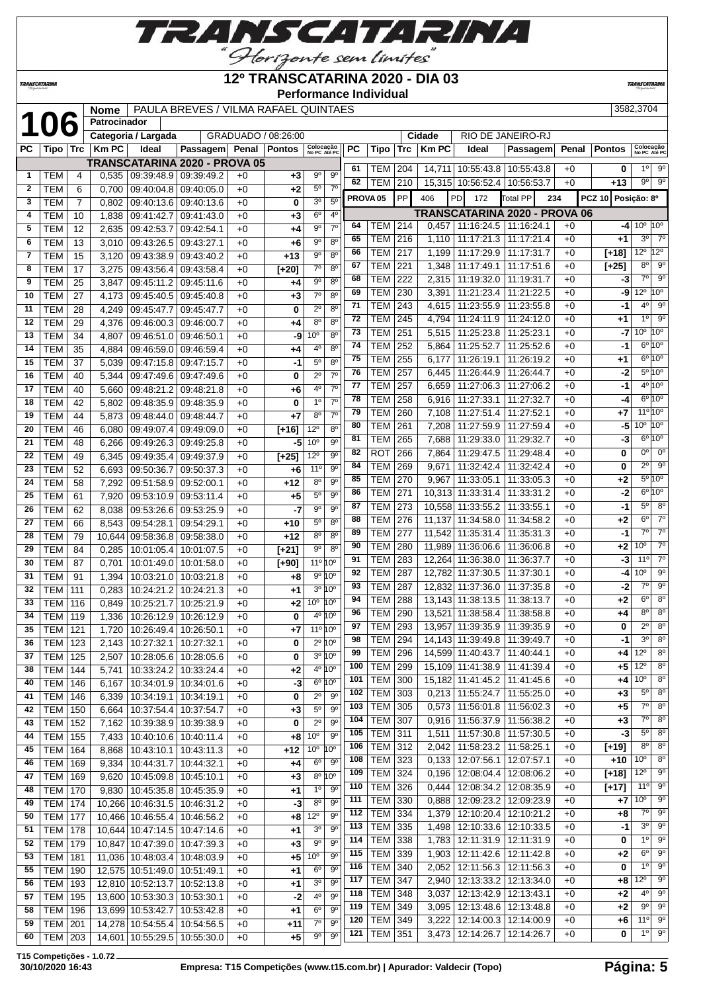

<u>"Glorizonte sem limites"</u><br>12º TRANSCATARINA 2020 - DIA 03

| TRANSCATARINA |                          |                 |                             |                                                                 |                                      |              |                     | <b>Performance Individual</b>                            |                     |                          |            |                        |                                                    |                               |              |                             | <b>TRANSCATARINA</b>                                |                            |
|---------------|--------------------------|-----------------|-----------------------------|-----------------------------------------------------------------|--------------------------------------|--------------|---------------------|----------------------------------------------------------|---------------------|--------------------------|------------|------------------------|----------------------------------------------------|-------------------------------|--------------|-----------------------------|-----------------------------------------------------|----------------------------|
|               |                          |                 |                             |                                                                 | PAULA BREVES / VILMA RAFAEL QUINTAES |              |                     |                                                          |                     |                          |            |                        |                                                    |                               |              |                             | 3582,3704                                           |                            |
|               |                          |                 | <b>Nome</b><br>Patrocinador |                                                                 |                                      |              |                     |                                                          |                     |                          |            |                        |                                                    |                               |              |                             |                                                     |                            |
|               | 106                      |                 |                             |                                                                 |                                      |              | GRADUADO / 08:26:00 |                                                          |                     |                          |            |                        |                                                    | RIO DE JANEIRO-RJ             |              |                             |                                                     |                            |
| РC            |                          |                 | <b>KmPC</b>                 | Categoria / Largada<br>Ideal                                    | Passagem Penal                       |              | <b>Pontos</b>       | Colocação                                                | РC                  |                          |            | Cidade<br><b>Km PC</b> | Ideal                                              |                               |              | <b>Pontos</b>               |                                                     |                            |
|               | Tipo                     | Trc             |                             |                                                                 |                                      |              |                     | No PC Até PC                                             |                     | Tipo                     | Trc        |                        |                                                    | Passagem                      | Penal        |                             | Colocação<br>No PC Até PC                           |                            |
| 1             | TEM                      | 4               | 0,535                       | 09:39:48.9 09:39:49.2                                           | TRANSCATARINA 2020 - PROVA 05        | $+0$         | $+3$                | $9^{\circ}$<br>$9^{\circ}$                               | 61                  | тем                      | 204        | 14,711                 | 10:55:43.8   10:55:43.8                            |                               | $+0$         | 0                           | $1^{\circ}$                                         | 90                         |
| $\mathbf{2}$  | TEM                      | 6               | 0.700                       | 09:40:04.8                                                      | 09:40:05.0                           | $+0$         | +2                  | $7^{\circ}$<br>$5^{\circ}$                               | 62                  | TEM                      | 210        |                        | 15,315 10:56:52.4 10:56:53.7                       |                               | $+0$         | $+13$                       | $9^{\circ}$                                         | $9^\circ$                  |
| 3             | <b>TEM</b>               | $\overline{7}$  | 0,802                       | 09:40:13.6                                                      | 09:40:13.6                           | $+0$         | 0                   | 30<br>5 <sup>0</sup>                                     | PROVA <sub>05</sub> |                          | PP         | 406                    | PD<br>172                                          | <b>Total PP</b><br>234        |              | <b>PCZ 10</b>               | Posicão: 8º                                         |                            |
| 4             | <b>TEM</b>               | 10              | 1,838                       | 09:41:42.7                                                      | 09:41:43.0                           | $+0$         | +3                  | 6 <sup>o</sup><br>4 <sup>0</sup>                         |                     |                          |            |                        |                                                    | TRANSCATARINA 2020 - PROVA 06 |              |                             |                                                     |                            |
| 5             | <b>TEM</b>               | 12              | 2,635                       | 09:42:53.7                                                      | 09:42:54.1                           | $+0$         | +4                  | $9^{\circ}$<br>7 <sup>0</sup>                            | 64                  | TEM                      | 214        | 0,457                  | 11:16:24.5   11:16:24.1                            |                               | $+0$         | -41                         | $10^{\circ}$ 10 <sup>°</sup>                        |                            |
| 6             | <b>TEM</b>               | 13              | 3,010                       | 09:43:26.5                                                      | 09:43:27.1                           | $+0$         | $+6$                | 90<br>$8^{\circ}$                                        | 65                  | TEM                      | 216        | 1,110                  |                                                    | 11:17:21.3   11:17:21.4       | $+0$         | +1                          | $3^{\circ}$                                         | $7^\circ$                  |
| 7             | <b>TEM</b>               | 15              | 3,120                       | 09:43:38.9                                                      | 09:43:40.2                           | $+0$         | $+13$               | $9^{\circ}$<br>8 <sup>0</sup>                            | 66                  | TEM                      | 217        | 1,199                  | 11:17:29.9                                         | 11:17:31.7                    | $+0$         | [+18]                       | $12^{\circ}$ 12 $^{\circ}$                          |                            |
| 8             | <b>TEM</b>               | 17              | 3,275                       | 09:43:56.4                                                      | 09:43:58.4                           | $+0$         | $[+20]$             | $7^\circ$<br>$8^{\circ}$                                 | 67                  | TEM                      | 221        | 1,348                  | 11:17:49.1                                         | 11:17:51.6                    | $+0$         | $[+25]$                     | $8^{\circ}$                                         | $9^{\circ}$                |
| 9             | TEM                      | 25              | 3,847                       | 09:45:11.2                                                      | 09:45:11.6                           | $+0$         | +4                  | $9^{\circ}$<br>8 <sup>o</sup>                            | 68                  | TEM                      | 222        | 2,315                  | 11:19:32.0                                         | 11:19:31.7                    | $+0$         | -3                          | $7^{\circ}$                                         | $9^{\circ}$                |
| 10            | <b>TEM</b>               | 27              | 4,173                       | 09:45:40.5                                                      | 09:45:40.8                           | $+0$         | $+3$                | $7^\circ$<br>8 <sup>o</sup>                              | 69                  | TEM                      | 230        | 3,391                  | 11:21:23.4                                         | 11:21:22.5                    | $+0$         | -9                          | $12^{\circ}$                                        | 10 <sup>o</sup>            |
| 11            | TEM                      | 28              | 4,249                       | 09:45:47.7                                                      | 09:45:47.7                           | $+0$         | 0                   | $2^{\circ}$<br>$8^{\circ}$                               | 71                  | <b>TEM</b>               | 243        | 4,615                  | 11:23:55.9                                         | 11:23:55.8                    | $+0$         | -1                          | $4^{\circ}$                                         | $9^{\circ}$                |
| 12            | <b>TEM</b>               | 29              | 4,376                       | 09:46:00.3                                                      | 09:46:00.7                           | $+0$         | +4                  | $8^{\circ}$<br>$8^{\circ}$                               | 72                  | TEM                      | 245        | 4,794                  | 11:24:11.9                                         | 11:24:12.0                    | $+0$         | +1                          | 1 <sup>0</sup>                                      | $9^{\circ}$                |
| 13            | <b>TEM</b>               | $\overline{34}$ | 4,807                       | 09:46:51.0                                                      | 09:46:50.1                           | $+0$         | -9                  | 10 <sup>o</sup><br>8 <sup>o</sup>                        | 73                  | TEM                      | 251        | 5,515                  | 11:25:23.8                                         | 11:25:23.1                    | $+0$         | -7                          | $10^{\circ}$ $10^{\circ}$                           |                            |
| 14            | TEM                      | 35              | 4,884                       | 09:46:59.0                                                      | 09:46:59.4                           | $+0$         | +4                  | 8 <sup>o</sup><br>4°                                     | 74                  | TEM                      | 252        | 5,864                  | 11:25:52.7                                         | 11:25:52.6                    | $+0$         | -1                          |                                                     | $6^{\circ}10^{\circ}$      |
| 15            | <b>TEM</b>               | 37              | 5,039                       | 09:47:15.8                                                      | 09:47:15.7                           | $+0$         | $-1$                | $5^{\circ}$<br>$8^{\circ}$                               | 75                  | <b>TEM</b>               | 255        | 6,177                  | 11:26:19.1                                         | 11:26:19.2                    | $+0$         | +1                          |                                                     | $6^{\circ}10^{\circ}$      |
| 16            | <b>TEM</b>               | 40              | 5,344                       | 09:47:49.6                                                      | 09:47:49.6                           | $+0$         | 0                   | $2^{\circ}$<br>7 <sup>0</sup>                            | 76                  | TEM                      | 257        | 6,445                  | 11:26:44.9                                         | 11:26:44.7                    | $+0$         | -2                          |                                                     | $5^{\circ}10^{\circ}$      |
| 17            | <b>TEM</b>               | 40              | 5,660                       | 09:48:21.2                                                      | 09:48:21.8                           | $+0$         | +6                  | $7^\circ$<br>$4^{\circ}$                                 | 77                  | <b>TEM</b>               | 257        | 6,659                  | 11:27:06.3                                         | 11:27:06.2                    | $+0$         | -1                          |                                                     | $4^{\circ}10^{\circ}$      |
| 18            | <b>TEM</b>               | 42              | 5.802                       | 09:48:35.9                                                      | 09:48:35.9                           | $+0$         | 0                   | 1 <sup>0</sup><br>$7^\circ$                              | 78                  | TEM                      | 258        | 6,916                  | 11:27:33.1                                         | 11:27:32.7                    | $+0$         | -4                          |                                                     | $6^{\circ}10^{\circ}$      |
| 19            | <b>TEM</b>               | 44              | 5.873                       | 09:48:44.0                                                      | 09:48:44.7                           | $+0$         | $+7$                | 7 <sup>0</sup><br>$8^{\circ}$                            | 79                  | TEM                      | 260        | 7,108                  | 11:27:51.4                                         | 11:27:52.1                    | $+0$         | +7                          | $11^{\circ}10^{\circ}$<br>$10^{\circ}$ $10^{\circ}$ |                            |
| 20            | <b>TEM</b>               | 46              | 6,080                       | 09:49:07.4                                                      | 09:49:09.0                           | $+0$         | $[+16]$             | $12^{\circ}$<br>$8^{\circ}$                              | 80<br>81            | TEM                      | 261        | 7,208                  | 11:27:59.9                                         | 11:27:59.4                    | $+0$         | -5                          |                                                     | $6^{\circ}10^{\circ}$      |
| 21            | <b>TEM</b>               | 48              | 6,266                       | 09:49:26.3                                                      | 09:49:25.8                           | $+0$         | -5                  | 10 <sup>o</sup><br>$9^{\circ}$                           |                     | <b>TEM</b>               | 265        | 7,688                  | 11:29:33.0                                         | 11:29:32.7                    | $+0$         | -3                          | $0^{\circ}$                                         | $0^{\circ}$                |
| 22            | <b>TEM</b>               | 49              | 6,345                       | 09:49:35.4                                                      | 09:49:37.9                           | $+0$         | $[+25]$             | $9^{\circ}$<br>$12^{\circ}$                              | 82<br>84            | <b>ROT</b><br><b>TEM</b> | 266        | 7,864                  | 11:29:47.5                                         | 11:29:48.4                    | $+0$         | 0                           | $2^{\circ}$                                         | $9^\circ$                  |
| 23            | <b>TEM</b>               | 52              | 6,693                       | 09:50:36.7                                                      | 09:50:37.3                           | $+0$         | $+6$                | $9^{\circ}$<br>11 <sup>°</sup>                           | 85                  | <b>TEM</b>               | 269<br>270 | 9,671<br>9,967         | 11:32:42.4<br>11:33:05.1                           | 11:32:42.4<br>11:33:05.3      | $+0$<br>$+0$ | 0<br>+2                     |                                                     | $5^{\circ}10^{\circ}$      |
| 24            | <b>TEM</b>               | 58              | 7,292                       | 09:51:58.9                                                      | 09:52:00.1                           | $+0$         | $+12$               | $8^{\circ}$<br>$9^{\circ}$                               | 86                  | <b>TEM</b>               | 271        | 10,313                 | 11:33:31.4                                         | 11:33:31.2                    | $+0$         | -2                          |                                                     | $6^{\circ}10^{\circ}$      |
| 25            | <b>TEM</b>               | 61              | 7,920                       | 09:53:10.9                                                      | 09:53:11.4                           | $+0$         | $+5$                | $5^{\circ}$<br>$9^{\circ}$<br>$9^{\circ}$<br>$9^{\circ}$ | 87                  | TEM                      | 273        | 10,558                 | 11:33:55.2                                         | 11:33:55.1                    | $+0$         | -1                          | $5^{\circ}$                                         | $8^{\circ}$                |
| 26            | <b>TEM</b>               | 62              | 8,038                       | 09:53:26.6                                                      | 09:53:25.9                           | $+0$         | $-7$                | $5^{\circ}$<br>8 <sup>0</sup>                            | 88                  | TEM                      | 276        | 11,137                 | 11:34:58.0                                         | 11:34:58.2                    | $+0$         | +2                          | $6^{\circ}$                                         | $7^\circ$                  |
| 27<br>28      | <b>TEM</b><br><b>TEM</b> | 66<br>79        | 8,543                       | 09:54:28.1                                                      | 09:54:29.1<br>09:58:38.0             | $+0$         | $+10$<br>$+12$      | 8 <sup>0</sup><br>8 <sup>0</sup>                         | 89                  | TEM                      | 277        | 11,542                 | 11:35:31.4                                         | 11:35:31.3                    | $+0$         | -1                          | $7^\circ$                                           | $7^\circ$                  |
| 29            | <b>TEM</b>               | 84              | 10,644<br>0,285             | 09:58:36.8<br>10:01:05.4                                        | 10:01:07.5                           | $+0$<br>$+0$ | $[+21]$             | $9^{\circ}$<br>$8^{\circ}$                               | 90                  | <b>TEM</b>               | 280        |                        | 11,989 11:36:06.6 11:36:06.8                       |                               | $+0$         | +2                          | 10 <sup>o</sup>                                     | $7^\circ$                  |
| 30            | <b>TEM</b>               | 87              | 0,701                       | 10:01:49.0                                                      | 10:01:58.0                           | $+0$         | [+90]               | 11º 10º                                                  | 91                  | <b>TEM</b>               | 283        |                        | 12,264 11:36:38.0                                  | 11:36:37.7                    | $+0$         | $-3$                        | 11 <sup>°</sup>                                     | $7^\circ$                  |
| 31            | <b>TEM</b>               | 91              | 1,394                       | 10:03:21.0                                                      | 10:03:21.8                           | $+0$         | +8                  | $9^{\circ} 10^{\circ}$                                   | 92                  | TEM                      | 287        |                        | 12,782 11:37:30.5                                  | 11:37:30.1                    | $+0$         | -4                          | 10 <sup>o</sup>                                     | $9^{\circ}$                |
| 32            | <b>TEM</b>               | 111             | 0,283                       | 10:24:21.2                                                      | 10:24:21.3                           | $+0$         | +1                  | 3º 10°                                                   | 93                  | TEM                      | 287        | 12,832                 | 11:37:36.0                                         | 11:37:35.8                    | $+0$         | -2                          | $7^\circ$                                           | $9^\circ$                  |
| 33            | <b>TEM</b>               | 116             | 0,849                       | 10:25:21.7                                                      | 10:25:21.9                           | $+0$         | $+2$                | 10 <sup>o</sup><br>$10^{\circ}$                          | 94                  | TEM                      | 288        |                        | 13,143 11:38:13.5 11:38:13.7                       |                               | $+0$         | +2                          | $6^{\circ}$                                         | $8^{\circ}$                |
| 34            | TEM   119                |                 |                             | 1,336   10:26:12.9   10:26:12.9                                 |                                      | $+0$         | 0                   | $4^{\circ} 10^{\circ}$                                   | 96                  | TEM   290                |            |                        | 13,521 11:38:58.4 11:38:58.8                       |                               | $+0$         | +4                          | $8^{\circ}$                                         | $8^{\circ}$                |
| 35            | TEM                      | 121             |                             | 1,720   10:26:49.4                                              | 10:26:50.1                           | $+0$         | $+7$                | 11º 10º                                                  | 97                  | <b>TEM</b>               | 293        |                        | 13,957 11:39:35.9 11:39:35.9                       |                               | $+0$         | 0                           | $2^{\circ}$                                         | $8^{\circ}$                |
| 36            | TEM                      | 123             |                             | 2,143   10:27:32.1                                              | 10:27:32.1                           | $+0$         | 0                   | 2º 10°                                                   | 98                  | <b>TEM</b>               | 294        |                        | 14,143 11:39:49.8 11:39:49.7                       |                               | $+0$         | -1                          | $3^{\circ}$                                         | $8^{\circ}$                |
| 37            | <b>TEM</b>               | 125             |                             | 2,507   10:28:05.6   10:28:05.6                                 |                                      | $+0$         | 0                   | 3º 10°                                                   | 99                  | <b>TEM 296</b>           |            |                        | 14,599 11:40:43.7 11:40:44.1                       |                               | $+0$         |                             | $+4$ 12 <sup>o</sup>                                | $8^{\circ}$                |
| 38            | <b>TEM</b>               | 144             |                             | 5,741   10:33:24.2   10:33:24.4                                 |                                      | $+0$         | $+2$                | $4^{\circ} 10^{\circ}$                                   | 100                 | <b>TEM 299</b>           |            |                        | 15,109 11:41:38.9 11:41:39.4                       |                               | $+0$         | $+5$                        | $12^{\circ}$                                        | $8^{\circ}$                |
| 40            | <b>TEM</b>               | 146             | 6,167                       |                                                                 | 10:34:01.9 10:34:01.6                | $+0$         | -3                  | $6^{\circ}10^{\circ}$                                    | 101                 | <b>TEM</b>               | 300        |                        | 15,182 11:41:45.2 11:41:45.6                       |                               | $+0$         | +4                          | 10 <sup>o</sup>                                     | $8^{\circ}$                |
| 41            | TEM                      | 146             |                             | 6,339   10:34:19.1                                              | 10:34:19.1                           | $+0$         | 0                   | $2^{\circ}$<br>$9^{\circ}$                               | 102                 | <b>TEM</b>               | 303        |                        | $0,213$   11:55:24.7   11:55:25.0                  |                               | +0           | $+3$                        | $5^{\circ}$                                         | $8^{\circ}$                |
| 42            | TEM                      | 150             |                             | 6,664   10:37:54.4   10:37:54.7                                 |                                      | $+0$         | $+3$                | $5^{\circ}$<br>$9^{\circ}$                               | 103                 | <b>TEM</b>               | 305        |                        | $0,573$   11:56:01.8   11:56:02.3                  |                               | $+0$         | $+5$                        | $7^\circ$                                           | $8^{\circ}$                |
| 43            | TEM                      | 152             |                             | 7,162   10:39:38.9   10:39:38.9                                 |                                      | $+0$         | 0                   | $2^{\circ}$<br>$9^{\circ}$                               | 104                 | <b>TEM</b>               | 307        |                        | $0,916$   11:56:37.9   11:56:38.2                  |                               | $+0$         | $+3$                        | 7º  <br>$5^{\circ}$                                 | $8^{\circ}$<br>$8^{\circ}$ |
| 44            | TEM                      | 155             |                             | 7,433   10:40:10.6   10:40:11.4                                 |                                      | $+0$         | $+8$                | 10 <sup>o</sup><br>$9^{\circ}$                           | 105<br>106          | <b>TEM</b><br><b>TEM</b> | 311<br>312 | 1,511                  |                                                    | 11:57:30.8   11:57:30.5       | $+0$<br>$+0$ | $-3$                        | $8^{\circ}$                                         | $8^{\circ}$                |
| 45            | TEM                      | 164             |                             | $8,868$ 10:43:10.1                                              | 10:43:11.3                           | $+0$         | $+12$               | $10^{\circ}$ $10^{\circ}$                                | 108                 | <b>TEM</b>               | 323        | 2,042<br>0,133         | 11:58:23.2   11:58:25.1<br>12:07:56.1   12:07:57.1 |                               | $+0$         | $[+19]$<br>$+10$            | $10^{\circ}$                                        | $8^{\circ}$                |
| 46            | <b>TEM</b>               | 169             |                             | $9,334$   10:44:31.7                                            | 10:44:32.1                           | $+0$         | $+4$                | $6^{\circ}$<br>90                                        | 109                 | <b>TEM 324</b>           |            | 0,196                  | 12:08:04.4   12:08:06.2                            |                               | $+0$         | $[+18]$ $\sqrt{12^{\circ}}$ |                                                     | $9^{\circ}$                |
| 47            | <b>TEM</b>               | 169             |                             | 9,620   10:45:09.8   10:45:10.1                                 |                                      | $+0$         | $+3$                | 8º 10°<br>$1^{\circ}$                                    | 110                 | TEM 326                  |            |                        | $0,444$   12:08:34.2   12:08:35.9                  |                               | $+0$         | $[+17]$                     | 11°                                                 | $9^{\circ}$                |
| 48<br>49      | TEM<br>TEM               | 170<br>174      |                             | 9,830   10:45:35.8   10:45:35.9<br>10,266 10:46:31.5 10:46:31.2 |                                      | $+0$<br>$+0$ | $+1$<br>-3          | 90<br>$8^{\circ}$<br>90                                  | 111                 | TEM                      | 330        | 0,888                  |                                                    | 12:09:23.2   12:09:23.9       | $+0$         | $+7$                        | $10^{\circ}$                                        | $9^{\circ}$                |
| 50            | <b>TEM</b> 177           |                 |                             |                                                                 | 10,466 10:46:55.4 10:46:56.2         | $+0$         |                     | $9^{\circ}$<br>$+8$ 12 <sup>o</sup>                      | 112                 | TEM                      | 334        | 1,379                  |                                                    | 12:10:20.4   12:10:21.2       | $+0$         | +8                          | $7^\circ$                                           | $9^{\circ}$                |
|               |                          |                 |                             |                                                                 |                                      |              |                     |                                                          |                     |                          |            |                        |                                                    |                               |              |                             |                                                     |                            |

**T15 Competições - 1.0.72**

 TEM 178 10,644 10:47:14.5 10:47:14.6 +0 **+1** 3º 9º TEM 179 10,847 10:47:39.0 10:47:39.3 +0 **+3** 9º 9º TEM 181 11,036 10:48:03.4 10:48:03.9 +0 **+5** 10º 9º TEM 190 12,575 10:51:49.0 10:51:49.1 +0 **+1** 6º 9º TEM 193 12,810 10:52:13.7 10:52:13.8 +0 **+1** 3º 9º TEM 195 13,600 10:53:30.3 10:53:30.1 +0 **-2** 4º 9º TEM 196 13,699 10:53:42.7 10:53:42.8 +0 **+1** 6º 9º TEM 201 14,278 10:54:55.4 10:54:56.5 +0 **+11** 7º 9º TEM 203 14,601 10:55:29.5 10:55:30.0 +0 +5

 TEM 335 1,498 12:10:33.6 12:10:33.5 +0 **-1** 3º 9º TEM 338 1,783 12:11:31.9 12:11:31.9 +0 **0** 1º 9º TEM 339 1,903 12:11:42.6 12:11:42.8 +0 **+2** 6º 9º TEM 340 2,052 12:11:56.3 12:11:56.3 +0 **0** 1º 9º TEM 347 2,940 12:13:33.2 12:13:34.0 +0 **+8** 12º 9º TEM 348 3,037 12:13:42.9 12:13:43.1 +0 **+2** 4º 9º TEM 349 3,095 12:13:48.6 12:13:48.8 +0 **+2** 9º 9º TEM 349 3,222 12:14:00.3 12:14:00.9 +0 **+6** 11º 9º TEM 351 3,473 12:14:26.7 12:14:26.7 +0 **0** 1º 9º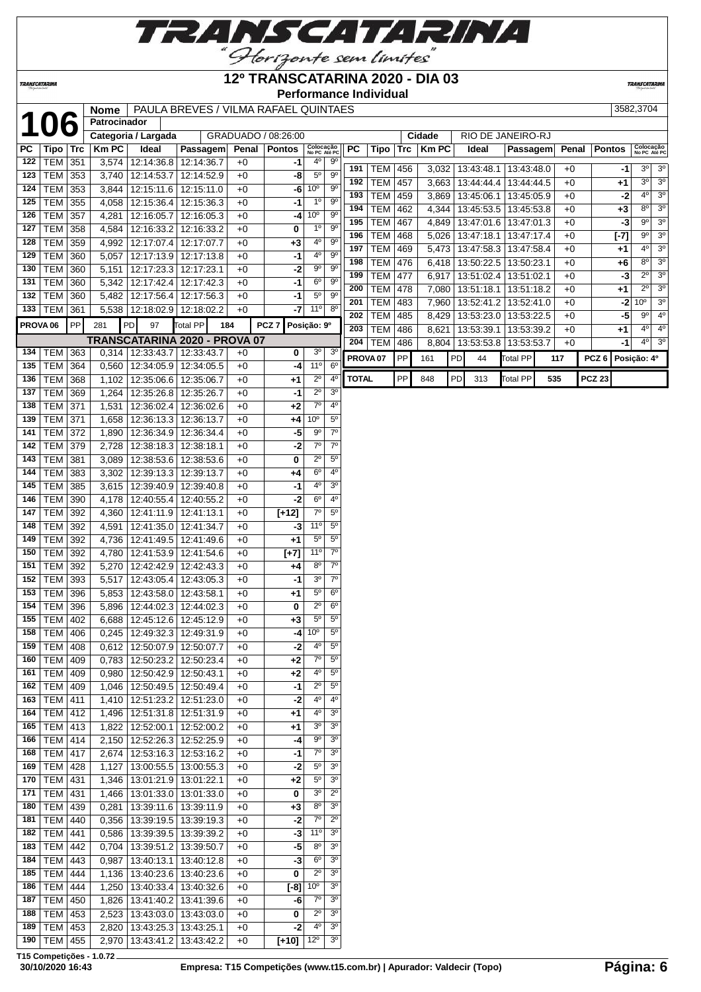

## **12º TRANSCATARINA 2020 - DIA 03**

**Performance Individual**

**TRANSCATARIN** 

|     |                     |     | <b>Nome</b>  |                                 | PAULA BREVES / VILMA RAFAEL QUINTAES |       |                      |                           |                        |                     |                |     |        |           |                                 |            |     |       |                  |        | 3582,3704               |
|-----|---------------------|-----|--------------|---------------------------------|--------------------------------------|-------|----------------------|---------------------------|------------------------|---------------------|----------------|-----|--------|-----------|---------------------------------|------------|-----|-------|------------------|--------|-------------------------|
|     | 106                 |     | Patrocinador |                                 |                                      |       |                      |                           |                        |                     |                |     |        |           |                                 |            |     |       |                  |        |                         |
|     |                     |     |              | Categoria / Largada             |                                      |       | GRADUADO / 08:26:00  |                           |                        |                     |                |     | Cidade |           | RIO DE JANEIRO-RJ               |            |     |       |                  |        |                         |
| PC  | Tipo                | Trc | <b>Km PC</b> | Ideal                           | Passagem                             | Penal | <b>Pontos</b>        | Colocação<br>No PC Até PC |                        | PC                  | Tipo   Trc     |     | KmPC   |           | Ideal                           | Passagem   |     | Penal | <b>Pontos</b>    |        | Colocaç<br>No PC At     |
| 122 | <b>TEM 351</b>      |     | 3,574        | 12:14:36.8                      | 12:14:36.7                           | $+0$  | -1                   | 4°                        | $9^{\circ}$            |                     |                |     |        |           |                                 |            |     |       |                  |        |                         |
| 123 | <b>TEM 353</b>      |     |              | 3,740 12:14:53.7                | 12:14:52.9                           | $+0$  | -8                   | $5^{\circ}$               | 9 <sup>o</sup>         | 191                 | <b>TEM 456</b> |     |        |           | $3,032$   13:43:48.1            | 13:43:48.0 |     | $+0$  |                  | -1     | $3^{\circ}$             |
|     |                     |     |              |                                 |                                      |       |                      |                           |                        | 192                 | <b>TEM 457</b> |     |        |           | $3,663$   13:44:44.4            | 13:44:44.5 |     | $+0$  |                  | $+1$   | 30                      |
| 124 | <b>TEM</b>          | 353 | 3,844        | 12:15:11.6                      | 12:15:11.0                           | $+0$  | -6                   | 10 <sup>o</sup>           | $9^{\circ}$            | 193                 | <b>TEM</b>     | 459 |        |           | 3,869   13:45:06.1   13:45:05.9 |            |     | $+0$  |                  | $-2$   | $4^{\circ}$             |
| 125 | <b>TEM</b>          | 355 | 4,058        | 12:15:36.4                      | 12:15:36.3                           | $+0$  | -1                   | 1 <sup>0</sup>            | $9^{\circ}$            | 194                 | <b>TEM</b>     | 462 |        |           | 4,344   13:45:53.5              | 13:45:53.8 |     | $+0$  |                  | $+3$   | $8^{\circ}$             |
| 126 | <b>TEM</b>          | 357 | 4,281        | 12:16:05.7                      | 12:16:05.3                           | $+0$  | -4                   | 10 <sup>o</sup>           | $9^{\circ}$            | 195                 | <b>TEM</b>     | 467 |        |           | 4,849   13:47:01.6              | 13:47:01.3 |     | $+0$  |                  | $-3$   | $9^{\circ}$             |
| 127 | TEM                 | 358 | 4,584        | 12:16:33.2 12:16:33.2           |                                      | $+0$  | 0                    | 1 <sup>o</sup>            | 9 <sup>o</sup>         | 196                 | <b>TEM</b>     | 468 |        |           | 5,026   13:47:18.1              | 13:47:17.4 |     | $+0$  |                  | $[-7]$ | $9^\circ$               |
| 128 | <b>TEM</b>          | 359 | 4,992        | 12:17:07.4   12:17:07.7         |                                      | $+0$  | $+3$                 | $4^{\circ}$               | $9^{\circ}$            | 197                 | <b>TEM</b>     | 469 |        |           | 5,473   13:47:58.3   13:47:58.4 |            |     | $+0$  |                  | +1     | 40                      |
| 129 | <b>TEM</b>          | 360 | 5,057        | 12:17:13.9                      | 12:17:13.8                           | $+0$  | -1                   | 4°                        | 9 <sup>o</sup>         | 198                 | <b>TEM</b>     | 476 |        |           | 6,418   13:50:22.5              | 13:50:23.1 |     | $+0$  |                  | +6     | $8^{\circ}$             |
| 130 | <b>TEM</b>          | 360 | 5,151        | 12:17:23.3                      | 12:17:23.1                           | $+0$  | -2                   | 9 <sup>o</sup>            | 9 <sup>o</sup>         | 199                 |                |     |        |           |                                 |            |     |       |                  |        | $\overline{2^{\circ}}$  |
| 131 | <b>TEM</b>          | 360 | 5,342        | 12:17:42.4                      | 12:17:42.3                           | $+0$  | $-1$                 | 6 <sup>o</sup>            | 9 <sup>o</sup>         |                     | <b>TEM</b>     | 477 |        |           | $6,917$   13:51:02.4            | 13:51:02.1 |     | +0    |                  | -3     | $\overline{2^0}$        |
|     | 132   TEM $ $       | 360 | 5,482        | 12:17:56.4                      | 12:17:56.3                           | $+0$  | $-1$                 | $5^{\circ}$               | $9^\circ$              | 200                 | <b>TEM 478</b> |     |        |           | 7,080   13:51:18.1              | 13:51:18.2 |     | $+0$  |                  | $+1$   |                         |
| 133 | <b>TEM</b>          | 361 |              | 5,538   12:18:02.9   12:18:02.2 |                                      | $+0$  | $-7$                 | 11°                       | $8^{\circ}$            | 201                 | TEM            | 483 |        |           | 7,960   13:52:41.2              | 13:52:41.0 |     | $+0$  |                  | $-2$   | 10 <sup>o</sup>         |
|     | PROVA <sub>06</sub> | PP  | 281          | PD<br>97                        | Total PP<br>184                      |       | PCZ <sub>7</sub>     | Posição: 9º               |                        | 202                 | <b>TEM</b>     | 485 |        |           | 8,429   13:53:23.0              | 13:53:22.5 |     | $+0$  |                  | $-5$   | $9^{\circ}$             |
|     |                     |     |              |                                 |                                      |       |                      |                           |                        | 203                 | TEM            | 486 |        |           | 8,621   13:53:39.1              | 13:53:39.2 |     | $+0$  |                  | $+1$   | $4^{\circ}$             |
|     |                     |     |              | TRANSCATARINA 2020 - PROVA 07   |                                      |       |                      |                           |                        | 204                 | TEM            | 486 |        |           | 8,804   13:53:53.8   13:53:53.7 |            |     | $+0$  |                  | -1     | $4^{\circ}$             |
| 134 | <b>TEM</b>          | 363 |              | $0,314$ 12:33:43.7              | 12:33:43.7                           | $+0$  | 0                    | 3 <sup>o</sup>            | 3 <sup>o</sup>         | PROVA <sub>07</sub> |                | PP  | 161    | <b>PD</b> | 44                              | Total PP   | 117 |       | PCZ <sub>6</sub> |        | Posição: 4 <sup>o</sup> |
| 135 | <b>TEM 364</b>      |     |              | 0,560 12:34:05.9                | 12:34:05.5                           | $+0$  | -4                   | $11^{\circ}$              | $6^{\circ}$            |                     |                |     |        |           |                                 |            |     |       |                  |        |                         |
| 136 | <b>TEM</b>          | 368 | 1,102        | 12:35:06.6                      | 12:35:06.7                           | $+0$  | $+1$                 | $\overline{2^{\circ}}$    | 4 <sup>0</sup>         | <b>TOTAL</b>        |                | PP  | 848    | <b>PD</b> | 313                             | Total PP   | 535 |       | <b>PCZ 23</b>    |        |                         |
| 137 | TEM                 | 369 | 1,264        | 12:35:26.8                      | 12:35:26.7                           | $+0$  | -1                   | $2^{\circ}$               | 3 <sup>0</sup>         |                     |                |     |        |           |                                 |            |     |       |                  |        |                         |
| 138 | TEM                 | 371 | 1,531        | 12:36:02.4                      | 12:36:02.6                           | $+0$  | $+2$                 | $7^\circ$                 | 4 <sup>0</sup>         |                     |                |     |        |           |                                 |            |     |       |                  |        |                         |
| 139 | TEM                 | 371 | 1,658        | 12:36:13.3                      | 12:36:13.7                           | $+0$  | $+4$                 | 10 <sup>o</sup>           | $5^{\circ}$            |                     |                |     |        |           |                                 |            |     |       |                  |        |                         |
| 141 | <b>TEM</b>          | 372 | 1,890        | 12:36:34.9                      | 12:36:34.4                           | $+0$  | -5                   | 9 <sup>o</sup>            | $\overline{7^{\circ}}$ |                     |                |     |        |           |                                 |            |     |       |                  |        |                         |
| 142 | <b>TEM</b>          | 379 | 2,728        | 12:38:18.3                      | 12:38:18.1                           | $+0$  | -2                   | $7^\circ$                 | $7^{\circ}$            |                     |                |     |        |           |                                 |            |     |       |                  |        |                         |
| 143 | <b>TEM</b>          | 381 | 3,089        | 12:38:53.6                      | 12:38:53.6                           | $+0$  | 0                    | $2^{\circ}$               | 5 <sup>0</sup>         |                     |                |     |        |           |                                 |            |     |       |                  |        |                         |
| 144 | TEM                 | 383 | 3,302        | 12:39:13.3                      | 12:39:13.7                           | $+0$  | $+4$                 | $\overline{6^{\circ}}$    | 4 <sup>0</sup>         |                     |                |     |        |           |                                 |            |     |       |                  |        |                         |
| 145 | <b>TEM</b>          | 385 |              | 3,615 12:39:40.9                | 12:39:40.8                           | $+0$  | $-1$                 | 4 <sup>0</sup>            | 3 <sup>0</sup>         |                     |                |     |        |           |                                 |            |     |       |                  |        |                         |
| 146 | <b>TEM</b>          | 390 |              | 4,178   12:40:55.4              | 12:40:55.2                           | $+0$  | $-2$                 | $6^{\circ}$               | 4 <sup>0</sup>         |                     |                |     |        |           |                                 |            |     |       |                  |        |                         |
| 147 | <b>TEM</b>          | 392 | 4,360        | 12:41:11.9                      | 12:41:13.1                           | $+0$  | $\overline{[+12]}$   | $7^\circ$                 | $5^{\rm o}$            |                     |                |     |        |           |                                 |            |     |       |                  |        |                         |
| 148 |                     |     |              |                                 |                                      |       |                      | 11 <sup>o</sup>           | $\overline{5^0}$       |                     |                |     |        |           |                                 |            |     |       |                  |        |                         |
|     | <b>TEM</b>          | 392 | 4,591        | 12:41:35.0                      | 12:41:34.7                           | $+0$  | -3                   | $\overline{5^0}$          | $5^{\circ}$            |                     |                |     |        |           |                                 |            |     |       |                  |        |                         |
| 149 | <b>TEM</b>          | 392 | 4,736        | 12:41:49.5   12:41:49.6         |                                      | $+0$  | $+1$                 |                           |                        |                     |                |     |        |           |                                 |            |     |       |                  |        |                         |
| 150 | <b>TEM</b>          | 392 | 4,780        | 12:41:53.9 12:41:54.6           |                                      | $+0$  | $[+7]$               | 11 <sup>0</sup>           | $7^{\circ}$            |                     |                |     |        |           |                                 |            |     |       |                  |        |                         |
| 151 | <b>TEM</b>          | 392 | 5,270        | 12:42:42.9                      | 12:42:43.3                           | $+0$  | $+4$                 | $8^{\circ}$               | $7^{\circ}$            |                     |                |     |        |           |                                 |            |     |       |                  |        |                         |
| 152 | <b>TEM</b>          | 393 | 5,517        | 12:43:05.4                      | 12:43:05.3                           | $+0$  | -1                   | 3 <sup>0</sup>            | 7 <sup>o</sup>         |                     |                |     |        |           |                                 |            |     |       |                  |        |                         |
| 153 | <b>TEM</b>          | 396 | 5,853        | 12:43:58.0                      | 12:43:58.1                           | $+0$  | $+1$                 | $\overline{5^0}$          | $6^{\circ}$            |                     |                |     |        |           |                                 |            |     |       |                  |        |                         |
| 154 | <b>TEM</b>          | 396 |              | 5,896   12:44:02.3              | 12:44:02.3                           | $+0$  | 0                    | $2^{\circ}$               | 6 <sup>o</sup>         |                     |                |     |        |           |                                 |            |     |       |                  |        |                         |
| 155 | TEM 402             |     |              | 6,688   12:45:12.6   12:45:12.9 |                                      | $+0$  | $+3$                 | $5^{\circ}$               | $5^{\circ}$            |                     |                |     |        |           |                                 |            |     |       |                  |        |                         |
|     | 158 TEM 406         |     |              | 0,245 12:49:32.3 12:49:31.9     |                                      | $+0$  |                      | $-4$ 10 <sup>o</sup>      | $5^{\circ}$            |                     |                |     |        |           |                                 |            |     |       |                  |        |                         |
| 159 | <b>TEM</b>          | 408 | 0,612        | 12:50:07.9 12:50:07.7           |                                      | $+0$  | -2                   | 4°                        | $\overline{5^0}$       |                     |                |     |        |           |                                 |            |     |       |                  |        |                         |
| 160 | TEM                 | 409 | 0,783        | 12:50:23.2                      | 12:50:23.4                           | $+0$  | $+2$                 | $7^\circ$                 | $5^{\circ}$            |                     |                |     |        |           |                                 |            |     |       |                  |        |                         |
| 161 | <b>TEM</b>          | 409 | 0,980        | 12:50:42.9 12:50:43.1           |                                      | $+0$  | $+2$                 | $4^{\circ}$               | $5^{\circ}$            |                     |                |     |        |           |                                 |            |     |       |                  |        |                         |
| 162 | TEM                 | 409 | 1,046        | 12:50:49.5                      | 12:50:49.4                           | $+0$  | -1                   | $2^{\circ}$               | $5^{\circ}$            |                     |                |     |        |           |                                 |            |     |       |                  |        |                         |
| 163 | <b>TEM</b>          | 411 | 1,410        | 12:51:23.2                      | 12:51:23.0                           | $+0$  | -2                   | $4^{\circ}$               | $4^{\circ}$            |                     |                |     |        |           |                                 |            |     |       |                  |        |                         |
|     | 164   TEM   412     |     | 1,496        | 12:51:31.8                      | 12:51:31.9                           | $+0$  | $+1$                 | $4^{\circ}$               | 3 <sup>o</sup>         |                     |                |     |        |           |                                 |            |     |       |                  |        |                         |
|     | 165   TEM   413     |     |              |                                 |                                      |       |                      |                           | 3 <sup>o</sup>         |                     |                |     |        |           |                                 |            |     |       |                  |        |                         |
|     |                     |     |              | 1,822   12:52:00.1              | 12:52:00.2                           | $+0$  | +1                   | 3 <sup>o</sup>            |                        |                     |                |     |        |           |                                 |            |     |       |                  |        |                         |
| 166 | <b>TEM 414</b>      |     |              | 2,150   12:52:26.3              | 12:52:25.9                           | $+0$  | -4                   | $9^{\circ}$               | 3 <sup>o</sup>         |                     |                |     |        |           |                                 |            |     |       |                  |        |                         |
| 168 | $TEM$ 417           |     |              | 2,674   12:53:16.3              | 12:53:16.2                           | $+0$  | -1                   | $7^\circ$                 | 3 <sup>o</sup>         |                     |                |     |        |           |                                 |            |     |       |                  |        |                         |
| 169 | TEM                 | 428 | 1,127        | 13:00:55.5                      | 13:00:55.3                           | $+0$  | -2                   | $5^{\circ}$               | 3 <sup>o</sup>         |                     |                |     |        |           |                                 |            |     |       |                  |        |                         |
| 170 | TEM   431           |     | 1,346        | 13:01:21.9   13:01:22.1         |                                      | $+0$  | $+2$                 | $5^{\circ}$               | 3 <sup>o</sup>         |                     |                |     |        |           |                                 |            |     |       |                  |        |                         |
| 171 | TEM   431           |     | 1,466        | 13:01:33.0   13:01:33.0         |                                      | $+0$  | 0                    | 3 <sup>o</sup>            | $2^{\circ}$            |                     |                |     |        |           |                                 |            |     |       |                  |        |                         |
| 180 | TEM 439             |     | 0,281        | 13:39:11.6                      | 13:39:11.9                           | $+0$  | $+3$                 | $8^{\circ}$               | 3 <sup>o</sup>         |                     |                |     |        |           |                                 |            |     |       |                  |        |                         |
| 181 | TEM                 | 440 | 0,356        | 13:39:19.5                      | 13:39:19.3                           | $+0$  | -2                   | $7^\circ$                 | $2^{\circ}$            |                     |                |     |        |           |                                 |            |     |       |                  |        |                         |
|     | 182   TEM   441     |     |              | 0,586   13:39:39.5              | 13:39:39.2                           | $+0$  | -3                   | 11 <sup>0</sup>           | 3 <sup>o</sup>         |                     |                |     |        |           |                                 |            |     |       |                  |        |                         |
|     | 183   TEM   442     |     | 0,704        | 13:39:51.2                      | 13:39:50.7                           | $+0$  | -5                   | $8^{\circ}$               | 3 <sup>o</sup>         |                     |                |     |        |           |                                 |            |     |       |                  |        |                         |
| 184 | TEM                 | 443 | 0,987        | 13:40:13.1                      | 13:40:12.8                           | $+0$  | -3                   | $6^{\circ}$               | 3 <sup>o</sup>         |                     |                |     |        |           |                                 |            |     |       |                  |        |                         |
| 185 | TEM                 | 444 | 1,136        | 13:40:23.6                      | 13:40:23.6                           | $+0$  | 0                    | $2^{\circ}$               | 3 <sup>o</sup>         |                     |                |     |        |           |                                 |            |     |       |                  |        |                         |
| 186 |                     |     |              |                                 |                                      |       |                      | 10 <sup>o</sup>           |                        |                     |                |     |        |           |                                 |            |     |       |                  |        |                         |
|     | TEM                 | 444 | 1,250        | 13:40:33.4                      | 13:40:32.6                           | $+0$  | $[-8]$               |                           | 3 <sup>o</sup>         |                     |                |     |        |           |                                 |            |     |       |                  |        |                         |
| 187 | TEM 450             |     | 1,826        | 13:41:40.2                      | 13:41:39.6                           | $+0$  | -6                   | $7^\circ$                 | 3 <sup>o</sup>         |                     |                |     |        |           |                                 |            |     |       |                  |        |                         |
| 188 | TEM                 | 453 | 2,523        | 13:43:03.0 13:43:03.0           |                                      | $+0$  | 0                    | $2^{\circ}$               | 3 <sup>o</sup>         |                     |                |     |        |           |                                 |            |     |       |                  |        |                         |
| 189 | <b>TEM</b>          | 453 | 2,820        | 13:43:25.3                      | 13:43:25.1                           | $+0$  | $-2$                 | $4^{\circ}$               | 30                     |                     |                |     |        |           |                                 |            |     |       |                  |        |                         |
| 190 | TEM                 | 455 |              | 2,970 13:43:41.2                | 13:43:42.2                           | $+0$  | $[+10]$ $12^{\circ}$ |                           | 3 <sup>o</sup>         |                     |                |     |        |           |                                 |            |     |       |                  |        |                         |

| a / Largada |                                       |        | GRADUADO / 08:26:00 |                           |                        |                     |            |            | Cidade       |           | RIO DE JANEIRO-RJ |            |       |                  |        |                           |                  |
|-------------|---------------------------------------|--------|---------------------|---------------------------|------------------------|---------------------|------------|------------|--------------|-----------|-------------------|------------|-------|------------------|--------|---------------------------|------------------|
| Ideal       | Passagem                              | Penal  | <b>Pontos</b>       | Colocação<br>No PC Até PC |                        | <b>PC</b>           | Tipo       | <b>Trc</b> | <b>Km PC</b> |           | Ideal             | Passagem   | Penal | <b>Pontos</b>    |        | Colocação<br>No PC Até PC |                  |
| 12:14:36.8  | 12:14:36.7                            | $+0$   | -1                  | 4 <sup>0</sup>            | 9 <sup>o</sup>         | 191                 | <b>TEM</b> | 456        | 3,032        |           | 13:43:48.1        | 13:43:48.0 | $+0$  |                  | -1     | 3 <sup>o</sup>            | $\overline{3^0}$ |
| 12:14:53.7  | 12:14:52.9                            | $+0$   | -8                  | 5 <sup>0</sup>            | 9 <sup>0</sup>         | 192                 | <b>TEM</b> | 457        | 3.663        |           | 13:44:44.4        | 13:44:44.5 | $+0$  |                  | $+1$   | 3 <sup>o</sup>            | $\overline{30}$  |
| 12:15:11.6  | 12:15:11.0                            | $+0$   | -6                  | 10 <sup>o</sup>           | $\overline{9^0}$       | 193                 | <b>TEM</b> | 459        | 3.869        |           | 13:45:06.1        | 13:45:05.9 | $+0$  |                  | $-2$   | 4 <sup>0</sup>            | $\overline{3^0}$ |
| 12:15:36.4  | 12:15:36.3                            | $+0$   | $-1$                | 1 <sup>0</sup>            | 9 <sup>0</sup>         | 194                 | <b>TEM</b> | 462        | 4.344        |           | 13:45:53.5        | 13:45:53.8 | $+0$  |                  | $+3$   | $8^{\circ}$               | $\overline{3^0}$ |
| 12:16:05.7  | 12:16:05.3                            | $+0$   | -4                  | 10 <sup>o</sup>           | 9 <sup>0</sup>         | 195                 | <b>TEM</b> | 467        | 4.849        |           | 13:47:01.6        | 13:47:01.3 | $+0$  |                  | $-3$   | $9^{\circ}$               | $\overline{3^0}$ |
| 12:16:33.2  | 12:16:33.2                            | $+0$   | 0                   | 1 <sup>0</sup>            | 9 <sup>0</sup>         | 196                 |            |            |              |           |                   |            |       |                  |        | $9^{\circ}$               | $\overline{3^0}$ |
| 12:17:07.4  | 12:17:07.7                            | $+0$   | $+3$                | $4^{\circ}$               | $\overline{9^{\circ}}$ | 197                 | <b>TEM</b> | 468        | 5,026        |           | 13:47:18.1        | 13:47:17.4 | $+0$  |                  | $[-7]$ | 4 <sup>0</sup>            | $\overline{3^0}$ |
| 12:17:13.9  | 12:17:13.8                            | $+0$   | $-1$                | 4 <sup>0</sup>            | 9 <sup>0</sup>         | 198                 | <b>TEM</b> | 469        | 5,473        |           | 13:47:58.3        | 13:47:58.4 | $+0$  |                  | $+1$   | 8 <sup>o</sup>            | $\overline{3^0}$ |
| 12:17:23.3  | 12:17:23.1                            | $+0$   | -2                  | $9^{\circ}$               | 9 <sup>0</sup>         |                     | <b>TEM</b> | 476        | 6,418        |           | 13:50:22.5        | 13:50:23.1 | $+0$  |                  | +6     | $2^{\circ}$               | 3 <sup>0</sup>   |
| 12:17:42.4  | 12:17:42.3                            | $+0$   | $-1$                | 6 <sup>o</sup>            | 9 <sup>o</sup>         | 199                 | <b>TEM</b> | 477        | 6,917        |           | 13:51:02.4        | 13:51:02.1 | $+0$  |                  | $-3$   | $2^{\circ}$               | 3 <sup>0</sup>   |
| 12:17:56.4  | 12:17:56.3                            | $+0$   | $-1$                | 5 <sup>0</sup>            | $\overline{9^{\circ}}$ | 200                 | <b>TEM</b> | 478        | 7,080        |           | 13:51:18.1        | 13:51:18.2 | $+0$  |                  | $+1$   |                           | 3 <sup>0</sup>   |
| 12:18:02.9  | 12:18:02.2                            | $+0$   | $-7$                | 11 <sup>°</sup>           | $8^{\circ}$            | 201                 | <b>TEM</b> | 483        | 7,960        |           | 13:52:41.2        | 13:52:41.0 | $+0$  |                  | $-2$   | 10 <sup>o</sup>           | 4 <sup>0</sup>   |
| эl<br>97    | Total PP<br>184                       |        | PCZ <sub>7</sub>    | Posição: 9º               |                        | 202                 | <b>TEM</b> | 485        | 8,429        |           | 13:53:23.0        | 13:53:22.5 | $+0$  |                  | $-5$   | $9^\circ$                 |                  |
|             |                                       |        |                     |                           |                        | 203                 | <b>TEM</b> | 486        | 8,621        |           | 13:53:39.1        | 13:53:39.2 | $+0$  |                  | $+1$   | 4 <sup>0</sup>            | 4 <sup>0</sup>   |
| 12:33:43.7  | ATARINA 2020 - PROVA 07<br>12:33:43.7 | $+0$   | $\bf{0}$            | 3 <sup>o</sup>            | $\overline{3^0}$       | 204                 | <b>TEM</b> | 486        | 8.804        |           | 13:53:53.8        | 13:53:53.7 | $+0$  |                  | $-1$   | 4 <sup>0</sup>            | $\overline{3^0}$ |
|             |                                       |        | $-4$                | 11 <sup>o</sup>           | $\overline{6^{\circ}}$ | PROVA <sub>07</sub> |            | PP         | 161          | <b>PD</b> | 44                | Total PP   | 117   | PCZ <sub>6</sub> |        | Posição: 4º               |                  |
| 12:34:05.9  | 12:34:05.5                            | $+0$   |                     | $2^{\circ}$               | 4 <sup>0</sup>         | <b>TOTAL</b>        |            | <b>PP</b>  | 848          | PD        | 313               | Total PP   | 535   | <b>PCZ 23</b>    |        |                           |                  |
| 12:35:06.6  | 12:35:06.7                            | $+0$   | $+1$                |                           |                        |                     |            |            |              |           |                   |            |       |                  |        |                           |                  |
| 12:35:26.8  | 12:35:26.7                            | $+0$   | -1                  | $2^{\circ}$               | 3 <sup>0</sup>         |                     |            |            |              |           |                   |            |       |                  |        |                           |                  |
| 12:36:02.4  | 12:36:02.6                            | $+0$   | +2                  | 70                        | 4 <sup>0</sup>         |                     |            |            |              |           |                   |            |       |                  |        |                           |                  |
| 12:36:13.3  | 12:36:13.7                            | $+0$   | +4                  | 10 <sup>o</sup>           | $\overline{5^0}$       |                     |            |            |              |           |                   |            |       |                  |        |                           |                  |
| 12:36:34.9  | 12:36:34.4                            | $+0$   | -5                  | $9^\circ$                 | $7^\circ$              |                     |            |            |              |           |                   |            |       |                  |        |                           |                  |
| 12:38:18.3  | 12:38:18.1                            | $+0$   | $-2$                | 7 <sup>0</sup>            | 7 <sup>0</sup>         |                     |            |            |              |           |                   |            |       |                  |        |                           |                  |
|             | $\sqrt{2}$                            | $\sim$ | $\sim$              | $\sim$                    | $-\circ$               |                     |            |            |              |           |                   |            |       |                  |        |                           |                  |

**T15 Competições - 1.0.72**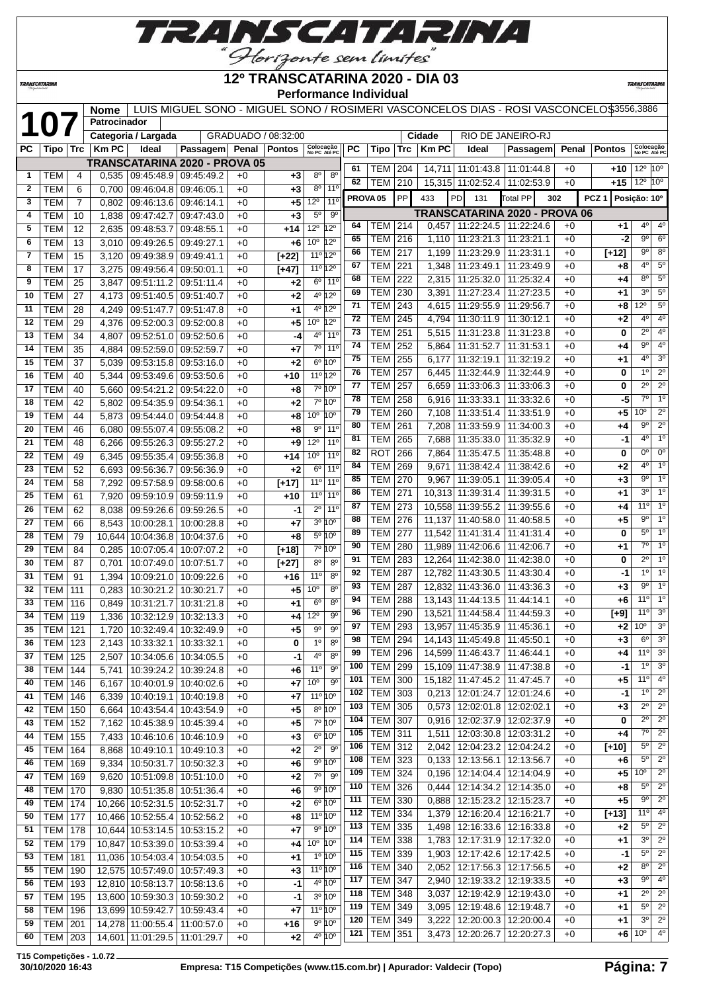

TRANSCATARINA

#### **12º TRANSCATARINA 2020 - DIA 03 Performance Individual**

**TRANSCATARINA** 

|          |                          |                | <b>Nome</b>    |                                        |                                      |              |                     | סוווומווטס ווועוויוע                              |                     |                             |            |                |                                                                  | LUIS MIGUEL SONO - MIGUEL SONO / ROSIMERI VASCONCELOS DIAS - ROSI VASCONCELO\$3556,3886 |              |                  |                                                          |
|----------|--------------------------|----------------|----------------|----------------------------------------|--------------------------------------|--------------|---------------------|---------------------------------------------------|---------------------|-----------------------------|------------|----------------|------------------------------------------------------------------|-----------------------------------------------------------------------------------------|--------------|------------------|----------------------------------------------------------|
|          | 107                      |                | Patrocinador   |                                        |                                      |              |                     |                                                   |                     |                             |            |                |                                                                  |                                                                                         |              |                  |                                                          |
|          |                          |                |                | Categoria / Largada                    |                                      |              | GRADUADO / 08:32:00 |                                                   |                     |                             |            | Cidade         |                                                                  | RIO DE JANEIRO-RJ                                                                       |              |                  |                                                          |
| PC.      | Tipo                     | Trc            | <b>Km PC</b>   | Ideal                                  | Passagem Penal                       |              | <b>Pontos</b>       | Colocação<br>No PC Até PC                         | <b>PC</b>           | Tipo                        | Trc        | <b>Km PC</b>   | Ideal                                                            | Passagem                                                                                | Penal        | <b>Pontos</b>    | Colocação<br>No PC Até PC                                |
|          |                          |                |                |                                        | <b>TRANSCATARINA 2020 - PROVA 05</b> |              |                     |                                                   | 61                  | TEM                         | 204        |                | 14,711 11:01:43.8                                                | 11:01:44.8                                                                              | $+0$         | +10              | $12^{\circ}$ $ 10^{\circ} $                              |
| 1        | TEM                      | 4              | 0,535          | 09:45:48.9                             | 09:45:49.2                           | $+0$         | +3                  | $8^{\circ}$<br>80                                 | 62                  | TEM                         | 210        |                | 15,315 11:02:52.4                                                | 11:02:53.9                                                                              | $+0$         | +15              | $12^{\circ}$<br>$10^{\circ}$                             |
| 2        | <b>TEM</b>               | 6              | 0,700          | 09:46:04.8                             | 09:46:05.1                           | $+0$         | +3                  | 11 <sup>0</sup><br>80                             | PROVA <sub>05</sub> |                             | PP         | 433            | PD<br>131                                                        | <b>Total PP</b><br>302                                                                  |              | PCZ <sub>1</sub> | Posição: 10°                                             |
| 3        | <b>TEM</b>               | $\overline{7}$ | 0,802          | 09:46:13.6                             | 09:46:14.1                           | $+0$         | +5                  | 12°<br>$11^{\circ}$<br>$5^{\circ}$<br>$9^{\circ}$ |                     |                             |            |                |                                                                  | <b>TRANSCATARINA 2020 - PROVA 06</b>                                                    |              |                  |                                                          |
| 4<br>5   | TEM<br><b>TEM</b>        | 10<br>12       | 1,838<br>2,635 | 09:47:42.7<br>09:48:53.7               | 09:47:43.0<br>09:48:55.1             | $+0$<br>$+0$ | $+3$<br>$+14$       | $12^{\circ}$<br>$12^{\circ}$                      | 64                  | <b>TEM</b>                  | 214        | 0,457          | 11:22:24.5                                                       | 11:22:24.6                                                                              | $+0$         | +1               | $4^{\circ}$<br>$4^{\circ}$                               |
| 6        | <b>TEM</b>               | 13             | 3,010          | 09:49:26.5                             | 09:49:27.1                           | $+0$         | +6                  | 10 <sup>o</sup><br>$12^{\circ}$                   | 65                  | TEM                         | 216        | 1,110          | 11:23:21.3                                                       | 11:23:21.1                                                                              | $+0$         | -2               | 90<br>$6^{\circ}$                                        |
| 7        | <b>TEM</b>               | 15             | 3,120          | 09:49:38.9                             | 09:49:41.1                           | $+0$         | $[+22]$             | 11º 12º                                           | 66                  | TEM                         | 217        | 1,199          | 11:23:29.9                                                       | 11:23:31.1                                                                              | $+0$         | $[+12]$          | $8^{\circ}$<br>$9^{\circ}$                               |
| 8        | TEM                      | 17             | 3,275          | 09:49:56.4                             | 09:50:01.1                           | $+0$         | $[+47]$             | 11º 12º                                           | 67                  | <b>TEM</b>                  | 221        | 1,348          | 11:23:49.1                                                       | 11:23:49.9                                                                              | $+0$         | +8               | $4^{\circ}$<br>$5^\circ$                                 |
| 9        | TEM                      | 25             | 3,847          | 09:51:11.2                             | 09:51:11.4                           | $+0$         | $+2$                | $6^{\circ}$<br>$11^{\circ}$                       | 68                  | TEM                         | 222        | 2,315          | 11:25:32.0                                                       | 11:25:32.4                                                                              | $+0$         | +4               | 8 <sup>o</sup><br>$5^{\circ}$                            |
| 10       | <b>TEM</b>               | 27             | 4,173          | 09:51:40.5                             | 09:51:40.7                           | $+0$         | +2                  | 4º 12º                                            | 69                  | <b>TEM</b>                  | 230        | 3,391          | 11:27:23.4                                                       | 11:27:23.5                                                                              | $+0$         | +1               | 3 <sup>o</sup><br>$5^{\circ}$                            |
| 11       | TEM                      | 28             | 4,249          | 09:51:47.7                             | 09:51:47.8                           | $+0$         | +1                  | 4º 12º                                            | 71                  | <b>TEM</b>                  | 243        | 4,615          | 11:29:55.9                                                       | 11:29:56.7                                                                              | $+0$         | +8               | $5^{\circ}$<br>$12^{\circ}$                              |
| 12       | <b>TEM</b>               | 29             | 4,376          | 09:52:00.3                             | 09:52:00.8                           | $+0$         | +5                  | 10°<br>$12^{\circ}$                               | 72                  | <b>TEM</b>                  | 245        | 4,794          | 11:30:11.9                                                       | 11:30:12.1                                                                              | $+0$         | +2               | $4^{\circ}$<br>$4^{\circ}$                               |
| 13       | <b>TEM</b>               | 34             | 4,807          | 09:52:51.0                             | 09:52:50.6                           | $+0$         | -4                  | 4°<br>11 <sup>°</sup>                             | 73                  | TEM                         | 251        | 5,515          | 11:31:23.8                                                       | 11:31:23.8                                                                              | $+0$         | 0                | $4^{\circ}$<br>$2^{\circ}$                               |
| 14       | <b>TEM</b>               | 35             | 4,884          | 09:52:59.0                             | 09:52:59.7                           | $+0$         | +7                  | $7^\circ$<br>$11^{\circ}$                         | 74                  | TEM                         | 252        | 5,864          | 11:31:52.7                                                       | 11:31:53.1                                                                              | $+0$         | +4               | 4 <sup>0</sup><br>90                                     |
| 15       | <b>TEM</b>               | 37             | 5,039          | 09:53:15.8                             | 09:53:16.0                           | $+0$         | +2                  | $6^{\circ} 10^{\circ}$                            | 75                  | TEM                         | 255        | 6,177          | 11:32:19.1                                                       | 11:32:19.2                                                                              | $+0$         | +1               | 3 <sup>o</sup><br>4º                                     |
| 16       | <b>TEM</b>               | 40             | 5,344          | 09:53:49.6                             | 09:53:50.6                           | $+0$         | $+10$               | 11º 12º                                           | 76                  | TEM                         | 257        | 6,445          | 11:32:44.9                                                       | 11:32:44.9                                                                              | $+0$         | 0                | $\overline{2^0}$<br>1 <sup>0</sup>                       |
| 17       | <b>TEM</b>               | 40             | 5,660          | 09:54:21.2                             | 09:54:22.0                           | $+0$         | $+8$                | 7º 10°                                            | 77                  | <b>TEM</b>                  | 257        | 6,659          | 11:33:06.3                                                       | 11:33:06.3                                                                              | $+0$         | 0                | $2^{\circ}$<br>$2^{\circ}$                               |
| 18       | <b>TEM</b>               | 42             | 5,802          | 09:54:35.9                             | 09:54:36.1                           | $+0$         | +2                  | 7º 10°                                            | 78                  | <b>TEM</b>                  | 258        | 6,916          | 11:33:33.1                                                       | 11:33:32.6                                                                              | $+0$         | -5               | $7^\circ$<br>1 <sup>0</sup>                              |
| 19       | <b>TEM</b>               | 44             | 5,873          | 09:54:44.0                             | 09:54:44.8                           | $+0$         | +8                  | 10 <sup>o</sup> 10 <sup>o</sup>                   | 79                  | <b>TEM</b>                  | 260        | 7,108          | 11:33:51.4                                                       | 11:33:51.9                                                                              | $+0$         | +5               | $2^{\circ}$<br>10°<br>$2^{\circ}$<br>90                  |
| 20       | TEM                      | 46             | 6,080          | 09:55:07.4                             | 09:55:08.2                           | $+0$         | +8                  | 90<br>$11^{\circ}$                                | 80<br>81            | <b>TEM</b><br><b>TEM</b>    | 261<br>265 | 7,208          | 11:33:59.9<br>11:35:33.0                                         | 11:34:00.3                                                                              | $+0$<br>$+0$ | +4<br>-1         | $4^{\circ}$<br>1 <sup>°</sup>                            |
| 21       | TEM                      | 48             | 6,266          | 09:55:26.3                             | 09:55:27.2                           | $+0$         | +9                  | $12^{\circ}$<br>$11^{\circ}$                      | 82                  | ROT                         | 266        | 7,688<br>7,864 | 11:35:47.5                                                       | 11:35:32.9<br>11:35:48.8                                                                | $+0$         | 0                | $0^{\circ}$<br>0°                                        |
| 22       | <b>TEM</b>               | 49             | 6,345          | 09:55:35.4                             | 09:55:36.8                           | $+0$         | $+14$               | 10 <sup>o</sup><br>11 <sup>°</sup>                | 84                  | TEM                         | 269        | 9,671          | 11:38:42.4                                                       | 11:38:42.6                                                                              | $+0$         | +2               | 1 <sup>0</sup><br>$4^{\circ}$                            |
| 23       | <b>TEM</b>               | 52             | 6,693          | 09:56:36.7                             | 09:56:36.9                           | $+0$         | $+2$                | $6^{\circ}$<br>$11^{\circ}$<br>$11^{\circ}$       | 85                  | <b>TEM</b>                  | 270        | 9,967          | 11:39:05.1                                                       | 11:39:05.4                                                                              | $+0$         | +3               | 1 <sup>o</sup><br>$9^{\circ}$                            |
| 24<br>25 | TEM<br><b>TEM</b>        | 58<br>61       | 7,292<br>7,920 | 09:57:58.9<br>09:59:10.9               | 09:58:00.6<br>09:59:11.9             | $+0$<br>$+0$ | $[+17]$<br>+10      | 11°<br>11°<br>$11^{\circ}$                        | 86                  | <b>TEM</b>                  | 271        | 10,313         | 11:39:31.4                                                       | 11:39:31.5                                                                              | $+0$         | +1               | 1 <sup>°</sup><br>3 <sup>o</sup>                         |
| 26       | <b>TEM</b>               | 62             | 8,038          | 09:59:26.6                             | 09:59:26.5                           | $+0$         | $-1$                | $2^{\circ}$<br>$11^{\circ}$                       | 87                  | TEM                         | 273        | 10,558         | 11:39:55.2                                                       | 11:39:55.6                                                                              | $+0$         | +4               | 1 <sup>0</sup><br>11°                                    |
| 27       | TEM                      | 66             | 8,543          | 10:00:28.1                             | 10:00:28.8                           | $+0$         | +7                  | $3^{\circ} 10^{\circ}$                            | 88                  | <b>TEM</b>                  | 276        | 11,137         | 11:40:58.0                                                       | 11:40:58.5                                                                              | $+0$         | +5               | 9 <sup>o</sup><br>1 <sup>o</sup>                         |
| 28       | TEM                      | 79             | 10,644         | 10:04:36.8                             | 10:04:37.6                           | $+0$         | +8                  | 5º 10°                                            | 89                  | <b>TEM</b>                  | 277        |                | 11,542 11:41:31.4                                                | 11:41:31.4                                                                              | $+0$         | 0                | $5^{\circ}$<br>$1^{\circ}$                               |
| 29       | TEM                      | 84             | 0,285          | 10:07:05.4                             | 10:07:07.2                           | $+0$         | [+18]               | 7º 10°                                            | 90                  | <b>TEM</b>                  | 280        | 11,989         | 11:42:06.6                                                       | 11:42:06.7                                                                              | $+0$         | +1               | $7^\circ$<br>1 <sup>0</sup>                              |
| 30       | <b>TEM</b>               | 87             | 0,701          | 10:07:49.0                             | 10:07:51.7                           | $+0$         | $[+27]$             | $8^{\circ}$<br>$8^{\circ}$                        | 91                  | TEM                         | 283        |                | 12,264 11:42:38.0                                                | 11:42:38.0                                                                              | $+0$         | 0                | $2^{\circ}$<br>$1^{\circ}$                               |
| 31       | <b>TEM</b>               | 91             | 1,394          | 10:09:21.0                             | 10:09:22.6                           | $+0$         | +16                 | 11 <sup>°</sup><br>8 <sup>0</sup>                 | 92                  | <b>TEM</b>                  | 287        | 12,782         | 11:43:30.5                                                       | 11:43:30.4                                                                              | $+0$         | -1               | 1 <sup>0</sup><br>1 <sup>o</sup>                         |
| 32       | TEM                      | 111            | 0,283          | 10:30:21.2                             | 10:30:21.7                           | $+0$         | $+5$                | 10 <sup>o</sup><br>8 <sup>0</sup>                 | 93                  | TEM                         | 287        |                | 12,832 11:43:36.0                                                | 11:43:36.3                                                                              | $+0$         | +3               | 1 <sup>o</sup><br>90                                     |
| 33       | TEM                      | 116            | 0,849          | 10:31:21.7                             | 10:31:21.8                           | $+0$         | +1                  | $6^{\circ}$<br>80                                 | 94                  | TEM                         | 288        | 13,143         | 11:44:13.5                                                       | 11:44:14.1                                                                              | $+0$         | +6               | 1 <sup>o</sup><br>11°                                    |
| 34       | TEM                      | 119            | 1,336          | 10:32:12.9   10:32:13.3                |                                      | $+0$         | +4                  | $12^{\circ}$<br>$9^{\circ}$                       | 96                  | TEM                         | 290        | 13.521         | 11:44:58.4                                                       | 11:44:59.3                                                                              | $+0$         | $[+9]$           | 3 <sup>o</sup><br>$11^{\circ}$<br>3 <sup>o</sup>         |
| 35       | TEM   121                |                | 1,720          | 10:32:49.4   10:32:49.9                |                                      | $+0$         | $+5$                | $9^{\rm o}$<br>90                                 | 97<br>98            | TEM   293<br><b>TEM 294</b> |            |                | 13,957   11:45:35.9   11:45:36.1<br>14,143 11:45:49.8 11:45:50.1 |                                                                                         | $+0$<br>$+0$ | +2<br>$+3$       | 10°<br>3 <sup>o</sup><br>$6^{\circ}$                     |
| 36       | <b>TEM</b>               | 123            | 2,143          | 10:33:32.1                             | 10:33:32.1                           | $+0$         | 0                   | 1 <sup>0</sup><br>$8^{\circ}$                     | 99                  | <b>TEM 296</b>              |            |                | 14,599 11:46:43.7                                                | 11:46:44.1                                                                              | $+0$         | +4               | 3 <sup>o</sup><br>11°                                    |
| 37       | <b>TEM</b>               | 125            | 2,507          | 10:34:05.6                             | 10:34:05.5                           | $+0$         | -1                  | 40<br>$8^{\circ}$<br>$11^{\circ}$<br>$9^{\circ}$  | 100                 | <b>TEM</b>                  | 299        |                | 15,109 11:47:38.9                                                | 11:47:38.8                                                                              | $+0$         | -1               | 3 <sup>o</sup><br>$1^{\circ}$                            |
| 38       | <b>TEM</b>               | 144            | 5,741          | 10:39:24.2                             | 10:39:24.8                           | $+0$         | +6                  | 10 <sup>o</sup><br>$9^{\circ}$                    | 101                 | <b>TEM</b>                  | 300        |                | 15,182 11:47:45.2                                                | 11:47:45.7                                                                              | $+0$         | +5               | 4 <sup>o</sup><br>$11^{\circ}$                           |
| 40<br>41 | <b>TEM</b><br><b>TEM</b> | 146<br>146     | 6,167<br>6,339 | 10:40:01.9<br>10:40:19.1               | 10:40:02.6<br>10:40:19.8             | $+0$<br>$+0$ | +7<br>$+7$          | $11^{\circ} 10^{\circ}$                           | 102                 | <b>TEM</b>                  | 303        | 0,213          | 12:01:24.7                                                       | 12:01:24.6                                                                              | $+0$         | -1               | $\overline{2^0}$<br>1 <sup>0</sup>                       |
| 42       | <b>TEM 150</b>           |                | 6,664          | 10:43:54.4                             | 10:43:54.9                           | $+0$         | $+5$                | 8º 10°                                            | 103                 | <b>TEM</b>                  | 305        | 0,573          | 12:02:01.8                                                       | 12:02:02.1                                                                              | $+0$         | +3               | $2^{\circ}$<br>$2^{\circ}$                               |
| 43       | <b>TEM 152</b>           |                | 7,162          | 10:45:38.9                             | 10:45:39.4                           | $+0$         | $+5$                | 7º 10°                                            | 104                 | <b>TEM</b>                  | 307        |                | 0,916 12:02:37.9 12:02:37.9                                      |                                                                                         | $+0$         | 0                | $2^{\circ}$<br>$2^{\circ}$                               |
| 44       | <b>TEM</b>               | 155            | 7,433          | 10:46:10.6                             | 10:46:10.9                           | $+0$         | $+3$                | $6^{\circ} 10^{\circ}$                            | 105                 | <b>TEM</b>                  | 311        | 1,511          | 12:03:30.8   12:03:31.2                                          |                                                                                         | $+0$         | +4               | $2^{\circ}$<br>$7^{\circ}$                               |
| 45       | <b>TEM</b>               | 164            | 8,868          | 10:49:10.1                             | 10:49:10.3                           | $+0$         | $+2$                | $2^{\circ}$<br>90                                 | 106                 | <b>TEM</b>                  | 312        | 2,042          | 12:04:23.2   12:04:24.2                                          |                                                                                         | $+0$         | $[+10]$          | $2^{\circ}$<br>$5^{\circ}$                               |
| 46       | <b>TEM</b>               | 169            | 9,334          | 10:50:31.7                             | 10:50:32.3                           | $+0$         | $+6$                | 9º 10°                                            | 108                 | <b>TEM 323</b>              |            |                | $0,133$   12:13:56.1                                             | 12:13:56.7                                                                              | $+0$         | +6               | $5^{\circ}$<br>$\overline{2^{\circ}}$                    |
| 47       | TEM                      | 169            | 9,620          | 10:51:09.8                             | 10:51:10.0                           | $+0$         | +2                  | $7^\circ$<br>$9^{\circ}$                          | 109                 | <b>TEM</b>                  | 324        | 0,196          | 12:14:04.4   12:14:04.9                                          |                                                                                         | $+0$         | +5               | 10 <sup>o</sup><br>$2^{\circ}$                           |
| 48       | <b>TEM</b>               | 170            | 9,830          | 10:51:35.8                             | 10:51:36.4                           | $+0$         | +6                  | $9^{\circ} 10^{\circ}$                            | 110                 | <b>TEM</b>                  | 326        | 0,444          | 12:14:34.2   12:14:35.0                                          |                                                                                         | $+0$         | +8               | $2^{\circ}$<br>$5^{\circ}$                               |
| 49       | <b>TEM</b>               | 174            | 10,266         | 10:52:31.5                             | 10:52:31.7                           | $+0$         | $+2$                | $6^{\circ} 10^{\circ}$                            | 111                 | <b>TEM</b>                  | 330        | 0,888          | 12:15:23.2 12:15:23.7                                            |                                                                                         | $+0$         | +5               | $2^{\circ}$<br>$9^{\circ}$                               |
| 50       | <b>TEM</b>               | 177            |                | 10,466 10:52:55.4                      | 10:52:56.2                           | $+0$         | +8                  | 11º 10º                                           | 112                 | <b>TEM</b>                  | 334        | 1,379          |                                                                  | 12:16:20.4   12:16:21.7                                                                 | $+0$         | $[+13]$          | $11^{\circ}$ 4 <sup>°</sup>                              |
| 51       | <b>TEM 178</b>           |                |                | 10,644 10:53:14.5                      | 10:53:15.2                           | $+0$         | $+7$                | 9º 10°                                            | 113                 | <b>TEM</b>                  | 335        | 1,498          | 12:16:33.6                                                       | 12:16:33.8                                                                              | $+0$         | +2               | $2^{\circ}$<br>$5^{\circ}$<br>$2^{\circ}$<br>$3^{\circ}$ |
| 52       | <b>TEM 179</b>           |                |                | 10,847 10:53:39.0 10:53:39.4           |                                      | $+0$         | $+4$                | $10^{\circ}$ $10^{\circ}$                         | 114<br>115          | <b>TEM</b><br><b>TEM</b>    | 338<br>339 | 1,783          | 12:17:31.9   12:17:32.0<br>12:17:42.6   12:17:42.5               |                                                                                         | $+0$         | +1<br>-1         | $2^{\circ}$<br>$5^{\circ}$                               |
| 53       | <b>TEM</b>               | 181            |                | 11,036 10:54:03.4                      | 10:54:03.5                           | $+0$         | +1                  | $1^{\circ}$ $10^{\circ}$                          | 116                 | <b>TEM</b>                  | 340        | 1,903<br>2,052 | 12:17:56.3   12:17:56.5                                          |                                                                                         | $+0$<br>$+0$ | +2               | $2^{\circ}$<br>80                                        |
| 55       | <b>TEM</b>               | 190            |                | 12,575 10:57:49.0                      | 10:57:49.3                           | $+0$         | $+3$                | 11º 10°                                           | 117                 | <b>TEM</b>                  | 347        | 2,940          | 12:19:33.2   12:19:33.5                                          |                                                                                         | $+0$         | $+3$             | $9^{\circ}$<br>4 <sup>0</sup>                            |
| 56       | <b>TEM</b>               | 193            |                | 12,810 10:58:13.7                      | 10:58:13.6                           | $+0$         | -1                  | 4º 10°<br>$3^{\circ} 10^{\circ}$                  | 118                 | <b>TEM</b>                  | 348        | 3,037          | $\overline{12:19:42.9}$                                          | 12:19:43.0                                                                              | $+0$         | +1               | $2^{\circ}$<br>$2^{\circ}$                               |
| 57<br>58 | TEM<br>TEM               | 195<br>196     |                | 13,600 10:59:30.3<br>13,699 10:59:42.7 | 10:59:30.2<br>10:59:43.4             | $+0$<br>$+0$ | -1<br>+7            | $11^{\circ} 10^{\circ}$                           | 119                 | <b>TEM</b>                  | 349        | 3,095          | 12:19:48.6   12:19:48.7                                          |                                                                                         | $+0$         | +1               | $5^{\circ}$<br>$2^{\circ}$                               |
| 59       | <b>TEM 201</b>           |                |                | 14,278 11:00:55.4                      | 11:00:57.0                           | $+0$         | $+16$               | 9°10°                                             | 120                 | <b>TEM</b>                  | 349        | 3,222          |                                                                  | 12:20:00.3   12:20:00.4                                                                 | $+0$         | +1               | $2^{\circ}$<br>$3^{\circ}$                               |
| 60       | TEM 203                  |                |                | 14,601 11:01:29.5 11:01:29.7           |                                      | $+0$         | $+2$                | 4 <sup>o</sup> 10 <sup>o</sup>                    | 121                 | <b>TEM</b>                  | 351        | 3,473          | 12:20:26.7                                                       | 12:20:27.3                                                                              | $+0$         | +6               | $4^{\circ}$<br>$10^{\circ}$                              |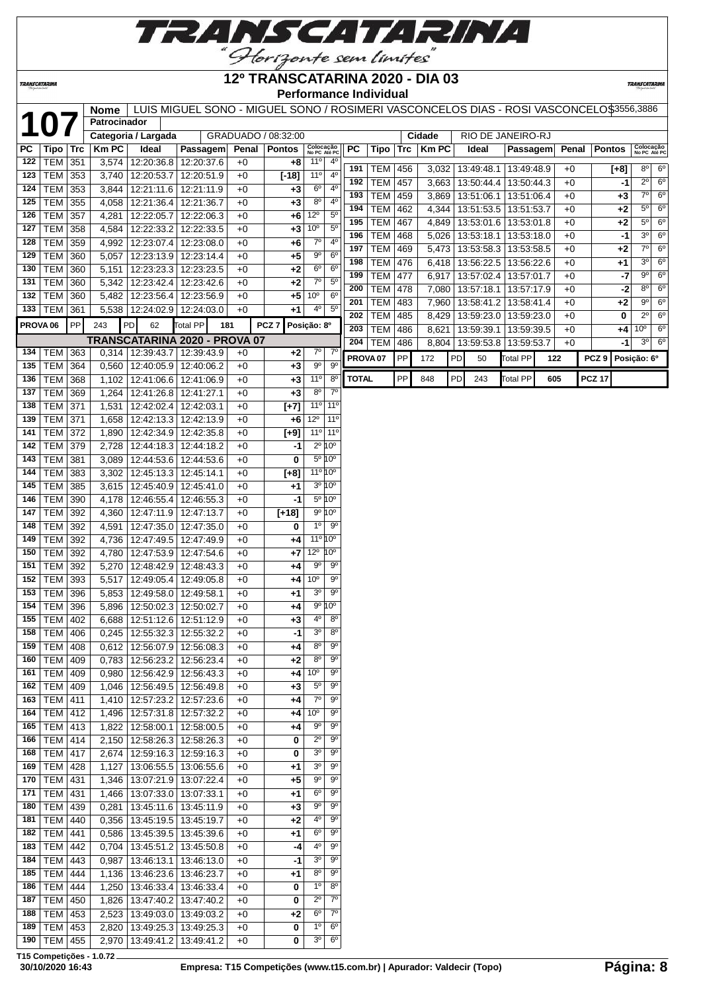

#### **TRANSCATARINA**

#### **12º TRANSCATARINA 2020 - DIA 03 Performance Individual**

**TRANSCATARIN** 

|                     |                                    |            | <b>Nome</b>    |                                   | LUIS MIGUEL SONO - MIGUEL SONO / ROSIMERI VASCONCELOS DIAS - ROSI VASCONCELO\$3556,3886 |              |                     |                               |                            |                     |            |            |              |    |                    |                 |     |       |                  |                                   |
|---------------------|------------------------------------|------------|----------------|-----------------------------------|-----------------------------------------------------------------------------------------|--------------|---------------------|-------------------------------|----------------------------|---------------------|------------|------------|--------------|----|--------------------|-----------------|-----|-------|------------------|-----------------------------------|
| $\mathbf 1$         |                                    |            | Patrocinador   |                                   |                                                                                         |              |                     |                               |                            |                     |            |            |              |    |                    |                 |     |       |                  |                                   |
|                     |                                    |            |                | Categoria / Largada               |                                                                                         |              | GRADUADO / 08:32:00 |                               |                            |                     |            |            | Cidade       |    | RIO DE JANEIRO-RJ  |                 |     |       |                  |                                   |
| PС                  | Tipo                               | $\sf{Trc}$ | <b>Km PC</b>   | Ideal                             | Passagem                                                                                | Penal        | <b>Pontos</b>       | Colocação<br>No PC Até PC     |                            | PC                  | Tipo       | Trc        | <b>Km PC</b> |    | Ideal              | Passagem        |     | Penal | <b>Pontos</b>    | Colocação<br>No PC Até PC         |
| 122                 | <b>TEM</b>                         | 351        | 3,574          | 12:20:36.8                        | 12:20:37.6                                                                              | $+0$         | $+8$                | 11 <sup>°</sup>               | $4^{\circ}$                | 191                 | <b>TEM</b> | 456        | 3,032        |    | 13:49:48.1         | 13:49:48.9      |     | +0    | $[+8]$           | $8^{\circ}$<br>$6^{\circ}$        |
| 123                 | TEM                                | 353        | 3,740          | 12:20:53.7                        | 12:20:51.9                                                                              | $+0$         | $[-18]$             | 11 <sup>o</sup>               | 4 <sup>0</sup>             | 192                 | <b>TEM</b> | 457        | 3,663        |    | 13:50:44.4         | 13:50:44.3      |     | $+0$  | -1               | $2^{\circ}$<br>6 <sup>o</sup>     |
| 124                 | TEM                                | 353        | 3,844          | 12:21:11.6                        | 12:21:11.9                                                                              | $+0$         | $+3$                | 6 <sup>o</sup><br>$8^{\circ}$ | $4^{\circ}$<br>$4^{\circ}$ | 193                 | <b>TEM</b> | 459        |              |    | 3,869   13:51:06.1 | 13:51:06.4      |     | $+0$  | $+3$             | 6 <sup>o</sup><br>$7^{\circ}$     |
| 125                 | <b>TEM</b>                         | 355        | 4,058          | 12:21:36.4                        | 12:21:36.7                                                                              | $+0$         | $+3$                | $12^{\circ}$                  | 5 <sup>o</sup>             | 194                 | <b>TEM</b> | 462        | 4,344        |    | 13:51:53.5         | 13:51:53.7      |     | +0    | +2               | $5^{\circ}$<br>6 <sup>o</sup>     |
| 126<br>127          | <b>TEM</b><br><b>TEM</b>           | 357<br>358 | 4,281          | 12:22:05.7<br>12:22:33.2          | 12:22:06.3                                                                              | +0<br>+0     | +6<br>$+3$          | 10 <sup>o</sup>               | 5 <sup>0</sup>             | 195                 | <b>TEM</b> | 467        | 4,849        |    | 13:53:01.6         | 13:53:01.8      |     | +0    | +2               | $5^{\circ}$<br>6 <sup>o</sup>     |
| 128                 | TEM                                | 359        | 4,584<br>4,992 |                                   | 12:22:33.5<br>12:23:07.4   12:23:08.0                                                   | +0           |                     | $7^\circ$                     | 4 <sup>0</sup>             | 196                 | <b>TEM</b> | 468        | 5,026        |    | 13:53:18.1         | 13:53:18.0      |     | +0    | -1               | 3 <sup>o</sup><br>$6^{\circ}$     |
| 129                 | <b>TEM</b>                         | 360        | 5,057          | 12:23:13.9 12:23:14.4             |                                                                                         | $+0$         | +6<br>$+5$          | 90                            | 6 <sup>o</sup>             | 197                 | <b>TEM</b> | 469        |              |    | 5,473   13:53:58.3 | 13:53:58.5      |     | $+0$  | $+2$             | $7^\circ$<br>$6^{\circ}$          |
| 130                 | <b>TEM</b>                         | 360        | 5,151          | 12:23:23.3 12:23:23.5             |                                                                                         | $+0$         | $+2$                | $6^{\circ}$                   | $6^{\circ}$                | 198                 | <b>TEM</b> | 476        |              |    | 6,418   13:56:22.5 | 13:56:22.6      |     | +0    | +1               | 3 <sup>o</sup><br>6 <sup>o</sup>  |
| 131                 | <b>TEM</b>                         | 360        | 5,342          | 12:23:42.4                        | 12:23:42.6                                                                              | $+0$         | $+2$                | $7^\circ$                     | $5^{\circ}$                | 199                 | <b>TEM</b> | 477        |              |    | 6,917   13:57:02.4 | 13:57:01.7      |     | +0    | -7               | $6^{\circ}$<br>$9^{\circ}$        |
| 132                 | <b>TEM</b>                         | 360        | 5,482          |                                   | 12:23:56.4   12:23:56.9                                                                 | $+0$         | $+5$                | 10 <sup>o</sup>               | 6 <sup>o</sup>             | 200                 | <b>TEM</b> | 478        | 7,080        |    | 13:57:18.1         | 13:57:17.9      |     | +0    | $-2$             | $6^{\circ}$<br>$8^{\circ}$        |
|                     | 133   TEM $ $                      | 361        |                | 5,538   12:24:02.9   12:24:03.0   |                                                                                         | $+0$         | +1                  | $4^{\circ}$                   | $5^{\circ}$                | 201                 | <b>TEM</b> | 483        |              |    | 7,960   13:58:41.2 | 13:58:41.4      |     | +0    | +2               | $9^{\circ}$<br>$6^{\circ}$        |
| PROVA <sub>06</sub> |                                    | PP         | 243            | PD<br>62                          | Total PP<br>181                                                                         |              | PCZ <sub>7</sub>    | Posição: 8º                   |                            | 202                 | <b>TEM</b> | 485        |              |    | 8,429   13:59:23.0 | 13:59:23.0      |     | $+0$  | 0                | 6 <sup>o</sup><br>$2^{\circ}$     |
|                     |                                    |            |                |                                   |                                                                                         |              |                     |                               |                            | 203                 | <b>TEM</b> | 486        | 8,621        |    | 13:59:39.1         | 13:59:39.5      |     | +0    | +4               | 10 <sup>o</sup><br>6 <sup>o</sup> |
| 134                 | TEM                                | 363        | 0,314          | 12:39:43.7                        | TRANSCATARINA 2020 - PROVA 07<br>12:39:43.9                                             | $+0$         | $+2$                | $7^\circ$                     | $7^\circ$                  | 204                 | <b>TEM</b> | 486        |              |    | 8,804   13:59:53.8 | 13:59:53.7      |     | +0    | -1               | $3^{\circ}$<br>$6^{\circ}$        |
| 135                 | TEM                                | 364        | 0,560          | 12:40:05.9                        | 12:40:06.2                                                                              | $+0$         | $+3$                | 9 <sup>o</sup>                | $9^{\circ}$                | PROVA <sub>07</sub> |            | PP         | 172          | PD | 50                 | Total PP        | 122 |       | PCZ <sub>9</sub> | Posição: 6º                       |
| 136                 | <b>TEM</b>                         | 368        | 1,102          |                                   | 12:41:06.6 12:41:06.9                                                                   | $+0$         | $+3$                | 11 <sup>o</sup>               | $8^{\circ}$                | <b>TOTAL</b>        |            | ${\sf PP}$ | 848          | PD | 243                | <b>Total PP</b> | 605 |       | <b>PCZ 17</b>    |                                   |
| 137                 | TEM                                | 369        | 1,264          | 12:41:26.8   12:41:27.1           |                                                                                         | $+0$         | +3                  | $8^{\circ}$                   | $7^{\circ}$                |                     |            |            |              |    |                    |                 |     |       |                  |                                   |
| 138                 | <b>TEM</b>                         | 371        | 1,531          | 12:42:02.4 12:42:03.1             |                                                                                         | $+0$         | $[+7]$              | $11^{\circ}$                  | 11 <sup>0</sup>            |                     |            |            |              |    |                    |                 |     |       |                  |                                   |
| 139                 | <b>TEM 371</b>                     |            | 1,658          |                                   | 12:42:13.3 12:42:13.9                                                                   | $+0$         | +6                  | $12^{\circ}$                  | 11 <sup>o</sup>            |                     |            |            |              |    |                    |                 |     |       |                  |                                   |
| 141                 | TEM 372                            |            | 1,890          |                                   | 12:42:34.9 12:42:35.8                                                                   | $+0$         | $[+9]$              | 11°                           | $11^{\circ}$               |                     |            |            |              |    |                    |                 |     |       |                  |                                   |
| 142                 | TEM 379                            |            | 2,728          | 12:44:18.3 12:44:18.2             |                                                                                         | $+0$         | -1                  |                               | $2^{\circ} 10^{\circ}$     |                     |            |            |              |    |                    |                 |     |       |                  |                                   |
| 143                 | <b>TEM</b>                         | 381        | 3,089          |                                   | 12:44:53.6   12:44:53.6                                                                 | $+0$         | 0                   |                               | 5º 10°                     |                     |            |            |              |    |                    |                 |     |       |                  |                                   |
| 144                 | <b>TEM</b>                         | 383        | 3,302          | 12:45:13.3                        | 12:45:14.1                                                                              | $+0$         | $[+8]$              | $11^{\circ} 10^{\circ}$       |                            |                     |            |            |              |    |                    |                 |     |       |                  |                                   |
| 145                 | <b>TEM</b>                         | 385        | 3,615          |                                   | 12:45:40.9 12:45:41.0                                                                   | $+0$         | $+1$                |                               | 3º 10°                     |                     |            |            |              |    |                    |                 |     |       |                  |                                   |
| 146                 | <b>TEM</b>                         | 390        | 4,178          |                                   | 12:46:55.4   12:46:55.3                                                                 | $+0$         | -1                  |                               | 5º 10º                     |                     |            |            |              |    |                    |                 |     |       |                  |                                   |
| 147                 | <b>TEM</b>                         | 392        | 4,360          | 12:47:11.9                        | 12:47:13.7                                                                              | $+0$         | $[+18]$             |                               | $9^{\circ} 10^{\circ}$     |                     |            |            |              |    |                    |                 |     |       |                  |                                   |
| 148                 | <b>TEM</b>                         | 392        | 4,591          | 12:47:35.0                        | 12:47:35.0                                                                              | +0           | 0                   | $1^{\circ}$                   | $9^{\circ}$                |                     |            |            |              |    |                    |                 |     |       |                  |                                   |
| 149                 | <b>TEM</b>                         | 392        | 4,736          | 12:47:49.5                        | 12:47:49.9                                                                              | +0           | $+4$                | $11^{\circ} 10^{\circ}$       |                            |                     |            |            |              |    |                    |                 |     |       |                  |                                   |
| 150                 | TEM 392                            |            | 4,780          |                                   | 12:47:53.9 12:47:54.6                                                                   | $+0$         | $+7$                | $12^{\circ}$                  | 10°                        |                     |            |            |              |    |                    |                 |     |       |                  |                                   |
| 151                 | <b>TEM</b>                         | 392        | 5,270          | $12:48:42.9$ 12:48:43.3           |                                                                                         | $+0$         | $+4$                | 90                            | 90                         |                     |            |            |              |    |                    |                 |     |       |                  |                                   |
| 152                 | <b>TEM</b>                         | 393        | 5,517          |                                   | 12:49:05.4   12:49:05.8                                                                 | $+0$         | $+4$                | 10 <sup>o</sup>               | $9^{\circ}$                |                     |            |            |              |    |                    |                 |     |       |                  |                                   |
| 153                 | <b>TEM</b>                         | 396        |                | 5,853   12:49:58.0   12:49:58.1   |                                                                                         | $+0$         | $+1$                | 3 <sup>o</sup>                | $9^{\circ}$                |                     |            |            |              |    |                    |                 |     |       |                  |                                   |
| 154                 | <b>TEM</b>                         | 396        | 5,896          | 12:50:02.3   12:50:02.7           |                                                                                         | $+0$         | +4                  | $9^{\circ}$                   | ١O٥                        |                     |            |            |              |    |                    |                 |     |       |                  |                                   |
| 155                 | <b>TEM 402</b>                     |            | 6,688          |                                   | 12:51:12.6   12:51:12.9                                                                 | $+0$         | $+3$                | 4 <sup>0</sup>                | $8^{\circ}$                |                     |            |            |              |    |                    |                 |     |       |                  |                                   |
|                     | 158   TEM   406                    |            |                | $0,245$   12:55:32.3   12:55:32.2 |                                                                                         | $+0$         | -1                  | 30                            | 8 <sup>0</sup>             |                     |            |            |              |    |                    |                 |     |       |                  |                                   |
|                     | 159   TEM   408                    |            |                | $0,612$   12:56:07.9   12:56:08.3 |                                                                                         | +0           | $+4$                | $8^{\circ}$                   | $9^{\circ}$                |                     |            |            |              |    |                    |                 |     |       |                  |                                   |
|                     | 160   TEM $ $                      | 409        |                | 0,783   12:56:23.2   12:56:23.4   |                                                                                         | +0           | $+2$                | $8^{\circ}$                   | $9^{\circ}$                |                     |            |            |              |    |                    |                 |     |       |                  |                                   |
|                     | 161   TEM   409                    |            | 0,980          |                                   | 12:56:42.9 12:56:43.3                                                                   | $+0$         | +4                  | 10 <sup>o</sup>               | $9^{\circ}$                |                     |            |            |              |    |                    |                 |     |       |                  |                                   |
|                     | 162   TEM   409                    |            | 1,046          | 12:56:49.5   12:56:49.8           |                                                                                         | +0           | $+3$                | $5^{\circ}$                   | 90                         |                     |            |            |              |    |                    |                 |     |       |                  |                                   |
|                     | 163   TEM   411                    |            | 1,410          |                                   | 12:57:23.2   12:57:23.6                                                                 | $+0$         | +4                  | $7^\circ$<br>$10^{\circ}$     | 90                         |                     |            |            |              |    |                    |                 |     |       |                  |                                   |
|                     | 164   TEM   412<br>165   TEM   413 |            | 1,496          |                                   | 12:57:31.8   12:57:32.2                                                                 | $+0$         | $+4$                | $9^{\circ}$                   | 90<br>$9^{\circ}$          |                     |            |            |              |    |                    |                 |     |       |                  |                                   |
| 166                 | TEM 414                            |            | 1,822<br>2,150 |                                   | 12:58:00.1   12:58:00.5<br>12:58:26.3 12:58:26.3                                        | $+0$<br>$+0$ | +4<br>0             | $2^{\circ}$                   | 90                         |                     |            |            |              |    |                    |                 |     |       |                  |                                   |
| 168                 | <b>TEM 417</b>                     |            | 2,674          |                                   | 12:59:16.3 12:59:16.3                                                                   | +0           | 0                   | 3 <sup>o</sup>                | $9^{\circ}$                |                     |            |            |              |    |                    |                 |     |       |                  |                                   |
|                     | 169   TEM   428                    |            | 1,127          |                                   | 13:06:55.5   13:06:55.6                                                                 | +0           | +1                  | 3 <sup>o</sup>                | $9^{\circ}$                |                     |            |            |              |    |                    |                 |     |       |                  |                                   |
|                     | 170   TEM   431                    |            | 1,346          | 13:07:21.9 13:07:22.4             |                                                                                         | +0           | $+5$                | $9^{\circ}$                   | $9^{\circ}$                |                     |            |            |              |    |                    |                 |     |       |                  |                                   |
|                     | 171   TEM   431                    |            |                | 1,466   13:07:33.0   13:07:33.1   |                                                                                         | $+0$         | $+1$                | $6^{\circ}$                   | $9^{\circ}$                |                     |            |            |              |    |                    |                 |     |       |                  |                                   |
|                     | 180   TEM   439                    |            | 0,281          | 13:45:11.6   13:45:11.9           |                                                                                         | $+0$         | $+3$                | 90                            | 90                         |                     |            |            |              |    |                    |                 |     |       |                  |                                   |
|                     | 181   TEM   440                    |            | 0,356          | 13:45:19.5   13:45:19.7           |                                                                                         | $+0$         | $+2$                | 40                            | 90                         |                     |            |            |              |    |                    |                 |     |       |                  |                                   |
|                     | 182   TEM   441                    |            |                | 0,586   13:45:39.5   13:45:39.6   |                                                                                         | $+0$         | $+1$                | $6^{\circ}$                   | $9^{\circ}$                |                     |            |            |              |    |                    |                 |     |       |                  |                                   |
|                     | 183   TEM   442                    |            | 0,704          |                                   | 13:45:51.2 13:45:50.8                                                                   | $+0$         | -4                  | 4°                            | $9^{\circ}$                |                     |            |            |              |    |                    |                 |     |       |                  |                                   |
| 184                 | TEM 443                            |            | 0,987          |                                   | 13:46:13.1 13:46:13.0                                                                   | $+0$         | -1                  | 3 <sup>o</sup>                | 90                         |                     |            |            |              |    |                    |                 |     |       |                  |                                   |
| 185                 | <b>TEM</b>                         | 444        | 1,136          | 13:46:23.6   13:46:23.7           |                                                                                         | +0           | +1                  | $8^{\circ}$                   | 90                         |                     |            |            |              |    |                    |                 |     |       |                  |                                   |
|                     | 186   TEM $ $                      | 444        | 1,250          |                                   | 13:46:33.4   13:46:33.4                                                                 | +0           | 0                   | $1^{\circ}$                   | $8^{\circ}$                |                     |            |            |              |    |                    |                 |     |       |                  |                                   |
| 187                 | TEM   450                          |            | 1,826          |                                   | 13:47:40.2   13:47:40.2                                                                 | +0           | 0                   | $2^{\circ}$                   | $7^\circ$                  |                     |            |            |              |    |                    |                 |     |       |                  |                                   |
| 188                 | TEM 453                            |            | 2,523          |                                   | 13:49:03.0   13:49:03.2                                                                 | $+0$         | $+2$                | $6^{\circ}$                   | $7^\circ$                  |                     |            |            |              |    |                    |                 |     |       |                  |                                   |
|                     | 189   TEM   453                    |            | 2,820          |                                   | 13:49:25.3 13:49:25.3                                                                   | $+0$         | 0                   | $1^{\circ}$                   | $6^{\circ}$                |                     |            |            |              |    |                    |                 |     |       |                  |                                   |
|                     | 190   TEM   455                    |            | 2,970          |                                   | 13:49:41.2 13:49:41.2                                                                   | $+0$         | 0                   | 30                            | $6^{\circ}$                |                     |            |            |              |    |                    |                 |     |       |                  |                                   |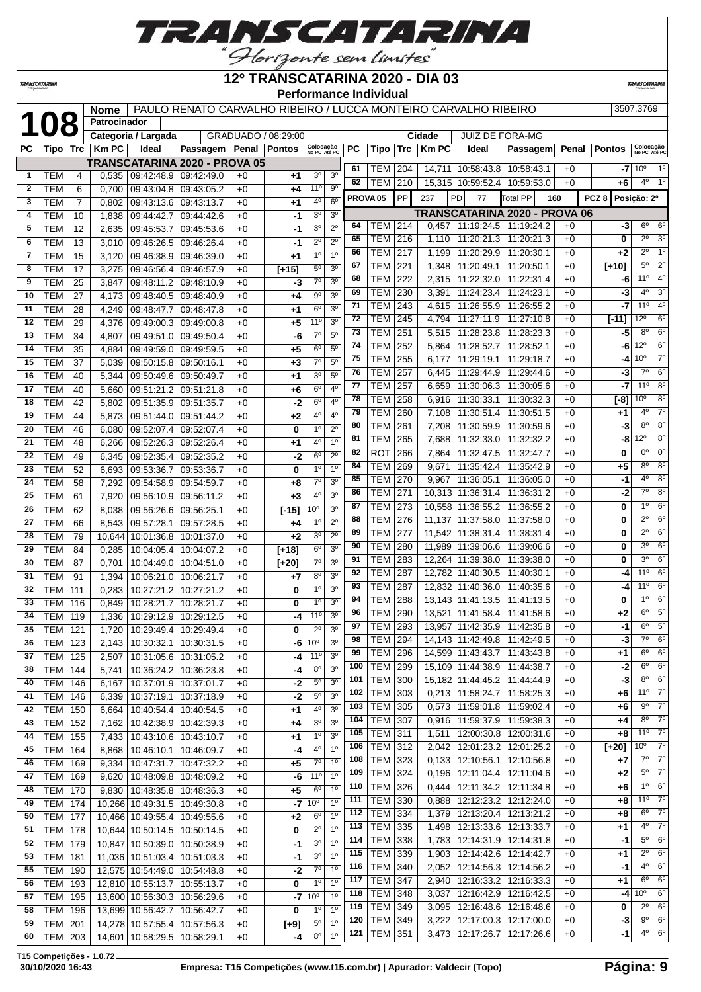

**TRANSCATARINA** 

#### **12º TRANSCATARINA 2020 - DIA 03 Performance Individual**

**TRANSCATARIN** 

|              |                  |                | <b>Nome</b>  |                                      |                         |                     |               |                           |                |           |                             |            |                  | PAULO RENATO CARVALHO RIBEIRO / LUCCA MONTEIRO CARVALHO RIBEIRO |                                       |       |                                 | 3507,3769                 |                              |
|--------------|------------------|----------------|--------------|--------------------------------------|-------------------------|---------------------|---------------|---------------------------|----------------|-----------|-----------------------------|------------|------------------|-----------------------------------------------------------------|---------------------------------------|-------|---------------------------------|---------------------------|------------------------------|
|              | 108              |                | Patrocinador |                                      |                         |                     |               |                           |                |           |                             |            |                  |                                                                 |                                       |       |                                 |                           |                              |
|              |                  |                |              | Categoria / Largada                  |                         | GRADUADO / 08:29:00 |               |                           |                |           |                             |            | Cidade           | <b>JUIZ DE FORA-MG</b>                                          |                                       |       |                                 |                           |                              |
| PC           | Tipo   Trc       |                | <b>Km PC</b> | Ideal                                | Passagem Penal          |                     | <b>Pontos</b> | Colocação<br>No PC Até PC |                | <b>PC</b> | Tipo                        | <b>Trc</b> | <b>KmPC</b>      | Ideal                                                           | Passagem                              | Penal | <b>Pontos</b>                   | Colocação<br>No PC Até PC |                              |
|              |                  |                |              | <b>TRANSCATARINA 2020 - PROVA 05</b> |                         |                     |               |                           |                | 61        | TEM                         | 204        |                  | 14,711   10:58:43.8                                             | 10:58:43.1                            | $+0$  | -7                              | 10 <sup>o</sup>           | $1^{\circ}$                  |
| $\mathbf{1}$ | <b>TEM</b>       | 4              | 0,535        |                                      | 09:42:48.9 09:42:49.0   | $+0$                | +1            | 3 <sup>o</sup>            | 3 <sup>o</sup> | 62        | TEM                         | 210        |                  | 15,315 10:59:52.4                                               | 10:59:53.0                            | $+0$  | +6                              | $4^{\circ}$               | 1 <sup>o</sup>               |
| $\mathbf{2}$ | <b>TEM</b>       | 6              | 0,700        | 09:43:04.8                           | 09:43:05.2              | $+0$                | +4            | 11°                       | $9^{\circ}$    |           | PROVA <sub>05</sub>         | PP         | 237              | PD<br>77                                                        | <b>Total PP</b><br>160                |       | PCZ <sub>8</sub><br>Posição: 2º |                           |                              |
| 3            | TEM              | $\overline{7}$ | 0,802        | 09:43:13.6                           | 09:43:13.7              | $+0$                | +1            | 4°                        | $6^{\circ}$    |           |                             |            |                  |                                                                 | <b>TRANSCATARINA 2020 - PROVA 06</b>  |       |                                 |                           |                              |
| 4            | <b>TEM</b>       | 10             | 1,838        | 09:44:42.7                           | 09:44:42.6              | $+0$                | -1            | 3 <sup>o</sup>            | 3 <sup>o</sup> | 64        | TEM                         | 214        | 0,457            | 11:19:24.5   11:19:24.2                                         |                                       | $+0$  | -3                              | $6^{\circ}$               | $6^{\circ}$                  |
| 5            | <b>TEM</b>       | 12             | 2,635        | 09:45:53.7                           | 09:45:53.6              | $+0$                | -1            | 3 <sup>o</sup>            | $2^{\circ}$    | 65        | TEM                         | 216        | 1,110            | 11:20:21.3                                                      | 11:20:21.3                            | $+0$  | 0                               | $2^{\circ}$               | 3 <sup>o</sup>               |
| 6            | <b>TEM</b>       | 13             | 3,010        | 09:46:26.5                           | 09:46:26.4              | $+0$                | -1            | $2^{\circ}$               | $2^{\circ}$    | 66        | TEM                         | 217        | 1,199            | 11:20:29.9                                                      | 11:20:30.1                            | $+0$  | +2                              | $2^{\circ}$               | $1^{\circ}$                  |
| 7            | <b>TEM</b>       | 15             | 3,120        | 09:46:38.9                           | 09:46:39.0              | $+0$                | +1            | 1 <sup>0</sup>            | 1 <sup>0</sup> | 67        | TEM                         | 221        | 1,348            | 11:20:49.1                                                      | 11:20:50.1                            | $+0$  | $[+10]$                         | $5^{\circ}$               | $\overline{2^0}$             |
| 8            | TEM              | 17             | 3,275        | 09:46:56.4                           | 09:46:57.9              | $+0$                | $[+15]$       | $5^{\circ}$               | 3 <sup>o</sup> | 68        | TEM                         | 222        | 2,315            |                                                                 | 11:22:32.0   11:22:31.4               | $+0$  | -6                              | 11°                       | 4 <sup>0</sup>               |
| 9            | TEM              | 25             | 3,847        | 09:48:11.2                           | 09:48:10.9              | $+0$                | -3            | $7^\circ$                 | 3 <sup>o</sup> | 69        | TEM                         | 230        | 3,391            | 11:24:23.4                                                      | 11:24:23.1                            | $+0$  | -3                              | $4^{\circ}$               | 3 <sup>o</sup>               |
| 10           | TEM              | 27             | 4,173        | 09:48:40.5                           | 09:48:40.9              | $+0$                | +4            | $9^{\circ}$               | 3 <sup>o</sup> | 71        | TEM                         | 243        | 4,615            | 11:26:55.9                                                      | 11:26:55.2                            | $+0$  | -7                              | 11°                       | $4^{\circ}$                  |
| 11           | <b>TEM</b>       | 28             | 4,249        | 09:48:47.7                           | 09:48:47.8              | $+0$                | +1            | $6^{\circ}$               | 3 <sup>o</sup> | 72        | <b>TEM</b>                  | 245        | 4,794            | 11:27:11.9                                                      | 11:27:10.8                            | $+0$  | $[-11]$                         | 12°                       | 6 <sup>o</sup>               |
| 12           | <b>TEM</b>       | 29             | 4,376        | 09:49:00.3                           | 09:49:00.8              | $+0$                | +5            | 11 <sup>0</sup>           | 3 <sup>o</sup> | 73        | TEM                         | 251        | 5,515            | 11:28:23.8                                                      | 11:28:23.3                            | $+0$  | -5                              | $8^{\circ}$               | 6 <sup>o</sup>               |
| 13           | <b>TEM</b>       | 34             | 4,807        | 09:49:51.0                           | 09:49:50.4              | $+0$                | -6            | $7^\circ$                 | 5 <sup>0</sup> | 74        | TEM                         | 252        | 5,864            | 11:28:52.7                                                      | 11:28:52.1                            | $+0$  | -6                              | 12°                       | 6 <sup>o</sup>               |
| 14           | <b>TEM</b>       | 35             | 4,884        | 09:49:59.0                           | 09:49:59.5              | $+0$                | +5            | $6^{\circ}$               | $5^{\circ}$    | 75        | TEM                         | 255        | 6,177            | 11:29:19.1                                                      | 11:29:18.7                            | $+0$  | -4                              | 10 <sup>o</sup>           | $7^\circ$                    |
| 15           | <b>TEM</b>       | 37             | 5,039        | 09:50:15.8                           | 09:50:16.1              | $+0$                | +3            | $7^\circ$                 | 5 <sup>0</sup> | 76        | TEM                         | 257        | 6,445            | 11:29:44.9                                                      | 11:29:44.6                            | $+0$  | -3                              | $7^\circ$                 | 6 <sup>o</sup>               |
| 16           | <b>TEM</b>       | 40             | 5,344        | 09:50:49.6                           | 09:50:49.7              | $+0$                | +1            | 3 <sup>o</sup>            | $5^{\circ}$    | 77        | TEM                         | 257        | 6,659            | 11:30:06.3                                                      | 11:30:05.6                            | $+0$  | -7                              | 11°                       | 8 <sup>o</sup>               |
| 17           | TEM              | 40             | 5,660        | 09:51:21.2                           | 09:51:21.8              | $+0$                | +6            | 6 <sup>o</sup>            | 4 <sup>0</sup> | 78        | TEM                         | 258        | 6,916            | 11:30:33.1                                                      | 11:30:32.3                            | $+0$  | [-8]                            | 10 <sup>o</sup>           | $8^{\circ}$                  |
| 18           | <b>TEM</b>       | 42             | 5,802        | 09:51:35.9                           | 09:51:35.7              | $+0$                | $-2$          | $6^{\circ}$               | 4 <sup>0</sup> | 79        | TEM                         | 260        | 7,108            | 11:30:51.4                                                      | 11:30:51.5                            | $+0$  | +1                              | $4^{\circ}$               | $7^\circ$                    |
| 19           | TEM              | 44             | 5,873        | 09:51:44.0                           | 09:51:44.2              | $+0$                | +2            | 4º                        | $4^{\circ}$    | 80        | TEM                         | 261        | 7,208            | 11:30:59.9                                                      | 11:30:59.6                            | $+0$  | -3                              | $8^{\circ}$               | $8^{\circ}$                  |
| 20           | <b>TEM</b>       | 46             | 6,080        | 09:52:07.4                           | 09:52:07.4              | $+0$                | 0             | 1 <sup>0</sup>            | $2^{\circ}$    | 81        | <b>TEM</b>                  | 265        | 7,688            | 11:32:33.0                                                      | 11:32:32.2                            | $+0$  | -8                              | $12^{\circ}$              | 8 <sup>o</sup>               |
| 21           | TEM              | 48             | 6,266        | 09:52:26.3                           | 09:52:26.4              | $+0$                | +1            | 4°                        | 1 <sup>0</sup> | 82        | ROT                         | 266        | 7,864            | 11:32:47.5                                                      | 11:32:47.7                            | $+0$  | 0                               | $0^{\circ}$               | $0^{\circ}$                  |
| 22           | <b>TEM</b>       | 49             | 6,345        | 09:52:35.4                           | 09:52:35.2              | $+0$                | -2            | 6 <sup>o</sup>            | $2^{\circ}$    | 84        | <b>TEM</b>                  | 269        | 9,671            | 11:35:42.4                                                      | 11:35:42.9                            | $+0$  | +5                              | $8^{\circ}$               | 8 <sup>o</sup>               |
| 23           | <b>TEM</b>       | 52             | 6,693        | 09:53:36.7                           | 09:53:36.7              | $+0$                | 0             | $1^{\circ}$               | 1 <sup>0</sup> | 85        | TEM                         | 270        | 9,967            | 11:36:05.1                                                      | 11:36:05.0                            | $+0$  | -1                              | $4^{\circ}$               | 8 <sup>o</sup>               |
| 24           | <b>TEM</b>       | 58             | 7,292        | 09:54:58.9                           | 09:54:59.7              | $+0$                | +8            | $7^\circ$                 | 3 <sup>o</sup> | 86        | <b>TEM</b>                  | 271        |                  |                                                                 | 11:36:31.2                            | $+0$  | -2                              | 7°                        | $8^{\circ}$                  |
| 25           | <b>TEM</b>       | 61             | 7,920        | 09:56:10.9                           | 09:56:11.2              | $+0$                | +3            | 4°                        | 3 <sup>o</sup> | 87        | TEM                         | 273        | 10,313           | 11:36:31.4<br>10,558 11:36:55.2 11:36:55.2                      |                                       | $+0$  | 0                               | 1 <sup>0</sup>            | 6 <sup>o</sup>               |
| 26           | <b>TEM</b>       | 62             | 8,038        | 09:56:26.6                           | 09:56:25.1              | $+0$                | $F-151$       | 10 <sup>o</sup>           | 3 <sup>o</sup> | 88        | TEM                         | 276        |                  | 11:37:58.0                                                      |                                       | $+0$  | 0                               | $\overline{2^0}$          | 6 <sup>o</sup>               |
| 27           | тем              | 66             | 8,543        | 09:57:28.1                           | 09:57:28.5              | $+0$                | +4            | 1 <sup>0</sup>            | $2^{\circ}$    | 89        | TEM                         | 277        | 11,137<br>11,542 |                                                                 | 11:37:58.0<br>11:38:31.4   11:38:31.4 | $+0$  | 0                               | $2^{\circ}$               | 6 <sup>o</sup>               |
| 28           | TEM              | 79             | 10,644       | 10:01:36.8                           | 10:01:37.0              | $+0$                | $+2$          | 3 <sup>o</sup>            | $2^{\circ}$    | 90        | <b>TEM</b>                  | 280        |                  | 11,989 11:39:06.6                                               | 11:39:06.6                            | $+0$  | 0                               | 3 <sup>0</sup>            | 6 <sup>o</sup>               |
| 29           | <b>TEM</b>       | 84             | 0,285        | 10:04:05.4                           | 10:04:07.2              | $+0$                | $[+18]$       | $6^{\circ}$               | 3 <sup>o</sup> | 91        | TEM                         | 283        |                  | 12,264 11:39:38.0                                               | 11:39:38.0                            | $+0$  | 0                               | 3 <sup>0</sup>            | 6 <sup>o</sup>               |
| 30           | <b>TEM</b>       | 87             | 0,701        | 10:04:49.0                           | 10:04:51.0              | $+0$                | $[+20]$       | $7^\circ$                 | 3 <sup>o</sup> | 92        | TEM                         | 287        | 12,782           | 11:40:30.5                                                      | 11:40:30.1                            | $+0$  | -4                              | 11°                       | 6 <sup>o</sup>               |
| 31           | <b>TEM</b>       | 91             | 1,394        | 10:06:21.0                           | 10:06:21.7              | $+0$                | +7            | $8^{\circ}$               | 3 <sup>o</sup> | 93        | TEM                         | 287        |                  | 12,832 11:40:36.0                                               | 11:40:35.6                            | $+0$  | -4                              | 11°                       | 6 <sup>o</sup>               |
| 32           | <b>TEM</b>       | 111            | 0,283        | 10:27:21.2                           | 10:27:21.2              | $+0$                | 0             | 1 <sup>0</sup>            | 3 <sup>o</sup> | 94        | TEM                         | 288        | 13,143           | 11:41:13.5                                                      | 11:41:13.5                            | $+0$  | 0                               | 10 <sup>°</sup>           | $6^{\circ}$                  |
| 33           | TEM              | 116            | 0,849        | 10:28:21.7                           | 10:28:21.7              | $+0$                | 0             | 1 <sup>0</sup>            | 3 <sup>0</sup> | 96        | TEM                         | 290        |                  | 13,521 11:41:58.4 11:41:58.6                                    |                                       | $+0$  | +2                              | $6^{\circ}$               | $5^{\circ}$                  |
| 34           | TEM              | 119            | 1,336        | 10:29:12.9                           | 10:29:12.5              | $+0$                | -4            | $11^{\circ}$              | 3 <sup>o</sup> | 97        | <b>TEM 293</b>              |            |                  | 13,957 11:42:35.9 11:42:35.8                                    |                                       |       |                                 |                           | $6^{\circ}$ 5°               |
| 35           | TEM   121        |                |              | 1,720   10:29:49.4   10:29:49.4      |                         | $+0$                | 0             | $2^{\circ}$               | 30             | 98        |                             |            |                  |                                                                 |                                       | +0    | -1<br>$-3$                      | $7^\circ$                 | 6 <sup>o</sup>               |
| 36           | TEM   123        |                | 2,143        | 10:30:32.1                           | 10:30:31.5              | $+0$                | -6            | 10 <sup>o</sup>           | 3 <sup>o</sup> | 99        | TEM   294<br><b>TEM 296</b> |            |                  | 14, 143 11: 42: 49.8   11: 42: 49.5                             | 14,599 11:43:43.7 11:43:43.8          | $+0$  |                                 | $6^{\circ}$               | $6^{\circ}$                  |
| 37           | <b>TEM 125</b>   |                | 2,507        |                                      | 10:31:05.6   10:31:05.2 | $+0$                | -4            | 11 <sup>o</sup>           | 3 <sup>o</sup> |           |                             |            |                  |                                                                 |                                       | $+0$  | $+1$                            | $6^{\circ}$               | 6 <sup>o</sup>               |
| 38           | <b>TEM 144</b>   |                | 5,741        |                                      | 10:36:24.2 10:36:23.8   | $+0$                | -4            | $8^{\circ}$               | 3 <sup>o</sup> | 100       | <b>TEM 299</b>              |            |                  | 15,109 11:44:38.9 11:44:38.7                                    |                                       | $+0$  | $-2$                            | $8^{\circ}$               | $6^{\circ}$                  |
| 40           | <b>TEM 146</b>   |                | 6,167        | 10:37:01.9                           | 10:37:01.7              | $+0$                | $-2$          | $5^{\circ}$               | 3 <sup>o</sup> | 101       | <b>TEM 300</b>              |            |                  | 15,182 11:44:45.2 11:44:44.9                                    |                                       | $+0$  | $-3$                            | 11°                       | $7^\circ$                    |
| 41           | <b>TEM 146</b>   |                | 6,339        | 10:37:19.1                           | 10:37:18.9              | $+0$                | $-2$          | $5^{\circ}$               | 3 <sup>0</sup> | 102       | <b>TEM 303</b>              |            |                  | $0,213$   11:58:24.7   11:58:25.3                               |                                       | $+0$  | +6                              | 9º                        | $7^\circ$                    |
| 42           | <b>TEM 150</b>   |                | 6,664        |                                      | 10:40:54.4 10:40:54.5   | $+0$                | $+1$          | 40                        | 3 <sup>0</sup> | 103       | <b>TEM 305</b>              |            |                  | $0,573$   11:59:01.8   11:59:02.4                               |                                       | $+0$  | $+6$                            | 8°                        | $7^\circ$                    |
| 43           | <b>TEM 152</b>   |                |              | 7,162   10:42:38.9   10:42:39.3      |                         | $+0$                | +4            | 3 <sup>0</sup>            | 3 <sup>o</sup> | 104       | <b>TEM 307</b>              |            |                  | 0.916 11:59:37.9 11:59:38.3                                     |                                       | $+0$  | +4                              |                           |                              |
| 44           | <b>TEM 155</b>   |                | 7,433        | 10:43:10.6                           | 10:43:10.7              | $+0$                | $+1$          | $1^{\circ}$               | 3 <sup>0</sup> | 105       | <b>TEM 311</b>              |            |                  |                                                                 | 1,511   12:00:30.8   12:00:31.6       | $+0$  | +8                              | 10 <sup>o</sup>           | $11^{\circ}$ 7°<br>$7^\circ$ |
| 45           | <b>TEM   164</b> |                | 8,868        |                                      | 10:46:10.1   10:46:09.7 | $+0$                | -4            | 4 <sup>0</sup>            | 1 <sup>o</sup> | 106       | <b>TEM 312</b>              |            |                  |                                                                 | 2,042   12:01:23.2   12:01:25.2       | $+0$  | $[+20]$                         |                           | $7°$ $7°$                    |
| 46           | <b>TEM 169</b>   |                | 9,334        | 10:47:31.7                           | 10:47:32.2              | $+0$                | $+5$          | $7^\circ$                 | 1 <sup>0</sup> | 108       | <b>TEM 323</b>              |            |                  |                                                                 | $0,133$   12:10:56.1   12:10:56.8     | $+0$  | $+7$                            | $5^{\circ}$               | $7^\circ$                    |
| 47           | <b>TEM 169</b>   |                |              | 9,620 10:48:09.8 10:48:09.2          |                         | $+0$                | -6            | 11°                       | $1^{\circ}$    | 109       | <b>TEM 324</b>              |            |                  |                                                                 | $0,196$   12:11:04.4   12:11:04.6     | $+0$  | +2                              | $1^{\circ}$               |                              |
| 48           | <b>TEM 170</b>   |                | 9,830        | 10:48:35.8                           | 10:48:36.3              | $+0$                | $+5$          | $6^{\circ}$               | 1 <sup>0</sup> | 110       | <b>TEM 326</b>              |            | 0,444            |                                                                 | 12:11:34.2   12:11:34.8               | $+0$  | +6                              |                           | $6^{\circ}$                  |
| 49           | <b>TEM 174</b>   |                |              | 10,266 10:49:31.5                    | 10:49:30.8              | $+0$                | $-7$          | 10 <sup>o</sup>           | 1 <sup>0</sup> | 111       | <b>TEM 330</b>              |            | 0,888            |                                                                 | 12:12:23.2   12:12:24.0               | $+0$  | $+8$                            | 11°                       | $7^\circ$<br>$7^\circ$       |
| 50           | <b>TEM 177</b>   |                |              | 10,466 10:49:55.4 10:49:55.6         |                         | $+0$                | +2            | $6^{\circ}$               | 1 <sup>0</sup> | 112       | <b>TEM 334</b>              |            | 1,379            |                                                                 | 12:13:20.4   12:13:21.2               | $+0$  | +8                              | $6^{\circ}$               |                              |
| 51           | <b>TEM 178</b>   |                |              | 10,644 10:50:14.5 10:50:14.5         |                         | $+0$                | 0             | $2^{\circ}$               | 1 <sup>0</sup> | 113       | <b>TEM 335</b>              |            | 1,498            |                                                                 | 12:13:33.6   12:13:33.7               | $+0$  | $+1$                            | $4^{\circ}$               | $7^\circ$                    |
| 52           | <b>TEM 179</b>   |                |              | 10,847 10:50:39.0 10:50:38.9         |                         | $+0$                | $-1$          | 3 <sup>0</sup>            | 1 <sup>0</sup> | 114       | <b>TEM 338</b>              |            | 1,783            |                                                                 | 12:14:31.9   12:14:31.8               | $+0$  | -1                              | $5^{\circ}$               | $6^{\circ}$                  |
| 53           | <b>TEM 181</b>   |                |              | 11,036 10:51:03.4                    | 10:51:03.3              | $+0$                | -1            | 3 <sup>0</sup>            | 1 <sup>0</sup> | 115       | <b>TEM 339</b>              |            | 1,903            |                                                                 | 12:14:42.6   12:14:42.7               | $+0$  | +1                              | $2^{\circ}$               | 6 <sup>o</sup>               |
| 55           | <b>TEM   190</b> |                |              | 12,575 10:54:49.0 10:54:48.8         |                         | $+0$                | $-2$          | $7^\circ$                 | 1 <sup>0</sup> | 116       | <b>TEM 340</b>              |            | 2,052            |                                                                 | 12:14:56.3   12:14:56.2               | $+0$  | -1                              | $4^{\circ}$               | $6^{\circ}$                  |
| 56           | TEM   193        |                |              | 12,810 10:55:13.7 10:55:13.7         |                         | $+0$                | 0             | 1 <sup>o</sup>            | 1 <sup>0</sup> | 117       | <b>TEM 347</b>              |            |                  |                                                                 | 2,940   12:16:33.2   12:16:33.3       | $+0$  | +1                              | $6^{\circ}$               | $6^{\circ}$                  |
| 57           | TEM   195        |                |              | 13,600 10:56:30.3 10:56:29.6         |                         | $+0$                | -7            | 10 <sup>o</sup>           | 1 <sup>0</sup> | 118       | <b>TEM 348</b>              |            | 3,037            |                                                                 | 12:16:42.9   12:16:42.5               | $+0$  | -41                             | $10^{\circ}$              | $6^{\circ}$                  |
| 58           | <b>TEM 196</b>   |                |              | 13,699 10:56:42.7                    | 10:56:42.7              | $+0$                | 0             | 1 <sup>0</sup>            | 1 <sup>0</sup> | 119       | <b>TEM 349</b>              |            | 3,095            |                                                                 | 12:16:48.6   12:16:48.6               | $+0$  | 0                               | $2^{\circ}$               | $6^{\circ}$                  |
| 59           | <b>TEM 201</b>   |                |              | 14,278 10:57:55.4 10:57:56.3         |                         | $+0$                | $[+9]$        | $5^{\circ}$               | 1 <sup>0</sup> | 120       | <b>TEM 349</b>              |            | 3,222            |                                                                 | 12:17:00.3   12:17:00.0               | +0    | $-3$                            | $9^{\circ}$               | 6 <sup>o</sup>               |
| 60           | <b>TEM 203</b>   |                |              | 14,601 10:58:29.5 10:58:29.1         |                         | $+0$                | $-4$          | 8 <sup>o</sup>            | 1 <sup>0</sup> | 121       | <b>TEM 351</b>              |            |                  |                                                                 | 3,473 12:17:26.7 12:17:26.6           | $+0$  | $-1$                            |                           | $4^{\circ}$ 6 <sup>°</sup>   |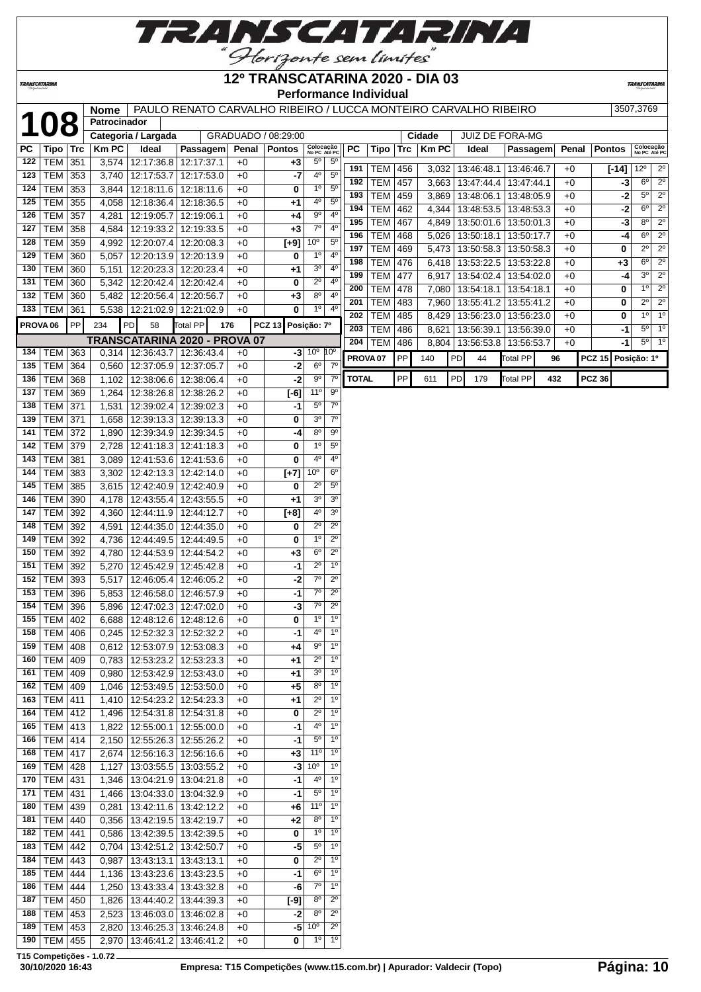

### **TRANSCATARINA**

# **12º TRANSCATARINA 2020 - DIA 03**

**TRANSCATARIN** 

**Performance Individual**

**1088 | PAULO RENATO CARVALHO RIBEIRO / LUCCA MONTEIRO CARVALHO RIBEIRO 3507,3769** 

|                     | 1 U T            |     | Patrocinador |                     |                                      |       |                     |                           |                  |              |                     |            |              |    |                         |                 |     |       |               |                |                           |
|---------------------|------------------|-----|--------------|---------------------|--------------------------------------|-------|---------------------|---------------------------|------------------|--------------|---------------------|------------|--------------|----|-------------------------|-----------------|-----|-------|---------------|----------------|---------------------------|
|                     |                  |     |              | Categoria / Largada |                                      |       | GRADUADO / 08:29:00 |                           |                  |              |                     |            | Cidade       |    | <b>JUIZ DE FORA-MG</b>  |                 |     |       |               |                |                           |
| РC                  | Tipo             | Trc | <b>Km PC</b> | Ideal               | Passagem                             | Penal | <b>Pontos</b>       | Colocação<br>No PC Até PC |                  | PC           | Tipo                | <b>Trc</b> | <b>Km PC</b> |    | Ideal                   | Passagem        |     | Penal | <b>Pontos</b> |                | Colocação<br>No PC Até PC |
| 122                 | <b>TEM</b>       | 351 | 3,574        | 12:17:36.8          | 12:17:37.1                           | $+0$  | +3                  | $5^{\circ}$               | $5^{\circ}$      |              |                     |            |              |    |                         |                 |     |       |               |                |                           |
| 123                 | <b>TEM</b>       | 353 | 3,740        | 12:17:53.7          | 12:17:53.0                           | $+0$  | -7                  | 4°                        | 5 <sup>0</sup>   | 191          | TEM                 | 456        | 3,032        |    | 13:46:48.1              | 13:46:46.7      |     | $+0$  | $[-14]$       | $12^{\circ}$   | $2^{\circ}$               |
| 124                 | <b>TEM</b>       | 353 | 3,844        | 12:18:11.6          | 12:18:11.6                           | $+0$  | 0                   | 1 <sup>0</sup>            | $5^{\circ}$      | 192          | TEM                 | 457        | 3,663        |    | 13:47:44.4              | 13:47:44.1      |     | $+0$  | -3            | $6^{\circ}$    | $\overline{2^0}$          |
| 125                 | <b>TEM</b>       | 355 | 4,058        | 12:18:36.4          | 12:18:36.5                           | $+0$  | +1                  | 40                        | $5^{\circ}$      | 193          | <b>TEM</b>          | 459        | 3,869        |    | 13:48:06.1              | 13:48:05.9      |     | $+0$  | $-2$          | 5 <sup>o</sup> | $2^{\circ}$               |
| 126                 | <b>TEM</b>       | 357 | 4,281        | 12:19:05.7          | 12:19:06.1                           | $+0$  | +4                  | 90                        | 4 <sup>0</sup>   | 194          | <b>TEM</b>          | 462        | 4,344        |    | 13:48:53.5              | 13:48:53.3      |     | $+0$  | $-2$          | $6^{\circ}$    | $\overline{2^0}$          |
|                     | <b>TEM</b>       |     |              |                     |                                      |       |                     | $7^\circ$                 | 4 <sup>0</sup>   | 195          | <b>TEM</b>          | 467        | 4,849        |    | 13:50:01.6              | 13:50:01.3      |     | $+0$  | $-3$          | $8^{\circ}$    | $2^{\circ}$               |
| 127                 |                  | 358 | 4,584        | 12:19:33.2          | 12:19:33.5                           | $+0$  | $+3$                |                           |                  | 196          | <b>TEM</b>          | 468        | 5,026        |    | 13:50:18.1              | 13:50:17.7      |     | $+0$  | $-4$          | $6^{\circ}$    | $\overline{2^0}$          |
| 128                 | <b>TEM</b>       | 359 | 4,992        | 12:20:07.4          | 12:20:08.3                           | $+0$  | $[+9]$              | 10 <sup>o</sup>           | $5^{\circ}$      | 197          | <b>TEM</b>          | 469        | 5,473        |    | 13:50:58.3              | 13:50:58.3      |     | $+0$  | 0             | $2^{\circ}$    | $2^{\circ}$               |
| 129                 | <b>TEM</b>       | 360 | 5,057        | 12:20:13.9          | 12:20:13.9                           | $+0$  | 0                   | $1^{\circ}$               | $4^{\circ}$      | 198          | <b>TEM</b>          | 476        | 6,418        |    | 13:53:22.5              | 13:53:22.8      |     | $+0$  | $+3$          | $6^{\circ}$    | $\overline{2^0}$          |
| 130                 | <b>TEM</b>       | 360 | 5,151        | 12:20:23.3          | 12:20:23.4                           | $+0$  | +1                  | 3 <sup>o</sup>            | 4 <sup>0</sup>   | 199          | TEM                 | 477        | 6,917        |    | 13:54:02.4              | 13:54:02.0      |     | $+0$  | -4            | 3 <sup>0</sup> | $\overline{2^0}$          |
| 131                 | <b>TEM</b>       | 360 | 5,342        | 12:20:42.4          | 12:20:42.4                           | $+0$  | 0                   | $2^{\circ}$               | 4 <sup>0</sup>   | 200          | <b>TEM</b>          | 478        | 7,080        |    | 13:54:18.1              | 13:54:18.1      |     | $+0$  | 0             | $1^{\circ}$    | $\overline{2^0}$          |
| 132                 | <b>TEM</b>       | 360 | 5,482        | 12:20:56.4          | 12:20:56.7                           | $+0$  | $+3$                | $8^{\circ}$               | 4 <sup>0</sup>   |              |                     |            |              |    |                         |                 |     |       |               | $2^{\circ}$    | $\overline{2^0}$          |
| 133                 | <b>TEM</b>       | 361 | 5,538        | 12:21:02.9          | 12:21:02.9                           | $+0$  | 0                   | 1 <sup>0</sup>            | $4^{\circ}$      | 201          | <b>TEM</b>          | 483        | 7,960        |    | 13:55:41.2              | 13:55:41.2      |     | $+0$  | 0             |                |                           |
| PROVA <sub>06</sub> |                  | PP  | 234          | PD<br>58            | <b>Total PP</b>                      | 176   | <b>PCZ 13</b>       | Posição: 7º               |                  | 202          | <b>TEM</b>          | 485        | 8,429        |    | 13:56:23.0   13:56:23.0 |                 |     | $+0$  | 0             | $1^{\circ}$    | 1 <sup>o</sup>            |
|                     |                  |     |              |                     |                                      |       |                     |                           |                  | 203          | <b>TEM</b>          | 486        | 8,621        |    | 13:56:39.1              | 13:56:39.0      |     | $+0$  | $-1$          | $5^{\circ}$    | 1 <sup>o</sup>            |
|                     |                  |     |              |                     | <b>TRANSCATARINA 2020 - PROVA 07</b> |       |                     |                           |                  | 204          | <b>TEM</b>          | 486        | 8,804        |    | 13:56:53.8              | 13:56:53.7      |     | $+0$  | $-1$          | $5^{\circ}$    | $1^{\circ}$               |
| 134                 | <b>TEM</b>       | 363 | 0,314        | 12:36:43.7          | 12:36:43.4                           | $+0$  | -3                  | $10^{\circ}$ $10^{\circ}$ |                  |              | PROVA <sub>07</sub> | PP         | 140          | PD | 44                      | <b>Total PP</b> | 96  |       | <b>PCZ 15</b> | Posição: 1º    |                           |
| 135                 | <b>TEM</b>       | 364 | 0,560        | 12:37:05.9          | 12:37:05.7                           | $+0$  | $-2$                | $6^{\circ}$               | $7^\circ$        |              |                     |            |              |    |                         |                 |     |       |               |                |                           |
| 136                 | <b>TEM</b>       | 368 | 1,102        |                     | 12:38:06.6   12:38:06.4              | $+0$  | $-2$                | $\overline{9^{\circ}}$    | $7^\circ$        | <b>TOTAL</b> |                     | PP         | 611          | PD | 179                     | <b>Total PP</b> | 432 |       | <b>PCZ 36</b> |                |                           |
| 137                 | <b>TEM</b>       | 369 | 1,264        | 12:38:26.8          | 12:38:26.2                           | $+0$  | $[-6]$              | $11^{\circ}$              | $9^{\circ}$      |              |                     |            |              |    |                         |                 |     |       |               |                |                           |
| 138                 | <b>TEM</b>       | 371 | 1,531        | 12:39:02.4          | 12:39:02.3                           | $+0$  | -1                  | $5^{\circ}$               | $7^{\circ}$      |              |                     |            |              |    |                         |                 |     |       |               |                |                           |
| 139                 | <b>TEM</b>       | 371 | 1,658        | 12:39:13.3          | 12:39:13.3                           | $+0$  | 0                   | 3 <sup>o</sup>            | $\overline{7^0}$ |              |                     |            |              |    |                         |                 |     |       |               |                |                           |
| 141                 | <b>TEM</b>       | 372 | 1,890        | 12:39:34.9          | 12:39:34.5                           | $+0$  | -4                  | $8^{\circ}$               | $9^{\circ}$      |              |                     |            |              |    |                         |                 |     |       |               |                |                           |
| 142                 | <b>TEM</b>       | 379 | 2,728        | 12:41:18.3          | 12:41:18.3                           | $+0$  | 0                   | 1 <sup>0</sup>            | $5^{\circ}$      |              |                     |            |              |    |                         |                 |     |       |               |                |                           |
| 143                 | <b>TEM</b>       | 381 | 3,089        | 12:41:53.6          | 12:41:53.6                           | $+0$  | 0                   | 4°                        | 4°               |              |                     |            |              |    |                         |                 |     |       |               |                |                           |
| 144                 | <b>TEM</b>       | 383 | 3,302        | 12:42:13.3          | 12:42:14.0                           | $+0$  |                     | 10 <sup>o</sup>           | $6^{\circ}$      |              |                     |            |              |    |                         |                 |     |       |               |                |                           |
|                     |                  |     |              |                     |                                      |       | $[+7]$              |                           | $5^{\circ}$      |              |                     |            |              |    |                         |                 |     |       |               |                |                           |
| 145                 | <b>TEM</b>       | 385 | 3,615        | 12:42:40.9          | 12:42:40.9                           | $+0$  | 0                   | $2^{\circ}$               |                  |              |                     |            |              |    |                         |                 |     |       |               |                |                           |
| 146                 | <b>TEM</b>       | 390 | 4,178        | 12:43:55.4          | 12:43:55.5                           | $+0$  | +1                  | 3 <sup>o</sup>            | 3 <sup>o</sup>   |              |                     |            |              |    |                         |                 |     |       |               |                |                           |
| 147                 | <b>TEM</b>       | 392 | 4,360        | 12:44:11.9          | 12:44:12.7                           | $+0$  | $[+8]$              | $4^{\circ}$               | 3 <sup>o</sup>   |              |                     |            |              |    |                         |                 |     |       |               |                |                           |
| 148                 | <b>TEM</b>       | 392 | 4,591        | 12:44:35.0          | 12:44:35.0                           | $+0$  | 0                   | $2^{\circ}$               | $2^{\circ}$      |              |                     |            |              |    |                         |                 |     |       |               |                |                           |
| 149                 | <b>TEM</b>       | 392 | 4,736        | 12:44:49.5          | 12:44:49.5                           | $+0$  | 0                   | 1 <sup>0</sup>            | $\overline{2^0}$ |              |                     |            |              |    |                         |                 |     |       |               |                |                           |
| 150                 | <b>TEM</b>       | 392 | 4,780        | 12:44:53.9          | 12:44:54.2                           | $+0$  | $+3$                | $6^{\circ}$               | $2^{\circ}$      |              |                     |            |              |    |                         |                 |     |       |               |                |                           |
| 151                 | <b>TEM</b>       | 392 | 5,270        | 12:45:42.9          | 12:45:42.8                           | $+0$  | -1                  | $2^{\circ}$               | 1 <sup>0</sup>   |              |                     |            |              |    |                         |                 |     |       |               |                |                           |
| 152                 | <b>TEM</b>       | 393 | 5,517        | 12:46:05.4          | 12:46:05.2                           | $+0$  | -2                  | $7^{\circ}$               | $2^{\circ}$      |              |                     |            |              |    |                         |                 |     |       |               |                |                           |
| 153                 | <b>TEM</b>       | 396 | 5,853        | 12:46:58.0          | 12:46:57.9                           | $+0$  | -1                  | $\overline{7^{\circ}}$    | $\overline{2^0}$ |              |                     |            |              |    |                         |                 |     |       |               |                |                           |
| 154                 | <b>TEM</b>       | 396 | 5,896        | 12:47:02.3          | 12:47:02.0                           | $+0$  | $-3$                | $7^{\circ}$               | $2^{\circ}$      |              |                     |            |              |    |                         |                 |     |       |               |                |                           |
| 155                 | <b>TEM</b>       | 402 | 6,688        | 12:48:12.6          | 12:48:12.6                           | $+0$  | 0                   | 1 <sup>0</sup>            | $1^{\circ}$      |              |                     |            |              |    |                         |                 |     |       |               |                |                           |
| 158                 | TEM              | 406 | 0,245        | 12:52:32.3          | 12:52:32.2                           | $+0$  | -1                  | 40                        | $1^{\circ}$      |              |                     |            |              |    |                         |                 |     |       |               |                |                           |
|                     | 159 TEM 408      |     |              |                     | 0,612 12:53:07.9 12:53:08.3          | $+0$  | $+4$                | $9^{\circ}$               | $1^{\circ}$      |              |                     |            |              |    |                         |                 |     |       |               |                |                           |
|                     |                  |     |              |                     |                                      |       |                     |                           |                  |              |                     |            |              |    |                         |                 |     |       |               |                |                           |
|                     | 160   TEM   409  |     | 0,783        | 12:53:23.2          | 12:53:23.3                           | $+0$  | $+1$                | $2^{\circ}$               | $1^{\circ}$      |              |                     |            |              |    |                         |                 |     |       |               |                |                           |
| 161                 | $ \text{TEM} $   | 409 | 0,980        | 12:53:42.9          | 12:53:43.0                           | $+0$  | +1                  | 3 <sup>o</sup>            | $1^{\circ}$      |              |                     |            |              |    |                         |                 |     |       |               |                |                           |
|                     | 162   TEM        | 409 | 1,046        | 12:53:49.5          | 12:53:50.0                           | $+0$  | +5                  | 80                        | $1^{\circ}$      |              |                     |            |              |    |                         |                 |     |       |               |                |                           |
| 163                 | <b>TEM</b>       | 411 | 1,410        | 12:54:23.2          | 12:54:23.3                           | $+0$  | +1                  | $2^{\circ}$               | $1^{\circ}$      |              |                     |            |              |    |                         |                 |     |       |               |                |                           |
|                     | 164   TEM   412  |     | 1,496        | 12:54:31.8          | 12:54:31.8                           | $+0$  | 0                   | $2^{\circ}$               | $1^{\circ}$      |              |                     |            |              |    |                         |                 |     |       |               |                |                           |
|                     | 165   TEM   413  |     | 1,822        | 12:55:00.1          | 12:55:00.0                           | $+0$  | -1                  | $4^{\circ}$               | $1^{\circ}$      |              |                     |            |              |    |                         |                 |     |       |               |                |                           |
| 166                 | TEM 414          |     | 2,150        |                     | 12:55:26.3 12:55:26.2                | $+0$  | -1                  | $5^{\circ}$               | $1^{\circ}$      |              |                     |            |              |    |                         |                 |     |       |               |                |                           |
| 168                 | <b>TEM 417</b>   |     | 2,674        | 12:56:16.3          | 12:56:16.6                           | $+0$  | +3                  | $11^{\circ}$              | $1^{\circ}$      |              |                     |            |              |    |                         |                 |     |       |               |                |                           |
| 169                 | TEM              | 428 | 1,127        | 13:03:55.5          | 13:03:55.2                           | $+0$  | $-3$                | 10 <sup>o</sup>           | $1^{\circ}$      |              |                     |            |              |    |                         |                 |     |       |               |                |                           |
| 170                 | <b>TEM</b>       | 431 | 1,346        | 13:04:21.9          | 13:04:21.8                           | $+0$  | -1                  | $4^{\circ}$               | $1^{\circ}$      |              |                     |            |              |    |                         |                 |     |       |               |                |                           |
| 171                 | <b>TEM</b>       | 431 | 1,466        | 13:04:33.0          | 13:04:32.9                           | $+0$  | -1                  | $5^{\circ}$               | $1^{\circ}$      |              |                     |            |              |    |                         |                 |     |       |               |                |                           |
| 180                 | <b>TEM</b>       | 439 | 0,281        | 13:42:11.6          |                                      | $+0$  |                     | 11°                       | $1^{\circ}$      |              |                     |            |              |    |                         |                 |     |       |               |                |                           |
|                     |                  |     |              |                     | 13:42:12.2                           |       | +6                  |                           |                  |              |                     |            |              |    |                         |                 |     |       |               |                |                           |
| 181                 | <b>TEM</b>       | 440 | 0,356        | 13:42:19.5          | 13:42:19.7                           | +0    | +2                  | 80                        | $1^{\circ}$      |              |                     |            |              |    |                         |                 |     |       |               |                |                           |
| 182                 | <b>TEM</b>       | 441 | 0,586        | 13:42:39.5          | 13:42:39.5                           | $+0$  | 0                   | $1^{\circ}$               | $1^{\circ}$      |              |                     |            |              |    |                         |                 |     |       |               |                |                           |
| 183                 | TEM              | 442 | 0,704        | 13:42:51.2          | 13:42:50.7                           | $+0$  | -5                  | $5^{\circ}$               | $1^{\circ}$      |              |                     |            |              |    |                         |                 |     |       |               |                |                           |
| 184                 | $ \text{TEM} $   | 443 | 0,987        | 13:43:13.1          | 13:43:13.1                           | $+0$  | 0                   | $2^{\circ}$               | $1^{\circ}$      |              |                     |            |              |    |                         |                 |     |       |               |                |                           |
| 185                 | TEM              | 444 | 1,136        | 13:43:23.6          | 13:43:23.5                           | $+0$  | -1                  | $6^{\circ}$               | $1^{\circ}$      |              |                     |            |              |    |                         |                 |     |       |               |                |                           |
| 186                 | $ \texttt{TEM} $ | 444 | 1,250        | 13:43:33.4          | 13:43:32.8                           | +0    | -6                  | $7^\circ$                 | $1^{\circ}$      |              |                     |            |              |    |                         |                 |     |       |               |                |                           |
| 187                 | TEM              | 450 | 1,826        | 13:44:40.2          | 13:44:39.3                           | $+0$  | $[-9]$              | $8^{\circ}$               | $2^{\circ}$      |              |                     |            |              |    |                         |                 |     |       |               |                |                           |
| 188                 | <b>TEM</b>       | 453 | 2,523        | 13:46:03.0          | 13:46:02.8                           | $+0$  | -2                  | $8^{\circ}$               | $2^{\circ}$      |              |                     |            |              |    |                         |                 |     |       |               |                |                           |
| 189                 | <b>TEM</b>       | 453 | 2,820        | 13:46:25.3          | 13:46:24.8                           | $+0$  | $-5$                | 10 <sup>o</sup>           | $2^{\circ}$      |              |                     |            |              |    |                         |                 |     |       |               |                |                           |
| 190                 | $ \text{TEM} $   | 455 | 2,970        | 13:46:41.2          | 13:46:41.2                           | $+0$  | 0                   | $1^{\circ}$               | 1 <sup>0</sup>   |              |                     |            |              |    |                         |                 |     |       |               |                |                           |
|                     |                  |     |              |                     |                                      |       |                     |                           |                  |              |                     |            |              |    |                         |                 |     |       |               |                |                           |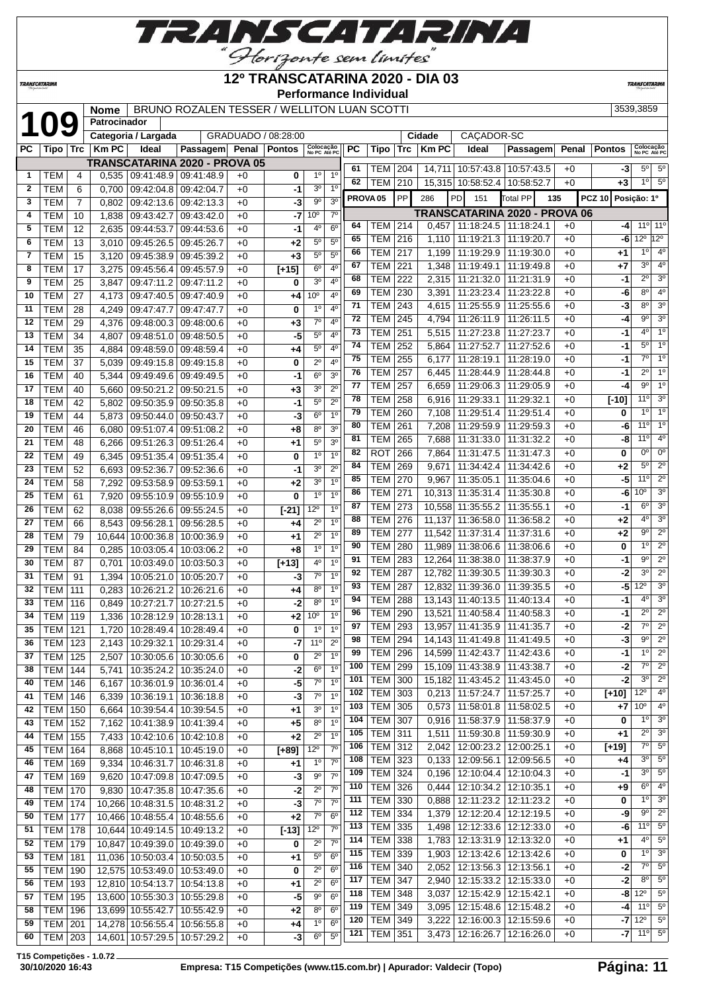

## **12º TRANSCATARINA 2020 - DIA 03**

**Performance Individual**<br>I Neme | BRUNO BOZALEN TESSER / WELLITON LUAN SCOTTI

**TRANSCATARIN** 

**TRANSCATARINA** 

|          |                          |            | Nome         |                                                                      | BRUNO ROZALEN TESSER / WELLITON LUAN SCOTTI |              |                         |                            |                               |          |                     |            |        |                                        |                               |              |                    | 3539,3859                            |                            |
|----------|--------------------------|------------|--------------|----------------------------------------------------------------------|---------------------------------------------|--------------|-------------------------|----------------------------|-------------------------------|----------|---------------------|------------|--------|----------------------------------------|-------------------------------|--------------|--------------------|--------------------------------------|----------------------------|
|          | 109                      |            | Patrocinador |                                                                      |                                             |              |                         |                            |                               |          |                     |            |        |                                        |                               |              |                    |                                      |                            |
|          |                          |            |              | Categoria / Largada                                                  |                                             |              | GRADUADO / 08:28:00     |                            |                               |          |                     |            | Cidade | CAÇADOR-SC                             |                               |              |                    |                                      |                            |
| PС       | Tipo   Trc               |            | <b>Km PC</b> | Ideal                                                                | <b>Passagem</b>                             |              | Penal   Pontos          | Colocação<br>No PC Até PC  |                               | PC       | Tipo                | <b>Trc</b> | KmPC   | Ideal                                  | Passagem                      | Penal        | <b>Pontos</b>      | Colocação<br>No PC Até PC            |                            |
|          |                          |            |              |                                                                      | <b>TRANSCATARINA 2020 - PROVA 05</b>        |              |                         | 1 <sup>0</sup>             | 1 <sup>0</sup>                | 61       | <b>TEM 204</b>      |            |        | 14,711 10:57:43.8 10:57:43.5           |                               | $+0$         | $-3$               | $5^{\circ}$                          | $5^{\circ}$                |
| 1<br>2   | <b>TEM</b><br><b>TEM</b> | 4          |              | $0,535$   09:41:48.9   09:41:48.9<br>0.700   09:42:04.8   09:42:04.7 |                                             | $+0$         | 0                       | 3 <sup>o</sup>             | 1 <sup>0</sup>                | 62       | <b>TEM 210</b>      |            |        | 15,315 10:58:52.4 10:58:52.7           |                               | $+0$         | $+3$               | $1^{\circ}$                          | $5^{\circ}$                |
| 3        | <b>TEM</b>               | 6<br>7     |              | $0,802$   09:42:13.6   09:42:13.3                                    |                                             | $+0$<br>$+0$ | -1<br>$-3$              | $9^{\rm o}$                | 3 <sup>o</sup>                |          | PROVA <sub>05</sub> | <b>PP</b>  | 286    | PD<br>151                              | <b>Total PP</b><br>135        |              | PCZ 10 Posição: 1º |                                      |                            |
| 4        | <b>TEM</b>               | 10         | 1,838        | 09:43:42.7                                                           | 09:43:42.0                                  | $+0$         | -7                      | 10 <sup>o</sup>            | $7^\circ$                     |          |                     |            |        |                                        | TRANSCATARINA 2020 - PROVA 06 |              |                    |                                      |                            |
| 5        | TEM                      | 12         | 2,635        | 09:44:53.7                                                           | 09:44:53.6                                  | $+0$         | -1                      | 4 <sup>0</sup>             | 6 <sup>o</sup>                | 64       | <b>TEM 214</b>      |            | 0,457  | 11:18:24.5                             | 11:18:24.1                    | $+0$         | $-4$               | 11°                                  | $11^{\circ}$               |
| 6        | TEM                      | 13         |              | 3,010 09:45:26.5 09:45:26.7                                          |                                             | $+0$         | $+2$                    | $5^{\circ}$                | 5 <sup>0</sup>                | 65       | <b>TEM 216</b>      |            | 1,110  | 11:19:21.3                             | 11:19:20.7                    | $+0$         |                    | $-6$ 12 <sup>o</sup> 12 <sup>o</sup> |                            |
| 7        | TEM                      | 15         | 3,120        | 09:45:38.9 09:45:39.2                                                |                                             | $+0$         | $+3$                    | $5^{\circ}$                | $5^{\circ}$                   | 66       | <b>TEM 217</b>      |            | 1,199  | 11:19:29.9                             | 11:19:30.0                    | $+0$         | +1                 | $1^{\circ}$                          | 4 <sup>0</sup>             |
| 8        | <b>TEM</b>               | 17         | 3,275        | 09:45:56.4   09:45:57.9                                              |                                             | +0           | $[t+15]$                | $6^{\circ}$                | $4^{\rm o}$                   | 67       | <b>TEM</b>          | 221        | 1,348  | 11:19:49.1                             | 11:19:49.8                    | $+0$         | +7                 | 3 <sup>o</sup>                       | $4^{\circ}$                |
| 9        | <b>TEM</b>               | 25         | 3,847        | 09:47:11.2 09:47:11.2                                                |                                             | $+0$         | 0                       | 3 <sup>0</sup>             | 4 <sup>0</sup>                | 68       | <b>TEM</b>          | 222        | 2,315  | 11:21:32.0                             | 11:21:31.9                    | $+0$         | $-1$               | $2^{\circ}$                          | 3 <sup>o</sup>             |
| 10       | <b>TEM</b>               | 27         |              | 4,173 09:47:40.5 09:47:40.9                                          |                                             | $+0$         | +4                      | 10 <sup>o</sup>            | 4 <sup>0</sup>                | 69       | TEM                 | 230        | 3,391  | 11:23:23.4                             | 11:23:22.8                    | $+0$         | $-6$               | $8^{\circ}$                          | 4 <sup>0</sup>             |
| 11       | <b>TEM</b>               | 28         |              | 4,249   09:47:47.7   09:47:47.7                                      |                                             | $+0$         | 0                       | 1 <sup>0</sup>             | 4 <sup>0</sup>                | 71       | <b>TEM 243</b>      |            | 4,615  | 11:25:55.9                             | 11:25:55.6                    | $+0$         | $-3$               | 80                                   | 30                         |
| 12       | <b>TEM</b>               | 29         |              | 4,376   09:48:00.3   09:48:00.6                                      |                                             | $+0$         | $+3$                    | $7^\circ$                  | $4^{\rm o}$                   | 72       | <b>TEM</b>          | 245        | 4,794  | 11:26:11.9                             | 11:26:11.5                    | $+0$         | -4                 | $9^{\circ}$                          | 30                         |
| 13       | <b>TEM</b>               | 34         | 4,807        | 09:48:51.0                                                           | 09.48.50.5                                  | $+0$         | -5                      | $5^{\circ}$                | 4 <sup>0</sup>                | 73       | <b>TEM</b>          | 251        |        | 5,515 11:27:23.8                       | 11:27:23.7                    | $+0$         | -1                 | $4^{\circ}$                          | 1 <sup>0</sup>             |
| 14       | <b>TEM</b>               | 35         | 4,884        | 09:48:59.0                                                           | 09.48.59.4                                  | $+0$         | $+4$                    | $5^{\circ}$                | 4 <sup>0</sup>                | 74       | <b>TEM 252</b>      |            |        | 5,864   11:27:52.7                     | 11:27:52.6                    | $+0$         | -1                 | 5 <sup>o</sup>                       | 1 <sup>0</sup>             |
| 15       | <b>TEM</b>               | 37         | 5,039        | 09:49:15.8                                                           | 09:49:15.8                                  | $+0$         | 0                       | $2^{\circ}$                | $4^{\circ}$                   | 75       | <b>TEM 255</b>      |            | 6,177  | 11:28:19.1                             | 11:28:19.0                    | $+0$         | -1                 | $7^\circ$                            | 1 <sup>0</sup>             |
| 16       | <b>TEM</b>               | 40         | 5,344        | 09:49:49.6                                                           | 09:49:49.5                                  | $+0$         | $-1$                    | $6^{\circ}$                | 3 <sup>o</sup>                | 76       | <b>TEM 257</b>      |            | 6,445  | 11:28:44.9                             | 11:28:44.8                    | $+0$         | -1                 | $2^{\circ}$                          | 1 <sup>°</sup>             |
| 17       | <b>TEM</b>               | 40         | 5,660        | 09:50:21.2                                                           | 09:50:21.5                                  | $+0$         | $+3$                    | 3 <sup>o</sup>             | $2^{\circ}$                   | 77       | <b>TEM</b>          | 257        | 6,659  | 11:29:06.3                             | 11:29:05.9                    | $+0$         | $-4$               | $9^{\circ}$                          | 1 <sup>°</sup>             |
| 18       | <b>TEM</b>               | 42         | 5,802        | 09:50:35.9                                                           | 09:50:35.8                                  | $+0$         | $-1$                    | 5 <sup>0</sup>             | $2^{\circ}$                   | 78       | <b>TEM</b>          | 258        |        | 6,916 11:29:33.1                       | 11:29:32.1                    | $+0$         | $[-10]$            | 11°                                  | 3 <sup>o</sup>             |
| 19       | <b>TEM</b>               | 44         |              | 5.873 09:50:44.0                                                     | 09:50:43.7                                  | $+0$         | $-3$                    | $6^{\circ}$                | 1 <sup>0</sup>                | 79       | <b>TEM</b>          | 260        | 7,108  | 11:29:51.4                             | 11:29:51.4                    | $+0$         | 0                  | $1^{\circ}$                          | 1 <sup>0</sup>             |
| 20       | <b>TEM</b>               | 46         |              | 6,080   09:51:07.4   09:51:08.2                                      |                                             | $+0$         | +8                      | $8^{\circ}$                | 3 <sup>o</sup>                | 80       | <b>TEM</b>          | 261        | 7,208  | 11:29:59.9                             | 11:29:59.3                    | $+0$         | -6                 | 11°                                  | $1^{\circ}$                |
| 21       | <b>TEM</b>               | 48         | 6,266        | 09:51:26.3 09:51:26.4                                                |                                             | $+0$         | $+1$                    | $5^{\circ}$                | 3 <sup>o</sup>                | 81       | <b>TEM</b>          | 265        | 7,688  | 11:31:33.0                             | 11:31:32.2                    | $+0$         | -8                 | 11°                                  | 4°                         |
| 22       | <b>TEM</b>               | 49         | 6,345        |                                                                      | 09:51:35.4 09:51:35.4                       | $+0$         | 0                       | 1 <sup>0</sup>             | 1 <sup>0</sup>                | 82       | <b>ROT</b>          | 266        |        | 7,864 11:31:47.5                       | 11:31:47.3                    | $+0$         | 0                  | $0^{\circ}$                          | $0^{\circ}$                |
| 23       | <b>TEM</b>               | 52         | 6,693        | 09:52:36.7                                                           | 09:52:36.6                                  | $+0$         | $-1$                    | 3 <sup>o</sup>             | $2^{\circ}$                   | 84       | <b>TEM 269</b>      |            | 9,671  | 11:34:42.4                             | 11:34:42.6                    | $+0$         | $+2$               | $5^{\circ}$                          | $2^{\circ}$                |
| 24       | <b>TEM</b>               | 58         | 7,292        | 09:53:58.9 09:53:59.1                                                |                                             | $+0$         | $+2$                    | 3 <sup>o</sup>             | 1 <sup>0</sup>                | 85       | <b>TEM 270</b>      |            | 9,967  | 11:35:05.1                             | 11:35:04.6                    | $+0$         | $-5$               | 11°                                  | $2^{\circ}$                |
| 25       | <b>TEM</b>               | 61         | 7,920        | 09:55:10.9 09:55:10.9                                                |                                             | $+0$         | 0                       | 1 <sup>0</sup>             | 1 <sup>0</sup>                | 86       | <b>TEM 271</b>      |            |        | 10,313 11:35:31.4                      | 11:35:30.8                    | $+0$         | -61                | 10 <sup>o</sup>                      | $3^{\circ}$                |
| 26       | <b>TEM</b>               | 62         | 8,038        | 09:55:26.6                                                           | 09.55:24.5                                  | $+0$         | $[-21]$                 | $12^{\circ}$               | 1 <sup>0</sup>                | 87       | <b>TEM 273</b>      |            |        | 10,558 11:35:55.2                      | 11:35:55.1                    | $+0$         | -1                 | $6^{\circ}$                          | 3 <sup>0</sup>             |
| 27       | <b>TEM</b>               | 66         | 8,543        | 09:56:28.1                                                           | 09:56:28.5                                  | $+0$         | +4                      | $2^{\circ}$                | 1 <sup>0</sup>                | 88       | <b>TEM</b>          | 276        |        | 11,137 11:36:58.0                      | 11:36:58.2                    | $+0$         | $+2$               | 4°                                   | 3 <sup>0</sup>             |
| 28       | <b>TEM</b>               | 79         |              | 10,644 10:00:36.8                                                    | 10:00:36.9                                  | $+0$         | $+1$                    | $2^{\circ}$                | 1 <sup>0</sup>                | 89       | <b>TEM 277</b>      |            |        | 11,542 11:37:31.4                      | 11:37:31.6                    | $+0$         | $+2$               | $9^{\circ}$                          | $2^{\circ}$                |
| 29       | <b>TEM</b>               | 84         |              | 0,285 10:03:05.4                                                     | 10:03:06.2                                  | $+0$         | $+8$                    | 1 <sup>o</sup>             | 1 <sup>0</sup>                | 90       | <b>TEM</b>          | 280        |        | 11,989 11:38:06.6                      | 11:38:06.6                    | $+0$         | 0                  | $1^{\circ}$<br>9º                    | $2^{\circ}$<br>$2^{\circ}$ |
| 30       | <b>TEM</b>               | 87         |              | $0,701$   10:03:49.0                                                 | 10:03:50.3                                  | $+0$         | $[+13]$                 | 40                         | 1 <sup>0</sup>                | 91       | TEM                 | 283        |        | 12,264 11:38:38.0                      | 11:38:37.9                    | $+0$         | -1                 | 3 <sup>0</sup>                       | $2^{\circ}$                |
| 31       | <b>TEM</b>               | 91         | 1,394        | 10:05:21.0                                                           | 10:05:20.7                                  | $+0$         | -3                      | $7^\circ$                  | 1 <sup>0</sup>                | 92<br>93 | TEM<br><b>TEM</b>   | 287        |        | 12,782 11:39:30.5                      | 11:39:30.3                    | $+0$         | -2<br>-51          | $12^{\circ}$                         | 3 <sup>0</sup>             |
| 32       | <b>TEM</b>               | 111        | 0,283        | 10:26:21.2                                                           | 10:26:21.6                                  | $+0$         | $+4$                    | $8^{\circ}$                | 1 <sup>0</sup>                | 94       | <b>TEM 288</b>      | 287        |        | 12,832 11:39:36.0<br>13,143 11:40:13.5 | 11:39:35.5<br>11:40:13.4      | $+0$<br>$+0$ | $-1$               | $4^{\circ}$                          | 3 <sup>o</sup>             |
| 33       | <b>TEM</b>               | 116        | 0,849        | 10:27:21.7                                                           | 10:27:21.5                                  | $+0$         | $-2$                    | 8 <sup>o</sup>             | 1 <sup>0</sup>                | 96       | <b>TEM 290</b>      |            |        | 13.521 11:40:58.4                      | 11:40:58.3                    | $+0$         | -1                 | $2^{\circ}$                          | $2^{\circ}$                |
| 34       | <b>TEM</b>               | 119        | 1,336        | 10:28:12.9   10:28:13.1                                              |                                             | $+0$         | $+2$                    | 10 <sup>o</sup>            | 1 <sup>0</sup>                | 97       | <b>TEM 293</b>      |            |        | 13,957 11:41:35.9 11:41:35.7           |                               | $+0$         | -21                | $7^\circ$                            | $2^{\circ}$                |
| 35       | TEM                      | 121        |              | 1,720 10:28:49.4 10:28:49.4                                          |                                             | $+0$         | 0                       | 1 <sup>0</sup>             | 1 <sup>0</sup>                | 98       | TEM   294           |            |        | 14, 143 11: 41: 49. 8   11: 41: 49. 5  |                               | $+0$         | $-3$               | $9^{\circ}$                          | $2^{\circ}$                |
| 36       | <b>TEM 123</b>           |            |              | 2,143   10:29:32.1   10:29:31.4                                      |                                             | $+0$         | $-7$                    | 11 <sup>o</sup>            | $2^{\circ}$<br>1 <sup>0</sup> | 99       | <b>TEM 296</b>      |            |        | 14,599 11:42:43.7                      | 11:42:43.6                    | $+0$         | $-1$               | $1^{\circ}$                          | $2^{\circ}$                |
| 37<br>38 | <b>TEM 125</b>           |            |              | 2,507   10:30:05.6   10:30:05.6                                      |                                             | $+0$         | $\overline{\mathbf{0}}$ | $2^{\circ}$<br>$6^{\circ}$ | 1 <sup>o</sup>                | 100      | <b>TEM 299</b>      |            |        | 15,109 11:43:38.9 11:43:38.7           |                               | $+0$         | $-2$               | $7^{\circ}$                          | $2^{\circ}$                |
|          | <b>TEM 144</b>           |            |              | 5,741   10:35:24.2   10:35:24.0                                      |                                             | $+0$         | $-2$                    | $7^\circ$                  | 1 <sup>0</sup>                | 101      | <b>TEM 300</b>      |            |        | 15,182 11:43:45.2 11:43:45.0           |                               | $+0$         | $-2$               | 3 <sup>o</sup>                       | $2^{\circ}$                |
| 40<br>41 | TEM<br>TEM               | 146<br>146 |              | 6,167   10:36:01.9   10:36:01.4<br>6,339   10:36:19.1   10:36:18.8   |                                             | $+0$<br>$+0$ | $-5$<br>$-3$            | $7^{\circ}$                | 1 <sup>0</sup>                | 102      | <b>TEM 303</b>      |            |        | $0,213$ 11:57:24.7                     | 11:57:25.7                    | $+0$         | $[+10]$            | $12^{\circ}$                         | $4^{\circ}$                |
| 42       | <b>TEM</b>               | 150        |              | 6,664 10:39:54.4                                                     | 10:39:54.5                                  | $+0$         | $+1$                    | 3 <sup>o</sup>             | 1 <sup>o</sup>                | 103      | <b>TEM 305</b>      |            |        | $0.573$   11:58:01.8   11:58:02.5      |                               | $+0$         | $+7$               | 10 <sup>o</sup>                      | $4^{\circ}$                |
| 43       | TEM                      | 152        |              | 7,162 10:41:38.9                                                     | 10:41:39.4                                  | $+0$         | $+5$                    | $8^{\circ}$                | 1 <sup>o</sup>                | 104      | <b>TEM 307</b>      |            |        | $0,916$   11:58:37.9   11:58:37.9      |                               | $+0$         | 0                  | $1^{\circ}$                          | 3 <sup>o</sup>             |
| 44       | <b>TEM</b>               | 155        |              | 7,433   10:42:10.6   10:42:10.8                                      |                                             | $+0$         | $+2$                    | $2^{\circ}$                | $1^{\circ}$                   | 105      | <b>TEM 311</b>      |            | 1,511  | $11:59:30.8$   11:59:30.9              |                               | $+0$         | $+1$               | $2^{\circ}$                          | 3 <sup>o</sup>             |
| 45       | <b>TEM</b>               | 164        | 8,868        | 10:45:10.1                                                           | 10:45:19.0                                  | $+0$         | $[+89]$                 | $12^{\circ}$               | $7^{\circ}$                   | 106      | <b>TEM</b> 312      |            |        | 2,042   12:00:23.2   12:00:25.1        |                               | $+0$         | $[+19]$            | $7^{\circ}$                          | $5^{\circ}$                |
| 46       | <b>TEM</b>               | 169        |              | 9,334 10:46:31.7                                                     | 10:46:31.8                                  | $+0$         | +1                      | 1 <sup>o</sup>             | 7 <sup>0</sup>                | 108      | <b>TEM 323</b>      |            |        | $0,133$   12:09:56.1                   | 12:09:56.5                    | $+0$         | $+4$               | $3^{\circ}$                          | $5^{\circ}$                |
| 47       | <b>TEM 169</b>           |            |              | 9,620   10:47:09.8   10:47:09.5                                      |                                             | $+0$         | $-3$                    | 9 <sup>o</sup>             | $7^\circ$                     | 109      | <b>TEM 324</b>      |            |        | $0,196$   12:10:04.4                   | 12:10:04.3                    | $+0$         | -1                 | $3^{\circ}$                          | $5^{\circ}$                |
| 48       | <b>TEM 170</b>           |            |              | 9,830   10:47:35.8   10:47:35.6                                      |                                             | $+0$         | $-2$                    | $2^{\circ}$                | $7^\circ$                     | 110      | <b>TEM</b> 326      |            | 0,444  |                                        | 12:10:34.2   12:10:35.1       | $+0$         | $+9$               | $6^{\circ}$                          | $4^{\circ}$                |
| 49       | TEM                      | 174        |              | 10,266 10:48:31.5 10:48:31.2                                         |                                             | $+0$         | $-3$                    | $7^\circ$                  | $7^\circ$                     | 111      | <b>TEM 330</b>      |            |        | $0,888$   12:11:23.2   12:11:23.2      |                               | $+0$         | 0                  | $1^{\circ}$                          | 3 <sup>o</sup>             |
| 50       | TEM                      | 177        |              | 10,466 10:48:55.4 10:48:55.6                                         |                                             | $+0$         | $+2$                    | $7^\circ$                  | 6 <sup>o</sup>                | 112      | <b>TEM 334</b>      |            |        | 1,379   12:12:20.4   12:12:19.5        |                               | $+0$         | -9                 | $9^{\circ}$                          | $2^{\circ}$                |
| 51       | <b>TEM 178</b>           |            |              | 10,644 10:49:14.5 10:49:13.2                                         |                                             | $+0$         | $[ -13]$                | $12^{\circ}$               | 7 <sup>0</sup>                | 113      | <b>TEM 335</b>      |            |        | 1,498   12:12:33.6   12:12:33.0        |                               | $+0$         | $-6$               | $11^{\circ}$                         | $5^{\circ}$                |
| 52       | <b>TEM</b>               | 179        |              | 10,847 10:49:39.0 10:49:39.0                                         |                                             | $+0$         | 0                       | $2^{\circ}$                | $7^{\circ}$                   |          | 114   TEM   338     |            |        | 1,783   12:13:31.9   12:13:32.0        |                               | $+0$         | $+1$               | $4^{\circ}$                          | $5^{\circ}$                |
| 53       | <b>TEM 181</b>           |            |              | 11,036 10:50:03.4 10:50:03.5                                         |                                             | $+0$         | $+1$                    | $5^{\circ}$                | 6 <sup>o</sup>                |          | 115   TEM   339     |            |        | 1,903   12:13:42.6   12:13:42.6        |                               | $+0$         | 0                  | $1^{\circ}$                          | 3 <sup>o</sup>             |
| 55       | TEM                      | 190        |              | 12,575 10:53:49.0 10:53:49.0                                         |                                             | $+0$         | 0                       | $2^{\circ}$                | 6 <sup>o</sup>                |          | 116   TEM   340     |            |        | 2,052   12:13:56.3   12:13:56.1        |                               | $+0$         | $-2$               | $7^\circ$                            | $5^{\circ}$                |
| 56       | <b>TEM 193</b>           |            |              | 12,810 10:54:13.7                                                    | 10:54:13.8                                  | $+0$         | $+1$                    | $2^{\circ}$                | $6^{\circ}$                   | 117      | <b>TEM 347</b>      |            |        | 2,940   12:15:33.2   12:15:33.0        |                               | $+0$         | $-2$               | $8^{\circ}$                          | $5^{\circ}$                |
| 57       | <b>TEM 195</b>           |            |              | 13,600 10:55:30.3 10:55:29.8                                         |                                             | $+0$         | $-5$                    | 9 <sup>o</sup>             | $6^{\circ}$                   | 118      | <b>TEM 348</b>      |            | 3,037  | 12:15:42.9 12:15:42.1                  |                               | $+0$         |                    | $-8$ 12 <sup>o</sup>                 | $5^{\circ}$                |
| 58       | <b>TEM 196</b>           |            |              | 13,699 10:55:42.7                                                    | 10:55:42.9                                  | $+0$         | $+2$                    | $8^{\circ}$                | $6^{\circ}$                   | 119      | <b>TEM 349</b>      |            |        | 3,095   12:15:48.6   12:15:48.2        |                               | $+0$         | $-4$               | 11°                                  | $5^{\circ}$                |
| 59       | <b>TEM 201</b>           |            |              | 14,278 10:56:55.4                                                    | 10:56:55.8                                  | $+0$         | $+4$                    | 1 <sup>o</sup>             | $6^{\circ}$                   | 120      | <b>TEM 349</b>      |            |        | 3,222   12:16:00.3   12:15:59.6        |                               | $+0$         |                    | $-7$ 12 <sup>o</sup>                 | $5^{\circ}$                |
| 60       | <b>TEM 203</b>           |            |              | 14,601 10:57:29.5 10:57:29.2                                         |                                             | $+0$         | $-3$                    | $6^{\circ}$                | $5^{\circ}$                   |          | 121   TEM   351     |            |        | 3,473   12:16:26.7   12:16:26.0        |                               | $+0$         |                    | $-7$ 11 <sup>o</sup>                 | $5^{\circ}$                |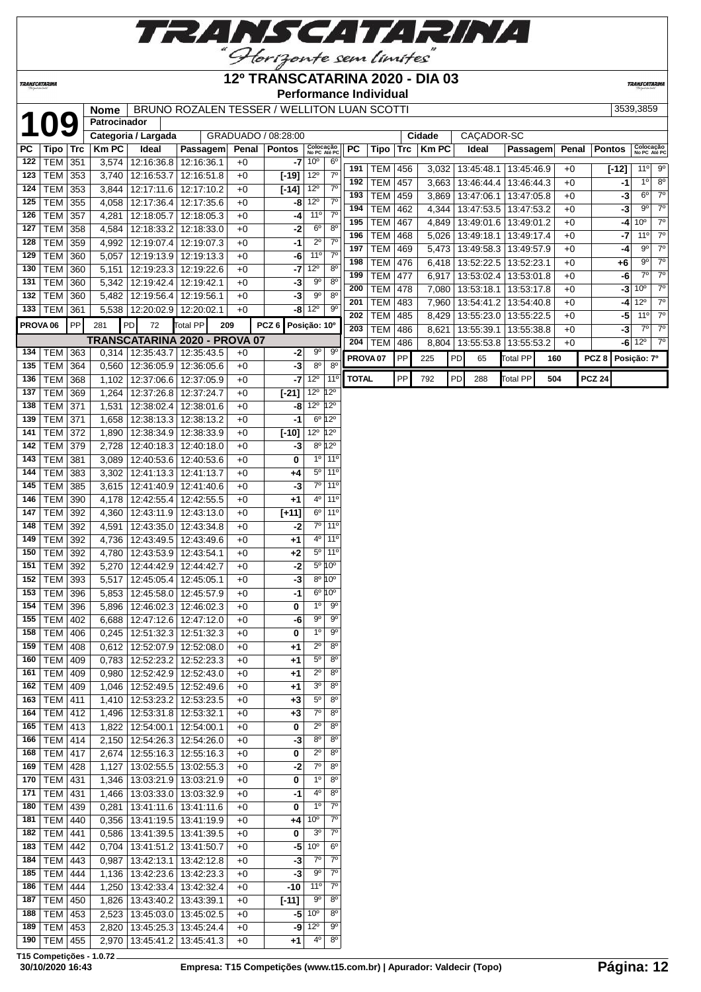

## **12º TRANSCATARINA 2020 - DIA 03**

**Performance Individual**

**TRANSCATARIN** 

|     |                     |            | <b>Nome</b>  |                                 | BRUNO ROZALEN TESSER / WELLITON LUAN SCOTTI |       |                         |                                      |                                |                     |                   |     |             |                  |                                 |     |       |                  | 3539,3859                           |
|-----|---------------------|------------|--------------|---------------------------------|---------------------------------------------|-------|-------------------------|--------------------------------------|--------------------------------|---------------------|-------------------|-----|-------------|------------------|---------------------------------|-----|-------|------------------|-------------------------------------|
|     | <b>109</b>          |            | Patrocinador |                                 |                                             |       |                         |                                      |                                |                     |                   |     |             |                  |                                 |     |       |                  |                                     |
|     |                     |            |              | Categoria / Largada             |                                             |       | GRADUADO / 08:28:00     |                                      |                                |                     |                   |     | Cidade      | CAÇADOR-SC       |                                 |     |       |                  |                                     |
| PC  | Tipo                | <b>Trc</b> | <b>KmPC</b>  | Ideal                           | Passagem                                    | Penal | <b>Pontos</b>           | Colocação<br>No PC Até PC            |                                | PC                  | Tipo              | Trc | <b>KmPC</b> | Ideal            | Passagem                        |     | Penal | <b>Pontos</b>    | Colocação<br>No PC Até PO           |
| 122 | <b>TEM</b>          | 351        | 3,574        | 12:16:36.8 12:16:36.1           |                                             | $+0$  |                         | $-7$ 10 $^{\circ}$                   | 6 <sup>o</sup>                 | 191                 |                   |     |             | 13:45:48.1       |                                 |     |       |                  | $11^{\circ}$ 9 <sup>°</sup>         |
| 123 | <b>TEM</b>          | 353        | 3,740        | 12:16:53.7                      | 12:16:51.8                                  | $+0$  | $[-19]$ 12 <sup>°</sup> |                                      | $7^\circ$                      | 192                 | TEM<br><b>TEM</b> | 456 | 3,032       |                  | 13:45:46.9                      |     | $+0$  | $[-12]$          | $1^{\circ}$<br>8 <sup>o</sup>       |
| 124 | <b>TEM</b>          | 353        | 3,844        | 12:17:11.6                      | 12:17:10.2                                  | $+0$  | $[-14]$                 | $12^{\circ}$                         | $7^{\circ}$                    |                     |                   | 457 | 3,663       | 13:46:44.4       | 13:46:44.3                      |     | $+0$  | -1               | $7^\circ$<br>$6^{\circ}$            |
| 125 | <b>TEM</b>          | 355        | 4,058        | 12:17:36.4                      | 12:17:35.6                                  | $+0$  |                         | $-8$ 12 <sup>o</sup>                 | $7^{\circ}$                    | 193                 | <b>TEM</b>        | 459 | 3,869       | 13:47:06.1       | 13:47:05.8                      |     | $+0$  | $-3$             | $7^\circ$                           |
| 126 | <b>TEM</b>          | 357        | 4,281        | 12:18:05.7                      | 12:18:05.3                                  | $+0$  | -4                      | 11°                                  | 7 <sup>0</sup>                 | 194                 | <b>TEM</b>        | 462 | 4,344       | 13:47:53.5       | 13:47:53.2                      |     | $+0$  | $-3$             | $9^{\circ}$                         |
| 127 | <b>TEM</b>          | 358        | 4,584        | 12:18:33.2                      | 12:18:33.0                                  | $+0$  | -2                      | 6 <sup>o</sup>                       | 8 <sup>o</sup>                 | 195                 | <b>TEM</b>        | 467 | 4,849       | 13:49:01.6       | 13:49:01.2                      |     | $+0$  | -4               | 10 <sup>o</sup><br>$7^\circ$        |
| 128 | <b>TEM</b>          | 359        | 4,992        | 12:19:07.4                      | 12:19:07.3                                  | $+0$  | $-1$                    | $2^{\circ}$                          | $7^{\circ}$                    | 196                 | <b>TEM</b>        | 468 | 5,026       | 13:49:18.1       | 13:49:17.4                      |     | $+0$  | -7               | $7^\circ$<br>11°                    |
| 129 | <b>TEM</b>          | 360        | 5,057        |                                 | 12:19:13.9 12:19:13.3                       | $+0$  | -6                      | 11 <sup>°</sup>                      | $7^{\circ}$                    | 197                 | TEM               | 469 |             |                  | 5,473   13:49:58.3   13:49:57.9 |     | $+0$  | -4               | $7^\circ$<br>$9^{\circ}$            |
| 130 | <b>TEM</b>          | 360        | 5,151        |                                 | 12:19:23.3 12:19:22.6                       | $+0$  | $-7$                    | $ 12^{\circ} $                       | $8^{\circ}$                    | 198                 | <b>TEM 476</b>    |     |             | 6,418 13:52:22.5 | 13:52:23.1                      |     | $+0$  | $+6$             | $7^\circ$<br>90                     |
| 131 | <b>TEM</b>          | 360        | 5,342        | 12:19:42.4                      | 12:19:42.1                                  | $+0$  | -3                      | $9^{\circ}$                          | 8 <sup>o</sup>                 | 199                 | <b>TEM</b>        | 477 | 6,917       | 13:53:02.4       | 13:53:01.8                      |     | $+0$  | -6               | $7^\circ$<br>$7^\circ$              |
| 132 | <b>TEM</b>          | 360        | 5,482        | 12:19:56.4                      | 12:19:56.1                                  | $+0$  | $-3$                    | $9^{\circ}$                          | $8^{\circ}$                    | 200                 | <b>TEM</b>        | 478 | 7,080       | 13:53:18.1       | 13:53:17.8                      |     | $+0$  |                  | 10 <sup>o</sup><br>$7^\circ$<br>-31 |
| 133 | <b>TEM</b>          | 361        | 5,538        |                                 | 12:20:02.9 12:20:02.1                       | $+0$  |                         | $-8\sqrt{12^{\circ}}$                | $9^{\circ}$                    | 201                 | <b>TEM</b>        | 483 | 7,960       |                  | 13:54:41.2   13:54:40.8         |     | $+0$  |                  | $12^{\circ}$<br>$7^\circ$<br>-41    |
|     |                     |            |              |                                 |                                             |       |                         |                                      |                                | 202                 | <b>TEM</b>        | 485 | 8,429       | 13:55:23.0       | 13:55:22.5                      |     | $+0$  | -5               | $7^\circ$<br>11°                    |
|     | PROVA <sub>06</sub> | PP         | 281          | PD<br>72                        | <b>Total PP</b>                             | 209   | PCZ <sub>6</sub>        | Posição: 10°                         |                                | 203                 | <b>TEM</b>        | 486 | 8,621       | 13:55:39.1       | 13:55:38.8                      |     | $+0$  | -3               | $7^{\circ}$<br>$7^\circ$            |
|     |                     |            |              |                                 | TRANSCATARINA 2020 - PROVA 07               |       |                         |                                      |                                | 204                 | TEM               | 486 | 8,804       | 13:55:53.8       | 13:55:53.2                      |     | $+0$  |                  | $-6$ 12 $^{\circ}$<br>$7^\circ$     |
| 134 | TEM                 | 363        | 0,314        | 12:35:43.7                      | 12:35:43.5                                  | $+0$  | $-2$                    | $9^{\circ}$                          | $9^{\rm o}$                    | PROVA <sub>07</sub> |                   | PP  | 225         | PD<br>65         | <b>Total PP</b>                 | 160 |       | PCZ <sub>8</sub> | Posição: 7º                         |
| 135 | <b>TEM</b>          | 364        | 0,560        | 12:36:05.9                      | 12:36:05.6                                  | $+0$  | $-3$                    | $8^{\circ}$                          | $8^{\circ}$                    |                     |                   |     |             |                  |                                 |     |       |                  |                                     |
| 136 | <b>TEM</b>          | 368        | 1,102        |                                 | 12:37:06.6   12:37:05.9                     | $+0$  |                         | $-7$ 12 $^{\circ}$                   | 11°                            | <b>TOTAL</b>        |                   | PP  | 792         | PD<br>288        | <b>Total PP</b>                 | 504 |       | <b>PCZ 24</b>    |                                     |
| 137 | <b>TEM</b>          | 369        | 1,264        |                                 | 12:37:26.8   12:37:24.7                     | $+0$  | $[-21]$                 | $12^{\circ}$ $12^{\circ}$            |                                |                     |                   |     |             |                  |                                 |     |       |                  |                                     |
| 138 | <b>TEM</b>          | 371        | 1,531        | 12:38:02.4                      | 12:38:01.6                                  | $+0$  |                         | $-8$ 12 <sup>o</sup> 12 <sup>o</sup> |                                |                     |                   |     |             |                  |                                 |     |       |                  |                                     |
| 139 | <b>TEM</b>          | 371        | 1,658        | 12:38:13.3                      | 12:38:13.2                                  | $+0$  | $-1$                    |                                      | $6^{\circ}12^{\circ}$          |                     |                   |     |             |                  |                                 |     |       |                  |                                     |
| 141 | <b>TEM</b>          | 372        | 1,890        |                                 | 12:38:34.9 12:38:33.9                       | $+0$  | $[-10]$                 | $12^{\circ}$ 12 $^{\circ}$           |                                |                     |                   |     |             |                  |                                 |     |       |                  |                                     |
| 142 | <b>TEM</b>          | 379        | 2,728        |                                 | 12:40:18.3 12:40:18.0                       | $+0$  | $-3$                    |                                      | $8^{\circ}$ 12°                |                     |                   |     |             |                  |                                 |     |       |                  |                                     |
| 143 | <b>TEM</b>          | 381        | 3,089        |                                 | 12:40:53.6   12:40:53.6                     | $+0$  | 0                       |                                      | 10 110                         |                     |                   |     |             |                  |                                 |     |       |                  |                                     |
| 144 | <b>TEM</b>          | 383        | 3,302        | 12:41:13.3                      | 12:41:13.7                                  | $+0$  | $+4$                    |                                      | $5°$ 11 <sup>o</sup>           |                     |                   |     |             |                  |                                 |     |       |                  |                                     |
| 145 | <b>TEM</b>          | 385        | 3,615        | 12:41:40.9                      | 12:41:40.6                                  | $+0$  | $-3$                    | 7°                                   | 11°                            |                     |                   |     |             |                  |                                 |     |       |                  |                                     |
| 146 | <b>TEM</b>          | 390        | 4,178        | 12:42:55.4                      | 12:42:55.5                                  | $+0$  | $+1$                    |                                      | 4 <sup>o</sup> 11 <sup>o</sup> |                     |                   |     |             |                  |                                 |     |       |                  |                                     |
| 147 | <b>TEM</b>          | 392        | 4,360        |                                 | 12:43:11.9   12:43:13.0                     | $+0$  | $[+11]$                 | $6^{\circ}$                          | 11°                            |                     |                   |     |             |                  |                                 |     |       |                  |                                     |
| 148 | <b>TEM</b>          | 392        | 4,591        | 12:43:35.0                      | 12:43:34.8                                  | $+0$  | -2                      |                                      | $7°$ 11 <sup>o</sup>           |                     |                   |     |             |                  |                                 |     |       |                  |                                     |
| 149 | <b>TEM</b>          | 392        | 4,736        | 12:43:49.5                      | 12:43:49.6                                  | $+0$  | $+1$                    |                                      | $4°$ 11 <sup>o</sup>           |                     |                   |     |             |                  |                                 |     |       |                  |                                     |
| 150 | <b>TEM</b>          | 392        | 4,780        |                                 | 12:43:53.9 12:43:54.1                       | $+0$  | $+2$                    |                                      | 5 <sup>o</sup> 11 <sup>o</sup> |                     |                   |     |             |                  |                                 |     |       |                  |                                     |
| 151 | <b>TEM</b>          | 392        | 5,270        | 12:44:42.9                      | 12:44:42.7                                  | $+0$  | $-2$                    |                                      | $5^{\circ}$ 10°                |                     |                   |     |             |                  |                                 |     |       |                  |                                     |
| 152 | <b>TEM</b>          | 393        | 5,517        | 12:45:05.4                      | 12:45:05.1                                  | $+0$  | $-3$                    |                                      | $8^{\circ}10^{\circ}$          |                     |                   |     |             |                  |                                 |     |       |                  |                                     |
| 153 | <b>TEM</b>          | 396        | 5,853        | 12:45:58.0                      | 12:45:57.9                                  | $+0$  | $-1$                    |                                      | $6^{\circ}10^{\circ}$          |                     |                   |     |             |                  |                                 |     |       |                  |                                     |
| 154 | <b>TEM</b>          | 396        | 5,896        | 12:46:02.3                      | 12:46:02.3                                  | $+0$  | 0                       | $1^{\circ}$                          | $9^{\circ}$                    |                     |                   |     |             |                  |                                 |     |       |                  |                                     |
| 155 | <b>TEM</b>          | 402        | 6,688        |                                 | 12:47:12.6   12:47:12.0                     | $+0$  | -6                      | $9^{\circ}$                          | $9^{\circ}$                    |                     |                   |     |             |                  |                                 |     |       |                  |                                     |
| 158 | TEM                 | 406        |              | 0,245   12:51:32.3   12:51:32.3 |                                             | +0    | 0                       | $1^{\circ}$                          | a.                             |                     |                   |     |             |                  |                                 |     |       |                  |                                     |
| 159 | <b>TEM</b>          | 408        | 0,612        |                                 | 12:52:07.9   12:52:08.0                     | $+0$  | +1                      | $\overline{2^{\circ}}$               | $\overline{8^{\circ}}$         |                     |                   |     |             |                  |                                 |     |       |                  |                                     |
| 160 | <b>TEM</b>          | 409        | 0,783        | 12:52:23.2                      | 12:52:23.3                                  | $+0$  | +1                      | $5^{\circ}$                          | $8^{\circ}$                    |                     |                   |     |             |                  |                                 |     |       |                  |                                     |
| 161 | TEM   409           |            | 0,980        |                                 | 12:52:42.9 12:52:43.0                       | $+0$  | +1                      | $2^{\circ}$                          | $8^{\circ}$                    |                     |                   |     |             |                  |                                 |     |       |                  |                                     |
| 162 | <b>TEM</b>          | 409        | 1,046        |                                 | 12:52:49.5   12:52:49.6                     | $+0$  | +1                      | $3^{\circ}$                          | $8^{\circ}$                    |                     |                   |     |             |                  |                                 |     |       |                  |                                     |
| 163 | <b>TEM</b>          |            |              |                                 |                                             |       |                         | $5^{\circ}$                          | $8^{\circ}$                    |                     |                   |     |             |                  |                                 |     |       |                  |                                     |
| 164 | <b>TEM 412</b>      | 411        | 1,410        |                                 | 12:53:23.2 12:53:23.5                       | $+0$  | $+3$<br>$+3$            | $7^\circ$                            | $8^{\circ}$                    |                     |                   |     |             |                  |                                 |     |       |                  |                                     |
| 165 |                     |            | 1,496        |                                 | 12:53:31.8   12:53:32.1                     | $+0$  |                         | $2^{\circ}$                          | $8^{\circ}$                    |                     |                   |     |             |                  |                                 |     |       |                  |                                     |
|     | TEM 413             |            | 1,822        | $\overline{12:}54:00.1$         | 12:54:00.1                                  | $+0$  | 0                       | $8^{\circ}$                          | $8^{\circ}$                    |                     |                   |     |             |                  |                                 |     |       |                  |                                     |
| 166 | <b>TEM</b>          | 414        | 2,150        |                                 | 12:54:26.3 12:54:26.0                       | $+0$  | -3                      |                                      | $8^{\circ}$                    |                     |                   |     |             |                  |                                 |     |       |                  |                                     |
| 168 | <b>TEM</b>          | 417        | 2,674        |                                 | 12:55:16.3 12:55:16.3                       | $+0$  | 0                       | $2^{\circ}$                          |                                |                     |                   |     |             |                  |                                 |     |       |                  |                                     |
| 169 | <b>TEM</b>          | 428        | 1,127        |                                 | 13:02:55.5   13:02:55.3                     | $+0$  | -2                      | $7^\circ$                            | $8^{\circ}$                    |                     |                   |     |             |                  |                                 |     |       |                  |                                     |
| 170 | <b>TEM</b>          | 431        | 1,346        |                                 | 13:03:21.9 13:03:21.9                       | $+0$  | 0                       | $1^{\circ}$                          | $8^{\circ}$                    |                     |                   |     |             |                  |                                 |     |       |                  |                                     |
| 171 | TEM   431           |            | 1,466        |                                 | 13:03:33.0   13:03:32.9                     | $+0$  | -1                      | $4^{\circ}$                          | $8^{\circ}$                    |                     |                   |     |             |                  |                                 |     |       |                  |                                     |
| 180 | <b>TEM</b>          | 439        | 0,281        |                                 | 13:41:11.6   13:41:11.6                     | $+0$  | 0                       | $1^{\circ}$                          | $7^\circ$                      |                     |                   |     |             |                  |                                 |     |       |                  |                                     |
| 181 | <b>TEM</b>          | 440        | 0,356        |                                 | 13:41:19.5   13:41:19.9                     | $+0$  | +4                      | 10 <sup>o</sup>                      | $7^{\circ}$                    |                     |                   |     |             |                  |                                 |     |       |                  |                                     |
| 182 | <b>TEM</b>          | 441        | 0,586        |                                 | 13:41:39.5   13:41:39.5                     | $+0$  | 0                       | 3 <sup>o</sup>                       | $7^{\circ}$                    |                     |                   |     |             |                  |                                 |     |       |                  |                                     |
| 183 | TEM 442             |            |              | $0,704$   13:41:51.2            | 13:41:50.7                                  | $+0$  | $-5$                    | 10 <sup>o</sup>                      | $6^{\circ}$                    |                     |                   |     |             |                  |                                 |     |       |                  |                                     |
| 184 | <b>TEM</b>          | 443        | 0,987        | 13:42:13.1                      | 13:42:12.8                                  | $+0$  | -3                      | $7^\circ$                            | $7^\circ$                      |                     |                   |     |             |                  |                                 |     |       |                  |                                     |
| 185 | <b>TEM</b>          | 444        | 1,136        |                                 | 13:42:23.6   13:42:23.3                     | $+0$  | -3                      | $9^{\circ}$                          | $7^\circ$                      |                     |                   |     |             |                  |                                 |     |       |                  |                                     |
| 186 | <b>TEM</b>          | 444        | 1,250        |                                 | 13:42:33.4   13:42:32.4                     | $+0$  | -10                     | 11°                                  | $7^{\circ}$                    |                     |                   |     |             |                  |                                 |     |       |                  |                                     |
| 187 | <b>TEM</b>          | 450        | 1,826        | 13:43:40.2                      | 13:43:39.1                                  | $+0$  | $[-11]$                 | 90                                   | $8^{\circ}$                    |                     |                   |     |             |                  |                                 |     |       |                  |                                     |
| 188 | TEM 453             |            | 2,523        |                                 | 13:45:03.0   13:45:02.5                     | $+0$  |                         | $-5\overline{)10^{\circ}}$           | 80                             |                     |                   |     |             |                  |                                 |     |       |                  |                                     |
| 189 | TEM 453             |            | 2,820        |                                 | 13:45:25.3 13:45:24.4                       | $+0$  | -9                      | $12^{\circ}$                         | 90                             |                     |                   |     |             |                  |                                 |     |       |                  |                                     |
| 190 | <b>TEM</b>          | 455        | 2,970        |                                 | 13:45:41.2 13:45:41.3                       | $+0$  | $+1$                    | $4^{\rm o}$                          | $8^{\circ}$                    |                     |                   |     |             |                  |                                 |     |       |                  |                                     |

**T15 Competições - 1.0.72**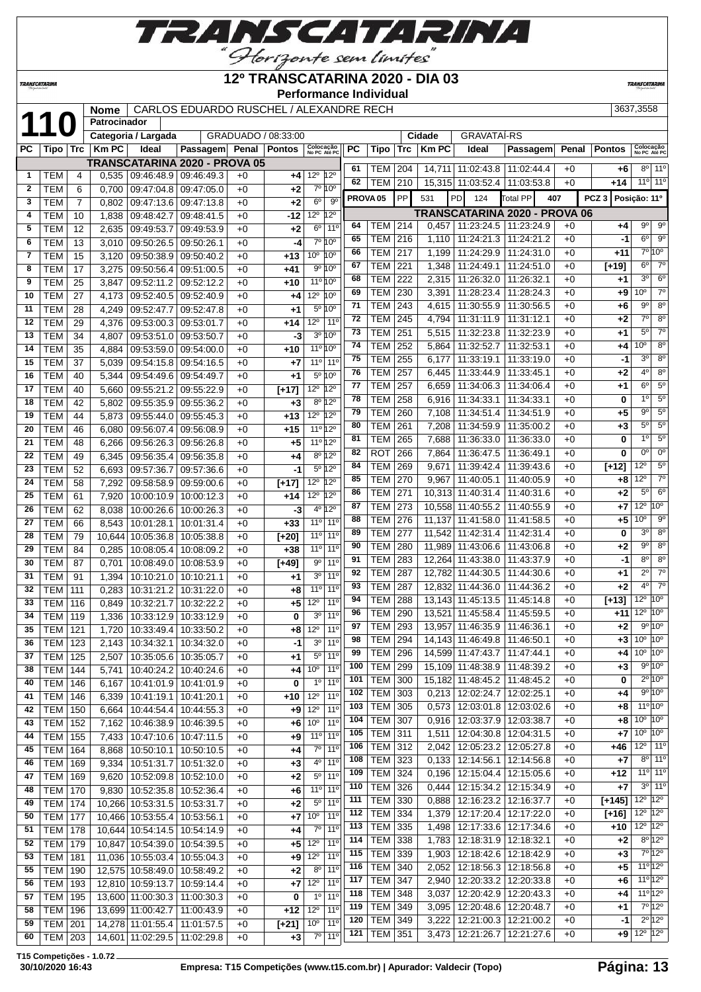

## **12º TRANSCATARINA 2020 - DIA 03**

 TEM 340 2,052 12:18:56.3 12:18:56.8 +0 **+5** 11º 12º TEM 347 2,940 12:20:33.2 12:20:33.8 +0 **+6** 11º 12º TEM 348 3,037 12:20:42.9 12:20:43.3 +0 **+4** 11º 12º TEM 349 3,095 12:20:48.6 12:20:48.7 +0 **+1** 7º 12º TEM 349 3,222 12:21:00.3 12:21:00.2 +0 **-1** 2º 12º TEM 351 3,473 12:21:26.7 12:21:27.6 +0 **+9** 12º 12º

**TRANSCATAR** 

|                 | <i><b>TRANSCATARINA</b></i> |                 |                     |                               |                                         |                     |              |                                 |                              |           | YATANINA LULU<br><b>Performance Individual</b> |                  |              |                                      |            |     |       |                  | <b>TRANSCATARINA</b>       |                                     |
|-----------------|-----------------------------|-----------------|---------------------|-------------------------------|-----------------------------------------|---------------------|--------------|---------------------------------|------------------------------|-----------|------------------------------------------------|------------------|--------------|--------------------------------------|------------|-----|-------|------------------|----------------------------|-------------------------------------|
|                 |                             |                 | <b>Nome</b>         |                               | CARLOS EDUARDO RUSCHEL / ALEXANDRE RECH |                     |              |                                 |                              |           |                                                |                  |              |                                      |            |     |       |                  | 3637,3558                  |                                     |
|                 | 110                         |                 | <b>Patrocinador</b> |                               |                                         |                     |              |                                 |                              |           |                                                |                  |              |                                      |            |     |       |                  |                            |                                     |
|                 |                             |                 |                     | Categoria / Largada           |                                         | GRADUADO / 08:33:00 |              |                                 |                              |           |                                                |                  | Cidade       | <b>GRAVATAÍ-RS</b>                   |            |     |       |                  |                            |                                     |
| PC              | Tipo Trc                    |                 | <b>KmPC</b>         | <b>Ideal</b>                  | Passagem                                |                     | Penal Pontos |                                 | Colocação<br>No PC Até PC    | <b>PC</b> | Tipo                                           | Trc              | <b>Km PC</b> | Ideal                                | Passagem   |     | Penal | <b>Pontos</b>    | Colocação<br>No PC Até PC  |                                     |
|                 |                             |                 |                     | TRANSCATARINA 2020 - PROVA 05 |                                         |                     |              |                                 |                              | 61        | <b>TEM</b>                                     | 204              |              | 14.711 11:02:43.8                    | 11:02:44.4 |     | $+0$  | $+6$             |                            | $8^{\circ}$ 11 <sup>°</sup>         |
| $\mathbf{1}$    | <b>TEM</b>                  | 4               | 0,535               | 09:46:48.9 09:46:49.3         |                                         | $+0$                | $+4$         | 12 <sup>0</sup> 12 <sup>0</sup> |                              | 62        | TEM                                            | 210              |              | 15,315 11:03:52.4                    | 11:03:53.8 |     | $+0$  | $+14$            | $11°$ 11 <sup>°</sup>      |                                     |
| $\mathbf{2}$    | <b>TEM</b>                  | 6               | 0,700               | 09:47:04.8                    | 09:47:05.0                              | $+0$                | $+2$         |                                 | 7º 10°                       |           |                                                | PP               |              |                                      |            |     |       | PCZ <sub>3</sub> |                            |                                     |
| 3               | <b>TEM</b>                  | $\overline{7}$  | 0,802               | 09:47:13.6                    | 09:47:13.8                              | $+0$                | $+2$         | 6 <sup>0</sup>                  | $9^{\circ}$                  |           | PROVA <sub>05</sub>                            |                  | 531          | <b>PD</b><br>124                     | Total PP   | 407 |       |                  | Posição: 11º               |                                     |
| 4               | <b>TEM</b>                  | 10              | 1,838               | 09:48:42.7                    | 09:48:41.5                              | $+0$                | -12          | 12 <sup>0</sup> 12 <sup>0</sup> |                              |           |                                                |                  |              | <b>TRANSCATARINA 2020 - PROVA 06</b> |            |     |       |                  |                            |                                     |
| 5               | <b>TEM</b>                  | 12              | 2,635               | 09:49:53.7                    | 09:49:53.9                              | $+0$                | $+2$         | $6^{\circ}$                     | 11 <sup>0</sup>              | 64        | TEM                                            | $\overline{214}$ | 0,457        | 11:23:24.5                           | 11:23:24.9 |     | $+0$  | +4               | $9^{\circ}$<br>$6^{\circ}$ | $\overline{9^{\circ}}$<br>$9^\circ$ |
| 6               | <b>TEM</b>                  | 13              | 3,010               | 09:50:26.5                    | 09:50:26.1                              | $+0$                | -4           |                                 | 7°10°                        | 65        | <b>TEM</b>                                     | 216              | 1,110        | 11:24:21.3                           | 11:24:21.2 |     | $+0$  | $-1$             |                            |                                     |
| $\overline{7}$  | <b>TEM</b>                  | 15              | 3,120               | 09:50:38.9                    | 09:50:40.2                              | $+0$                | $+13$        | $10^{\circ}$ $10^{\circ}$       |                              | 66        | <b>TEM</b>                                     | 217              | 1,199        | 11:24:29.9                           | 11:24:31.0 |     | $+0$  | $+11$            |                            | 7°10°<br>$\overline{7}^{\circ}$     |
| 8               | <b>TEM</b>                  | 17              | 3.275               | 09:50:56.4                    | 09:51:00.5                              | $+0$                | $+41$        |                                 | 9°10°                        | 67        | <b>TEM</b>                                     | 221              | 1,348        | 11:24:49.1                           | 11:24:51.0 |     | $+0$  | $[+19]$          | $6^{\circ}$                |                                     |
| $\overline{9}$  | <b>TEM</b>                  | 25              | 3.847               | 09:52:11.2                    | 09:52:12.2                              | $+0$                | $+10$        |                                 | 11º 10°                      | 68        | TEM                                            | 222              |              | 2,315 11:26:32.0                     | 11:26:32.1 |     | $+0$  | $+1$             | 3 <sup>o</sup>             | $6^{\circ}$                         |
| 10              | <b>TEM</b>                  | 27              | 4.173               | 09:52:40.5                    | 09:52:40.9                              | $+0$                | $+4$         | 12 <sup>0</sup> 10 <sup>0</sup> |                              | 69        | <b>TEM</b>                                     | 230              | 3,391        | 11:28:23.4                           | 11:28:24.3 |     | $+0$  | +9               | 10 <sup>o</sup>            | 70                                  |
| 11              | <b>TEM</b>                  | 28              | 4.249               | 09:52:47.7                    | 09:52:47.8                              | $+0$                | $+1$         |                                 | 5º 10°                       | 71        | <b>TEM</b>                                     | 243              | 4,615        | 11:30:55.9                           | 11:30:56.5 |     | $+0$  | $+6$             | $9^{\circ}$                | 8 <sup>o</sup>                      |
| 12              | <b>TEM</b>                  | 29              | 4,376               | 09:53:00.3                    | 09:53:01.7                              | $+0$                | $+14$        |                                 | $12^{\circ}$ 11 <sup>°</sup> | 72        | <b>TEM</b>                                     | 245              | 4,794        | 11:31:11.9                           | 11:31:12.1 |     | $+0$  | $+2$             | $7^\circ$                  | 8 <sup>o</sup>                      |
| 13              | <b>TEM</b>                  | 34              | 4.807               | 09:53:51.0                    | 09:53:50.7                              | $+0$                | -3           |                                 | $3^{\circ}10^{\circ}$        | 73        | <b>TEM</b>                                     | 251              |              | 5,515   11:32:23.8                   | 11:32:23.9 |     | $+0$  | +1               | $5^{\circ}$                | 7 <sup>0</sup>                      |
| 14              | <b>TEM</b>                  | 35              | 4.884               | 09:53:59.0                    | 09:54:00.0                              | $+0$                | $+10$        |                                 | 11º 10º                      | 74        | <b>TEM</b>                                     | 252              | 5.864        | 11:32:52.7                           | 11:32:53.1 |     | $+0$  | +4               | 10 <sup>o</sup>            | 8 <sup>o</sup>                      |
| 15              | <b>TEM</b>                  | 37              | 5.039               | 09:54:15.8                    | 09:54:16.5                              | $+0$                | $+7$         |                                 | $11^{\circ}$ 11 <sup>°</sup> | 75        | <b>TEM</b>                                     | 255              | 6.177        | 11:33:19.1                           | 11:33:19.0 |     | $+0$  | $-1$             | 3 <sup>0</sup>             | $\overline{8^{\circ}}$              |
| 16              | <b>TEM</b>                  | 40              | 5.344               | 09:54:49.6                    | 09:54:49.7                              | $+0$                | $+1$         |                                 | $5^{\circ}10^{\circ}$        | 76        | <b>TEM</b>                                     | 257              | 6.445        | 11:33:44.9                           | 11:33:45.1 |     | $+0$  | $+2$             | 4 <sup>0</sup>             | 8 <sup>o</sup>                      |
| 17              | <b>TEM</b>                  | 40              | 5.660               | 09:55:21.2                    | 09:55:22.9                              | $+0$                | $[+17]$      | $12^{\circ}$ 12 <sup>°</sup>    |                              | 77        | <b>TEM</b>                                     | 257              | 6.659        | 11:34:06.3                           | 11:34:06.4 |     | $+0$  | $+1$             | $6^{\circ}$                | $5^{\circ}$                         |
| 18              | <b>TEM</b>                  | 42              | 5.802               | 09:55:35.9                    | 09:55:36.2                              | $+0$                | $+3$         |                                 | 8º 12º                       | 78        | <b>TEM</b>                                     | 258              | 6,916        | 11:34:33.1                           | 11:34:33.1 |     | $+0$  | 0                | $\overline{1^0}$           | 5 <sup>0</sup>                      |
| 19              | <b>TEM</b>                  | 44              | 5.873               | 09:55:44.0                    | 09:55:45.3                              | $+0$                | $+13$        | 12 <sup>0</sup> 12 <sup>0</sup> |                              | 79        | <b>TEM</b>                                     | 260              | 7,108        | 11:34:51.4                           | 11:34:51.9 |     | $+0$  | $+5$             | $\overline{9^0}$           | 5 <sup>0</sup>                      |
| 20              | <b>TEM</b>                  | 46              | 6.080               | 09:56:07.4                    | 09:56:08.9                              | $+0$                | $+15$        |                                 | 11º 12º                      | 80        | <b>TEM</b>                                     | 261              | 7.208        | 11:34:59.9                           | 11:35:00.2 |     | $+0$  | $+3$             | $5^{\circ}$                | $5^{\circ}$                         |
| 21              | <b>TEM</b>                  | 48              | 6,266               | 09:56:26.3                    | 09:56:26.8                              | $+0$                | $+5$         |                                 | 11º 12º                      | 81        | <b>TEM</b>                                     | 265              | 7,688        | 11:36:33.0                           | 11:36:33.0 |     | $+0$  | 0                | 1 <sup>°</sup>             | $5^{\circ}$                         |
| 22              | <b>TEM</b>                  | 49              | 6,345               | 09:56:35.4                    | 09:56:35.8                              | $+0$                | $+4$         |                                 | 8º 12º                       | 82        | <b>ROT</b>                                     | 266              | 7,864        | 11:36:47.5                           | 11:36:49.1 |     | $+0$  | 0                | 0 <sup>o</sup>             | 0 <sup>o</sup>                      |
| 23              | <b>TEM</b>                  | $\overline{52}$ | 6,693               | 09:57:36.7                    | 09:57:36.6                              | $+0$                | $-1$         |                                 | 5º 12º                       | 84        | <b>TEM</b>                                     | 269              | 9,671        | 11:39:42.4                           | 11:39:43.6 |     | $+0$  | $[+12]$          | $12^{\circ}$               | 5 <sup>o</sup>                      |
| 24              | <b>TEM</b>                  | 58              | 7,292               | 09:58:58.9                    | 09:59:00.6                              | $+0$                | $[+17]$      | 12 <sup>0</sup> 12 <sup>0</sup> |                              | 85        | <b>TEM</b>                                     | 270              | 9,967        | 11:40:05.1                           | 11:40:05.9 |     | $+0$  | +8               | $12^{\circ}$               | $7^\circ$                           |
| 25              | <b>TEM</b>                  | 61              | 7,920               | 10:00:10.9                    | 10:00:12.3                              | $+0$                | $+14$        | 12 <sup>°</sup> 12 <sup>°</sup> |                              | 86        | <b>TEM</b>                                     | 271              |              | 10,313 11:40:31.4                    | 11:40:31.6 |     | $+0$  | $+2$             | $5^{\circ}$                | $\overline{6^0}$                    |
| 26              | <b>TEM</b>                  | 62              | 8,038               | 10:00:26.6                    | 10:00:26.3                              | $+0$                | -3           |                                 | 4º 12º                       | 87        | <b>TEM</b>                                     | 273              |              | 10,558 11:40:55.2                    | 11:40:55.9 |     | $+0$  | $+7$             | $12^{\circ}$               | 10 <sup>o</sup>                     |
| 27              | <b>TEM</b>                  | 66              | 8,543               | 10:01:28.1                    | 10:01:31.4                              | $+0$                | $+33$        |                                 | $11°$ 11°                    | 88        | <b>TEM</b>                                     | 276              | 11.137       | 11:41:58.0                           | 11:41:58.5 |     | $+0$  | $+5$             | 10 <sup>o</sup>            | 9 <sup>o</sup>                      |
| 28              | <b>TEM</b>                  | 79              | 10,644              | 10:05:36.8                    | 10:05:38.8                              | $+0$                | $[+20]$      |                                 | $11°$ 11 <sup>°</sup>        | 89        | <b>TEM</b>                                     | 277              |              | 11,542 11:42:31.4                    | 11:42:31.4 |     | $+0$  | 0                | 3 <sup>o</sup>             | $8^{\circ}$                         |
| 29              | <b>TEM</b>                  | 84              | 0,285               | 10:08:05.4                    | 10:08:09.2                              | $+0$                | $+38$        |                                 | $11°$ 11 <sup>°</sup>        | 90        | <b>TEM</b>                                     | 280              |              | 11,989 11:43:06.6                    | 11:43:06.8 |     | $+0$  | $+2$             | $\overline{9^{\circ}}$     | $\overline{8^0}$                    |
| 30              | <b>TEM</b>                  | 87              | 0,701               | 10:08:49.0                    | 10:08:53.9                              | $+0$                | $[+49]$      | $9^{\circ}$                     | 11 <sup>o</sup>              | 91        | <b>TEM</b>                                     | 283              |              | 12,264 11:43:38.0                    | 11:43:37.9 |     | $+0$  | $-1$             | 8 <sup>o</sup>             | 8 <sup>o</sup>                      |
| 31              | <b>TEM</b>                  | 91              | 1.394               | 10:10:21.0                    | 10:10:21.1                              | $+0$                | $+1$         | $3^{\circ}$                     | 11 <sup>o</sup>              | 92        | <b>TEM</b>                                     | 287              |              | 12,782 11:44:30.5                    | 11:44:30.6 |     | $+0$  | $+1$             | $2^{\circ}$                | 70                                  |
| $\overline{32}$ | <b>TFM</b>                  | 111             |                     | $0.283$ 10:31:21.2 10:31:22.0 |                                         | $+0$                | $+8$         |                                 | $11°$ 11 <sup>°</sup>        | 93        | <b>TEM 287</b>                                 |                  |              | 12,832 11:44:36.0 11:44:36.2         |            |     | $+0$  | $+2$             | $4^{\circ}$                | $\overline{7^0}$                    |

 TEM 190 12,575 10:58:49.0 10:58:49.2 +0 **+2** 8º 11º TEM 193 12,810 10:59:13.7 10:59:14.4 +0 **+7** 12º 11º TEM 195 13,600 11:00:30.3 11:00:30.3 +0 **0** 1º 11º TEM 196 13,699 11:00:42.7 11:00:43.9 +0 **+12** 12º 11º TEM 201 14,278 11:01:55.4 11:01:57.5 +0 **[+21]** 10º 11º TEM 203 14,601 11:02:29.5 11:02:29.8 +0 **+3** 7º 11º

 TEM 111 0,283 10:31:21.2 10:31:22.0 +0 **+8** 11º 11º TEM 116 0,849 10:32:21.7 10:32:22.2 +0 **+5** 12º 11º TEM 119 1,336 10:33:12.9 10:33:12.9 +0 **0** 3<sup>°</sup> 11<sup>°</sup> TEM 121 1,720 10:33:49.4 10:33:50.2 +0 **+8** 12º 11º TEM 123 2,143 10:34:32.1 10:34:32.0 +0 **-1** 3º 11º TEM 125 2,507 10:35:05.6 10:35:05.7 +0 **+1** 5º 11º TEM 144 5,741 10:40:24.2 10:40:24.6 +0 +4 10<sup>°</sup> 11<sup>'</sup> TEM 146 6,167 10:41:01.9 10:41:01.9 +0 **0** 1º 11º TEM 146 6,339 10:41:19.1 10:41:20.1 +0 **+10** 12º 11º TEM 150 6,664 10:44:54.4 10:44:55.3 +0 **+9** 12º 11º TEM 152 7,162 10:46:38.9 10:46:39.5 +0 **+6** 10º 11º TEM 155 7,433 10:47:10.6 10:47:11.5 +0 **+9** 11º 11º TEM 164 8,868 10:50:10.1 10:50:10.5 +0 **+4** 7º 11º TEM 169 9,334 10:51:31.7 10:51:32.0 +0 **+3** 4º 11º TEM 169 9,620 10:52:09.8 10:52:10.0 +0 **+2** 5º 11º TEM 170 9,830 10:52:35.8 10:52:36.4 +0 **+6** 11º 11º TEM 174 10,266 10:53:31.5 10:53:31.7 +0 **+2** 5º 11º TEM 177 10,466 10:53:55.4 10:53:56.1 +0 **+7** 10º 11º TEM 178 10,644 10:54:14.5 10:54:14.9 +0 **+4** 7º 11º TEM 179 10,847 10:54:39.0 10:54:39.5 +0 **+5** 12º 11º TEM 181 11,036 10:55:03.4 10:55:04.3 +0 **+9** 12º 11º TEM 216 1,110 11:24:21.3 11:24:21.2 +0 **-1** 6º 9º TEM 217 1,199 11:24:29.9 11:24:31.0 +0 **+11** 7º 10º TEM 221 1,348 11:24:49.1 11:24:51.0 +0 **[+19]** 6º 7º TEM 222 2,315 11:26:32.0 11:26:32.1 +0 **+1** 3º 6º | TEM | 230 | 3,391 | 11:28:23.4 | 11:28:24.3 | +0 | +9 | 10<sup>°</sup> | 7<sup>°</sup> TEM 243 4,615 11:30:55.9 11:30:56.5 +0 **+6** 9º 8º TEM 245 4,794 11:31:11.9 11:31:12.1 +0 **+2** 7º 8º TEM 251 5,515 11:32:23.8 11:32:23.9 +0 **+1** 5º 7º TEM 252 5,864 11:32:52.7 11:32:53.1 +0 **+4** 10º 8º TEM 255 6,177 11:33:19.1 11:33:19.0 +0 **-1** 3º 8º TEM 257 6,445 11:33:44.9 11:33:45.1 +0 **+2** 4º 8º TEM 257 6,659 11:34:06.3 11:34:06.4 +0 **+1** 6º 5º TEM 258 6,916 11:34:33.1 11:34:33.1 +0 **0** 1º 5º TEM 260 7,108 11:34:51.4 11:34:51.9 +0 **+5** 9º 5º TEM 261 7,208 11:34:59.9 11:35:00.2 +0 **+3** 5º 5º TEM 265 7,688 11:36:33.0 11:36:33.0 +0 **0** 1º 5º ROT 266 7,864 11:36:47.5 11:36:49.1 +0 **0** 0º 0º TEM 269 9,671 11:39:42.4 11:39:43.6 +0 **[+12]** 12º 5º TEM 270 9,967 11:40:05.1 11:40:05.9 +0 **+8** 12º 7º TEM 271 10,313 11:40:31.4 11:40:31.6 +0 **+2** 5º 6º TEM 273 10,558 11:40:55.2 11:40:55.9 +0 **+7** 12º 10º TEM 276 11,137 11:41:58.0 11:41:58.5 +0 **+5** 10º 9º TEM 277 11,542 11:42:31.4 11:42:31.4 +0 **0** 3º 8º TEM 280 11,989 11:43:06.6 11:43:06.8 +0 **+2** 9º 8º TEM 283 12,264 11:43:38.0 11:43:37.9 +0 **-1** 8º 8º TEM 287 12,782 11:44:30.5 11:44:30.6 +0 **+1** 2º 7º TEM 287 12,832 11:44:36.0 11:44:36.2 +0 **+2** 4º 7º TEM 288 13,143 11:45:13.5 11:45:14.8 +0 **[+13]** 12º 10º TEM 290 13,521 11:45:58.4 11:45:59.5 +0 **+11** 12º 10º TEM 293 13,957 11:46:35.9 11:46:36.1 +0 **+2** 9º 10º TEM 294 14,143 11:46:49.8 11:46:50.1 +0 **+3** 10º 10º TEM 296 14,599 11:47:43.7 11:47:44.1 +0 **+4** 10º 10º TEM 299 15,109 11:48:38.9 11:48:39.2 +0 **+3** 9º 10º TEM 300 15,182 11:48:45.2 11:48:45.2 +0 **0** 2º 10º TEM 303 0,213 12:02:24.7 12:02:25.1 +0 **+4** 9º 10º TEM 305 0,573 12:03:01.8 12:03:02.6 +0 **+8** 11º 10º TEM 307 0,916 12:03:37.9 12:03:38.7 +0 **+8** 10º 10º TEM 311 1,511 12:04:30.8 12:04:31.5 +0 **+7** 10º 10º TEM 312 2,042 12:05:23.2 12:05:27.8 +0 **+46** 12º 11º TEM 323 0,133 12:14:56.1 12:14:56.8 +0 **+7** 8º 11º TEM 324 0,196 12:15:04.4 12:15:05.6 +0 **+12** 11º 11º TEM 326 0,444 12:15:34.2 12:15:34.9 +0 **+7** 3º 11º TEM 330 0,888 12:16:23.2 12:16:37.7 +0 **[+145]** 12º 12º TEM 334 1,379 12:17:20.4 12:17:22.0 +0 **[+16]** 12º 12º TEM 335 1,498 12:17:33.6 12:17:34.6 +0 +10 12<sup>°</sup> 12<sup>°</sup> TEM 338 1,783 12:18:31.9 12:18:32.1 +0 **+2** 8º 12º TEM 339 1,903 12:18:42.6 12:18:42.9 +0 **+3** 7º 12º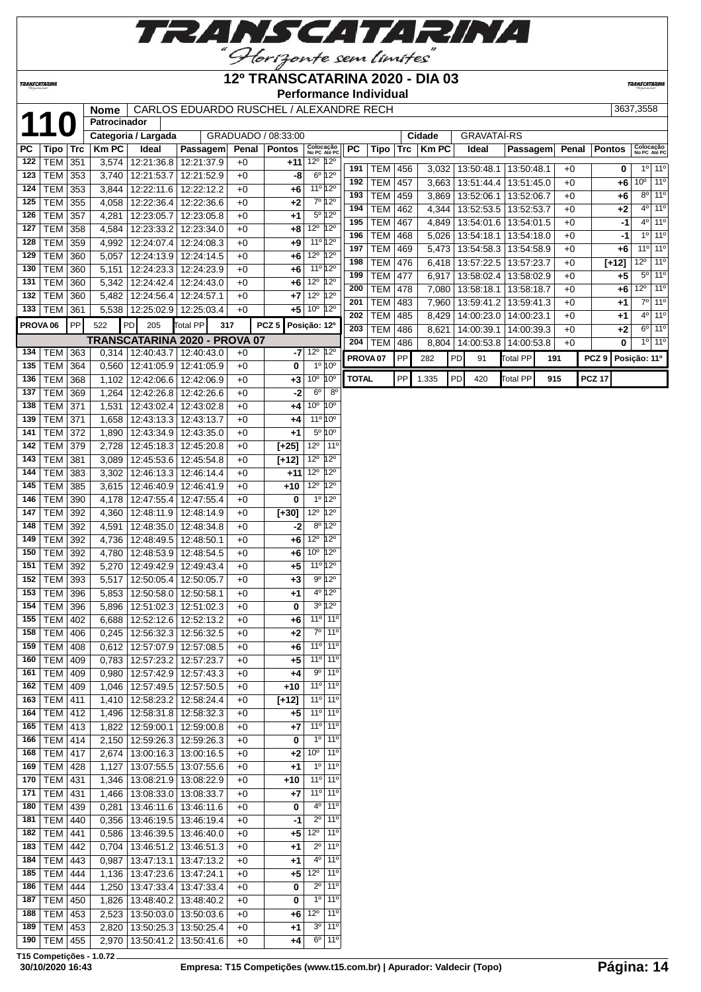

## **12º TRANSCATARINA 2020 - DIA 03**

**Performance Individual**

**TRANSCATARIN** 

|                     |                 |           |              |                                        | Nome   CARLOS EDUARDO RUSCHEL / ALEXANDRE RECH |       |                     |                                      |              |                     |     |              |    |                         |                 |     |       |                  | 3637,3558    |                              |
|---------------------|-----------------|-----------|--------------|----------------------------------------|------------------------------------------------|-------|---------------------|--------------------------------------|--------------|---------------------|-----|--------------|----|-------------------------|-----------------|-----|-------|------------------|--------------|------------------------------|
| 11                  | $\bf 0$         |           | Patrocinador |                                        |                                                |       |                     |                                      |              |                     |     |              |    |                         |                 |     |       |                  |              |                              |
|                     |                 |           |              | Categoria / Largada                    |                                                |       | GRADUADO / 08:33:00 |                                      |              |                     |     | Cidade       |    | <b>GRAVATAÍ-RS</b>      |                 |     |       |                  |              |                              |
| PC                  | Tipo   Trc      |           | <b>Km PC</b> | Ideal                                  | Passagem                                       | Penal | <b>Pontos</b>       | Colocação<br>No PC Até PC            | РC           | Tipo                | Trc | <b>Km PC</b> |    | Ideal                   | Passagem        |     | Penal | <b>Pontos</b>    |              | Colocação<br>No PC Até PC    |
| 122                 | TEM 351         |           |              | 3,574 12:21:36.8                       | 12:21:37.9                                     | $+0$  | $+11$               | $12^{\circ}$ 12 <sup>°</sup>         |              |                     |     |              |    |                         |                 |     |       |                  |              |                              |
| 123                 | TEM 353         |           |              | 3,740 12:21:53.7                       | 12:21:52.9                                     | $+0$  | -8                  | $6^{\circ}$ 12°                      | 191          | <b>TEM 456</b>      |     | 3,032        |    | 13:50:48.1              | 13:50:48.1      |     | $+0$  | 0                |              | 10 110                       |
| 124                 | $TEM$ 353       |           |              | 3,844 12:22:11.6                       | 12:22:12.2                                     | $+0$  | +6                  | 11º 12º                              | 192          | <b>TEM</b>          | 457 | 3,663        |    | 13:51:44.4              | 13:51:45.0      |     | $+0$  | +6               |              | $10^{\circ}$ 11 <sup>°</sup> |
| 125                 | <b>TEM</b> 355  |           |              | 4,058 12:22:36.4                       | 12:22:36.6                                     | $+0$  | +2                  | $7^{\circ}$ 12°                      | 193          | <b>TEM</b>          | 459 | 3,869        |    | 13:52:06.1              | 13:52:06.7      |     | $+0$  | +6               |              | $8^{\circ}$ 11 <sup>o</sup>  |
| 126                 | <b>TEM 357</b>  |           | 4,281        | 12:23:05.7                             | 12:23:05.8                                     | $+0$  | +1                  | 5 <sup>o</sup> 12 <sup>o</sup>       | 194          | <b>TEM</b>          | 462 | 4,344        |    | 13:52:53.5              | 13:52:53.7      |     | $+0$  | +2               |              | $4^{\circ}$ 11 <sup>°</sup>  |
| 127                 | <b>TEM 358</b>  |           |              | 4,584   12:23:33.2                     | 12:23:34.0                                     | $+0$  | $+8$                | 12 <sup>0</sup> 12 <sup>0</sup>      | 195          | <b>TEM</b>          | 467 | 4,849        |    | 13:54:01.6              | 13:54:01.5      |     | $+0$  | -1               |              | $4^{\circ}$ 11 <sup>°</sup>  |
| 128                 | TEM             | 359       |              | 4,992 12:24:07.4                       | 12:24:08.3                                     | $+0$  | +9                  | 11º 12º                              | 196          | <b>TEM</b>          | 468 | 5,026        |    | 13:54:18.1              | 13:54:18.0      |     | $+0$  | -1               |              | $10$ 11 <sup>o</sup>         |
| 129                 | TEM             | 360       |              | 5,057 12:24:13.9                       | 12:24:14.5                                     | $+0$  | +6                  | 12 <sup>0</sup> 12 <sup>0</sup>      | 197          | <b>TEM</b>          | 469 | 5,473        |    | 13:54:58.3              | 13:54:58.9      |     | $+0$  | +6               |              | $110$ 11 <sup>o</sup>        |
| 130                 | <b>TEM</b>      | 360       |              | 5,151 12:24:23.3                       |                                                |       |                     | 11º 12º                              | 198          | <b>TEM</b>          | 476 | 6,418        |    | 13:57:22.5              | 13:57:23.7      |     | $+0$  | $[+12]$          |              | $12^{\circ}$   11°           |
|                     |                 |           |              |                                        | 12:24:23.9                                     | $+0$  | +6                  |                                      | 199          | <b>TEM</b>          | 477 | 6,917        |    | 13:58:02.4              | 13:58:02.9      |     | $+0$  | $+5$             |              | $5°$ 11°                     |
| 131                 | <b>TEM 360</b>  |           |              | 5,342 12:24:42.4                       | 12:24:43.0                                     | $+0$  | +6                  | $12^{\circ}$ 12 <sup>°</sup>         | 200          | <b>TEM</b>          | 478 | 7,080        |    | 13:58:18.1              | 13:58:18.7      |     | $+0$  | +6               |              | $12°$ 11 <sup>°</sup>        |
| 132                 | <b>TEM 360</b>  |           |              | 5,482 12:24:56.4                       | 12:24:57.1                                     | $+0$  | $+7$                | $12^{\circ}$ 12 <sup>°</sup>         | 201          | <b>TEM</b>          | 483 | 7,960        |    | 13:59:41.2   13:59:41.3 |                 |     | $+0$  | $+1$             |              | $7°$ 11°                     |
| 133                 | <b>TEM 361</b>  |           |              | 5,538 12:25:02.9                       | 12:25:03.4                                     | $+0$  | +5 l                | $10^{\circ}$ 12 <sup>°</sup>         | 202          | <b>TEM</b>          | 485 | 8,429        |    | 14:00:23.0              | 14:00:23.1      |     | $+0$  | +1               |              | $4°$ 11 <sup>o</sup>         |
| PROVA <sub>06</sub> |                 | <b>PP</b> | 522          | PD<br>205                              | Total PP<br>317                                |       | PCZ <sub>5</sub>    | Posição: 12º                         | 203          | <b>TEM</b>          | 486 | 8,621        |    | 14:00:39.1              | 14:00:39.3      |     | $+0$  | +2               |              | $6^{\circ}$ 11 <sup>o</sup>  |
|                     |                 |           |              |                                        | TRANSCATARINA 2020 - PROVA 07                  |       |                     |                                      | 204          | <b>TEM</b>          | 486 | 8,804        |    | 14:00:53.8              | 14:00:53.8      |     | $+0$  | 0                |              | $10$ 11 <sup>o</sup>         |
| 134                 | TEM 363         |           |              | $0,314$   12:40:43.7                   | 12:40:43.0                                     | $+0$  |                     | $-7$ 12 <sup>o</sup> 12 <sup>o</sup> |              |                     |     |              |    |                         |                 |     |       |                  |              |                              |
| 135                 | <b>TEM 364</b>  |           |              | 0,560 12:41:05.9                       | 12:41:05.9                                     | $+0$  | $\bf{0}$            | 1º 10°                               |              | PROVA <sub>07</sub> | PP  | 282          | PD | 91                      | Total PP        | 191 |       | PCZ <sub>9</sub> | Posição: 11º |                              |
| 136                 | <b>TEM 368</b>  |           |              | 1,102 12:42:06.6                       | 12:42:06.9                                     | $+0$  | $+3$                | $10^{\circ}$ 10 <sup>°</sup>         | <b>TOTAL</b> |                     | PP  | 1.335        | PD | 420                     | <b>Total PP</b> | 915 |       | <b>PCZ 17</b>    |              |                              |
| 137                 | TEM 369         |           |              | 1,264 12:42:26.8                       | 12:42:26.6                                     | $+0$  | $-2$                | 8 <sup>o</sup><br>$6^{\circ}$        |              |                     |     |              |    |                         |                 |     |       |                  |              |                              |
| 138                 | <b>TEM 371</b>  |           | 1,531        | 12:43:02.4                             | 12:43:02.8                                     | $+0$  | +4                  | 10 <sup>o</sup><br>10 <sup>o</sup>   |              |                     |     |              |    |                         |                 |     |       |                  |              |                              |
| 139                 | <b>TEM 371</b>  |           |              | 12:43:13.3                             | 12:43:13.7                                     | $+0$  | +4                  | 11 <sup>o</sup> 10 <sup>o</sup>      |              |                     |     |              |    |                         |                 |     |       |                  |              |                              |
| 141                 | <b>TEM 372</b>  |           | 1,658        |                                        |                                                |       |                     | 5 <sup>°</sup> 10 <sup>°</sup>       |              |                     |     |              |    |                         |                 |     |       |                  |              |                              |
|                     |                 |           | 1,890        | 12:43:34.9                             | 12:43:35.0                                     | $+0$  | +1                  |                                      |              |                     |     |              |    |                         |                 |     |       |                  |              |                              |
| 142                 | TEM 379         |           | 2,728        | 12:45:18.3                             | 12:45:20.8                                     | $+0$  | $[+25]$             | $12^{\circ}$<br>$11^{\circ}$         |              |                     |     |              |    |                         |                 |     |       |                  |              |                              |
| 143                 | <b>TEM 381</b>  |           |              | 3,089 12:45:53.6                       | 12:45:54.8                                     | $+0$  | $[+12]$             | $12^{\circ}$<br>$12^{\circ}$         |              |                     |     |              |    |                         |                 |     |       |                  |              |                              |
| 144                 | <b>TEM 383</b>  |           |              | 3,302 12:46:13.3                       | 12:46:14.4                                     | $+0$  | $+11$               | $12^{\circ}$<br>$12^{\circ}$         |              |                     |     |              |    |                         |                 |     |       |                  |              |                              |
| 145                 | <b>TEM 385</b>  |           |              | 3,615 12:46:40.9                       | 12:46:41.9                                     | $+0$  | +10                 | $12^{\circ}$<br>$12^{\circ}$         |              |                     |     |              |    |                         |                 |     |       |                  |              |                              |
| 146                 | TEM 390         |           |              | 4,178 12:47:55.4                       | 12:47:55.4                                     | $+0$  | 0                   | $1^{\circ}$ 12°                      |              |                     |     |              |    |                         |                 |     |       |                  |              |                              |
| 147                 | TEM 392         |           |              | 4,360 12:48:11.9                       | 12:48:14.9                                     | $+0$  | $[+30]$             | $12^{\circ}$<br>$12^{\circ}$         |              |                     |     |              |    |                         |                 |     |       |                  |              |                              |
| 148                 | TEM 392         |           | 4,591        | 12:48:35.0                             | 12:48:34.8                                     | $+0$  | -2                  | 8º 12º                               |              |                     |     |              |    |                         |                 |     |       |                  |              |                              |
| 149                 | <b>TEM 392</b>  |           |              | 4,736   12:48:49.5                     | 12:48:50.1                                     | $+0$  | +6                  | $12^{\circ}$<br>$12^{\circ}$         |              |                     |     |              |    |                         |                 |     |       |                  |              |                              |
| 150                 | TEM             | 392       |              | 4,780   12:48:53.9                     | 12:48:54.5                                     | $+0$  | +6                  | 10 <sup>°</sup> 12 <sup>°</sup>      |              |                     |     |              |    |                         |                 |     |       |                  |              |                              |
| 151                 | TEM             | 392       |              | 5,270 12:49:42.9                       | 12:49:43.4                                     | $+0$  | +5                  | 11 <sup>o</sup> 12 <sup>o</sup>      |              |                     |     |              |    |                         |                 |     |       |                  |              |                              |
| 152                 | TEM 393         |           |              | 5,517 12:50:05.4                       | 12:50:05.7                                     | $+0$  | +3                  | $9°$ 12°                             |              |                     |     |              |    |                         |                 |     |       |                  |              |                              |
| 153                 | <b>TEM 396</b>  |           |              | 5,853 12:50:58.0                       | 12:50:58.1                                     | $+0$  | +1                  | 4º 12º                               |              |                     |     |              |    |                         |                 |     |       |                  |              |                              |
| 154                 | TEM 396         |           |              | 5,896 12:51:02.3                       | 12:51:02.3                                     | $+0$  | 0                   | $3^{\circ}$ 12°                      |              |                     |     |              |    |                         |                 |     |       |                  |              |                              |
| 155                 | TEM 402         |           |              | 6,688   12:52:12.6                     | 12:52:13.2                                     | $+0$  | +6                  | $11°$ 11 <sup>o</sup>                |              |                     |     |              |    |                         |                 |     |       |                  |              |                              |
|                     | 158 TEM 406     |           |              |                                        | 0,245 12:56:32.3 12:56:32.5                    | $+0$  | $+2$                | $7°$ 11 <sup>o</sup>                 |              |                     |     |              |    |                         |                 |     |       |                  |              |                              |
| 159                 | <b>TEM 408</b>  |           |              | $0,612$ 12:57:07.9                     | 12:57:08.5                                     | $+0$  | +6                  | $11^{\circ}$ 11 <sup>°</sup>         |              |                     |     |              |    |                         |                 |     |       |                  |              |                              |
| 160                 | <b>TEM 409</b>  |           |              | 0,783   12:57:23.2                     | 12:57:23.7                                     | $+0$  | +5                  | 11 <sup>o</sup> 11 <sup>o</sup>      |              |                     |     |              |    |                         |                 |     |       |                  |              |                              |
| 161                 | TEM   409       |           |              | 0,980 12:57:42.9                       | 12:57:43.3                                     | $+0$  | +4                  | $9°$ 11°                             |              |                     |     |              |    |                         |                 |     |       |                  |              |                              |
|                     | 162   TEM   409 |           |              | 1,046   12:57:49.5                     | 12:57:50.5                                     | $+0$  | +10                 | $11^{\circ}$ 11°                     |              |                     |     |              |    |                         |                 |     |       |                  |              |                              |
|                     | 163   TEM   411 |           |              |                                        | 12:58:24.4                                     |       |                     | 11 <sup>o</sup> 11 <sup>o</sup>      |              |                     |     |              |    |                         |                 |     |       |                  |              |                              |
|                     | 164   TEM   412 |           |              | 1,410   12:58:23.2<br>1,496 12:58:31.8 |                                                | $+0$  | $[+12]$             | 11 <sup>o</sup> 11 <sup>o</sup>      |              |                     |     |              |    |                         |                 |     |       |                  |              |                              |
|                     |                 |           |              |                                        | 12:58:32.3                                     | $+0$  | +5                  | 11 <sup>o</sup> 11 <sup>o</sup>      |              |                     |     |              |    |                         |                 |     |       |                  |              |                              |
|                     | 165   TEM   413 |           |              | 1,822 12:59:00.1                       | 12:59:00.8                                     | $+0$  | +7                  |                                      |              |                     |     |              |    |                         |                 |     |       |                  |              |                              |
|                     | 166   TEM   414 |           |              | 2,150 12:59:26.3                       | 12:59:26.3                                     | $+0$  | 0                   | $1^{\circ}$ 11 <sup>°</sup>          |              |                     |     |              |    |                         |                 |     |       |                  |              |                              |
| 168                 | <b>TEM 417</b>  |           |              | 2,674 13:00:16.3                       | 13:00:16.5                                     | $+0$  | +2                  | 10 <sup>o</sup><br>$11^{\circ}$      |              |                     |     |              |    |                         |                 |     |       |                  |              |                              |
|                     | 169   TEM   428 |           |              | 1,127   13:07:55.5                     | 13:07:55.6                                     | $+0$  | +1                  | $1^{\circ}$   11 $^{\circ}$          |              |                     |     |              |    |                         |                 |     |       |                  |              |                              |
| 170                 | <b>TEM 431</b>  |           |              | 1,346 13:08:21.9                       | 13:08:22.9                                     | $+0$  | +10                 | 11 <sup>o</sup> 11 <sup>o</sup>      |              |                     |     |              |    |                         |                 |     |       |                  |              |                              |
| 171                 | $TEM$ 431       |           |              | 1,466 13:08:33.0                       | 13:08:33.7                                     | $+0$  | +7                  | 11 <sup>o</sup> 11 <sup>o</sup>      |              |                     |     |              |    |                         |                 |     |       |                  |              |                              |
| 180                 | TEM 439         |           | 0,281        | 13:46:11.6                             | 13:46:11.6                                     | $+0$  | 0                   | $4^{\circ}$ 11 <sup>°</sup>          |              |                     |     |              |    |                         |                 |     |       |                  |              |                              |
|                     | 181   TEM   440 |           |              | 0,356   13:46:19.5                     | 13:46:19.4                                     | $+0$  | -1                  | $2^{\circ}$<br>$11^{\circ}$          |              |                     |     |              |    |                         |                 |     |       |                  |              |                              |
|                     | 182   TEM   441 |           |              | $\overline{0,586}$ 13:46:39.5          | 13:46:40.0                                     | $+0$  | +5                  | $12^{\circ}$<br>$11^{\circ}$         |              |                     |     |              |    |                         |                 |     |       |                  |              |                              |
|                     | 183   TEM   442 |           |              | $0,704$   13:46:51.2                   | 13:46:51.3                                     | $+0$  | +1                  | $11^{\circ}$<br>$2^{\circ}$          |              |                     |     |              |    |                         |                 |     |       |                  |              |                              |
| 184                 | TEM 443         |           | 0,987        | 13:47:13.1                             | 13:47:13.2                                     | $+0$  | +1                  | $4^{\circ}$<br>$11^{\circ}$          |              |                     |     |              |    |                         |                 |     |       |                  |              |                              |
| 185                 | <b>TEM 444</b>  |           |              | 1,136   13:47:23.6                     | 13:47:24.1                                     | $+0$  | +5                  | $12^{\circ}$<br>$11^{\circ}$         |              |                     |     |              |    |                         |                 |     |       |                  |              |                              |
| 186                 | $TEM$ 444       |           |              | 1,250   13:47:33.4                     | 13:47:33.4                                     | $+0$  | 0                   | $2^{\circ}$ 11 <sup>°</sup>          |              |                     |     |              |    |                         |                 |     |       |                  |              |                              |
| 187                 | <b>TEM 450</b>  |           |              | 1,826   13:48:40.2                     | 13:48:40.2                                     | $+0$  | 0                   | $1^{\circ}$ 11 <sup>°</sup>          |              |                     |     |              |    |                         |                 |     |       |                  |              |                              |
| 188                 | $TEM$ 453       |           |              | 2,523   13:50:03.0                     | 13:50:03.6                                     | $+0$  | +6                  | $12^{\circ}$<br>$11^{\circ}$         |              |                     |     |              |    |                         |                 |     |       |                  |              |                              |
| 189                 | TEM             | 453       |              | 2,820 13:50:25.3                       | 13:50:25.4                                     | +0    | +1                  | $3^{\circ}$ 11 <sup>°</sup>          |              |                     |     |              |    |                         |                 |     |       |                  |              |                              |
|                     | 190   TEM   455 |           |              | 2,970   13:50:41.2                     | 13:50:41.6                                     | $+0$  | +4                  | $6^{\circ}$ 11 <sup>°</sup>          |              |                     |     |              |    |                         |                 |     |       |                  |              |                              |
|                     |                 |           |              |                                        |                                                |       |                     |                                      |              |                     |     |              |    |                         |                 |     |       |                  |              |                              |

**T15 Competições - 1.0.72**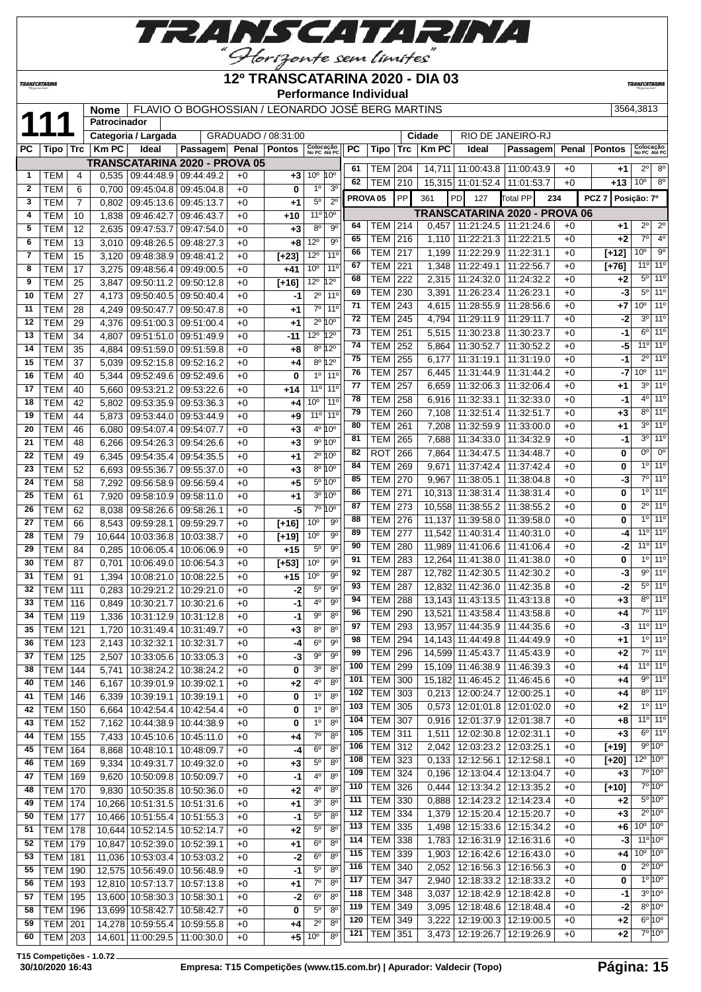

| 3564,3813 |
|-----------|

|              |                  |          |                |                          | ,,                                                                 |              | Horizonte sem limites           |                                                       |            |                       |                  |                | $\sqrt{1 - 1}$                                                     |                 |                          |              |                  |                                      |                                 |
|--------------|------------------|----------|----------------|--------------------------|--------------------------------------------------------------------|--------------|---------------------------------|-------------------------------------------------------|------------|-----------------------|------------------|----------------|--------------------------------------------------------------------|-----------------|--------------------------|--------------|------------------|--------------------------------------|---------------------------------|
|              | TRANSCATARINA    |          |                |                          |                                                                    |              | 12º TRANSCATARINA 2020 - DIA 03 | <b>Performance Individual</b>                         |            |                       |                  |                |                                                                    |                 |                          |              |                  | <b>TRANSCATARINA</b>                 |                                 |
|              |                  |          | <b>Nome</b>    |                          | FLAVIO O BOGHOSSIAN / LEONARDO JOSÉ BERG MARTINS                   |              |                                 |                                                       |            |                       |                  |                |                                                                    |                 |                          |              |                  | 3564,3813                            |                                 |
| 11           |                  |          | Patrocinador   |                          |                                                                    |              |                                 |                                                       |            |                       |                  |                |                                                                    |                 |                          |              |                  |                                      |                                 |
|              |                  |          |                | Categoria / Largada      |                                                                    |              | GRADUADO / 08:31:00             |                                                       |            |                       |                  | Cidade         | RIO DE JANEIRO-RJ                                                  |                 |                          |              |                  |                                      |                                 |
| РC           | Tipo             | ∣ Trc    | <b>KmPC</b>    | Ideal                    | Passagem                                                           | Penal        | <b>Pontos</b>                   | Colocação<br>No PC Até PC                             | <b>PC</b>  | Tipo                  | Trc              | <b>Km PC</b>   | Ideal                                                              |                 | Passagem                 | Penal        | <b>Pontos</b>    |                                      | Colocação<br>No PC Até PC       |
|              |                  |          |                |                          | <b>TRANSCATARINA 2020 - PROVA 05</b>                               |              |                                 |                                                       | 61         |                       |                  |                |                                                                    |                 |                          |              | $+1$             | $2^{\circ}$                          | 8 <sup>o</sup>                  |
| 1            | <b>TEM</b>       | 4        | 0,535          | 09:44:48.9               | 09:44:49.2                                                         | $+0$         | $+3$                            | 10 <sup>o</sup><br>$10^{\circ}$                       | 62         | TEM<br><b>TEM</b>     | 204<br>210       |                | 14,711 11:00:43.8 11:00:43.9<br>15,315 11:01:52.4                  |                 | 11:01:53.7               | $+0$<br>$+0$ | $+13$            | 10 <sup>o</sup>                      | $8^{\circ}$                     |
| $\mathbf{2}$ | TEM              | 6        | 0,700          | 09:45:04.8               | 09:45:04.8                                                         | $+0$         | 0                               | 1 <sup>0</sup><br>3 <sup>o</sup>                      |            |                       |                  |                |                                                                    |                 |                          |              |                  |                                      |                                 |
| 3            | TEM              | 7        | 0,802          | 09:45:13.6               | 09:45:13.7                                                         | $+0$         | $+1$                            | $2^{\circ}$<br>$5^{\rm o}$                            |            | PROVA <sub>05</sub>   | PP               | 361            | <b>PD</b><br>127                                                   | <b>Total PP</b> |                          | 234          | PCZ <sub>7</sub> | Posição: 7º                          |                                 |
| 4            | TEM              | 10       | 1,838          | 09:46:42.7               | 09:46:43.7                                                         | $+0$         | $+10$                           | $11^{\circ} 10^{\circ}$                               |            |                       |                  |                | TRANSCATARINA 2020 - PROVA 06                                      |                 |                          |              |                  |                                      |                                 |
| 5            | TEM              | 12       | 2,635          | 09:47:53.7               | 09:47:54.0                                                         | $+0$         | $+3$                            | $8^{\circ}$<br>90                                     | 64         | <b>TEM</b>            | $\overline{214}$ | 0,457          | 11:21:24.5 11:21:24.6                                              |                 |                          | $+0$         | $+1$             | $2^{\circ}$                          | $2^{\circ}$                     |
| 6            | <b>TEM</b>       | 13       | 3,010          | 09:48:26.5               | 09:48:27.3                                                         | $+0$         | +8                              | 12°<br>$9^{\circ}$                                    | 65         | <b>TEM</b>            | 216              | 1,110          | 11:22:21.3                                                         |                 | 11:22:21.5               | $+0$         | $+2$             | $7^\circ$                            | 4 <sup>0</sup>                  |
| 7            | <b>TEM</b>       | 15       | 3,120          | 09:48:38.9               | 09:48:41.2                                                         | $+0$         | $[+23]$                         | 11 <sup>o</sup><br>12°                                | 66         | <b>TEM</b>            | 217              | 1,199          | 11:22:29.9                                                         |                 | 11:22:31.1               | $+0$         | $[+12]$          | 10 <sup>o</sup>                      | $9^\circ$                       |
| 8            | <b>TEM</b>       | 17       | 3,275          | 09:48:56.4               | 09:49:00.5                                                         | $+0$         | +41                             | 10 <sup>o</sup><br>11 <sup>0</sup>                    | 67         | TEM                   | 221              | 1,348          | 11:22:49.1                                                         |                 | 11:22:56.7               | $+0$         | $[+76]$          | 11°                                  | 11 <sup>0</sup>                 |
| 9            | <b>TEM</b>       | 25       | 3,847          | 09:50:11.2               | 09:50:12.8                                                         | $+0$         | $[+16]$                         | $12^{\circ}$<br>$12^{\circ}$                          | 68         | <b>TEM</b>            | 222              | 2,315          | 11:24:32.0                                                         |                 | 11:24:32.2               | $+0$         | +2               | $5^{\circ}$<br>5 <sup>o</sup>        | $11^{\circ}$<br>11 <sup>o</sup> |
| 10           | <b>TEM</b>       | 27       | 4,173          | 09:50:40.5               | 09:50:40.4                                                         | $+0$         | -1                              | $2^{\circ}$<br>11 <sup>0</sup>                        | 69         | <b>TEM</b>            | 230              | 3,391          | 11:26:23.4                                                         |                 | 11:26:23.1               | $+0$         | -31              | 10 <sup>o</sup>                      | $11^{\circ}$                    |
| 11           | TEM              | 28       | 4,249          | 09:50:47.7               | 09:50:47.8                                                         | $+0$         | $+1$                            | $7^\circ$<br>11 <sup>0</sup>                          | 71<br>72   | <b>TEM</b>            | 243              | 4,615          | 11:28:55.9                                                         |                 | 11:28:56.6               | $+0$         | +7               | 3 <sup>o</sup>                       | 11 <sup>°</sup>                 |
| 12           | <b>TEM</b>       | 29       | 4,376          | 09:51:00.3               | 09:51:00.4                                                         | $+0$         | $+1$                            | $2^{\circ}$<br>10 <sup>o</sup>                        | 73         | <b>TEM</b>            | 245<br>251       | 4,794          | 11:29:11.9                                                         |                 | 11:29:11.7               | $+0$<br>$+0$ | -2               | $6^{\circ}$                          | 11 <sup>0</sup>                 |
| 13           | <b>TEM</b>       | 34       | 4,807          | 09:51:51.0               | 09:51:49.9                                                         | $+0$         | $-11$                           | $12^{\circ}$<br>12°                                   | 74         | TEM<br><b>TEM</b>     | 252              | 5,515<br>5,864 | 11:30:23.8<br>11:30:52.7                                           |                 | 11:30:23.7<br>11:30:52.2 | $+0$         | -1<br>-51        | 11°                                  | $11^{\circ}$                    |
| 14           | <b>TEM</b>       | 35       | 4,884          | 09:51:59.0               | 09:51:59.8                                                         | $+0$         | $+8$                            | 8º 12º                                                | 75         | <b>TEM</b>            | 255              | 6,177          | 11:31:19.1                                                         |                 | 11:31:19.0               | $+0$         | -1               | $2^{\circ}$                          | 11 <sup>0</sup>                 |
| 15           | <b>TEM</b>       | 37       | 5,039          | 09:52:15.8               | 09:52:16.2                                                         | $+0$         | +4                              | 8º 12º                                                | 76         | <b>TEM</b>            | 257              | 6,445          | 11:31:44.9                                                         |                 | 11:31:44.2               | $+0$         | -7               | 10 <sup>o</sup>                      | 11 <sup>0</sup>                 |
| 16           | <b>TEM</b>       | 40       | 5,344          | 09:52:49.6               | 09:52:49.6                                                         | $+0$         | 0                               | 1 <sup>0</sup><br>11 <sup>0</sup>                     | 77         | TEM                   | 257              | 6,659          | 11:32:06.3                                                         |                 | 11:32:06.4               | $+0$         | +1               | 3 <sup>o</sup>                       | 11 <sup>o</sup>                 |
| 17           | <b>TEM</b>       | 40       | 5,660          | 09:53:21.2               | 09:53:22.6                                                         | $+0$         | +14                             | 11 <sup>0</sup><br>11 <sup>0</sup><br>11 <sup>0</sup> | 78         | <b>TEM</b>            | 258              | 6,916          | 11:32:33.1                                                         |                 | 11:32:33.0               | $+0$         | -1               | $4^{\circ}$                          | 11 <sup>0</sup>                 |
| 18           | <b>TEM</b>       | 42       | 5,802          | 09:53:35.9               | 09:53:36.3                                                         | $+0$         | +4                              | 10 <sup>o</sup><br>11 <sup>0</sup>                    | 79         | <b>TEM</b>            | 260              | 7,108          | 11:32:51.4                                                         |                 | 11:32:51.7               | $+0$         | +3               | $8^{\circ}$                          | 11 <sup>0</sup>                 |
| 19           | TEM              | 44       | 5,873          | 09:53:44.0               | 09:53:44.9                                                         | $+0$         | $+9$                            | 11 <sup>°</sup><br>4º 10°                             | 80         | <b>TEM</b>            | 261              | 7,208          | 11:32:59.9                                                         |                 | 11:33:00.0               | $+0$         | +1               | 30                                   | $11^{\circ}$                    |
| 20<br>21     | TEM<br>TEM       | 46<br>48 | 6,080          | 09:54:07.4<br>09:54:26.3 | 09:54:07.7<br>09:54:26.6                                           | $+0$<br>$+0$ | $+3$<br>$+3$                    | 9º 10°                                                | 81         | <b>TEM</b>            | 265              | 7,688          | 11:34:33.0                                                         |                 | 11:34:32.9               | $+0$         | -1               | 3 <sup>o</sup>                       | 11 <sup>°</sup>                 |
| 22           | <b>TEM</b>       | 49       | 6,266<br>6,345 | 09:54:35.4               | 09:54:35.5                                                         | $+0$         | $+1$                            | 2º 10º                                                | 82         | <b>ROT</b>            | 266              | 7,864          | 11:34:47.5                                                         |                 | 11:34:48.7               | $+0$         | 0                | 0°                                   | $0^{\circ}$                     |
| 23           | <b>TEM</b>       | 52       | 6,693          | 09:55:36.7               | 09:55:37.0                                                         | $+0$         | $+3$                            | 8º 10º                                                | 84         | <b>TEM</b>            | 269              | 9,671          | 11:37:42.4                                                         |                 | 11:37:42.4               | $+0$         | 0                | $1^{\circ}$                          | $11^{\circ}$                    |
| 24           | <b>TEM</b>       | 58       | 7,292          | 09:56:58.9               | 09:56:59.4                                                         | $+0$         | $+5$                            | 5º 10°                                                | 85         | <b>TEM</b>            | 270              | 9,967          | 11:38:05.1                                                         |                 | 11:38:04.8               | $+0$         | -3               | $7^\circ$                            | $11^{\circ}$                    |
| 25           | <b>TEM</b>       | 61       | 7,920          | 09:58:10.9               | 09:58:11.0                                                         | $+0$         | $+1$                            | 3º 10º                                                | 86         | <b>TEM</b>            | 271              | 10,313         | 11:38:31.4                                                         |                 | 11:38:31.4               | $+0$         | 0                | $1^{\circ}$                          | 11 <sup>o</sup>                 |
| 26           | <b>TEM</b>       | 62       | 8,038          | 09:58:26.6               | 09:58:26.1                                                         | $+0$         | -5                              | $7^\circ$<br>10 <sup>o</sup>                          | 87         | TEM                   | 273              | 10,558         | 11:38:55.2                                                         |                 | 11:38:55.2               | $+0$         | 0                | $2^{\circ}$                          | 11 <sup>0</sup>                 |
| 27           | <b>TEM</b>       | 66       | 8,543          | 09:59:28.1               | 09:59:29.7                                                         | $+0$         | $[+16]$                         | 10 <sup>o</sup><br>$9^{\circ}$                        | 88         | <b>TEM</b>            | 276              | 11,137         | 11:39:58.0                                                         |                 | 11:39:58.0               | $+0$         | 0                | $1^{\circ}$                          | 11 <sup>0</sup>                 |
| 28           | <b>TEM</b>       | 79       | 10,644         | 10:03:36.8               | 10:03:38.7                                                         | $+0$         | $[+19]$                         | 10 <sup>o</sup><br>$9^{\circ}$                        | 89         | <b>TEM</b>            | 277              | 11,542         | 11:40:31.4                                                         |                 | 11:40:31.0               | $+0$         | -4               | 11°                                  | 11 <sup>°</sup>                 |
| 29           | <b>TEM</b>       | 84       | 0,285          | 10:06:05.4               | 10:06:06.9                                                         | $+0$         | $+15$                           | $5^{\circ}$<br>$9^{\circ}$                            | 90         | <b>TEM</b>            | 280              | 11,989         | 11:41:06.6                                                         |                 | 11:41:06.4               | $+0$         | -2               | 11°                                  | $11^{\circ}$                    |
| 30           | <b>TEM</b>       | 87       |                |                          | 0,701 10:06:49.0 10:06:54.3                                        | $+0$         | $1 + 53$                        | 10 <sup>o</sup><br>9 <sup>o</sup>                     | 91         | TEM                   | 283              |                | 12,264 11:41:38.0 11:41:38.0                                       |                 |                          | $+0$         | 0                |                                      | $10$ 11 <sup>o</sup>            |
| 31           | TEM              | 91       |                |                          | 1,394   10:08:21.0   10:08:22.5                                    | $+0$         | $+15$                           | $9^{\circ}$<br>10 <sup>o</sup>                        | 92         | TEM   287             |                  |                | 12,782 11:42:30.5 11:42:30.2                                       |                 |                          | $+0$         | -31              |                                      | $9°$ 11°                        |
| 32           | TEM              | 111      | 0,283          |                          | 10:29:21.2   10:29:21.0                                            | $+0$         | $-2$                            | $5^{\circ}$<br>$9^{\circ}$                            | 93         | <b>TEM 287</b>        |                  |                | 12,832 11:42:36.0 11:42:35.8                                       |                 |                          | $+0$         | -21              |                                      | $5°$ 11 <sup>°</sup>            |
| 33           | <b>TEM</b>       | 116      | 0,849          | 10:30:21.7               | 10:30:21.6                                                         | $+0$         | $-1$                            | 9 <sup>o</sup><br>$4^{\circ}$                         | 94         | <b>TEM</b>            | 288              |                | 13,143 11:43:13.5 11:43:13.8                                       |                 |                          | $+0$         | $+3$             |                                      | $8^{\circ}$ 11 <sup>°</sup>     |
| 34           | TEM              | 119      | 1,336          |                          | 10:31:12.9 10:31:12.8                                              | $+0$         | $-1$                            | 8 <sup>o</sup><br>9 <sup>o</sup>                      | 96         | TEM                   | 290              |                | 13,521 11:43:58.4 11:43:58.8                                       |                 |                          | $+0$         | $+4$             |                                      | 7º 11º                          |
| 35           | <b>TEM 121</b>   |          |                |                          | 1,720   10:31:49.4   10:31:49.7                                    | $+0$         | $+3$                            | $8^{\circ}$<br>$8^{\circ}$                            | 97         | TEM                   | 293              |                | 13,957 11:44:35.9 11:44:35.6                                       |                 |                          | $+0$         | $-3$             |                                      | $11°$ 11 <sup>°</sup>           |
| 36           | <b>TEM 123</b>   |          |                | 2,143 10:32:32.1         | 10:32:31.7                                                         | $+0$         | -4                              | $6^{\circ}$<br>$9^{\circ}$                            | 98         | <b>TEM</b>            | 294              |                | 14,143 11:44:49.8 11:44:49.9                                       |                 |                          | $+0$         | +1               |                                      | 10 110                          |
| 37           | <b>TEM 125</b>   |          | 2,507          |                          | 10:33:05.6   10:33:05.3                                            | $+0$         | -3                              | $9^{\circ}$<br>90                                     | 99         | <b>TEM</b>            | 296              |                | 14,599 11:45:43.7 11:45:43.9                                       |                 |                          | $+0$         | $+2$             |                                      | $7°$ 11 <sup>°</sup>            |
| 38           | $TEM$ 144        |          | 5,741          | 10:38:24.2               | 10:38:24.2                                                         | $+0$         | $\mathbf 0$                     | 3 <sup>o</sup><br>8 <sup>o</sup>                      | 100        | <b>TEM</b>            | 299              |                | 15,109 11:46:38.9 11:46:39.3                                       |                 |                          | $+0$         | +4               |                                      | 11 <sup>o</sup> 11 <sup>o</sup> |
| 40           | <b>TEM   146</b> |          | 6,167          |                          | 10:39:01.9 10:39:02.1                                              | $+0$         | $+2$                            | 4 <sup>0</sup><br>$8^{\circ}$                         | 101        | TEM                   | 300              |                | 15,182 11:46:45.2 11:46:45.6                                       |                 |                          | $+0$         | +4               |                                      | $9°$ 11°                        |
| 41           | <b>TEM 146</b>   |          | 6,339          | 10:39:19.1               | 10:39:19.1                                                         | $+0$         | 0                               | 1 <sup>o</sup><br>$8^{\circ}$                         | 102        | <b>TEM</b>            | 303              |                | $0,213$   12:00:24.7   12:00:25.1                                  |                 |                          | $+0$         | $+4$             |                                      | $8^{\circ}$ 11 <sup>°</sup>     |
| 42           | <b>TEM</b>       | 150      | 6,664          | 10:42:54.4               | 10:42:54.4                                                         | $+0$         | 0                               | $1^{\circ}$<br>$8^{\circ}$                            | 103        | <b>TEM</b>            | 305              |                | $0,573$   12:01:01.8   12:01:02.0                                  |                 |                          | $+0$         | $+2$             |                                      | $1^{\circ}$   11 $^{\circ}$     |
| 43           | <b>TEM</b>       | 152      | 7,162          | 10:44:38.9               | 10:44:38.9                                                         | $+0$         | 0                               | 8 <sup>o</sup><br>$1^{\circ}$                         | 104        | <b>TEM</b>            | 307              |                | $0,916$   12:01:37.9   12:01:38.7                                  |                 |                          | $+0$         | $+8$             |                                      | 11 <sup>o</sup> 11 <sup>o</sup> |
| 44           | <b>TEM</b>       | 155      | 7,433          |                          | 10:45:10.6   10:45:11.0                                            | $+0$         | +4                              | $8^{\circ}$<br>$7^\circ$                              | 105        | <b>TEM</b>            | 311              | 1,511          | 12:02:30.8   12:02:31.1                                            |                 |                          | $+0$         | $+3$             |                                      | $6^{\circ}$ 11 <sup>°</sup>     |
| 45           | <b>TEM 164</b>   |          | 8,868          | 10:48:10.1               | 10:48:09.7                                                         | $+0$         | -4                              | 8 <sup>0</sup><br>$6^{\circ}$                         | 106        | TEM                   | 312              | 2,042          | 12:03:23.2   12:03:25.1                                            |                 |                          | $+0$         | $[+19]$          |                                      | 9°10°                           |
| 46           | <b>TEM 169</b>   |          |                |                          | 9,334   10:49:31.7   10:49:32.0                                    | $+0$         | $+3$                            | $5^{\circ}$<br>$8^{\circ}$                            | 108        | <b>TEM</b>            | 323              | 0,133          | 12:12:56.1   12:12:58.1                                            |                 |                          | $+0$         | $[+20]$          |                                      | $12^{\circ}$ 10 <sup>°</sup>    |
| 47           | <b>TEM 169</b>   |          |                |                          | 9,620   10:50:09.8   10:50:09.7                                    | $+0$         | -1                              | 40<br>$8^{\circ}$                                     | 109        | TEM                   | 324              | 0,196          | 12:13:04.4   12:13:04.7                                            |                 |                          | $+0$         | $+3$             |                                      | $7^{\circ}10^{\circ}$           |
| 48           | <b>TEM   170</b> |          |                |                          | 9,830   10:50:35.8   10:50:36.0                                    | $+0$         | $+2$                            | $4^{\circ}$<br>$8^{\circ}$                            | 110        | <b>TEM</b>            | 326              | 0,444          | 12:13:34.2   12:13:35.2                                            |                 |                          | $+0$         | $[+10]$          |                                      | 7° 10°<br>$5^{\circ}10^{\circ}$ |
| 49           | <b>TEM 174</b>   |          |                |                          | 10,266 10:51:31.5 10:51:31.6                                       | $+0$         | $+1$                            | 3 <sup>o</sup><br>$8^{\circ}$                         | 111<br>112 | <b>TEM</b>            | 330              | 0,888          | 12:14:23.2 12:14:23.4                                              |                 |                          | $+0$         | $+2$             |                                      | $2^{\circ}$ 10 <sup>°</sup>     |
| 50           | <b>TEM 177</b>   |          |                |                          | 10,466 10:51:55.4 10:51:55.3                                       | $+0$         | $-1$                            | $5^{\circ}$<br>8 <sup>0</sup>                         | 113        | <b>TEM</b><br>TEM 335 | 334              | 1,379          | 12:15:20.4   12:15:20.7                                            |                 |                          | $+0$<br>$+0$ | $+3$             | $+6$ 10 <sup>o</sup> 10 <sup>o</sup> |                                 |
| 51           | <b>TEM 178</b>   |          |                |                          | 10,644 10:52:14.5 10:52:14.7                                       | $+0$         | $+2$                            | $5^{\circ}$<br>$8^{\circ}$                            | 114        | <b>TEM 338</b>        |                  |                | 1,498   12:15:33.6   12:15:34.2<br>1,783   12:16:31.9   12:16:31.6 |                 |                          | $+0$         |                  | $-3$ 11 <sup>o</sup> 10 <sup>o</sup> |                                 |
| 52           | TEM   179        |          |                |                          | 10,847 10:52:39.0 10:52:39.1<br>$53$ TEM 181 11036 1053034 1053032 | $+0$<br>⊥∩   | +1<br>ا ∂-                      | $6^{\circ}$<br>$8^{\circ}$<br>$60 \times 80$          | 115        | TEM 339               |                  |                | 1,903   12:16:42.6   12:16:43.0                                    |                 |                          | $+0$         |                  | $+4$ 10 <sup>o</sup> 10 <sup>o</sup> |                                 |
|              |                  |          |                |                          |                                                                    |              |                                 |                                                       |            |                       |                  |                |                                                                    |                 |                          |              |                  |                                      |                                 |

 TEM 181 11,036 10:53:03.4 10:53:03.2 +0 **-2** 6º 8º TEM 190 12,575 10:56:49.0 10:56:48.9 +0 **-1** 5º 8º TEM 193 12,810 10:57:13.7 10:57:13.8 +0 **+1** 7º 8º TEM 195 13,600 10:58:30.3 10:58:30.1 +0 **-2** 6º 8º TEM 196 13,699 10:58:42.7 10:58:42.7 +0 **0** 5º 8º TEM 201 14,278 10:59:55.4 10:59:55.8 +0 **+4** 2º 8º TEM 203 14,601 11:00:29.5 11:00:30.0 +0 +5 10<sup>°</sup>

 TEM 340 2,052 12:16:56.3 12:16:56.3 +0 **0** 2º 10º TEM 347 2,940 12:18:33.2 12:18:33.2 +0 **0** 1º 10º TEM 348 3,037 12:18:42.9 12:18:42.8 +0 **-1** 3º 10º TEM 349 3,095 12:18:48.6 12:18:48.4 +0 **-2** 8º 10º TEM 349 3,222 12:19:00.3 12:19:00.5 +0 **+2** 6º 10º TEM 351 3,473 12:19:26.7 12:19:26.9 +0 **+2** 7º 10º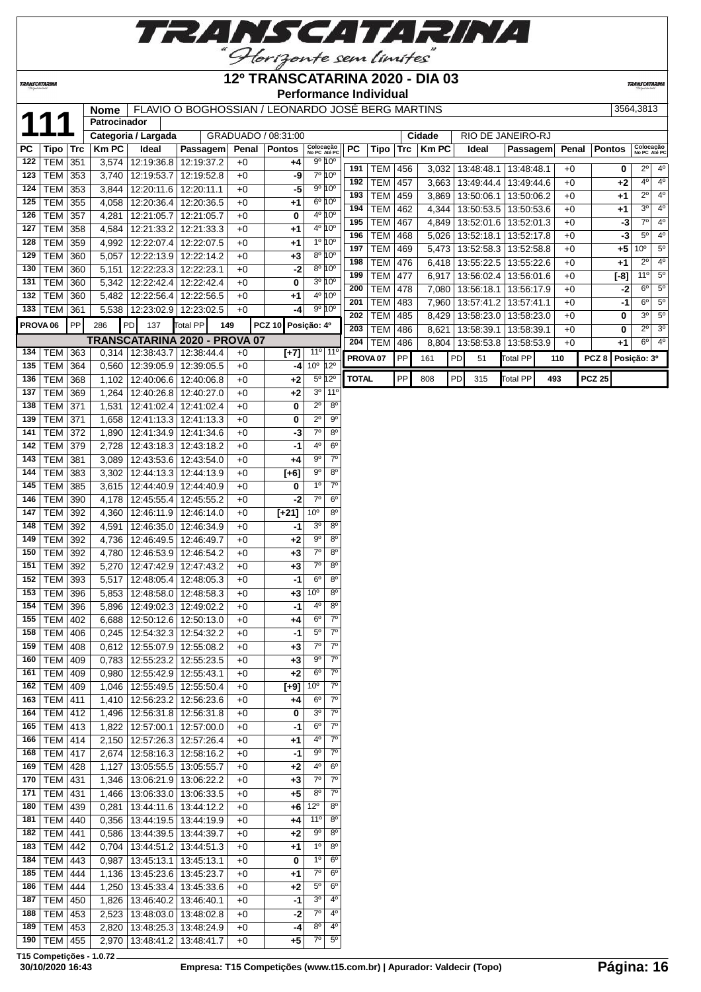

## **12º TRANSCATARINA 2020 - DIA 03**

**TRANSCATARI** 

**TRANSCATARINA** 

## **Performance Individual Nome** FLAVIO O BOGHOSSIAN / LEONARDO JOSÉ BERG MARTINS 3564,3813

| 11                  |                 |     | Patrocinador |                                   |                 |                         |              |                     |                                            |                     |            |     |              |    |                         |                 |     |       |                  |        |                           |                            |
|---------------------|-----------------|-----|--------------|-----------------------------------|-----------------|-------------------------|--------------|---------------------|--------------------------------------------|---------------------|------------|-----|--------------|----|-------------------------|-----------------|-----|-------|------------------|--------|---------------------------|----------------------------|
|                     |                 |     |              | Categoria / Largada               |                 |                         |              | GRADUADO / 08:31:00 |                                            |                     |            |     | Cidade       |    | RIO DE JANEIRO-RJ       |                 |     |       |                  |        |                           |                            |
| PC                  | <b>Tipo</b>     | Trc | <b>KmPC</b>  | Ideal                             |                 | Passagem                | <b>Penal</b> | <b>Pontos</b>       | Colocação<br>No PC Até PC                  | <b>PC</b>           | Tipo       | Trc | <b>Km PC</b> |    | Ideal                   | Passagem        |     | Penal | <b>Pontos</b>    |        | Colocação<br>No PC Até PC |                            |
| 122                 | <b>TEM</b>      | 351 | 3,574        | 12:19:36.8                        |                 | 12:19:37.2              | $+0$         | +4                  | 9º 10°                                     |                     |            |     |              |    |                         |                 |     |       |                  |        |                           |                            |
| 123                 | <b>TEM</b>      | 353 | 3,740        | 12:19:53.7                        |                 | 12:19:52.8              | $+0$         | -9                  | 7º 10°                                     | 191                 | <b>TEM</b> | 456 | 3,032        |    | 13:48:48.1              | 13:48:48.1      |     | $+0$  |                  | 0      | 2º                        | $4^{\circ}$<br>$4^{\circ}$ |
| 124                 | <b>TEM</b>      | 353 | 3,844        | 12:20:11.6                        | 12:20:11.1      |                         | $+0$         | -5                  | 9º 10°                                     | 192                 | <b>TEM</b> | 457 | 3,663        |    | 13:49:44.4              | 13:49:44.6      |     | $+0$  |                  | $+2$   | $4^{\circ}$               |                            |
| 125                 | <b>TEM</b>      | 355 | 4,058        | 12:20:36.4                        |                 | 12:20:36.5              | $+0$         | +1                  | $6^{\circ} 10^{\circ}$                     | 193                 | <b>TEM</b> | 459 | 3,869        |    | 13:50:06.1              | 13:50:06.2      |     | $+0$  |                  | +1     | $2^{\circ}$               | $4^{\circ}$                |
| 126                 | <b>TEM</b>      | 357 | 4,281        | 12:21:05.7                        | 12:21:05.7      |                         | $+0$         | 0                   | 4 <sup>o</sup> 10 <sup>o</sup>             | 194                 | <b>TEM</b> | 462 | 4,344        |    | 13:50:53.5              | 13:50:53.6      |     | $+0$  |                  | +1     | $3^{\circ}$               | 4 <sup>0</sup>             |
| 127                 | <b>TEM</b>      | 358 | 4,584        | 12:21:33.2                        |                 | 12:21:33.3              | $+0$         | +1                  | 4 <sup>o</sup> 10 <sup>o</sup>             | 195                 | <b>TEM</b> | 467 | 4,849        |    | 13:52:01.6   13:52:01.3 |                 |     | $+0$  |                  | -3     | $7^\circ$                 | 4 <sup>o</sup>             |
| 128                 | <b>TEM</b>      | 359 | 4,992        | 12:22:07.4                        |                 | 12:22:07.5              | $+0$         | +1                  | 1º 10°                                     | 196                 | <b>TEM</b> | 468 | 5,026        |    | 13:52:18.1              | 13:52:17.8      |     | $+0$  |                  | $-3$   | $5^{\circ}$               | $4^{\circ}$                |
| 129                 | <b>TEM</b>      | 360 | 5,057        | 12:22:13.9                        |                 | 12:22:14.2              | $+0$         | +3                  | 8º 10°                                     | 197                 | <b>TEM</b> | 469 | 5,473        |    | 13:52:58.3              | 13:52:58.8      |     | $+0$  |                  | $+5$   | 10 <sup>o</sup>           | $5^{\circ}$                |
| 130                 | <b>TEM</b>      | 360 | 5,151        | 12:22:23.3                        | 12:22:23.1      |                         | +0           | $-2$                | 8º 10°                                     | 198                 | <b>TEM</b> | 476 | 6,418        |    | 13:55:22.5              | 13:55:22.6      |     | $+0$  |                  | $+1$   | $2^{\circ}$               | $4^{\circ}$                |
| 131                 | <b>TEM</b>      | 360 | 5,342        | 12:22:42.4                        |                 | 12:22:42.4              | $+0$         | 0                   | 3º 10°                                     | 199                 | <b>TEM</b> | 477 | 6,917        |    | 13:56:02.4              | 13:56:01.6      |     | $+0$  |                  | $[-8]$ | 11°                       | 5 <sup>o</sup>             |
| 132                 | TEM             | 360 | 5,482        | 12:22:56.4                        |                 | 12:22:56.5              | $+0$         | $+1$                | 4 <sup>o</sup> 10 <sup>o</sup>             | 200                 | <b>TEM</b> | 478 | 7,080        |    | 13:56:18.1              | 13:56:17.9      |     | $+0$  |                  | -2     | $6^{\circ}$               | 5 <sup>0</sup>             |
| 133                 | TEM             | 361 | 5,538        | 12:23:02.9                        |                 | 12:23:02.5              | $+0$         | -4                  | 9º 10°                                     | 201                 | TEM        | 483 | 7,960        |    | 13:57:41.2   13:57:41.1 |                 |     | $+0$  |                  | $-1$   | $6^{\circ}$               | $5^{\circ}$                |
| PROVA <sub>06</sub> |                 | PP  | 286          | PD<br>137                         | <b>Total PP</b> | 149                     |              | <b>PCZ 10</b>       | Posição: 4º                                | 202                 | <b>TEM</b> | 485 | 8,429        |    | 13:58:23.0              | 13:58:23.0      |     | $+0$  |                  | 0      | 3 <sup>o</sup>            | $5^{\circ}$                |
|                     |                 |     |              | TRANSCATARINA 2020 - PROVA 07     |                 |                         |              |                     |                                            | 203                 | <b>TEM</b> | 486 | 8,621        |    | 13:58:39.1              | 13:58:39.1      |     | $+0$  |                  | 0      | $2^{\circ}$               | 3 <sup>o</sup>             |
| 134                 | TEM             | 363 | 0,314        | 12:38:43.7                        |                 | 12:38:44.4              | $+0$         | $[+7]$              | 11°<br>$11^{\circ}$                        | 204                 | TEM        | 486 | 8,804        |    | 13:58:53.8   13:58:53.9 |                 |     | $+0$  |                  | $+1$   | $6^{\circ}$               | 4 <sup>o</sup>             |
| 135                 | <b>TEM</b>      | 364 | 0,560        | 12:39:05.9                        |                 | 12:39:05.5              | $+0$         | -4                  | $10^{\circ}$ 12 <sup>°</sup>               | PROVA <sub>07</sub> |            | PP  | 161          | PD | 51                      | <b>Total PP</b> |     | 110   | PCZ <sub>8</sub> |        | Posição: 3º               |                            |
| 136                 | <b>TEM</b>      | 368 | 1,102        | 12:40:06.6                        |                 | 12:40:06.8              | $+0$         | +2                  | 5º 12º                                     | <b>TOTAL</b>        |            | PP  | 808          | PD | 315                     | Total PP        | 493 |       | <b>PCZ 25</b>    |        |                           |                            |
| 137                 | <b>TEM</b>      | 369 | 1,264        | 12:40:26.8                        |                 | 12:40:27.0              | $+0$         | $+2$                | 3 <sup>0</sup><br>11 <sup>0</sup>          |                     |            |     |              |    |                         |                 |     |       |                  |        |                           |                            |
| 138                 | <b>TEM</b>      | 371 | 1,531        | 12:41:02.4                        |                 | 12:41:02.4              | $+0$         | 0                   | $2^{\circ}$<br>$8^{\circ}$                 |                     |            |     |              |    |                         |                 |     |       |                  |        |                           |                            |
| 139                 | TEM             | 371 | 1,658        | 12:41:13.3                        | 12:41:13.3      |                         | $+0$         | 0                   | $2^{\circ}$<br>90                          |                     |            |     |              |    |                         |                 |     |       |                  |        |                           |                            |
| 141                 | <b>TEM</b>      | 372 | 1,890        | 12:41:34.9                        |                 | 12:41:34.6              | $+0$         | -3                  | $7^\circ$<br>80                            |                     |            |     |              |    |                         |                 |     |       |                  |        |                           |                            |
| 142                 | <b>TEM</b>      | 379 | 2,728        | 12:43:18.3                        | 12:43:18.2      |                         | $+0$         | -1                  | 4°<br>$6^{\circ}$                          |                     |            |     |              |    |                         |                 |     |       |                  |        |                           |                            |
| 143                 | <b>TEM</b>      | 381 | 3,089        | 12:43:53.6                        |                 | 12:43:54.0              | $+0$         | +4                  | $7^{\circ}$<br>$9^{\circ}$                 |                     |            |     |              |    |                         |                 |     |       |                  |        |                           |                            |
| 144                 | <b>TEM</b>      | 383 | 3,302        | 12:44:13.3                        |                 | 12:44:13.9              | $+0$         | $[+6]$              | $9^{\circ}$<br>$8^{\circ}$                 |                     |            |     |              |    |                         |                 |     |       |                  |        |                           |                            |
| 145                 | <b>TEM</b>      | 385 | 3,615        | 12:44:40.9                        |                 | 12:44:40.9              | $+0$         | 0                   | 1 <sup>0</sup><br>$7^\circ$                |                     |            |     |              |    |                         |                 |     |       |                  |        |                           |                            |
| 146                 | <b>TEM</b>      | 390 | 4,178        | 12:45:55.4                        |                 | 12:45:55.2              | $+0$         | -2                  | $7^\circ$<br>$6^{\circ}$                   |                     |            |     |              |    |                         |                 |     |       |                  |        |                           |                            |
| 147                 | <b>TEM</b>      | 392 | 4,360        | 12:46:11.9                        |                 | $\overline{12:}46:14.0$ | $+0$         | $\overline{[+21]}$  | 10 <sup>o</sup><br>$8^{\circ}$             |                     |            |     |              |    |                         |                 |     |       |                  |        |                           |                            |
| 148                 | <b>TEM</b>      | 392 | 4,591        | 12:46:35.0                        |                 | 12:46:34.9              | $+0$         | -1                  | 8 <sup>o</sup><br>3 <sup>o</sup>           |                     |            |     |              |    |                         |                 |     |       |                  |        |                           |                            |
| 149                 | TEM             | 392 | 4,736        | 12:46:49.5                        | 12:46:49.7      |                         | $+0$         | +2                  | $9^{\circ}$<br>$8^{\circ}$                 |                     |            |     |              |    |                         |                 |     |       |                  |        |                           |                            |
| 150                 | <b>TEM</b>      | 392 | 4,780        | 12:46:53.9                        |                 | 12:46:54.2              | $+0$         | $+3$                | $7^\circ$<br>80                            |                     |            |     |              |    |                         |                 |     |       |                  |        |                           |                            |
| 151                 | TEM             | 392 | 5,270        | 12:47:42.9                        |                 | 12:47:43.2              | +0           | +3                  | $7^\circ$<br>$8^{\circ}$                   |                     |            |     |              |    |                         |                 |     |       |                  |        |                           |                            |
| 152                 | <b>TEM</b>      | 393 | 5,517        | 12:48:05.4                        |                 | 12:48:05.3              | +0           | -1                  | $6^{\circ}$<br>$8^{\circ}$                 |                     |            |     |              |    |                         |                 |     |       |                  |        |                           |                            |
| 153                 | TEM             | 396 | 5,853        | 12:48:58.0                        |                 | 12:48:58.3              | $+0$         | +3                  | 10 <sup>o</sup><br>$8^{\circ}$             |                     |            |     |              |    |                         |                 |     |       |                  |        |                           |                            |
| 154                 | <b>TEM</b>      | 396 | 5,896        | 12:49:02.3                        |                 | 12:49:02.2              | $+0$         | -1                  | 4°<br>$8^{\circ}$                          |                     |            |     |              |    |                         |                 |     |       |                  |        |                           |                            |
| 155                 | TEM             | 402 | 6,688        | 12:50:12.6                        |                 | 12:50:13.0              | $+0$         | +4                  | $7^{\circ}$<br>$6^{\circ}$                 |                     |            |     |              |    |                         |                 |     |       |                  |        |                           |                            |
| 158                 | <b>TEM</b>      | 406 | 0,245        | 12:54:32.3                        |                 | 12:54:32.2              | $+0$         | -1                  | $5^{\rm o}$<br>$7^\circ$                   |                     |            |     |              |    |                         |                 |     |       |                  |        |                           |                            |
|                     | 159 TEM 408     |     |              | 0,612 12:55:07.9 12:55:08.2       |                 |                         | $+0$         | $+3$                | $\overline{7^0}$<br>$\overline{7^{\circ}}$ |                     |            |     |              |    |                         |                 |     |       |                  |        |                           |                            |
|                     | $160$ TEM 409   |     |              | 0,783   12:55:23.2   12:55:23.5   |                 |                         | $+0$         | $+3$                | $9^{\circ}$<br>$7^{\circ}$                 |                     |            |     |              |    |                         |                 |     |       |                  |        |                           |                            |
|                     | 161   TEM $ $   | 409 | 0,980        | 12:55:42.9 12:55:43.1             |                 |                         | $+0$         | $+2$                | $7^\circ$<br>$6^{\circ}$                   |                     |            |     |              |    |                         |                 |     |       |                  |        |                           |                            |
|                     | 162   TEM $ $   | 409 | 1,046        | 12:55:49.5                        | 12:55:50.4      |                         | +0           | $[+9]$              | 10 <sup>o</sup><br>$7^\circ$               |                     |            |     |              |    |                         |                 |     |       |                  |        |                           |                            |
| 163                 | <b>TEM</b>      | 411 | 1,410        | 12:56:23.2                        | 12:56:23.6      |                         | +0           | $+4$                | $7^\circ$<br>$6^{\circ}$                   |                     |            |     |              |    |                         |                 |     |       |                  |        |                           |                            |
| 164                 | <b>TEM</b>      | 412 | 1,496        | 12:56:31.8   12:56:31.8           |                 |                         | $+0$         | 0                   | 3 <sup>o</sup><br>$7^\circ$                |                     |            |     |              |    |                         |                 |     |       |                  |        |                           |                            |
| 165                 | TEM             | 413 | 1,822        | 12:57:00.1                        | 12:57:00.0      |                         | $+0$         | -1                  | $7^\circ$<br>$6^{\circ}$                   |                     |            |     |              |    |                         |                 |     |       |                  |        |                           |                            |
| 166                 | <b>TEM</b>      | 414 | 2,150        | 12:57:26.3                        |                 | 12:57:26.4              | +0           | +1                  | $7^{\circ}$<br>4°                          |                     |            |     |              |    |                         |                 |     |       |                  |        |                           |                            |
| 168                 | <b>TEM</b>      | 417 | 2,674        | 12:58:16.3                        | 12:58:16.2      |                         | $+0$         | -1                  | 90<br>$7^{\circ}$                          |                     |            |     |              |    |                         |                 |     |       |                  |        |                           |                            |
|                     | $169$ TEM       | 428 | 1,127        | 13:05:55.5                        | 13:05:55.7      |                         | $+0$         | +2                  | 4°<br>$6^{\circ}$                          |                     |            |     |              |    |                         |                 |     |       |                  |        |                           |                            |
|                     | $170$ TEM       | 431 | 1,346        | 13:06:21.9 13:06:22.2             |                 |                         | $+0$         | $+3$                | $\overline{6}$<br>$7^{\circ}$              |                     |            |     |              |    |                         |                 |     |       |                  |        |                           |                            |
|                     | 171   TEM   431 |     | 1,466        | 13:06:33.0 13:06:33.5             |                 |                         | $+0$         | $+5$                | $8^{\circ}$<br>$7^\circ$                   |                     |            |     |              |    |                         |                 |     |       |                  |        |                           |                            |
|                     | 180   TEM   439 |     |              | $0,281$   13:44:11.6   13:44:12.2 |                 |                         | $+0$         |                     | $+6$ 12 <sup>o</sup><br>$8^{\circ}$        |                     |            |     |              |    |                         |                 |     |       |                  |        |                           |                            |

**T15 Competições - 1.0.72**

 TEM 440 0,356 13:44:19.5 13:44:19.9 +0 **+4** 11º 8º TEM 441 0,586 13:44:39.5 13:44:39.7 +0 **+2** 9º 8º TEM 442 0,704 13:44:51.2 13:44:51.3 +0 **+1** 1º 8º TEM 443 0,987 13:45:13.1 13:45:13.1 +0 **0** 1º 6º TEM 444 1,136 13:45:23.6 13:45:23.7 +0 **+1** 7º 6º TEM 444 1,250 13:45:33.4 13:45:33.6 +0 **+2** 5º 6º TEM 450 1,826 13:46:40.2 13:46:40.1 +0 **-1** 3º 4º TEM 453 2,523 13:48:03.0 13:48:02.8 +0 **-2** 7º 4º TEM 453 2,820 13:48:25.3 13:48:24.9 +0 **-4** 8º 4º TEM 455 2,970 13:48:41.2 13:48:41.7 +0 **+5** 7º 5º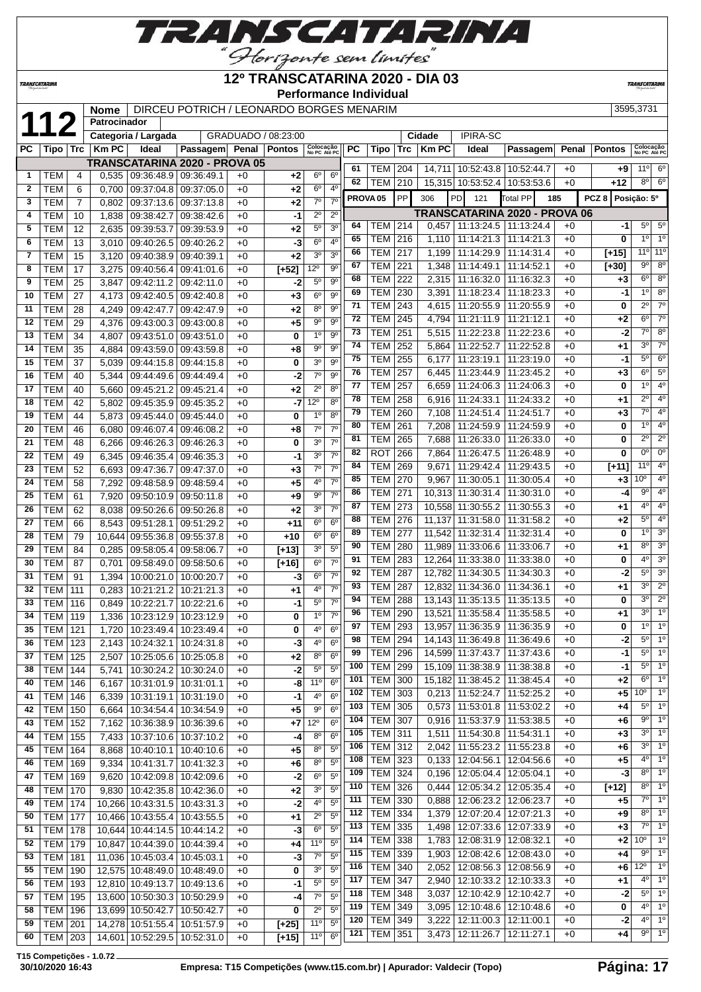

### **12º TRANSCATARINA 2020 - DIA 03**

 TEM 326 0,444 12:05:34.2 12:05:35.4 +0 **[+12]** 8º 1º TEM 330 0,888 12:06:23.2 12:06:23.7 +0 **+5** 7º 1º TEM 334 1,379 12:07:20.4 12:07:21.3 +0 **+9** 8º 1º TEM 335 1,498 12:07:33.6 12:07:33.9 +0 **+3** 7º 1º TEM 338 1,783 12:08:31.9 12:08:32.1 +0 **+2** 10º 1º TEM 339 1,903 12:08:42.6 12:08:43.0 +0 **+4** 9º 1º TEM 340 2,052 12:08:56.3 12:08:56.9 +0 **+6** 12º 1º TEM 347 2,940 12:10:33.2 12:10:33.3 +0 **+1** 4º 1º TEM 348 3,037 12:10:42.9 12:10:42.7 +0 **-2** 5º 1º TEM 349 3,095 12:10:48.6 12:10:48.6 +0 **0** 4º 1º TEM 349 3,222 12:11:00.3 12:11:00.1 +0 **-2** 4º 1º TEM 351 3,473 12:11:26.7 12:11:27.1 +0 **+4** 9º 1º

**Performance Individual**

**TRANSCATAR** 

**TRANSCATARINA** 

|              |            |       | <b>Nome</b>  |                     | DIRCEU POTRICH / LEONARDO BORGES MENARIM |       |                     |                           |                 |           |                 |            |        |                                             |            |     |                |                  | 3595.3731     |                     |  |
|--------------|------------|-------|--------------|---------------------|------------------------------------------|-------|---------------------|---------------------------|-----------------|-----------|-----------------|------------|--------|---------------------------------------------|------------|-----|----------------|------------------|---------------|---------------------|--|
| $1^{\circ}$  |            |       | Patrocinador |                     |                                          |       |                     |                           |                 |           |                 |            |        |                                             |            |     |                |                  |               |                     |  |
|              |            |       |              | Categoria / Largada |                                          |       | GRADUADO / 08:23:00 |                           |                 |           |                 |            | Cidade | <b>IPIRA-SC</b>                             |            |     |                |                  |               |                     |  |
| <b>PC</b>    | Tipo       | ∣ Trc | $Km$ PC      | Ideal               | <b>Passagem</b>                          | Penal | <b>Pontos</b>       | Colocação<br>No PC Até PC |                 | <b>PC</b> | Tipo            | <b>Trc</b> | Km PC  | Ideal                                       | Passagem   |     |                | Penal   Pontos   |               | Colocaç<br>No PC At |  |
|              |            |       |              |                     | <b>TRANSCATARINA 2020 - PROVA 05</b>     |       |                     |                           |                 |           |                 |            |        |                                             |            |     |                |                  |               |                     |  |
|              | TEM        |       |              |                     | 0.535   09:36:48.9   09:36:49.1          | $+0$  | $+2$                | $6^\circ$                 | $6^{\circ}$     | 61        | <b>TEM</b>      | 204        | 14.711 | 10:52:43.8                                  | 10:52:44.7 |     | $+0$           |                  | $+9$          | 11°                 |  |
|              |            |       |              |                     |                                          |       |                     |                           |                 | 62        | <b>TEM</b>      | 210        | 15.315 | 10:53:52.4                                  | 10:53:53.6 |     | $+0$           |                  | $+12$         | $8^{\circ}$         |  |
| $\mathbf{2}$ | <b>TEM</b> | 6     |              |                     | $0.700$   09:37:04.8   09:37:05.0        | $+0$  | $+2$                | 6 <sup>0</sup>            | 4 <sup>0</sup>  |           |                 |            |        |                                             |            |     |                |                  |               |                     |  |
| 3            | TEM        |       |              |                     | $0.802$   09:37:13.6   09:37:13.8        | $+0$  | $+2$                | 70                        | 70 <sub>1</sub> |           | <b>PROVA 05</b> | <b>PP</b>  | 306    | PD<br>121                                   | Total PP   | 185 |                | PCZ 8 Posição: 5 |               |                     |  |
| 4            | <b>TEM</b> | 10    |              |                     | 1.838 09:38:42.7 09:38:42.6              | $+0$  | -11                 | $2^{\circ}$               | $2^{\circ}$     |           |                 |            |        | <b>TRANSCATARINA 2020 - PROVA 06</b>        |            |     |                |                  |               |                     |  |
| 5            | <b>TEM</b> | 12    | 2.635        |                     | 09:39:53.7 09:39:53.9                    | $+0$  | $+2$                | 5 <sup>0</sup>            | 3 <sup>o</sup>  | 64        | <b>TEM 214</b>  |            | 0.457  | 11:13:24.5   11:13:24.4                     |            |     | $+0$           |                  | -11           | $5^{\circ}$         |  |
| 6            | TEM        | 13    | 3.010        |                     | $09:40:26.5$ 09:40:26.2                  | $+0$  | $-3$                | 6 <sup>0</sup>            | 40              | 65        | TEM I           | 216        | 1.110  | 11:14:21.3                                  | 11:14:21.3 |     | $+0$           |                  |               | $1^{\circ}$         |  |
|              | TEM        | 15    |              |                     | 3.120 09:40:38.9 09:40:39.1              | $+0$  | $+2$                | 3 <sup>o</sup>            | 3 <sup>o</sup>  | 66        | <b>TEM</b>      | 217        | 1.199  | 11:14:29.9 11:14:31.4                       |            |     | $+0$           |                  | $[-15]$       | 11°                 |  |
|              |            |       |              |                     |                                          |       |                     |                           |                 | 67        | $TTIM$ 004      |            |        | $A \cap A \cap A A A A A A A A A A A B A A$ |            |     | $\cdot$ $\sim$ |                  | <b>E. 201</b> | $\overline{00}$     |  |

|                |            |     |        | I INARUU ATARRII 17A EULU         |                         | 1 I IV 1 A VY |         |                 |                | 61  | TEM   204           |     |        | 14,711   10:52:43.8   10:52:44.7  |            | +0   | +9      | 11°                           | 6°                                       |
|----------------|------------|-----|--------|-----------------------------------|-------------------------|---------------|---------|-----------------|----------------|-----|---------------------|-----|--------|-----------------------------------|------------|------|---------|-------------------------------|------------------------------------------|
| $\mathbf{1}$   | TEM        | 4   |        | $0,535$   09:36:48.9   09:36:49.1 |                         | $+0$          | +2      | 6 <sup>o</sup>  | 6 <sup>o</sup> | 62  | <b>TEM 210</b>      |     |        | 15,315 10:53:52.4 10:53:53.6      |            | $+0$ | $+12$   |                               | $8^\circ$ 6°                             |
| $\overline{2}$ | <b>TEM</b> | 6   | 0.700  | 09:37:04.8                        | 09:37:05.0              | $+0$          | $+2$    | $6^{\circ}$     | 4 <sup>0</sup> |     |                     | PP  | 306    | PD<br>121                         |            |      | PCZ8    | Posição: 5º                   |                                          |
| 3              | <b>TEM</b> | 7   | 0,802  |                                   | 09:37:13.6 09:37:13.8   | $+0$          | +2      | $7^\circ$       | 7 <sup>0</sup> |     | PROVA <sub>05</sub> |     |        |                                   | Total PP   | 185  |         |                               |                                          |
| 4              | <b>TEM</b> | 10  | 1,838  |                                   | 09:38:42.7 09:38:42.6   | $+0$          | $-1$    | $2^{\circ}$     | $2^{\circ}$    |     |                     |     |        | TRANSCATARINA 2020 - PROVA 06     |            |      |         |                               |                                          |
| 5              | <b>TEM</b> | 12  | 2,635  |                                   | 09:39:53.7 09:39:53.9   | $+0$          | $+2$    | $5^{\circ}$     | 3 <sup>o</sup> | 64  | TEM                 | 214 |        | $0,457$   11:13:24.5   11:13:24.4 |            | $+0$ | -1      | $5^{\circ}$<br>1 <sup>0</sup> | $5^{\circ}$<br>1 <sup>0</sup>            |
| 6              | <b>TEM</b> | 13  | 3.010  | 09:40:26.5                        | 09:40:26.2              | $+0$          | -3      | 6 <sup>o</sup>  | 4 <sup>0</sup> | 65  | <b>TEM</b>          | 216 | 1.110  | 11:14:21.3   11:14:21.3           |            | $+0$ | 0       |                               |                                          |
| $\overline{7}$ | <b>TEM</b> | 15  | 3,120  |                                   | 09:40:38.9 09:40:39.1   | $+0$          | $+2$    | 3 <sup>o</sup>  | 3 <sup>o</sup> | 66  | <b>TEM</b>          | 217 | 1,199  | 11:14:29.9 11:14:31.4             |            | $+0$ | $[+15]$ | 11°<br>$9^{\circ}$            | 11 <sup>c</sup><br>$8^{\circ}$           |
| 8              | <b>TEM</b> | 17  | 3,275  |                                   | 09:40:56.4 09:41:01.6   | $+0$          | $[+52]$ | $12^{\circ}$    | 90             | 67  | <b>TEM</b>          | 221 | 1,348  | 11:14:49.1                        | 11:14:52.1 | $+0$ | $[+30]$ |                               |                                          |
| 9              | <b>TEM</b> | 25  | 3,847  |                                   | 09:42:11.2 09:42:11.0   | $+0$          | -2      | 5 <sup>0</sup>  | $9^{\circ}$    | 68  | TEM                 | 222 | 2,315  | 11:16:32.0   11:16:32.3           |            | $+0$ | $+3$    | 6 <sup>o</sup>                | $8^{\circ}$                              |
| 10             | <b>TEM</b> | 27  | 4,173  |                                   | 09:42:40.5 09:42:40.8   | $+0$          | $+3$    | 6 <sup>o</sup>  | $9^{\circ}$    | 69  | <b>TEM</b>          | 230 | 3,391  | 11:18:23.4                        | 11:18:23.3 | $+0$ | -1      | 1 <sup>0</sup>                | 8 <sup>o</sup><br>$\overline{7}^{\circ}$ |
| 11             | <b>TEM</b> | 28  | 4,249  |                                   | 09:42:47.7 09:42:47.9   | $+0$          | +2      | 8 <sup>0</sup>  | 9 <sup>0</sup> | 71  | <b>TEM</b>          | 243 | 4,615  | 11:20:55.9   11:20:55.9           |            | $+0$ | 0       | $2^{\circ}$                   |                                          |
| 12             | <b>TEM</b> | 29  | 4,376  |                                   | 09:43:00.3   09:43:00.8 | $+0$          | +5      | $9^{\rm o}$     | $9^{\circ}$    | 72  | <b>TEM</b>          | 245 | 4.794  | 11:21:11.9                        | 11:21:12.1 | $+0$ | +2      | 6 <sup>o</sup>                | $7^\circ$                                |
| 13             | <b>TEM</b> | 34  | 4,807  |                                   | 09:43:51.0 09:43:51.0   | $+0$          | 0       | 1 <sup>0</sup>  | $9^{\circ}$    | 73  | TEM                 | 251 | 5,515  | 11:22:23.8                        | 11:22:23.6 | $+0$ | -2      | $7^\circ$                     | $8^{\circ}$                              |
| 14             | <b>TEM</b> | 35  | 4,884  | 09:43:59.0                        | 09:43:59.8              | $+0$          | +8      | 90              | $9^{\circ}$    | 74  | <b>TEM</b>          | 252 | 5.864  | 11:22:52.7   11:22:52.8           |            | $+0$ | $+1$    | 3 <sup>o</sup>                | $\overline{7}$ <sup>o</sup>              |
| 15             | <b>TEM</b> | 37  | 5,039  |                                   | 09:44:15.8 09:44:15.8   | $+0$          | 0       | 3 <sup>o</sup>  | 9 <sup>0</sup> | 75  | <b>TEM</b>          | 255 | 6,177  | 11:23:19.1                        | 11:23:19.0 | $+0$ | $-1$    | $5^\circ$                     | $6^{\circ}$                              |
| 16             | <b>TEM</b> | 40  | 5,344  |                                   | 09:44:49.6 09:44:49.4   | $+0$          | $-2$    | $7^\circ$       | 9 <sup>0</sup> | 76  | <b>TEM</b>          | 257 | 6,445  | 11:23:44.9   11:23:45.2           |            | $+0$ | +3      | 6 <sup>o</sup>                | $5^{\circ}$                              |
| 17             | <b>TEM</b> | 40  | 5.660  |                                   | 09:45:21.2 09:45:21.4   | $+0$          | $+2$    | $2^{\circ}$     | $8^{\circ}$    | 77  | TEM                 | 257 | 6.659  | 11:24:06.3   11:24:06.3           |            | $+0$ | 0       | 1 <sup>0</sup>                | $4^{\circ}$                              |
| 18             | <b>TEM</b> | 42  | 5,802  | 09:45:35.9                        | 09:45:35.2              | $+0$          | $-7$    | $12^{\circ}$    | $8^{\circ}$    | 78  | <b>TEM</b>          | 258 | 6,916  | 11:24:33.1                        | 11:24:33.2 | $+0$ | +1      | $2^{\circ}$                   | 4 <sup>0</sup>                           |
| 19             | <b>TEM</b> | 44  | 5,873  |                                   | 09:45:44.0 09:45:44.0   | $+0$          | 0       | 1 <sup>0</sup>  | 8 <sup>o</sup> | 79  | <b>TEM</b>          | 260 |        | 7,108   11:24:51.4   11:24:51.7   |            | $+0$ | $+3$    | $7^\circ$                     | 4 <sup>0</sup>                           |
| 20             | <b>TEM</b> | 46  | 6,080  |                                   | 09:46:07.4 09:46:08.2   | $+0$          | +8      | 7 <sup>0</sup>  | 7 <sup>0</sup> | 80  | <b>TEM</b>          | 261 | 7,208  | 11:24:59.9   11:24:59.9           |            | $+0$ | 0       | 10                            | 4 <sup>0</sup>                           |
| 21             | <b>TEM</b> | 48  | 6,266  |                                   | 09:46:26.3 09:46:26.3   | $+0$          | 0       | 3 <sup>o</sup>  | 7 <sup>0</sup> | 81  | <b>TEM</b>          | 265 | 7,688  | 11:26:33.0                        | 11:26:33.0 | $+0$ | 0       | $2^{\circ}$                   | $2^{\circ}$                              |
| 22             | <b>TEM</b> | 49  | 6,345  | 09:46:35.4                        | 09:46:35.3              | $+0$          | $-1$    | 3 <sup>0</sup>  | 7 <sup>0</sup> | 82  | <b>ROT</b>          | 266 | 7,864  | 11:26:47.5 11:26:48.9             |            | $+0$ | 0       | 0 <sup>o</sup>                | $\overline{0}$ <sup>o</sup>              |
| 23             | <b>TEM</b> | 52  | 6,693  | 09:47:36.7                        | 09:47:37.0              | $+0$          | $+3$    | $7^\circ$       | 70             | 84  | <b>TEM</b>          | 269 | 9,671  | 11:29:42.4   11:29:43.5           |            | $+0$ | [+11]   | 11°                           | 4 <sup>0</sup>                           |
| 24             | <b>TEM</b> | 58  | 7,292  | 09:48:58.9                        | 09:48:59.4              | $+0$          | +5      | $4^{\circ}$     | 70             | 85  | <b>TEM</b>          | 270 | 9.967  | 11:30:05.1                        | 11:30:05.4 | $+0$ | +3      | 10 <sup>o</sup>               | 4 <sup>0</sup>                           |
| 25             | <b>TEM</b> | 61  | 7,920  |                                   | 09:50:10.9 09:50:11.8   | $+0$          | $+9$    | 9 <sup>o</sup>  | $7^\circ$      | 86  | <b>TEM</b>          | 271 |        | 10,313 11:30:31.4 11:30:31.0      |            | $+0$ | $-4$    | $9^{\circ}$                   | 4 <sup>0</sup>                           |
| 26             | <b>TEM</b> | 62  | 8,038  | 09:50:26.6                        | 09:50:26.8              | $+0$          | $+2$    | 3 <sup>0</sup>  | 70             | 87  | <b>TEM</b>          | 273 |        | 10,558 11:30:55.2 11:30:55.3      |            | $+0$ | $+1$    | 4 <sup>0</sup>                | 4 <sup>0</sup>                           |
| 27             | <b>TEM</b> | 66  | 8,543  | 09:51:28.1                        | 09:51:29.2              | $+0$          | $+11$   | 6 <sup>o</sup>  | 6 <sup>o</sup> | 88  | <b>TEM</b>          | 276 |        | 11,137 11:31:58.0 11:31:58.2      |            | $+0$ | +2      | $5^\circ$                     | 4 <sup>0</sup>                           |
| 28             | <b>TEM</b> | 79  | 10,644 | 09:55:36.8                        | 09:55:37.8              | $+0$          | $+10$   | 6 <sup>o</sup>  | 6 <sup>o</sup> | 89  | <b>TEM</b>          | 277 | 11,542 | 11:32:31.4   11:32:31.4           |            | $+0$ | 0       | 1 <sup>0</sup>                | 3 <sup>0</sup>                           |
| 29             | <b>TEM</b> | 84  | 0,285  |                                   | 09:58:05.4 09:58:06.7   | $+0$          | $[+13]$ | 3 <sup>0</sup>  | $5^{\circ}$    | 90  | TEM                 | 280 | 11,989 | 11:33:06.6                        | 11:33:06.7 | $+0$ | +1      | $8^{\circ}$                   | 3 <sup>0</sup>                           |
| 30             | <b>TEM</b> | 87  | 0,701  | 09:58:49.0                        | 09:58:50.6              | $+0$          | $[+16]$ | 6 <sup>o</sup>  | 7 <sup>0</sup> | 91  | <b>TEM</b>          | 283 |        | 12,264 11:33:38.0 11:33:38.0      |            | $+0$ | 0       | 4 <sup>0</sup>                | $\overline{3^0}$                         |
| 31             | <b>TEM</b> | 91  | 1,394  |                                   | 10:00:21.0   10:00:20.7 | $+0$          | -3      | $6^{\circ}$     | 70             | 92  | <b>TEM</b>          | 287 |        | 12,782 11:34:30.5                 | 11:34:30.3 | $+0$ | $-2$    | $5^{\circ}$                   | $\overline{3^0}$                         |
| 32             | <b>TEM</b> | 111 | 0,283  | 10:21:21.2                        | 10:21:21.3              | $+0$          | +1      | $4^{\circ}$     | $7^\circ$      | 93  | <b>TEM</b>          | 287 | 12,832 | 11:34:36.0                        | 11:34:36.1 | $+0$ | +1      | 3 <sup>o</sup>                | $\overline{2^0}$                         |
| 33             | <b>TEM</b> | 116 | 0,849  | 10:22:21.7                        | 10:22:21.6              | $+0$          | -1      | 5 <sup>0</sup>  | $7^\circ$      | 94  | <b>TEM</b>          | 288 |        | 13,143 11:35:13.5 11:35:13.5      |            | $+0$ | 0       | 3 <sup>o</sup>                | $2^{\circ}$                              |
| 34             | <b>TEM</b> | 119 | 1,336  | 10:23:12.9                        | 10:23:12.9              | $+0$          | 0       | 1 <sup>0</sup>  | $7^\circ$      | 96  | <b>TEM</b>          | 290 | 13,521 | 11:35:58.4                        | 11:35:58.5 | $+0$ | +1      | 3 <sup>0</sup>                | 1 <sup>0</sup>                           |
| 35             | <b>TEM</b> | 121 | 1,720  | 10:23:49.4                        | 10:23:49.4              | $+0$          | 0       | 4 <sup>0</sup>  | $6^{\circ}$    | 97  | TEM                 | 293 |        | 13,957 11:36:35.9 11:36:35.9      |            | $+0$ | 0       | 1°                            | $\overline{1^0}$                         |
| 36             | <b>TEM</b> | 123 | 2,143  |                                   | 10:24:32.1   10:24:31.8 | $+0$          | -3      | 4 <sup>0</sup>  | 6 <sup>0</sup> | 98  | <b>TEM</b>          | 294 |        | 14,143 11:36:49.8 11:36:49.6      |            | $+0$ | $-2$    | $5^{\circ}$                   | 1 <sup>0</sup>                           |
| 37             | <b>TEM</b> | 125 | 2,507  | 10:25:05.6                        | 10:25:05.8              | $+0$          | $+2$    | 8 <sup>o</sup>  | 6 <sup>o</sup> | 99  | <b>TEM</b>          | 296 |        | 14,599 11:37:43.7                 | 11:37:43.6 | $+0$ | $-1$    | $5^{\circ}$                   | 1 <sup>0</sup>                           |
| 38             | <b>TEM</b> | 144 | 5,741  | 10:30:24.2                        | 10:30:24.0              | $+0$          | -2      | $5^{\circ}$     | $5^{\circ}$    | 100 | <b>TEM</b>          | 299 |        | 15,109 11:38:38.9 11:38:38.8      |            | $+0$ | $-1$    | $5^{\circ}$                   | 1 <sup>0</sup>                           |
| 40             | <b>TEM</b> | 146 | 6,167  |                                   | 10:31:01.9   10:31:01.1 | $+0$          | -8      | 11 <sup>0</sup> | 6 <sup>o</sup> | 101 | <b>TEM</b>          | 300 |        | 15,182 11:38:45.2 11:38:45.4      |            | $+0$ | +2      | $6^{\circ}$                   | 1 <sup>0</sup>                           |
| 41             | <b>TEM</b> | 146 | 6,339  | 10:31:19.1                        | 10:31:19.0              | $+0$          | $-1$    | 4 <sup>0</sup>  | 6 <sup>0</sup> | 102 | <b>TEM</b>          | 303 | 0.213  | 11:52:24.7                        | 11:52:25.2 | $+0$ | $+5$    | 10 <sup>o</sup>               | 1 <sup>0</sup>                           |
| 42             | <b>TEM</b> | 150 | 6,664  | 10:34:54.4                        | 10:34:54.9              | $+0$          | $+5$    | $9^{\circ}$     | 6 <sup>0</sup> | 103 | <b>TEM</b>          | 305 | 0,573  | 11:53:01.8   11:53:02.2           |            | $+0$ | $+4$    | $5^{\circ}$                   | 1 <sup>0</sup>                           |
| 43             | <b>TEM</b> | 152 | 7,162  | 10:36:38.9                        | 10:36:39.6              | $+0$          | $+7$    | $12^{\circ}$    | 6 <sup>0</sup> | 104 | <b>TEM</b>          | 307 | 0,916  | 11:53:37.9                        | 11:53:38.5 | $+0$ | +6      | $9^{\circ}$                   | $\overline{10}$                          |
| 44             | <b>TEM</b> | 155 | 7,433  | 10:37:10.6                        | 10:37:10.2              | $+0$          | -4      | 8 <sup>0</sup>  | 6 <sup>o</sup> | 105 | <b>TEM</b>          | 311 | 1,511  | 11:54:30.8   11:54:31.1           |            | $+0$ | $+3$    | $3^{\circ}$                   | $\overline{1^0}$                         |
| 45             | <b>TEM</b> | 164 | 8.868  | 10:40:10.1                        | 10:40:10.6              | $+0$          | $+5$    | 8 <sup>0</sup>  | 5 <sup>0</sup> | 106 | <b>TEM</b>          | 312 | 2.042  | 11:55:23.2                        | 11:55:23.8 | $+0$ | +6      | 3 <sup>0</sup>                | 1 <sup>0</sup>                           |
| 46             | <b>TEM</b> | 169 | 9,334  | 10:41:31.7                        | 10:41:32.3              | $+0$          | $+6$    | 8 <sup>o</sup>  | 5 <sup>0</sup> | 108 | TEM                 | 323 | 0,133  | 12:04:56.1                        | 12:04:56.6 | $+0$ | +5      | $4^{\circ}$                   | 1 <sup>0</sup>                           |
| 47             | <b>TEM</b> | 169 |        | 9,620 10:42:09.8 10:42:09.6       |                         | $+0$          | $-2$    | $6^{\circ}$     | $5^{\circ}$    | 109 | <b>TEM</b>          | 324 | 0.196  | 12:05:04.4   12:05:04.1           |            | $+0$ | $-3$    | 8 <sup>o</sup>                | 1 <sup>0</sup>                           |
|                |            |     |        |                                   |                         |               |         |                 |                |     |                     |     |        |                                   |            |      |         |                               |                                          |

 TEM 170 9,830 10:42:35.8 10:42:36.0 +0 **+2** 3º 5º TEM 174 10,266 10:43:31.5 10:43:31.3 +0 **-2** 4º 5º TEM 177 10,466 10:43:55.4 10:43:55.5 +0 **+1** 2º 5º TEM 178 10,644 10:44:14.5 10:44:14.2 +0 **-3** 6º 5º TEM 179 10,847 10:44:39.0 10:44:39.4 +0 **+4** 11º 5º TEM 181 11,036 10:45:03.4 10:45:03.1 +0 **-3** 7º 5º TEM 190 12,575 10:48:49.0 10:48:49.0 +0 **0** 3º 5º TEM 193 12,810 10:49:13.7 10:49:13.6 +0 **-1** 5º 5º TEM 195 13,600 10:50:30.3 10:50:29.9 +0 **-4** 7º 5º TEM 196 13,699 10:50:42.7 10:50:42.7 +0 **0** 2º 5º TEM 201 14,278 10:51:55.4 10:51:57.9 +0 **[+25]** 11 TEM 203 14,601 10:52:29.5 10:52:31.0 +0 **[+15]** 11º 6º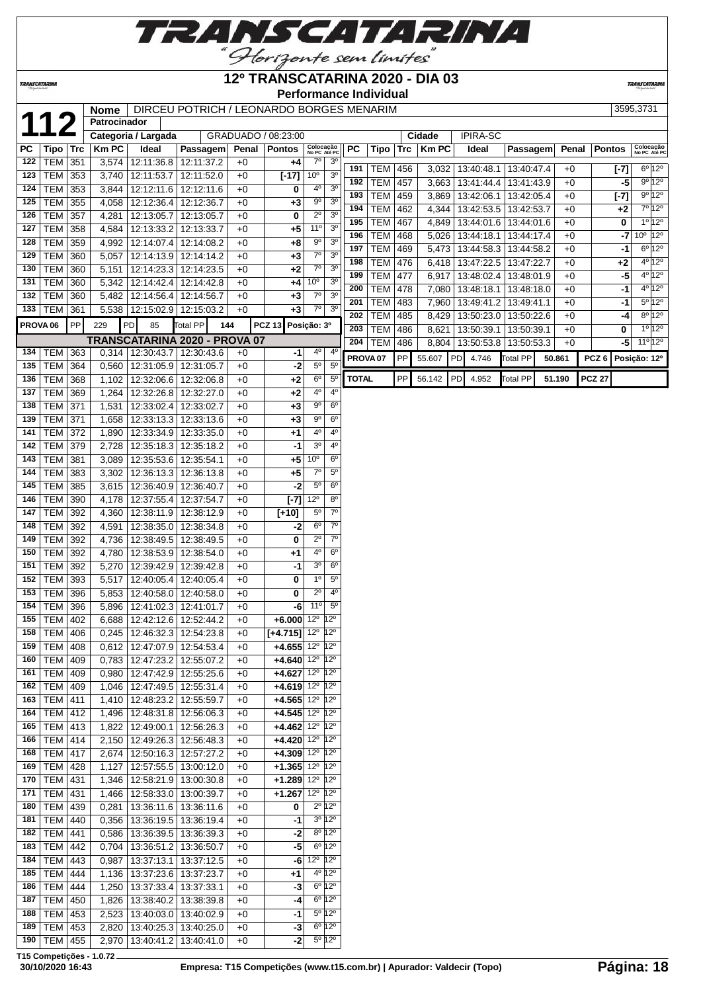

#### **12º TRANSCATARINA 2020 - DIA 03**

**Performance Individual**

**TRANSCATAR** 

**Patrocinador PC Tipo Trc Km PC Ideal Passagem Penal Pontos Colocação** TEM 351 3,574 12:11:36.8 12:11:37.2 +0 **+4** 7º 3º TEM 353 3,740 12:11:53.7 12:11:52.0 +0 **[-17]** 10º 3º TEM 353 3,844 12:12:11.6 12:12:11.6 +0 **0** 4º 3º TEM 355 4,058 12:12:36.4 12:12:36.7 +0 **+3** 9º 3º | TEM | 357 | 4,281 | 12:13:05.7 | 12:13:05.7 | +0 | **0** | 2<sup>°</sup> | 3<sup>°</sup> TEM 358 4,584 12:13:33.2 12:13:33.7 +0 **+5** 11º 3º TEM 359 4,992 12:14:07.4 12:14:08.2 +0 **+8** 9º 3º TEM 360 5,057 12:14:13.9 12:14:14.2 +0 **+3** 7º 3º TEM 360 5,151 12:14:23.3 12:14:23.5 +0 **+2** 7º 3º TEM 360 5,342 12:14:42.4 12:14:42.8 +0 **+4** 10º 3º TEM 360 5,482 12:14:56.4 12:14:56.7 +0 **+3** 7º 3º TEM 361 5,538 12:15:02.9 12:15:03.2 +0 **+3** 7º 3º **PROVA 06** PP 229 PD 85 Total PP **144 PCZ 13 Posição: 3º TRANSCATARINA 2020 - PROVA 07** TEM 363 0,314 12:30:43.7 12:30:43.6 +0 **-1** 4º 4º TEM 364 0,560 12:31:05.9 12:31:05.7 +0 **-2** 5º 5º TEM 368 1,102 12:32:06.6 12:32:06.8 +0 **+2** 6º 5º TEM 369 1,264 12:32:26.8 12:32:27.0 +0 **+2** 4º 4º TEM 371 1,531 12:33:02.4 12:33:02.7 +0 **+3** 9º 6º TEM 371 1,658 12:33:13.3 12:33:13.6 +0 **+3** 9º 6º TEM 372 1,890 12:33:34.9 12:33:35.0 +0 **+1** 4º 4º TEM 379 2,728 12:35:18.3 12:35:18.2 +0 **-1** 3º 4º TEM 381 3,089 12:35:53.6 12:35:54.1 +0 **+5** 10º 6º TEM 383 3,302 12:36:13.3 12:36:13.8 +0 **+5** 7º 5º TEM 385 3,615 12:36:40.9 12:36:40.7 +0 **-2** 5º 6º TEM 390 4,178 12:37:55.4 12:37:54.7 +0 **[-7]** 12º 8º TEM 392 4,360 12:38:11.9 12:38:12.9 +0 **[+10]** 5º 7º TEM 392 4,591 12:38:35.0 12:38:34.8 +0 **-2** 6º 7º | TEM | 392 | 4,736 | 12:38:49.5 | 12:38:49.5 | +0 | **0** | 2<sup>°</sup> | 7<sup>°</sup> TEM 392 4,780 12:38:53.9 12:38:54.0 +0 **+1** 4º 6º TEM 392 5,270 12:39:42.9 12:39:42.8 +0 **-1** 3º 6º | TEM | 393 | 5,517 | 12:40:05.4 | 12:40:05.4 | +0 | **0** | 1<sup>o</sup> | 5<sup>o</sup> TEM 396 5,853 12:40:58.0 12:40:58.0 +0 **0** 2º 4º TEM 396 5,896 12:41:02.3 12:41:01.7 +0 **-6** 11º 5º TEM 402 6,688 12:42:12.6 12:52:44.2 +0 **+6.000** 12º 12º TEM 406 0,245 12:46:32.3 12:54:23.8 +0 **[+4.715]** 12º 12º TEM 408 0.612 12:47:07.9 12:54:53.4 +0 **+4.655** 12<sup>°</sup> 12<sup>°</sup> | TEM | 409 | 0,783 | 12:47:23.2 | 12:55:07.2 | +0 | +4.640 | 12<sup>°</sup> | 12<sup>°</sup> | TEM | 409 | 0,980 | 12:47:42.9 | 12:55:25.6 | +0 | +4.627 | 12<sup>°</sup> | 12<sup>°</sup> TEM 409 1,046 12:47:49.5 12:55:31.4 +0 **+4.619** 12º 12º TEM 411 1,410 12:48:23.2 12:55:59.7 +0 **+4.565** 12º 12º TEM 412 1,496 12:48:31.8 12:56:06.3 +0 **+4.545** 12º 12º TEM 413 1,822 12:49:00.1 12:56:26.3 +0 **+4.462** 12º 12º TEM 414 2,150 12:49:26.3 12:56:48.3 +0 **+4.420** 12º 12º TEM 417 2,674 12:50:16.3 12:57:27.2 +0 **+4.309** 12º 12º TEM 428 1,127 12:57:55.5 13:00:12.0 +0 **+1.365** 12º 12º TEM 431 1,346 12:58:21.9 13:00:30.8 +0 **+1.289** 12º 12º TEM 431 1,466 12:58:33.0 13:00:39.7 +0 **+1.267** 12º 12º TEM 439 0,281 13:36:11.6 13:36:11.6 +0 **0** 2º 12º TEM 440 0,356 13:36:19.5 13:36:19.4 +0 **-1** 3º 12º TEM 441 0,586 13:36:39.5 13:36:39.3 +0 **-2** 8º 12º TEM 442 0,704 13:36:51.2 13:36:50.7 +0 **-5** 6º 12º TEM 443 0,987 13:37:13.1 13:37:12.5 +0 **-6** 12º 12º TEM 444 1,136 13:37:23.6 13:37:23.7 +0 **+1** 4º 12º TEM 444 1,250 13:37:33.4 13:37:33.1 +0 **-3** 6º 12º TEM 450 1,826 13:38:40.2 13:38:39.8 +0 **-4** 6º 12º TEM 453 2,523 13:40:03.0 13:40:02.9 +0 **-1** 5º 12º TEM 453 2,820 13:40:25.3 13:40:25.0 +0 **-3** 6º 12º TEM 455 2,970 13:40:41.2 13:40:41.0 +0 **-2** 5º 12º

 **Nome** DIRCEU POTRICH / LEONARDO BORGES MENARIM 3595,3731<br> **12 Patrocinador**<br>
Categoria / Largada GRADUADO / 08:23:00 **Cidade** PIPIRA-SC Categoria / Largada | GRADUADO / 08:23:00 | Cidade | IPIRA-SC **No PC Até PC PC Tipo Trc Km PC Ideal Passagem Penal Pontos Colocação No PC Até PC** TEM 456 3,032 13:40:48.1 13:40:47.4 +0 **[-7]** 6º 12º TEM 457 3,663 13:41:44.4 13:41:43.9 +0 **-5** 9º 12º TEM 459 3,869 13:42:06.1 13:42:05.4 +0 **[-7]** 9º 12º TEM 462 4,344 13:42:53.5 13:42:53.7 +0 **+2** 7º 12º TEM 467 4,849 13:44:01.6 13:44:01.6 +0 **0** 1º 12º TEM 468 5,026 13:44:18.1 13:44:17.4 +0 -7 10<sup>°</sup> 12<sup>°</sup> TEM 469 5,473 13:44:58.3 13:44:58.2 +0 **-1** 6º 12º TEM | 476 | 6,418 | 13:47:22.5 | 13:47:22.7 | +0 | +2 | 4<sup>o</sup> | 12<sup>o</sup> TEM 477 6,917 13:48:02.4 13:48:01.9 +0 **-5** 4º 12º TEM 478 7,080 13:48:18.1 13:48:18.0 +0 **-1** 4º 12º TEM 483 7,960 13:49:41.2 13:49:41.1 +0 **-1** 5º 12º TEM 485 8,429 13:50:23.0 13:50:22.6 +0 **-4** 8º 12º TEM 486 8,621 13:50:39.1 13:50:39.1 +0 **0** 1º 12<sup>c</sup> TEM 486 8,804 13:50:53.8 13:50:53.3 +0 -5 11<sup>o</sup> 12<sup>c</sup> **PROVA 07** PP 55.607 PD 4.746 Total PP **50.861 PCZ 6 Posição: 12º TOTAL** PP 56.142 PD 4.952 Total PP **51.190 PCZ 27**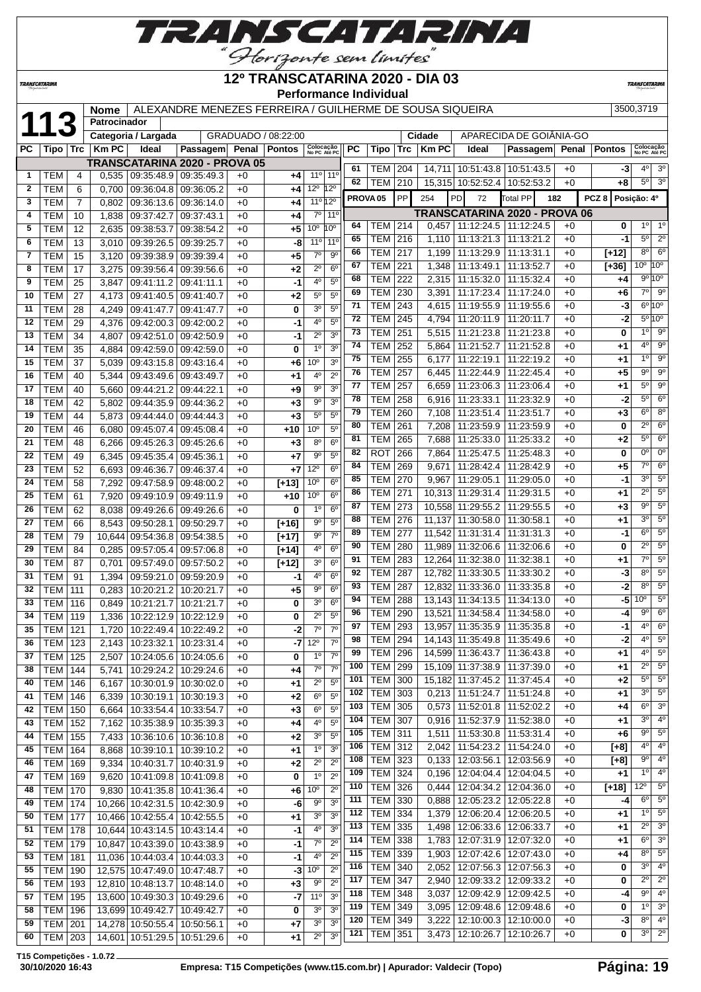

| <b>TRANSCATARINA</b> |                                  |                |              |                                                                      |                                                          |              | 12º TRANSCATARINA 2020 - DIA 03 |                           |                                  |     | <b>Performance Individual</b> |            |                |                                   |                                      |              |                  | <b>TRANSCATARINA</b>             |  |
|----------------------|----------------------------------|----------------|--------------|----------------------------------------------------------------------|----------------------------------------------------------|--------------|---------------------------------|---------------------------|----------------------------------|-----|-------------------------------|------------|----------------|-----------------------------------|--------------------------------------|--------------|------------------|----------------------------------|--|
|                      |                                  |                | <b>Nome</b>  |                                                                      | ALEXANDRE MENEZES FERREIRA / GUILHERME DE SOUSA SIQUEIRA |              |                                 |                           |                                  |     |                               |            |                |                                   |                                      |              |                  | 3500,3719                        |  |
|                      |                                  |                | Patrocinador |                                                                      |                                                          |              |                                 |                           |                                  |     |                               |            |                |                                   |                                      |              |                  |                                  |  |
|                      |                                  |                |              | Categoria / Largada                                                  |                                                          |              | GRADUADO / 08:22:00             |                           |                                  |     |                               |            | Cidade         |                                   | APARECIDA DE GOIÁNIA-GO              |              |                  |                                  |  |
| PC                   | Tipo                             | <b>Trc</b>     | <b>Km PC</b> | Ideal                                                                | Passagem                                                 | Penal        | <b>Pontos</b>                   | Colocação<br>No PC Até PC |                                  | PC  | Tipo                          | Trc        | <b>Km PC</b>   | Ideal                             | Passagem                             | Penal        | <b>Pontos</b>    | Colocação<br>No PC Até PO        |  |
|                      |                                  |                |              |                                                                      | TRANSCATARINA 2020 - PROVA 05                            |              |                                 |                           |                                  | 61  | TEM                           | 204        |                |                                   | 14,711   10:51:43.8   10:51:43.5     | $+0$         | -3               | $4^{\circ}$<br>3 <sup>0</sup>    |  |
| 1                    | TEM                              | 4              |              | 0.535   09:35:48.9   09:35:49.3                                      |                                                          | $+0$         | +4                              |                           | $11^{\circ}$ 11 <sup>°</sup>     | 62  | <b>TEM</b>                    | 210        |                | 15.315 10:52:52.4                 | 10:52:53.2                           | $+0$         | +8               | $\overline{3^0}$<br>$5^{\circ}$  |  |
| $\mathbf{2}$         | <b>TEM</b>                       | 6              | 0.700        | 09:36:04.8                                                           | 09:36:05.2                                               | $+0$         | +4                              | 12º 12º                   |                                  |     | PROVA <sub>05</sub>           | PP         | 254            | PD<br>72                          | <b>Total PP</b>                      | 182          | PCZ <sub>8</sub> | Posição: 4º                      |  |
| 3                    | <b>TEM</b>                       | $\overline{7}$ |              | $0,802$   09:36:13.6   09:36:14.0                                    |                                                          | $+0$         | +4                              | 11º 12º                   |                                  |     |                               |            |                |                                   |                                      |              |                  |                                  |  |
| 4                    | <b>TEM</b>                       | 10             | 1,838        | 09:37:42.7                                                           | 09:37:43.1                                               | $+0$         | +4                              |                           | 7 <sup>o</sup> 11 <sup>o</sup>   | 64  |                               |            |                |                                   | <b>TRANSCATARINA 2020 - PROVA 06</b> |              |                  | 1 <sup>c</sup><br>$1^{\circ}$    |  |
| 5                    | <b>TEM</b>                       | 12             | 2,635        | 09:38:53.7                                                           | 09:38:54.2                                               | $+0$         | +5                              | 10 <sup>o</sup>           | 10 <sup>o</sup>                  | 65  | TEM<br><b>TEM</b>             | 214<br>216 | 0,457<br>1,110 | 11:12:24.5<br>11:13:21.3          | 11:12:24.5<br>11:13:21.2             | $+0$<br>$+0$ | 0<br>-1          | $5^{\circ}$<br>2 <sup>o</sup>    |  |
| 6                    | TEM                              | 13             | 3.010        | 09:39:26.5                                                           | 09:39:25.7                                               | $+0$         | -8                              |                           | $11^{\circ}$ 11 <sup>°</sup>     | 66  | <b>TEM</b>                    | 217        | 1,199          |                                   | 11:13:29.9   11:13:31.1              | $+0$         | $[+12]$          | $8^{\circ}$<br>6 <sup>o</sup>    |  |
| $\overline{7}$       | тем                              | 15             | 3,120        | 09:39:38.9                                                           | 09:39:39.4                                               | $+0$         | $+5$                            | $7^\circ$                 | $9^{\circ}$                      | 67  | <b>TEM</b>                    | 221        | 1,348          | 11:13:49.1                        | 11:13:52.7                           | $+0$         | $[+36]$          | 10 <sup>o</sup> 10 <sup>o</sup>  |  |
| 8                    | тем                              | 17             | 3,275        | 09:39:56.4                                                           | 09:39:56.6                                               | $+0$         | +2                              | $2^{\circ}$               | $6^{\circ}$                      | 68  | <b>TEM</b>                    | 222        | 2,315          | 11:15:32.0                        | 11:15:32.4                           | $+0$         | +4               | 9° 10°                           |  |
| 9                    | тем                              | 25             | 3,847        | 09:41:11.2                                                           | 09:41:11.1                                               | $+0$         | -1                              | 4º                        | 5 <sup>0</sup>                   | 69  | <b>TEM</b>                    | 230        | 3,391          | 11:17:23.4                        | 11:17:24.0                           | $+0$         | $+6$             | $7^\circ$<br>9 <sup>o</sup>      |  |
| 10                   | <b>TEM</b>                       | 27             | 4,173        | 09:41:40.5                                                           | 09:41:40.7                                               | $+0$         | +2                              | $5^{\circ}$               | 5 <sup>0</sup>                   | 71  | <b>TEM</b>                    | 243        | 4.615          |                                   | 11:19:55.9   11:19:55.6              | $+0$         | -3               | $6^{\circ}10^{\circ}$            |  |
| 11                   | <b>TEM</b>                       | 28             | 4,249        | 09:41:47.7                                                           | 09:41:47.7                                               | $+0$         | 0                               | 3 <sup>0</sup>            | 5 <sup>0</sup>                   | 72  | TEM                           | 245        | 4,794          | 11:20:11.9                        | 11:20:11.7                           | $+0$         | $-2$             | $5^{\circ}10^{\circ}$            |  |
| 12                   | <b>TEM</b>                       | 29             | 4,376        | 09:42:00.3                                                           | 09:42:00.2                                               | $+0$         | $-1$                            | 40                        | 5 <sup>0</sup>                   | 73  | <b>TEM</b>                    | 251        | 5,515          |                                   | 11:21:23.8 11:21:23.8                | $+0$         | 0                | 9 <sup>o</sup><br>$1^{\circ}$    |  |
| 13                   | <b>TEM</b>                       | 34             | 4,807        | 09:42:51.0                                                           | 09:42:50.9                                               | $+0$         | -1                              | $2^{\circ}$               | 3 <sup>o</sup>                   | 74  | <b>TEM</b>                    | 252        | 5,864          | 11:21:52.7                        | 11:21:52.8                           | $+0$         | +1               | $4^{\circ}$<br>9 <sup>o</sup>    |  |
| 14                   | <b>TEM</b>                       | 35             | 4,884        | 09:42:59.0                                                           | 09:42:59.0                                               | $+0$         | 0                               | 1 <sup>0</sup>            | 3 <sup>0</sup>                   | 75  | <b>TEM</b>                    | 255        | 6,177          | 11:22:19.1                        | 11:22:19.2                           | +0           | +1               | 1 <sup>0</sup><br>9 <sup>o</sup> |  |
| 15                   | TEM                              | 37             | 5.039        | 09:43:15.8                                                           | 09:43:16.4                                               | $+0$         | +6                              | 10 <sup>o</sup>           | 3 <sup>0</sup>                   | 76  | <b>TEM</b>                    | 257        | 6,445          |                                   | 11:22:44.9   11:22:45.4              | $+0$         | $+5$             | $9^{\circ}$<br>9 <sup>o</sup>    |  |
| 16                   | TEM                              | 40             | 5,344        | 09:43:49.6                                                           | 09:43:49.7                                               | $+0$         | +1                              | $\overline{4^0}$          | $2^{\circ}$                      | 77  | <b>TEM</b>                    | 257        | 6,659          |                                   | 11:23:06.3 11:23:06.4                | $+0$         | $+1$             | $5^{\circ}$<br>9 <sup>o</sup>    |  |
| 17                   | <b>TEM</b>                       | 40             | 5,660        | 09:44:21.2                                                           | 09:44:22.1                                               | $+0$         | +9                              | 90                        | 3 <sup>o</sup>                   | 78  | <b>TEM</b>                    | 258        | 6,916          | 11:23:33.1                        | 11:23:32.9                           | $+0$         | -2               | $5^{\circ}$<br>6 <sup>o</sup>    |  |
| 18                   | TEM                              | 42             | 5,802        | 09:44:35.9                                                           | 09:44:36.2                                               | $+0$         | +3                              | $9^{\circ}$               | 3 <sup>0</sup>                   | 79  | <b>TEM</b>                    | 260        | 7,108          | 11:23:51.4                        | 11:23:51.7                           | $+0$         | +3               | 6 <sup>o</sup><br>8 <sup>o</sup> |  |
| 19                   | <b>TEM</b>                       | 44             | 5,873        | 09:44:44.0                                                           | 09:44:44.3                                               | $+0$         | $+3$                            | $5^{\circ}$               | $5^{\circ}$                      | 80  | <b>TEM</b>                    | 261        | 7.208          | 11:23:59.9                        | 11:23:59.9                           | $+0$         | 0                | $2^{\circ}$<br>6 <sup>o</sup>    |  |
| 20                   | <b>TEM</b>                       | 46             | 6,080        | 09:45:07.4                                                           | 09:45:08.4                                               | $+0$         | $+10$                           | 10 <sup>o</sup>           | 5 <sup>0</sup>                   | 81  | <b>TEM</b>                    | 265        | 7,688          | 11:25:33.0                        | 11:25:33.2                           | $+0$         | +2               | $5^{\circ}$<br>6 <sup>o</sup>    |  |
| 21                   | <b>TEM</b>                       | 48             | 6,266        | 09:45:26.3                                                           | 09:45:26.6                                               | $+0$         | $+3$                            | $8^{\circ}$               | 6 <sup>o</sup>                   | 82  | <b>ROT</b>                    | 266        | 7,864          | 11:25:47.5                        | 11:25:48.3                           | $+0$         | 0                | $0^{\circ}$<br>$0^{\circ}$       |  |
| 22                   | TEM                              | 49             | 6,345        | 09:45:35.4                                                           | 09:45:36.1                                               | $+0$         | $+7$                            | $9^{\circ}$               | $5^{\circ}$                      | 84  | <b>TEM</b>                    | 269        | 9.671          | 11:28:42.4                        | 11:28:42.9                           | $+0$         | +5               | $7^\circ$<br>6 <sup>o</sup>      |  |
| 23                   | <b>TEM</b>                       | 52             | 6,693        | 09:46:36.7                                                           | 09:46:37.4                                               | $+0$         | $+7$                            | $12^{\circ}$              | 6 <sup>o</sup>                   | 85  | <b>TEM</b>                    | 270        | 9,967          | 11:29:05.1                        | 11:29:05.0                           | $+0$         | -1               | 3 <sup>o</sup><br>5 <sup>o</sup> |  |
| 24                   | TEM                              | 58             | 7,292        | 09:47:58.9                                                           | 09:48:00.2                                               | $+0$         | $[+13]$                         | 10 <sup>o</sup>           | 6 <sup>o</sup><br>6 <sup>o</sup> | 86  | <b>TEM</b>                    | 271        | 10,313         | 11:29:31.4                        | 11:29:31.5                           | $+0$         | +1               | $2^{\circ}$<br>$5^\circ$         |  |
| 25                   | тем                              | 61             | 7,920        | 09:49:10.9                                                           | 09:49:11.9                                               | $+0$         | $+10$                           | 10 <sup>o</sup>           |                                  | 87  | TEM                           | 273        | 10.558         | 11:29:55.2                        | 11:29:55.5                           | $+0$         | $+3$             | 5 <sup>o</sup><br>$9^{\circ}$    |  |
| 26                   | <b>TEM</b>                       | 62             | 8,038        | 09:49:26.6                                                           | 09:49:26.6                                               | $+0$         | 0                               | 1 <sup>0</sup>            | 6 <sup>o</sup>                   | 88  | TEM                           | 276        | 11,137         | 11:30:58.0                        | 11:30:58.1                           | $+0$         | $+1$             | 5 <sup>o</sup><br>$3^{\circ}$    |  |
| 27                   | TEM                              | 66             | 8,543        | 09:50:28.1                                                           | 09:50:29.7                                               | $+0$         | $[+16]$                         | $9^{\circ}$<br>90         | $5^{\circ}$<br>$7^\circ$         | 89  | TEM                           | 277        | 11.542         | 11:31:31.4                        | 11:31:31.3                           | $+0$         | -1               | $6^{\circ}$<br>5 <sup>o</sup>    |  |
| 28                   | <b>TEM</b>                       | 79             | 10,644       | 09:54:36.8                                                           | 09:54:38.5                                               | $+0$         | $[+17]$                         | 4 <sup>0</sup>            | 6 <sup>o</sup>                   | 90  | <b>TEM</b>                    | 280        |                | 11,989 11:32:06.6 11:32:06.6      |                                      | $+0$         | 0                | $2^{\circ}$<br>5 <sup>o</sup>    |  |
| 29                   | <b>TEM</b>                       | 84             |              | 0.285   09:57:05.4   09:57:06.8                                      |                                                          | $+0$         | $[+14]$                         | $3^{\circ}$               | $6^{\circ}$                      | 91  | TEM   283                     |            |                | 12,264 11:32:38.0 11:32:38.1      |                                      | $+0$         | +1               | 5 <sup>o</sup><br>7°             |  |
| 30                   | TEM  <br>TEM                     | 87             |              | $0,701$   09:57:49.0   09:57:50.2<br>1,394 09:59:21.0 09:59:20.9     |                                                          | $+0$         | $[+12]$                         | $4^{\circ}$               | $6^{\circ}$                      | 92  | <b>TEM 287</b>                |            |                |                                   | 12,782 11:33:30.5 11:33:30.2         | $+0$         | $-3$             | 5 <sup>o</sup><br>$8^{\circ}$    |  |
| 31                   |                                  | 91             |              |                                                                      |                                                          | $+0$         | -1                              | $9^{\circ}$               | $6^{\circ}$                      | 93  | <b>TEM</b>                    | 287        |                |                                   | 12,832 11:33:36.0 11:33:35.8         | $+0$         | $-2$             | 5 <sup>o</sup><br>$8^{\circ}$    |  |
| 32<br>33             | <b>TEM 111</b><br><b>TEM 116</b> |                |              | $0,283$   10:20:21.2   10:20:21.7<br>0,849   10:21:21.7   10:21:21.7 |                                                          | $+0$<br>$+0$ | $+5$<br>0                       | 3 <sup>o</sup>            | 6 <sup>o</sup>                   | 94  | <b>TEM 288</b>                |            |                |                                   | 13,143 11:34:13.5 11:34:13.0         | +0           | $-5$             | 10 <sup>o</sup><br>$5^\circ$     |  |
| 34                   |                                  |                |              |                                                                      |                                                          |              |                                 | $2^{\circ}$               | $5^{\circ}$                      | 96  | TEM                           | 290        |                |                                   | 13,521 11:34:58.4 11:34:58.0         | $+0$         | -4               | 6 <sup>o</sup><br>$9^{\circ}$    |  |
| 35                   | <b>TEM   119</b><br>TEM          | 121            |              | 1,336   10:22:12.9   10:22:12.9<br>1,720   10:22:49.4   10:22:49.2   |                                                          | $+0$         | 0<br>$-2$                       | $7^\circ$                 | $7^\circ$                        | 97  | <b>TEM</b>                    | 293        |                |                                   | 13,957 11:35:35.9 11:35:35.8         | $+0$         | -1               | $4^{\circ}$<br>6 <sup>°</sup>    |  |
| 36                   | TEM                              |                |              | 2,143   10:23:32.1   10:23:31.4                                      |                                                          | $+0$<br>$+0$ |                                 | $-7$ 12 <sup>o</sup>      | $7^\circ$                        | 98  | <b>TEM 294</b>                |            |                |                                   | 14,143 11:35:49.8 11:35:49.6         | $+0$         | $-2$             | $5^\circ$<br>$4^{\circ}$         |  |
| 37                   | <b>TEM 125</b>                   | 123            | 2,507        | 10:24:05.6   10:24:05.6                                              |                                                          | $+0$         | 0                               | $1^{\circ}$               | $7^\circ$                        | 99  | <b>TEM</b>                    | 296        |                |                                   | 14,599 11:36:43.7 11:36:43.8         | $+0$         | +1               | $5^\circ$<br>$4^{\circ}$         |  |
| 38                   | <b>TEM 144</b>                   |                | 5,741        | 10:29:24.2 10:29:24.6                                                |                                                          | +0           | +4                              |                           | $7^\circ$ $7^\circ$              | 100 | <b>TEM 299</b>                |            |                |                                   | 15,109 11:37:38.9 11:37:39.0         | $+0$         | +1               | $2^{\circ}$<br>5 <sup>o</sup>    |  |
| 40                   | <b>TEM 146</b>                   |                | 6,167        | 10:30:01.9 10:30:02.0                                                |                                                          | $+0$         | +1                              |                           | $2^{\circ}$ 5°                   | 101 | TEM                           | 300        |                |                                   | 15,182 11:37:45.2 11:37:45.4         | $+0$         | +2               | $5^{\circ}$<br>5 <sup>o</sup>    |  |
| 41                   | <b>TEM 146</b>                   |                |              | 6,339   10:30:19.1   10:30:19.3                                      |                                                          | $+0$         | $+2$                            | $6^{\circ}$               | $5^{\circ}$                      | 102 | <b>TEM 303</b>                |            |                |                                   | $0,213$   11:51:24.7   11:51:24.8    | $+0$         | +1               | $3^{\circ}$<br>5 <sup>o</sup>    |  |
| 42                   | <b>TEM 150</b>                   |                |              | 6,664   10:33:54.4   10:33:54.7                                      |                                                          | $+0$         | +3                              | $6^{\circ}$               | $5^{\circ}$                      | 103 | <b>TEM</b>                    | 305        |                |                                   | $0,573$   11:52:01.8   11:52:02.2    | $+0$         | +4               | 3 <sup>o</sup><br>$6^{\circ}$    |  |
| 43                   | $TEM$ 152                        |                |              | 7,162 10:35:38.9 10:35:39.3                                          |                                                          |              | $+4$                            | $4^{\circ}$               | $5^{\circ}$                      | 104 | TEM 307                       |            |                | $0,916$   11:52:37.9   11:52:38.0 |                                      | $+0$         | +1               | 4 <sup>o</sup><br>$3^{\circ}$    |  |
|                      |                                  |                |              |                                                                      |                                                          | $+0$         |                                 |                           |                                  |     |                               |            |                |                                   |                                      |              |                  |                                  |  |

 TEM 155 7,433 10:36:10.6 10:36:10.8 +0 **+2** 3º 5º TEM 164 8,868 10:39:10.1 10:39:10.2 +0 **+1** 1º 3º TEM 169 9,334 10:40:31.7 10:40:31.9 +0 **+2** 2º 2º TEM 169 9,620 10:41:09.8 10:41:09.8 +0 **0** 1º 2º TEM 170 9,830 10:41:35.8 10:41:36.4 +0 **+6** 10º 2º TEM 174 10,266 10:42:31.5 10:42:30.9 +0 **-6** 9º 3º TEM 177 10,466 10:42:55.4 10:42:55.5 +0 **+1** 3º 3º TEM 178 10,644 10:43:14.5 10:43:14.4 +0 **-1** 4º 3º TEM 179 10,847 10:43:39.0 10:43:38.9 +0 **-1** 7º 2º TEM 181 11,036 10:44:03.4 10:44:03.3 +0 **-1** 4º 2º TEM 190 12,575 10:47:49.0 10:47:48.7 +0 **-3** 10º 2º TEM 193 12,810 10:48:13.7 10:48:14.0 +0 **+3** 9º 2º TEM 195 13,600 10:49:30.3 10:49:29.6 +0 **-7** 11º 3º TEM 196 13,699 10:49:42.7 10:49:42.7 +0 **0** 3<sup>°</sup> 3<sup>c</sup><br>**59** TEM 201 14.278 10:50:55.4 10:50:56.1 +0 +7 3<sup>°</sup> 3<sup>c</sup> TEM 201 14,278 10:50:55.4 10:50:56.1 +0 +7 TEM 203 14,601 10:51:29.5 10:51:29.6 +0 **+1** 2º 3º

 TEM 311 1,511 11:53:30.8 11:53:31.4 +0 **+6** 9º 5º TEM 312 2,042 11:54:23.2 11:54:24.0 +0 **[+8]** 4º 4º TEM 323 0,133 12:03:56.1 12:03:56.9 +0 **[+8]** 9º 4º TEM 324 0,196 12:04:04.4 12:04:04.5 +0 **+1** 1º 4º TEM 326 0,444 12:04:34.2 12:04:36.0 +0 **[+18]** 12º 5º TEM 330 0,888 12:05:23.2 12:05:22.8 +0 **-4** 6º 5º TEM 334 1,379 12:06:20.4 12:06:20.5 +0 **+1** 1º 5º TEM 335 1,498 12:06:33.6 12:06:33.7 +0 **+1** 2º 3º TEM 338 1,783 12:07:31.9 12:07:32.0 +0 **+1** 6º 3º TEM 339 1,903 12:07:42.6 12:07:43.0 +0 **+4** 8º 5º TEM 340 2,052 12:07:56.3 12:07:56.3 +0 **0** 3º 4º TEM 347 2,940 12:09:33.2 12:09:33.2 +0 **0** 2º 2º TEM 348 3,037 12:09:42.9 12:09:42.5 +0 **-4** 9º 4º TEM 349 3,095 12:09:48.6 12:09:48.6 +0 **0** 1º 3º TEM 349 3,222 12:10:00.3 12:10:00.0 +0 **-3** 8º 4º TEM 351 3,473 12:10:26.7 12:10:26.7 +0 **0** 3º 2º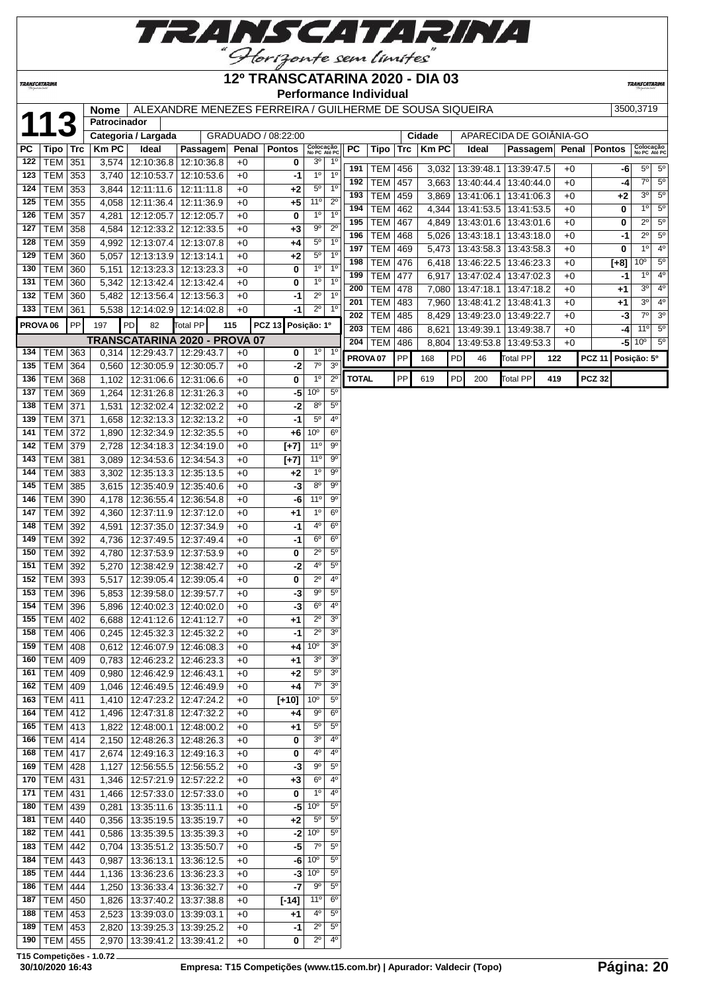

## **12º TRANSCATARINA 2020 - DIA 03**

**TRANSCATAR** 

**TRANSCATARINA** 

#### **Performance Individual**

|                     |                                  |     | <b>Nome</b>    |                                                                    | ALEXANDRE MENEZES FERREIRA / GUILHERME DE SOUSA SIQUEIRA |              |                     |                              |                               |                     |                |     |             |    |                         |                 |     |       |               | 3500,3719   |                           |                |
|---------------------|----------------------------------|-----|----------------|--------------------------------------------------------------------|----------------------------------------------------------|--------------|---------------------|------------------------------|-------------------------------|---------------------|----------------|-----|-------------|----|-------------------------|-----------------|-----|-------|---------------|-------------|---------------------------|----------------|
| 11                  |                                  |     | Patrocinador   |                                                                    |                                                          |              |                     |                              |                               |                     |                |     |             |    |                         |                 |     |       |               |             |                           |                |
|                     |                                  |     |                | Categoria / Largada                                                |                                                          |              | GRADUADO / 08:22:00 |                              |                               |                     |                |     | Cidade      |    | APARECIDA DE GOIÂNIA-GO |                 |     |       |               |             |                           |                |
| PC                  | Tipo   Trc                       |     | <b>KmPC</b>    | Ideal                                                              | Passagem                                                 | Penal        | <b>Pontos</b>       | Colocação<br>No PC Até PC    |                               | PC                  | Tipo           | Trc | <b>KmPC</b> |    | Ideal                   | <b>Passagem</b> |     | Penal | <b>Pontos</b> |             | Colocação<br>No PC Até PC |                |
| 122                 | $TEM$ 351                        |     |                | 3,574   12:10:36.8   12:10:36.8                                    |                                                          | $+0$         | 0                   | $3^{\circ}$                  | 1 <sup>0</sup>                | 191                 | <b>TEM 456</b> |     |             |    | $3,032$   13:39:48.1    | 13:39:47.5      |     | +0    |               | -6          | $5^{\circ}$               | $5^{\circ}$    |
| 123                 | <b>TEM</b>                       | 353 | 3,740          | 12:10:53.7                                                         | 12:10:53.6                                               | $+0$         | -1                  | 1 <sup>o</sup>               | 1 <sup>0</sup>                | 192                 | TEM            | 457 |             |    | 3,663   13:40:44.4      | 13:40:44.0      |     | +0    |               | -4          | $7^\circ$                 | $5^\circ$      |
| 124                 | <b>TEM</b>                       | 353 | 3,844          | 12:11:11.6                                                         | 12:11:11.8                                               | +0           | $+2$                | $5^{\circ}$                  | 1 <sup>0</sup>                | 193                 | TEM 459        |     |             |    | $3,869$   13:41:06.1    | 13:41:06.3      |     | +0    |               | +2          | $3^{\circ}$               | $5^\circ$      |
| 125                 | <b>TEM</b>                       | 355 | 4,058          | 12:11:36.4                                                         | 12:11:36.9                                               | $+0$         | $+5$                | 11°                          | $2^{\circ}$                   | 194                 | <b>TEM 462</b> |     |             |    | 4,344   13:41:53.5      | 13:41:53.5      |     | +0    |               | 0           | $1^{\circ}$               | $5^{\circ}$    |
| 126                 | <b>TEM 357</b>                   |     | 4,281          | 12:12:05.7   12:12:05.7                                            |                                                          | $+0$         | 0                   | 1 <sup>o</sup>               | 1 <sup>0</sup>                | 195                 | <b>TEM 467</b> |     |             |    | 4,849 13:43:01.6        | 13:43:01.6      |     | $+0$  |               | 0           | $2^{\circ}$               | $5^{\circ}$    |
| 127                 | <b>TEM 358</b>                   |     | 4,584          | 12:12:33.2 12:12:33.5                                              |                                                          | $+0$         | $+3$                | $9^{\circ}$                  | $2^{\circ}$                   | 196                 | TEM            | 468 |             |    | 5,026   13:43:18.1      | 13:43:18.0      |     | $+0$  |               | -1          | $2^{\circ}$               | $5^\circ$      |
| 128                 | TEM 359                          |     | 4,992          |                                                                    | 12:13:07.4 12:13:07.8                                    | $+0$         | +4                  | $5^{\circ}$                  | $1^{\circ}$<br>$1^{\circ}$    | 197                 | <b>TEM</b>     | 469 |             |    | 5,473 13:43:58.3        | 13:43:58.3      |     | $+0$  |               | 0           | 1 <sup>0</sup>            | $4^{\circ}$    |
| 129<br>130          | <b>TEM 360</b><br><b>TEM 360</b> |     | 5,057          | 12:13:13.9 12:13:14.1                                              |                                                          | +0           | $+2$<br>0           | $5^{\circ}$<br>$1^{\circ}$   | 1 <sup>0</sup>                | 198                 | <b>TEM</b>     | 476 |             |    | 6,418 13:46:22.5        | 13:46:23.3      |     | +0    |               | $[+8]$      | 10 <sup>o</sup>           | $5^{\circ}$    |
| 131                 | <b>TEM 360</b>                   |     | 5,151<br>5,342 | 12:13:42.4                                                         | 12:13:23.3 12:13:23.3<br>12:13:42.4                      | $+0$<br>$+0$ | 0                   | 1 <sup>0</sup>               | 1 <sup>0</sup>                | 199                 | TEM            | 477 | 6,917       |    | 13:47:02.4              | 13:47:02.3      |     | +0    |               | -1          | $1^{\circ}$               | $4^{\circ}$    |
| 132                 | <b>TEM</b>                       | 360 | 5,482          | 12:13:56.4                                                         | 12:13:56.3                                               | $+0$         | -1                  | $2^{\circ}$                  | $1^{\circ}$                   | 200                 | <b>TEM</b>     | 478 |             |    | 7,080   13:47:18.1      | 13:47:18.2      |     | $+0$  |               | +1          | $3^{\circ}$               | 4 <sup>0</sup> |
| 133                 | <b>TEM</b>                       | 361 |                | 5,538   12:14:02.9   12:14:02.8                                    |                                                          | $+0$         | -1                  | $2^{\circ}$                  | 1 <sup>0</sup>                | 201                 | <b>TEM</b>     | 483 |             |    | 7,960   13:48:41.2      | 13:48:41.3      |     | +0    |               | +1          | $3^{\circ}$               | $4^{\circ}$    |
|                     |                                  |     |                |                                                                    |                                                          |              |                     |                              |                               | 202                 | TEM            | 485 |             |    | 8,429   13:49:23.0      | 13:49:22.7      |     | +0    |               | -3          | $7^\circ$                 | 3 <sup>o</sup> |
| PROVA <sub>06</sub> |                                  | PP  | 197            | PD<br>82                                                           | Total PP                                                 | 115          | PCZ 13 Posição: 1º  |                              |                               | 203                 | <b>TEM</b>     | 486 | 8,621       |    | 13:49:39.1              | 13:49:38.7      |     | +0    |               | -4          | 11°                       | $5^{\circ}$    |
|                     |                                  |     |                |                                                                    | TRANSCATARINA 2020 - PROVA 07                            |              |                     | $1^{\circ}$                  | $1^{\circ}$                   | 204                 | TEM            | 486 |             |    | 8,804 13:49:53.8        | 13:49:53.3      |     | $+0$  |               | -51         | $10^{\circ}$              | $5^{\circ}$    |
| 134<br>135          | TEM 363                          |     |                | 0,314   12:29:43.7   12:29:43.7                                    |                                                          | +0           | 0                   | $7^\circ$                    | 3 <sup>o</sup>                | PROVA <sub>07</sub> |                | PP  | 168         | PD | 46                      | Total PP        | 122 |       | <b>PCZ 11</b> | Posição: 5º |                           |                |
| 136                 | <b>TEM</b><br><b>TEM 368</b>     | 364 |                | 0,560   12:30:05.9<br>12:31:06.6                                   | 12:30:05.7<br>12:31:06.6                                 | $+0$<br>$+0$ | -2<br>0             | $1^{\circ}$                  | $2^{\circ}$                   | <b>TOTAL</b>        |                | PP  | 619         | PD | 200                     | <b>Total PP</b> | 419 |       | <b>PCZ 32</b> |             |                           |                |
| 137                 | TEM 369                          |     | 1,102          | 1,264 12:31:26.8                                                   | 12:31:26.3                                               | $+0$         | $-51$               | 10 <sup>o</sup>              | $5^{\rm o}$                   |                     |                |     |             |    |                         |                 |     |       |               |             |                           |                |
| 138                 | <b>TEM 371</b>                   |     | 1,531          | 12:32:02.4   12:32:02.2                                            |                                                          | $+0$         | -2                  | $8^{\circ}$                  | $5^{\circ}$                   |                     |                |     |             |    |                         |                 |     |       |               |             |                           |                |
| 139                 | TEM 371                          |     | 1,658          |                                                                    | 12:32:13.3 12:32:13.2                                    | $+0$         | $-1$                | $5^{\circ}$                  | 4 <sup>0</sup>                |                     |                |     |             |    |                         |                 |     |       |               |             |                           |                |
| 141                 | <b>TEM 372</b>                   |     | 1,890          |                                                                    | 12:32:34.9 12:32:35.5                                    | $+0$         | $+6$                | 10 <sup>o</sup>              | $6^{\circ}$                   |                     |                |     |             |    |                         |                 |     |       |               |             |                           |                |
| 142                 | <b>TEM 379</b>                   |     | 2,728          | 12:34:18.3                                                         | 12:34:19.0                                               | $+0$         | $[+7]$              | $11^{\circ}$                 | $9^{\circ}$                   |                     |                |     |             |    |                         |                 |     |       |               |             |                           |                |
| 143                 | <b>TEM 381</b>                   |     | 3,089          |                                                                    | 12:34:53.6   12:34:54.3                                  | $+0$         | $[+7]$              | 11 <sup>0</sup>              | $9^{\circ}$                   |                     |                |     |             |    |                         |                 |     |       |               |             |                           |                |
| 144                 | <b>TEM</b>                       | 383 | 3,302          |                                                                    | 12:35:13.3 12:35:13.5                                    | $+0$         | $+2$                | $1^{\circ}$                  | $9^{\circ}$                   |                     |                |     |             |    |                         |                 |     |       |               |             |                           |                |
| 145                 | <b>TEM</b>                       | 385 | 3,615          | 12:35:40.9                                                         | 12:35:40.6                                               | $+0$         | -3                  | $8^{\circ}$                  | $9^{\circ}$                   |                     |                |     |             |    |                         |                 |     |       |               |             |                           |                |
| 146                 | <b>TEM</b>                       | 390 | 4,178          | 12:36:55.4                                                         | 12:36:54.8                                               | $+0$         | -6                  | 11°                          | $9^{\circ}$                   |                     |                |     |             |    |                         |                 |     |       |               |             |                           |                |
| 147                 | TEM 392                          |     | 4,360          | 12:37:11.9                                                         | 12:37:12.0                                               | $+0$         | +1                  | $1^{\circ}$                  | $6^{\circ}$                   |                     |                |     |             |    |                         |                 |     |       |               |             |                           |                |
| 148                 | TEM 392                          |     | 4,591          | 12:37:35.0   12:37:34.9                                            |                                                          | $+0$         | -1                  | 4°                           | $6^{\circ}$                   |                     |                |     |             |    |                         |                 |     |       |               |             |                           |                |
| 149                 | <b>TEM 392</b>                   |     | 4,736          | 12:37:49.5                                                         | 12:37:49.4                                               | $+0$         | $-1$                | $6^{\circ}$                  | $6^{\circ}$                   |                     |                |     |             |    |                         |                 |     |       |               |             |                           |                |
| 150                 | TEM 392                          |     | 4,780          | 12:37:53.9                                                         | 12:37:53.9                                               | +0           | 0                   | $2^{\circ}$                  | $5^{\circ}$                   |                     |                |     |             |    |                         |                 |     |       |               |             |                           |                |
| 151                 | TEM 392                          |     | 5,270          | 12:38:42.9                                                         | 12:38:42.7                                               | $+0$         | -2                  | 40                           | $5^{\rm o}$                   |                     |                |     |             |    |                         |                 |     |       |               |             |                           |                |
| 152                 | TEM 393                          |     | 5,517          | 12:39:05.4                                                         | 12:39:05.4                                               | $+0$         | 0                   | $2^{\circ}$                  | $4^{\circ}$                   |                     |                |     |             |    |                         |                 |     |       |               |             |                           |                |
| 153                 | <b>TEM 396</b>                   |     |                | 5,853   12:39:58.0                                                 | 12:39:57.7                                               | +0           | -3                  | 90                           | $5^{\circ}$                   |                     |                |     |             |    |                         |                 |     |       |               |             |                           |                |
| 154                 | <b>TEM</b>                       | 396 | 5.896          | 12:40:02.3                                                         | 12:40:02.0                                               | +0           | -3                  | $6^{\circ}$                  | 4°                            |                     |                |     |             |    |                         |                 |     |       |               |             |                           |                |
| 155                 | TEM   402                        |     |                | 6,688   12:41:12.6   12:41:12.7                                    |                                                          | $+0$         | +1                  | $2^{\circ}$                  | 3 <sup>o</sup>                |                     |                |     |             |    |                         |                 |     |       |               |             |                           |                |
|                     | 158 TEM 406                      |     |                |                                                                    | 0,245 12:45:32.3 12:45:32.2                              | $+0$         | $-1$                | $2^{\circ}$                  | 3 <sup>o</sup>                |                     |                |     |             |    |                         |                 |     |       |               |             |                           |                |
| 159                 | TEM   408                        |     |                |                                                                    | $0,612$   12:46:07.9   12:46:08.3                        | $+0$         | +4                  | 10 <sup>o</sup>              | 3 <sup>o</sup>                |                     |                |     |             |    |                         |                 |     |       |               |             |                           |                |
| 160                 | TEM   409                        |     |                | 0,783   12:46:23.2   12:46:23.3                                    |                                                          | +0           | $+1$                | $3^{\circ}$                  | 3 <sup>o</sup>                |                     |                |     |             |    |                         |                 |     |       |               |             |                           |                |
|                     | 161   TEM   409                  |     |                | $0,980$   12:46:42.9   12:46:43.1                                  |                                                          | +0           | $+2$                | $5^{\circ}$                  | 3 <sup>o</sup>                |                     |                |     |             |    |                         |                 |     |       |               |             |                           |                |
| 162<br>163          | TEM   409                        |     |                | 1,046   12:46:49.5   12:46:49.9                                    |                                                          | $+0$         | $+4$                | $7^\circ$<br>10 <sup>o</sup> | 3 <sup>o</sup><br>$5^{\circ}$ |                     |                |     |             |    |                         |                 |     |       |               |             |                           |                |
| 164                 | $TEM$ 411<br>$TEM$ 412           |     |                | 1,410   12:47:23.2   12:47:24.2<br>1,496   12:47:31.8   12:47:32.2 |                                                          | $+0$         | $[+10]$             | 90                           | $6^{\circ}$                   |                     |                |     |             |    |                         |                 |     |       |               |             |                           |                |
| 165                 | TEM 413                          |     |                | 1,822   12:48:00.1   12:48:00.2                                    |                                                          | +0<br>+0     | +4                  | $5^{\circ}$                  | $5^{\circ}$                   |                     |                |     |             |    |                         |                 |     |       |               |             |                           |                |
| 166                 | <b>TEM 414</b>                   |     |                |                                                                    | 2,150   12:48:26.3   12:48:26.3                          | +0           | +1<br>0             | $3^{\circ}$                  | $4^{\circ}$                   |                     |                |     |             |    |                         |                 |     |       |               |             |                           |                |
| 168                 | TEM   417                        |     |                |                                                                    | 2,674   12:49:16.3   12:49:16.3                          | $+0$         | 0                   | $4^{\circ}$                  | $4^{\circ}$                   |                     |                |     |             |    |                         |                 |     |       |               |             |                           |                |
|                     | 169   TEM   428                  |     |                | 1,127   12:56:55.5   12:56:55.2                                    |                                                          | $+0$         | -3                  | $9^{\circ}$                  | $5^{\circ}$                   |                     |                |     |             |    |                         |                 |     |       |               |             |                           |                |
|                     | 170   TEM   431                  |     |                | 1,346   12:57:21.9   12:57:22.2                                    |                                                          | $+0$         | $+3$                | $6^{\circ}$                  | $4^{\circ}$                   |                     |                |     |             |    |                         |                 |     |       |               |             |                           |                |
| 171                 | TEM   431                        |     |                | 1,466   12:57:33.0   12:57:33.0                                    |                                                          | $+0$         | 0                   | 1 <sup>0</sup>               | $4^{\circ}$                   |                     |                |     |             |    |                         |                 |     |       |               |             |                           |                |
| 180                 | TEM 439                          |     | 0,281          | 13:35:11.6   13:35:11.1                                            |                                                          | $+0$         | $-5$                | 10 <sup>o</sup>              | $5^{\circ}$                   |                     |                |     |             |    |                         |                 |     |       |               |             |                           |                |
| 181                 | TEM 440                          |     |                | $0,356$   13:35:19.5   13:35:19.7                                  |                                                          | $+0$         | $+2$                | $5^{\circ}$                  | $5^{\circ}$                   |                     |                |     |             |    |                         |                 |     |       |               |             |                           |                |
| 182                 | TEM   441                        |     |                |                                                                    | $0,586$   13:35:39.5   13:35:39.3                        | $+0$         |                     | $-2$ 10 <sup>o</sup>         | $5^{\circ}$                   |                     |                |     |             |    |                         |                 |     |       |               |             |                           |                |
| 183                 | <b>TEM 442</b>                   |     |                | 0,704   13:35:51.2   13:35:50.7                                    |                                                          | $+0$         | $-5$                | $7^{\circ}$                  | $5^{\circ}$                   |                     |                |     |             |    |                         |                 |     |       |               |             |                           |                |
| 184                 | $TEM$ 443                        |     |                |                                                                    | 0,987   13:36:13.1   13:36:12.5                          | $+0$         |                     | $-6$ 10 <sup>o</sup>         | $5^{\circ}$                   |                     |                |     |             |    |                         |                 |     |       |               |             |                           |                |

**T15 Competições - 1.0.72**

 TEM 444 1,136 13:36:23.6 13:36:23.3 +0 **-3** 10º 5º TEM 444 1,250 13:36:33.4 13:36:32.7 +0 **-7** 9º 5º TEM 450 1,826 13:37:40.2 13:37:38.8 +0 **[-14]** 11º 6º TEM 453 2,523 13:39:03.0 13:39:03.1 +0 **+1** 4º 5º TEM 453 2,820 13:39:25.3 13:39:25.2 +0 **-1** 2º 5º TEM 455 2,970 13:39:41.2 13:39:41.2 +0 **0** 2º 4º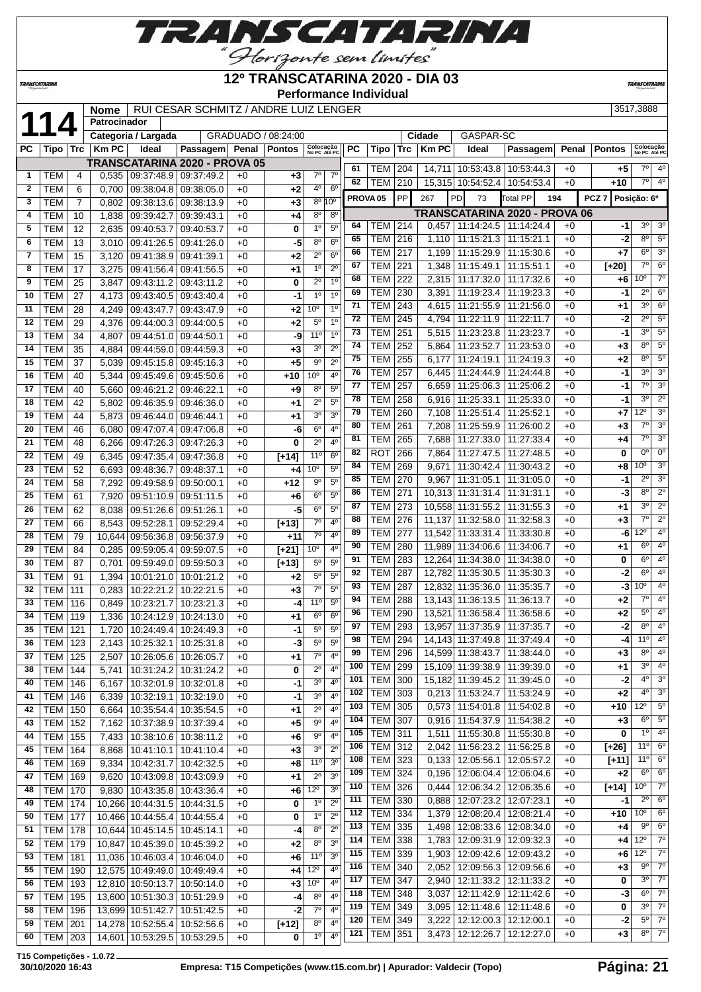

## **12º TRANSCATARINA 2020 - DIA 03**

**Performance Individual**

**TRANSCATARIN** 

TRANSCATARINA

|              | RUI CESAR SCHMITZ / ANDRE LUIZ LENGER<br>3517,3888 |     |                                                                                                                   |       |                         |      |         |                     |                           |                        |                                                                                                             |            |     |              |  |                   |                 |  |       |               |       |                           |             |
|--------------|----------------------------------------------------|-----|-------------------------------------------------------------------------------------------------------------------|-------|-------------------------|------|---------|---------------------|---------------------------|------------------------|-------------------------------------------------------------------------------------------------------------|------------|-----|--------------|--|-------------------|-----------------|--|-------|---------------|-------|---------------------------|-------------|
|              |                                                    |     | Nome                                                                                                              |       |                         |      |         |                     |                           |                        |                                                                                                             |            |     |              |  |                   |                 |  |       |               |       |                           |             |
|              | 11                                                 |     | <b>Patrocinador</b>                                                                                               |       |                         |      |         |                     |                           |                        |                                                                                                             |            |     |              |  |                   |                 |  |       |               |       |                           |             |
|              |                                                    |     | Categoria / Largada                                                                                               |       |                         |      |         | GRADUADO / 08:24:00 |                           |                        |                                                                                                             |            |     | Cidade       |  | GASPAR-SC         |                 |  |       |               |       |                           |             |
| PC           | Tipo                                               | Trc | $Km$ PC                                                                                                           | Ideal | Passagem                |      | Penal I | <b>Pontos</b>       | Colocação<br>No PC Até PC |                        | <b>PC</b>                                                                                                   | Tipo       | Trc | <b>Km PC</b> |  | Ideal             | <b>Passagem</b> |  | Penal | <b>Pontos</b> |       | Colocação<br>No PC Até PC |             |
|              |                                                    |     |                                                                                                                   |       |                         |      |         |                     |                           |                        |                                                                                                             |            |     |              |  |                   |                 |  |       |               |       |                           |             |
|              | TEM                                                |     | <b>TRANSCATARINA 2020 - PROVA 05</b><br>0.535                                                                     |       | 09:37:48.9   09:37:49.2 | $+0$ |         | +3 l                | $7^\circ$                 | 70                     | 61                                                                                                          | <b>TEM</b> | 204 | 14.711       |  | 10:53:43.8        | 10:53:44.3      |  | $+0$  |               | +5    | 70                        | $4^{\circ}$ |
|              |                                                    |     |                                                                                                                   |       |                         |      |         |                     |                           |                        | 62                                                                                                          | TEM        | 210 |              |  | 15.315 10:54:52.4 | 10:54:53.4      |  | $+0$  |               | $+10$ | $7^\circ$                 | $4^{\circ}$ |
| $\mathbf{2}$ | <b>TEM</b>                                         | 6   | 0.700                                                                                                             |       | 09:38:04.8   09:38:05.0 |      | $+0$    | $+2$                | 4 <sup>0</sup>            | $6^{\circ}$            |                                                                                                             |            |     |              |  |                   |                 |  |       |               |       |                           |             |
| 3            | <b>TEM</b>                                         |     | 09:38:13.6   09:38:13.9  <br>$+3$<br>0.802<br>$+0$                                                                |       |                         |      |         |                     |                           | $8^{\circ} 10^{\circ}$ | <b>PP</b><br><b>PD</b><br><b>PROVA05</b><br>267<br>PCZ <sup>1</sup><br>Posição: 6º<br>73<br>Total PP<br>194 |            |     |              |  |                   |                 |  |       |               |       |                           |             |
| 4            | <b>TEM</b>                                         | 10  | <b>TRANSCATARINA 2020 - PROVA 06</b><br>$8^{\circ}$<br>$8^{\circ}$<br>09:39:42.7 09:39:43.1<br>.838<br>+4<br>$+0$ |       |                         |      |         |                     |                           |                        |                                                                                                             |            |     |              |  |                   |                 |  |       |               |       |                           |             |
|              |                                                    |     |                                                                                                                   |       |                         |      |         |                     |                           |                        |                                                                                                             |            |     |              |  |                   |                 |  |       |               |       |                           |             |

|              |                          |         |                |                                         | TRANSCATARINA 2020 - PROVA 05 |              |            |                      |                                          | 61  | TEM   204           |     |       | 14,711   10:53:43.8   10:53:44.3     |            | $+0$ | $+5$             | $7^\circ$       | 4 <sup>0</sup>             |
|--------------|--------------------------|---------|----------------|-----------------------------------------|-------------------------------|--------------|------------|----------------------|------------------------------------------|-----|---------------------|-----|-------|--------------------------------------|------------|------|------------------|-----------------|----------------------------|
| 1            | TEM                      | 4       |                | $0.535 \mid 09.37.48.9 \mid 09.37.49.2$ |                               | $+0$         | $+3$       | $7^\circ$            | $7^\circ$                                | 62  | TEM 210             |     |       | 15,315 10:54:52.4 10:54:53.4         |            | $+0$ | +10              | $7^{\circ}$     | $4^{\circ}$                |
| $\mathbf{2}$ | <b>TEM</b>               | 6       | 0,700          | 09:38:04.8 09:38:05.0                   |                               | $+0$         | $+2$       | 40                   | 6 <sup>0</sup><br>$8^{\circ} 10^{\circ}$ |     | PROVA <sub>05</sub> | PP  | 267   | <b>PD</b><br>73                      | Total PP   | 194  | PCZ <sub>7</sub> | Posição: 6º     |                            |
| 3<br>4       | <b>TEM</b><br><b>TEM</b> | 7<br>10 | 0,802<br>1,838 | 09:38:13.6 09:38:13.9<br>09:39:42.7     | 09:39:43.1                    | $+0$<br>$+0$ | $+3$<br>+4 | 80                   | $8^{\circ}$                              |     |                     |     |       | <b>TRANSCATARINA 2020 - PROVA 06</b> |            |      |                  |                 |                            |
| 5            | <b>TEM</b>               | 12      | 2,635          | 09:40:53.7                              | 09:40:53.7                    | $+0$         | 0          | 1 <sup>0</sup>       | $5^{\circ}$                              | 64  | TEM 214             |     |       | $0,457$   11:14:24.5   11:14:24.4    |            | +0   | -1               | 3 <sup>o</sup>  | 3 <sup>o</sup>             |
| 6            | <b>TEM</b>               | 13      | 3,010          | 09:41:26.5 09:41:26.0                   |                               | $+0$         | $-5$       | 8 <sup>0</sup>       | $6^{\circ}$                              | 65  | TEM 216             |     |       | $1,110$   11:15:21.3                 | 11:15:21.1 | $+0$ | -2               | $8^{\circ}$     | $5^{\circ}$                |
| 7            | <b>TEM</b>               | 15      | 3,120          | 09:41:38.9 09:41:39.1                   |                               | $+0$         | +2         | $2^{\circ}$          | 6 <sup>o</sup>                           | 66  | <b>TEM 217</b>      |     |       | 1,199   11:15:29.9                   | 11:15:30.6 | $+0$ | +7               | $6^{\circ}$     | 3 <sup>o</sup>             |
| 8            | <b>TEM</b>               | 17      | 3,275          | 09:41:56.4                              | 09:41:56.5                    | $+0$         | $+1$       | 1 <sup>0</sup>       | $2^{\circ}$                              | 67  | TEM                 | 221 |       | 1,348   11:15:49.1                   | 11:15:51.1 | $+0$ | $[+20]$          | $7^\circ$       | $6^{\circ}$                |
| 9            | <b>TEM</b>               | 25      | 3,847          | 09:43:11.2                              | 09:43:11.2                    | $+0$         | 0          | $2^{\circ}$          | 1 <sup>0</sup>                           | 68  | <b>TEM</b>          | 222 |       | 2,315   11:17:32.0                   | 11:17:32.6 | $+0$ | +6               | 10 <sup>o</sup> | $7^\circ$                  |
| 10           | <b>TEM</b>               | 27      | 4,173          | 09:43:40.5   09:43:40.4                 |                               | $+0$         | -1         | 1 <sup>0</sup>       | 1 <sup>0</sup>                           | 69  | <b>TEM</b>          | 230 | 3,391 | 11:19:23.4                           | 11:19:23.3 | $+0$ | -1               | $2^{\circ}$     | $6^{\circ}$                |
| 11           | <b>TEM</b>               | 28      | 4,249          | 09:43:47.7   09:43:47.9                 |                               | $+0$         | $+2$       | 10 <sup>o</sup>      | 1 <sup>0</sup>                           | 71  | TEM                 | 243 |       | 4,615   11:21:55.9                   | 11:21:56.0 | $+0$ | +1               | 3 <sup>o</sup>  | $6^{\circ}$                |
| 12           | <b>TEM</b>               | 29      | 4,376          | 09:44:00.3   09:44:00.5                 |                               | $+0$         | $+2$       | $5^{\circ}$          | 1 <sup>0</sup>                           | 72  | TEM                 | 245 |       | 4,794   11:22:11.9                   | 11:22:11.7 | $+0$ | -2               | $2^{\circ}$     | $5^{\circ}$                |
| 13           | <b>TEM</b>               | 34      | 4,807          | 09:44:51.0 09:44:50.1                   |                               | $+0$         | -9         | 11 <sup>°</sup>      | 1 <sup>0</sup>                           | 73  | TEM                 | 251 | 5.515 | 11:23:23.8                           | 11:23:23.7 | $+0$ | -1               | $3^{\circ}$     | $5^{\circ}$                |
| 14           | <b>TEM</b>               | 35      | 4,884          | 09:44:59.0                              | 09:44:59.3                    | $+0$         | $+3$       | 30                   | $2^{\circ}$                              | 74  | <b>TEM</b>          | 252 | 5,864 | 11:23:52.7                           | 11:23:53.0 | $+0$ | $+3$             | $8^{\circ}$     | $5^{\circ}$                |
| 15           | <b>TEM</b>               | 37      | 5,039          | 09:45:15.8 09:45:16.3                   |                               | $+0$         | $+5$       | $9^{\circ}$          | $2^{\circ}$                              | 75  | <b>TEM</b>          | 255 | 6,177 | 11:24:19.1                           | 11:24:19.3 | $+0$ | +2               | $8^{\circ}$     | $5^{\circ}$                |
| 16           | <b>TEM</b>               | 40      | 5,344          | 09:45:49.6   09:45:50.6                 |                               | $+0$         | +10        | 10 <sup>o</sup>      | 4°                                       | 76  | <b>TEM</b>          | 257 |       | 6,445   11:24:44.9                   | 11:24:44.8 | $+0$ | -1               | $3^{\circ}$     | 3 <sup>o</sup>             |
| 17           | <b>TEM</b>               | 40      | 5,660          | 09:46:21.2   09:46:22.1                 |                               | $+0$         | +9         | $8^{\circ}$          | $5^{\circ}$                              | 77  | TEM                 | 257 |       | $6,659$   11:25:06.3                 | 11:25:06.2 | $+0$ | -1               | $7^\circ$       | 3 <sup>0</sup>             |
| 18           | <b>TEM</b>               | 42      | 5,802          | 09:46:35.9                              | 09:46:36.0                    | $+0$         | $+1$       | $2^{\circ}$          | $5^{\circ}$                              | 78  | <b>TEM</b>          | 258 |       | $6,916$   11:25:33.1                 | 11:25:33.0 | $+0$ | -1               | 3 <sup>0</sup>  | $2^{\circ}$                |
| 19           | <b>TEM</b>               | 44      | 5,873          | 09:46:44.0 09:46:44.1                   |                               | $+0$         | +1         | 30                   | 3 <sup>0</sup>                           | 79  | <b>TEM</b>          | 260 | 7,108 | 11:25:51.4                           | 11:25:52.1 | $+0$ | +7               | $12^{\circ}$    | 3 <sup>0</sup>             |
| 20           | <b>TEM</b>               | 46      | 6.080          | 09:47:07.4   09:47:06.8                 |                               | $+0$         | -6         | 6 <sup>0</sup>       | $4^{\circ}$                              | 80  | TEM                 | 261 |       | 7,208   11:25:59.9                   | 11:26:00.2 | $+0$ | $+3$             | 7°              | 3 <sup>o</sup>             |
| 21           | <b>TEM</b>               | 48      | 6,266          |                                         | 09:47:26.3 09:47:26.3         | $+0$         | 0          | $2^{\circ}$          | $4^{\circ}$                              | 81  | TEM                 | 265 | 7,688 | 11:27:33.0                           | 11:27:33.4 | $+0$ | +4               | 7º              | 3 <sup>o</sup>             |
| 22           | <b>TEM</b>               | 49      | 6,345          | 09:47:35.4 09:47:36.8                   |                               | $+0$         | $[+14]$    | 11 <sup>°</sup>      | $6^{\circ}$                              | 82  | ROT                 | 266 | 7,864 | 11:27:47.5                           | 11:27:48.5 | $+0$ | 0                | 0°              | $0^{\circ}$                |
| 23           | <b>TEM</b>               | 52      | 6,693          | 09:48:36.7                              | 09:48:37.1                    | $+0$         | $+4$       | 10 <sup>o</sup>      | $5^{\circ}$                              | 84  | <b>TEM</b>          | 269 | 9,671 | 11:30:42.4                           | 11:30:43.2 | $+0$ | +8               | 10 <sup>o</sup> | 3 <sup>0</sup>             |
| 24           | <b>TEM</b>               | 58      | 7,292          | 09:49:58.9   09:50:00.1                 |                               | $+0$         | $+12$      | 90                   | 5 <sup>0</sup>                           | 85  | <b>TEM</b>          | 270 |       | $9,967$   11:31:05.1                 | 11:31:05.0 | $+0$ | -1               | $2^{\circ}$     | 3 <sup>o</sup>             |
| 25           | <b>TEM</b>               | 61      | 7,920          | 09:51:10.9 09:51:11.5                   |                               | $+0$         | $+6$       | $6^{\circ}$          | $5^{\circ}$                              | 86  | <b>TEM</b>          | 271 |       | 10,313 11:31:31.4                    | 11:31:31.1 | $+0$ | -3               | $8^{\circ}$     | $2^{\circ}$                |
| 26           | <b>TEM</b>               | 62      | 8,038          | 09:51:26.6 09:51:26.1                   |                               | $+0$         | -5         | $6^{\circ}$          | $5^{\circ}$                              | 87  | TEM                 | 273 |       | 10,558 11:31:55.2 11:31:55.3         |            | $+0$ | +1               | $3^{\circ}$     | $2^{\circ}$                |
| 27           | <b>TEM</b>               | 66      | 8,543          | 09:52:28.1                              | 09:52:29.4                    | $+0$         | $[+13]$    | $7^\circ$            | 4°                                       | 88  | TEM                 | 276 |       | 11,137 11:32:58.0                    | 11:32:58.3 | $+0$ | $+3$             | $7^\circ$       | $2^{\circ}$                |
| 28           | <b>TEM</b>               | 79      | 10,644         | 09:56:36.8 09:56:37.9                   |                               | $+0$         | +11        | 7 <sup>0</sup>       | $4^{\circ}$                              | 89  | <b>TEM</b>          | 277 |       | 11,542 11:33:31.4                    | 11:33:30.8 | $+0$ | -61              | $12^{\circ}$    | 4 <sup>0</sup>             |
| 29           | <b>TEM</b>               | 84      | 0,285          | 09:59:05.4   09:59:07.5                 |                               | $+0$         | $[+21]$    | 10 <sup>o</sup>      | $4^{\circ}$                              | 90  | TEM                 | 280 |       | 11,989 11:34:06.6                    | 11:34:06.7 | $+0$ | +1               | 6 <sup>o</sup>  | 4 <sup>o</sup>             |
| 30           | <b>TEM</b>               | 87      | 0,701          | 09:59:49.0 09:59:50.3                   |                               | $+0$         | $[+13]$    | $5^{\circ}$          | $5^{\circ}$                              | 91  | TEM                 | 283 |       | 12,264 11:34:38.0                    | 11:34:38.0 | $+0$ | 0                | $6^{\circ}$     | 4 <sup>0</sup>             |
| 31           | <b>TEM</b>               | 91      | 1,394          | 10:01:21.0                              | 10:01:21.2                    | $+0$         | $+2$       | $5^{\circ}$          | $5^{\circ}$                              | 92  | TEM                 | 287 |       | 12,782 11:35:30.5                    | 11:35:30.3 | $+0$ | -2               | $6^{\circ}$     | 4 <sup>0</sup>             |
| 32           | <b>TEM</b>               | 111     | 0,283          | 10:22:21.2                              | 10:22:21.5                    | $+0$         | $+3$       | $7^\circ$            | $5^{\circ}$                              | 93  | <b>TEM</b>          | 287 |       | 12,832 11:35:36.0                    | 11:35:35.7 | $+0$ | -3               | 10 <sup>o</sup> | 4 <sup>o</sup>             |
| 33           | <b>TEM</b>               | 116     | 0,849          | 10:23:21.7                              | 10:23:21.3                    | $+0$         | -4         | 11 <sup>o</sup>      | 5 <sup>0</sup>                           | 94  | <b>TEM</b>          | 288 |       | 13,143 11:36:13.5                    | 11:36:13.7 | $+0$ | +2               | $7^\circ$       | 4 <sup>o</sup>             |
| 34           | <b>TEM</b>               | 119     | 1,336          | 10:24:12.9                              | 10:24:13.0                    | $+0$         | $+1$       | $6^{\circ}$          | $6^{\circ}$                              | 96  | <b>TEM</b>          | 290 |       | 13,521 11:36:58.4                    | 11:36:58.6 | $+0$ | $+2$             | $5^{\circ}$     | $4^{\circ}$                |
| 35           | <b>TEM</b>               | 121     | 1,720          | 10:24:49.4                              | 10:24:49.3                    | $+0$         | -1         | 5°                   | $5^{\circ}$                              | 97  | TEM                 | 293 |       | 13,957 11:37:35.9                    | 11:37:35.7 | $+0$ | $-2$             | $8^{\circ}$     | $4^{\circ}$                |
| 36           | <b>TEM</b>               | 123     | 2,143          | 10:25:32.1                              | 10:25:31.8                    | $+0$         | -3         | $5^{\circ}$          | $5^{\circ}$                              | 98  | TEM                 | 294 |       | 14,143 11:37:49.8                    | 11:37:49.4 | $+0$ | -4               | 11°             | $4^{\circ}$                |
| 37           | <b>TEM</b>               | 125     | 2.507          | 10:26:05.6                              | 10:26:05.7                    | $+0$         | $^{+1}$    | $7^\circ$            | 4 <sup>0</sup>                           | 99  | <b>TEM</b>          | 296 |       | 14,599 11:38:43.7                    | 11:38:44.0 | $+0$ | $+3$             | $8^{\circ}$     | 4 <sup>o</sup>             |
| 38           | TEM                      | 144     | 5,741          | 10:31:24.2                              | 10:31:24.2                    | $+0$         | 0          | $2^{\circ}$          | 4 <sup>0</sup>                           | 100 | TEM                 | 299 |       | 15,109 11:39:38.9                    | 11:39:39.0 | $+0$ | +1               | 3 <sup>0</sup>  | 4 <sup>0</sup>             |
| 40           | TEM                      | 146     | 6.167          | 10:32:01.9 10:32:01.8                   |                               | $+0$         | $-1$       | 30                   | $4^{\circ}$                              | 101 | TEM                 | 300 |       | 15,182 11:39:45.2 11:39:45.0         |            | $+0$ | -2               | $4^{\circ}$     | 3 <sup>o</sup>             |
| 41           | TEM   146                |         |                | 6,339   10:32:19.1   10:32:19.0         |                               | $+0$         | -1         | 30                   | 4°                                       | 102 | TEM   303           |     |       | $0,213$   11:53:24.7   11:53:24.9    |            | $+0$ | $+2$             | 4º              | 3 <sup>o</sup>             |
| 42           | TEM                      | 150     | 6,664          | 10:35:54.4                              | 10:35:54.5                    | $+0$         | $+1$       | $2^{\circ}$          | 4 <sup>0</sup>                           | 103 | <b>TEM 305</b>      |     |       | $0.573$   11:54:01.8   11:54:02.8    |            | $+0$ | $+10$            | $12^{\circ}$    | $5^{\circ}$                |
| 43           | <b>TEM</b>               | 152     | 7,162          | 10:37:38.9                              | 10:37:39.4                    | $+0$         | $+5$       | $9^{\circ}$          | 4 <sup>0</sup>                           | 104 | <b>TEM 307</b>      |     |       | 0.916 11:54:37.9                     | 11:54:38.2 | $+0$ | $+3$             | $6^{\circ}$     | 5 <sup>o</sup>             |
| 44           | <b>TEM</b>               | 155     | 7,433          | 10:38:10.6   10:38:11.2                 |                               | $+0$         | +6         | $9^{\circ}$          | $4^{\circ}$                              | 105 | <b>TEM 311</b>      |     |       | 1,511   11:55:30.8                   | 11:55:30.8 | $+0$ | 0                | $1^{\circ}$     | 4 <sup>0</sup>             |
| 45           | <b>TEM</b>               | 164     | 8,868          |                                         | 10:41:10.1   10:41:10.4       | $+0$         | $+3$       | 30                   | $2^{\circ}$                              | 106 | <b>TEM 312</b>      |     |       | 2,042   11:56:23.2   11:56:25.8      |            | $+0$ | [+26]            | 11°             | $6^{\circ}$                |
| 46           | <b>TEM</b>               | 169     | 9,334          | 10:42:31.7                              | 10:42:32.5                    | $+0$         | +8         | 11 <sup>0</sup>      | 3 <sup>o</sup>                           | 108 | <b>TEM</b>          | 323 |       | 0,133   12:05:56.1                   | 12:05:57.2 | $+0$ | $[+11]$          | 11°             | $6^{\circ}$                |
| 47           | TEM                      | 169     | 9,620          |                                         | 10:43:09.8 10:43:09.9         | +0           | $+1$       | $2^{\circ}$          | 3 <sup>o</sup>                           | 109 | <b>TEM</b>          | 324 |       | $0,196$   12:06:04.4                 | 12:06:04.6 | $+0$ | +2               | $6^{\circ}$     | $6^{\circ}$                |
| 48           | TEM                      | 170     | 9,830          |                                         | 10:43:35.8 10:43:36.4         | $+0$         | +6         | $12^{\circ}$         | 3 <sup>0</sup>                           | 110 | TEM                 | 326 | 0,444 | 12:06:34.2                           | 12:06:35.6 | $+0$ | $[+14]$          | 10 <sup>o</sup> | $7^\circ$                  |
| 49           | TEM                      | 174     |                | 10,266 10:44:31.5 10:44:31.5            |                               | $+0$         | 0          | $1^{\circ}$          | $2^{\circ}$                              | 111 | <b>TEM 330</b>      |     | 0,888 | 12:07:23.2                           | 12:07:23.1 | $+0$ | -1               | $2^{\circ}$     | $6^{\circ}$                |
| 50           | TEM                      | 177     |                | 10,466 10:44:55.4                       | 10:44:55.4                    | $+0$         | 0          | 1 <sup>0</sup>       | $2^{\circ}$                              | 112 | <b>TEM</b>          | 334 |       | 1,379   12:08:20.4                   | 12:08:21.4 | $+0$ | +10              | 10 <sup>o</sup> | $6^{\circ}$                |
| 51           | TEM                      | 178     |                | 10,644 10:45:14.5                       | 10:45:14.1                    | +0           | -4         | 8 <sup>o</sup>       | $2^{\circ}$                              | 113 | <b>TEM 335</b>      |     |       | 1,498   12:08:33.6                   | 12:08:34.0 | $+0$ | +4               | $9^{\circ}$     | $6^{\circ}$                |
| 52           | TEM                      | 179     |                | 10,847 10:45:39.0                       | 10:45:39.2                    | +0           | $+2$       | $8^{\circ}$          | 3 <sup>o</sup>                           | 114 | TEM 338             |     |       | 1,783   12:09:31.9                   | 12:09:32.3 | $+0$ | +4               | $12^{\circ}$    | 7 <sup>0</sup>             |
| 53           | TEM                      | 181     |                | 11,036   10:46:03.4   10:46:04.0        |                               | $+0$         | $+6$       | 11°                  | 3 <sup>0</sup>                           | 115 | <b>TEM 339</b>      |     |       | $1,903$   12:09:42.6                 | 12:09:43.2 | $+0$ | +6               | $12^{\circ}$    | $7^\circ$                  |
| 55           | <b>TEM</b>               | 190     |                | 12,575 10:49:49.0                       | 10:49:49.4                    | $+0$         | +4         | $12^{\circ}$         | 4°                                       | 116 | <b>TEM 340</b>      |     |       | 2,052   12:09:56.3   12:09:56.6      |            | $+0$ | $+3$             | $9^{\circ}$     | $7^\circ$                  |
| 56           | TEM                      | 193     |                | 12,810 10:50:13.7                       | 10:50:14.0                    | +0           |            | $+3$ 10 <sup>o</sup> | $4^{\circ}$                              | 117 | <b>TEM 347</b>      |     |       | 2,940   12:11:33.2   12:11:33.2      |            | $+0$ | 0                | $3^{\circ}$     | $7^\circ$                  |
| 57           | TEM                      | 195     |                | 13,600 10:51:30.3                       | 10:51:29.9                    | +0           | $-4$       | $8^{\circ}$          | $4^{\circ}$                              | 118 | <b>TEM 348</b>      |     |       | $3,037$   12:11:42.9                 | 12:11:42.6 | $+0$ | -3               | $6^{\circ}$     | $7^\circ$                  |
| 58           | TEM                      | 196     |                | 13,699 10:51:42.7 10:51:42.5            |                               | $+0$         | $-2$       | $7^\circ$            | $4^{\circ}$                              | 119 | <b>TEM</b>          | 349 |       | $3,095$   12:11:48.6                 | 12:11:48.6 | $+0$ | 0                | $3^{\circ}$     | $7^\circ$                  |
| 59           | <b>TEM 201</b>           |         |                | 14,278 10:52:55.4 10:52:56.6            |                               | $+0$         | $[+12]$    | 80                   | $4^{\circ}$                              | 120 | <b>TEM</b>          | 349 | 3,222 | 12:12:00.3                           | 12:12:00.1 | $+0$ | $-2$             | $5^{\circ}$     | $7^\circ$                  |
|              | 60   TEM   203           |         |                | 14,601 10:53:29.5 10:53:29.5            |                               | $+0$         | 0          | 1 <sup>0</sup>       | 4 <sup>o</sup>                           | 121 | <b>TEM</b>          | 351 |       | 3,473   12:12:26.7                   | 12:12:27.0 | $+0$ | $+3$             |                 | $8^{\circ}$ 7 <sup>o</sup> |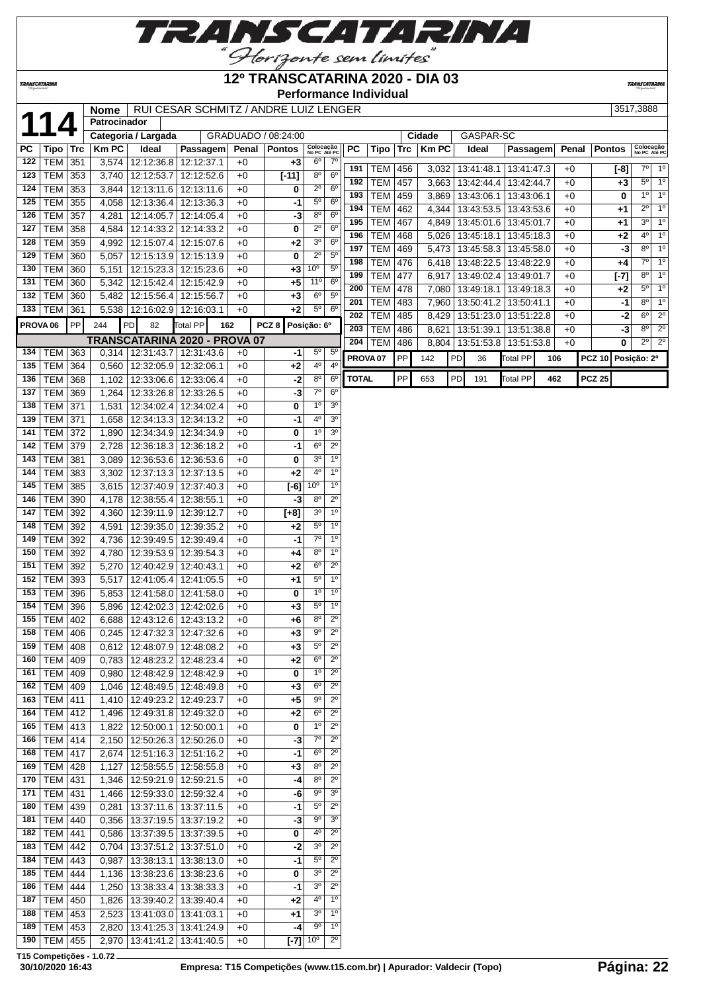

## **12º TRANSCATARINA 2020 - DIA 03**

**Performance Individual**

**TRANSCATARIN** 

|                     |                 |     | <b>Nome</b>  |                                 | RUI CESAR SCHMITZ / ANDRE LUIZ LENGER |       |                     |                                    |                     |                |            |              |                    |           |                                 |     |       |               | 3517,3888                 |                            |
|---------------------|-----------------|-----|--------------|---------------------------------|---------------------------------------|-------|---------------------|------------------------------------|---------------------|----------------|------------|--------------|--------------------|-----------|---------------------------------|-----|-------|---------------|---------------------------|----------------------------|
|                     | 114             |     | Patrocinador |                                 |                                       |       |                     |                                    |                     |                |            |              |                    |           |                                 |     |       |               |                           |                            |
|                     |                 |     |              | Categoria / Largada             |                                       |       | GRADUADO / 08:24:00 |                                    |                     |                |            | Cidade       |                    | GASPAR-SC |                                 |     |       |               |                           |                            |
| PC                  | Tipo   Trc      |     | KmPC         | Ideal                           | Passagem                              | Penal | Pontos              | Colocação<br>No PC Até PC          | PC                  | Tipo           | <b>Trc</b> | <b>Km PC</b> | Ideal              |           | Passagem                        |     | Penal | <b>Pontos</b> | Colocação<br>No PC Até PC |                            |
| 122                 | TEM 351         |     |              | 3,574   12:12:36.8   12:12:37.1 |                                       | $+0$  | $+3$                | 6 <sup>o</sup><br>$7^\circ$        |                     |                |            |              |                    |           |                                 |     |       |               |                           |                            |
| 123                 | TEM 353         |     | 3,740        | 12:12:53.7 12:12:52.6           |                                       | $+0$  | $[-11]$             | 8 <sup>o</sup><br>6 <sup>o</sup>   | 191                 | <b>TEM 456</b> |            |              | 3,032 13:41:48.1   |           | 13:41:47.3                      |     | +0    | $[-8]$        |                           | 7° 1°                      |
| 124                 | TEM             | 353 | 3,844        | 12:13:11.6                      | 12:13:11.6                            | $+0$  | 0                   | $2^{\circ}$<br>$6^{\circ}$         | 192                 | <b>TEM</b>     | 457        |              | 3,663   13:42:44.4 |           | 13:42:44.7                      |     | $+0$  | $+3$          |                           | $5^{\circ}$ 1 <sup>°</sup> |
| 125                 | TEM             | 355 | 4,058        | 12:13:36.4                      | 12:13:36.3                            | $+0$  | -1                  | $5^{\rm o}$<br>6 <sup>o</sup>      | 193                 | <b>TEM</b>     | 459        |              | 3,869   13:43:06.1 |           | 13:43:06.1                      |     | $+0$  | 0             | $1^{\circ}$               | 1 <sup>0</sup>             |
| 126                 | <b>TEM</b>      | 357 | 4,281        | 12:14:05.7                      | 12:14:05.4                            | $+0$  | -3                  | 8 <sup>o</sup><br>$6^{\circ}$      | 194                 | <b>TEM</b>     | 462        |              |                    |           | 4,344   13:43:53.5   13:43:53.6 |     | $+0$  | $+1$          | $2^{\circ}$               | 1 <sup>0</sup>             |
| 127                 | TEM             | 358 |              | 12:14:33.2                      | 12:14:33.2                            |       | 0                   | $2^{\circ}$<br>6 <sup>o</sup>      | 195                 | <b>TEM</b>     | 467        | 4,849        |                    |           | 13:45:01.6   13:45:01.7         |     | $+0$  | $+1$          |                           | $3^{\circ}$ 1 <sup>o</sup> |
|                     |                 |     | 4,584        |                                 |                                       | $+0$  |                     |                                    | 196                 | <b>TEM</b>     | 468        | 5,026        | 13:45:18.1         |           | 13:45:18.3                      |     | $+0$  | $+2$          | $4^{\circ}$               | 1 <sup>0</sup>             |
| 128                 | TEM             | 359 | 4,992        | 12:15:07.4                      | 12:15:07.6                            | $+0$  | $+2$                | 3 <sup>0</sup><br>$6^{\circ}$      | 197                 | <b>TEM</b>     | 469        |              |                    |           | 5,473   13:45:58.3   13:45:58.0 |     | $+0$  | $-3$          | $8^{\circ}$               | $1^{\circ}$                |
| 129                 | TEM             | 360 | 5,057        | 12:15:13.9                      | 12:15:13.9                            | $+0$  | 0                   | $2^{\circ}$<br>$5^{\circ}$         | 198                 | <b>TEM</b>     | 476        |              | 6,418 13:48:22.5   |           | 13:48:22.9                      |     | $+0$  | +4            | $7^{\circ}$               | 1 <sup>0</sup>             |
| 130                 | TEM             | 360 |              | 5,151   12:15:23.3   12:15:23.6 |                                       | $+0$  | +3                  | 10 <sup>o</sup><br>5 <sup>0</sup>  | 199                 | <b>TEM</b>     | 477        | 6,917        | 13:49:02.4         |           | 13:49:01.7                      |     | $+0$  | $[-7]$        | $8^{\circ}$               | 1 <sup>0</sup>             |
| 131                 | TEM             | 360 |              | 5,342   12:15:42.4              | 12:15:42.9                            | $+0$  | $+5$                | 11 <sup>o</sup><br>$6^{\circ}$     | 200                 | <b>TEM</b>     | 478        | 7,080        | 13:49:18.1         |           | 13:49:18.3                      |     | $+0$  | $+2$          | $5^{\circ}$               | $\overline{1^{\circ}}$     |
| 132                 | TEM             | 360 |              | 5,482   12:15:56.4   12:15:56.7 |                                       | $+0$  | $+3$                | $6^{\circ}$<br>$5^{\circ}$         | 201                 | <b>TEM</b>     | 483        | 7,960        | 13:50:41.2         |           | 13:50:41.1                      |     | $+0$  | $-1$          | $8^{\circ}$               | $1^{\circ}$                |
|                     | 133   TEM   361 |     |              | 5,538   12:16:02.9   12:16:03.1 |                                       | $+0$  | $+2$                | $5^{\circ}$<br>$6^{\circ}$         | 202                 |                |            |              |                    |           |                                 |     |       |               | $6^{\circ}$               | $2^{\circ}$                |
| PROVA <sub>06</sub> |                 | PP  | 244          | PD<br>82                        | Total PP<br>162                       |       | PCZ <sub>8</sub>    | Posição: 6º                        |                     | <b>TEM</b>     | 485        | 8,429        | 13:51:23.0         |           | 13:51:22.8                      |     | $+0$  | -2            |                           |                            |
|                     |                 |     |              |                                 | TRANSCATARINA 2020 - PROVA 07         |       |                     |                                    | 203                 | <b>TEM</b>     | 486        | 8,621        | 13:51:39.1         |           | 13:51:38.8                      |     | $+0$  | $-3$          | $8^{\circ}$               | $2^{\circ}$                |
|                     | 134   TEM $ $   | 363 |              | 0,314 12:31:43.7                |                                       |       |                     | $5^{\circ}$<br>$5^{\circ}$         | 204                 | <b>TEM</b>     | 486        |              |                    |           | 8,804   13:51:53.8   13:51:53.8 |     | $+0$  | 0             | $2^{\circ}$               | $\overline{2^0}$           |
|                     |                 |     |              |                                 | 12:31:43.6                            | $+0$  | -1                  | 4 <sup>0</sup><br>4 <sup>0</sup>   | PROVA <sub>07</sub> |                | PP         | 142          | PD                 | 36        | <b>Total PP</b>                 | 106 |       | <b>PCZ 10</b> | Posição: 2º               |                            |
| 135                 | <b>TEM 364</b>  |     | 0,560        | 12:32:05.9 12:32:06.1           |                                       | $+0$  | +2                  |                                    |                     |                |            |              |                    |           |                                 |     |       |               |                           |                            |
| 136                 | TEM             | 368 |              | 1,102 12:33:06.6                | 12:33:06.4                            | $+0$  | $-2$                | 8 <sup>o</sup><br>6 <sup>o</sup>   | <b>TOTAL</b>        |                | PP         | 653          | PD<br>191          |           | Total PP                        | 462 |       | <b>PCZ 25</b> |                           |                            |
| 137                 | TEM             | 369 | 1,264        | 12:33:26.8                      | 12:33:26.5                            | $+0$  | $-3$                | $\overline{7^0}$<br>6 <sup>o</sup> |                     |                |            |              |                    |           |                                 |     |       |               |                           |                            |
| 138                 | <b>TEM 371</b>  |     | 1,531        | 12:34:02.4                      | 12:34:02.4                            | $+0$  | 0                   | 1 <sup>0</sup><br>3 <sup>0</sup>   |                     |                |            |              |                    |           |                                 |     |       |               |                           |                            |
| 139                 | <b>TEM</b>      | 371 | 1,658        | 12:34:13.3 12:34:13.2           |                                       | $+0$  | $-1$                | 4 <sup>0</sup><br>3 <sup>0</sup>   |                     |                |            |              |                    |           |                                 |     |       |               |                           |                            |
| 141                 | TEM             | 372 | 1,890        | 12:34:34.9 12:34:34.9           |                                       | $+0$  | 0                   | 1 <sup>0</sup><br>3 <sup>o</sup>   |                     |                |            |              |                    |           |                                 |     |       |               |                           |                            |
| 142                 | TEM             | 379 | 2,728        | 12:36:18.3                      | 12:36:18.2                            | $+0$  | -1                  | $6^{\circ}$<br>$2^{\circ}$         |                     |                |            |              |                    |           |                                 |     |       |               |                           |                            |
| 143                 | TEM             | 381 | 3,089        | 12:36:53.6                      | 12:36:53.6                            | $+0$  | 0                   | 3 <sup>0</sup><br>1 <sup>0</sup>   |                     |                |            |              |                    |           |                                 |     |       |               |                           |                            |
| 144                 | TEM             | 383 | 3,302        | 12:37:13.3                      | 12:37:13.5                            | $+0$  | +2                  | 4 <sup>0</sup><br>1 <sup>0</sup>   |                     |                |            |              |                    |           |                                 |     |       |               |                           |                            |
| 145                 | <b>TEM</b>      | 385 |              | 3,615   12:37:40.9   12:37:40.3 |                                       | $+0$  | $[-6]$              | 10 <sup>o</sup><br>1 <sup>0</sup>  |                     |                |            |              |                    |           |                                 |     |       |               |                           |                            |
| 146                 | TEM             | 390 | 4,178        | 12:38:55.4                      | 12:38:55.1                            | $+0$  | -3                  | $8^{\circ}$<br>$2^{\circ}$         |                     |                |            |              |                    |           |                                 |     |       |               |                           |                            |
| 147                 | TEM             | 392 |              | 4,360 12:39:11.9                | 12:39:12.7                            | $+0$  | $[+8]$              | 3 <sup>o</sup><br>1 <sup>0</sup>   |                     |                |            |              |                    |           |                                 |     |       |               |                           |                            |
| 148                 | TEM             | 392 |              |                                 |                                       |       |                     | $5^\circ$<br>1 <sup>o</sup>        |                     |                |            |              |                    |           |                                 |     |       |               |                           |                            |
|                     |                 |     | 4,591        | 12:39:35.0                      | 12:39:35.2                            | $+0$  | $+2$                | $7^\circ$<br>1 <sup>0</sup>        |                     |                |            |              |                    |           |                                 |     |       |               |                           |                            |
| 149                 | TEM             | 392 | 4,736        | 12:39:49.5                      | 12:39:49.4                            | $+0$  | -1                  |                                    |                     |                |            |              |                    |           |                                 |     |       |               |                           |                            |
| 150                 | TEM             | 392 | 4,780        | 12:39:53.9 12:39:54.3           |                                       | $+0$  | +4                  | $8^{\circ}$<br>1 <sup>0</sup>      |                     |                |            |              |                    |           |                                 |     |       |               |                           |                            |
| 151                 | <b>TEM</b>      | 392 | 5,270        | 12:40:42.9                      | 12:40:43.1                            | $+0$  | +2                  | $6^{\circ}$<br>$2^{\circ}$         |                     |                |            |              |                    |           |                                 |     |       |               |                           |                            |
| 152                 | TEM             | 393 | 5,517        | 12:41:05.4                      | 12:41:05.5                            | $+0$  | +1                  | $5^{\rm o}$<br>1 <sup>0</sup>      |                     |                |            |              |                    |           |                                 |     |       |               |                           |                            |
| 153                 | TEM             | 396 |              | 5,853   12:41:58.0              | 12:41:58.0                            | $+0$  | 0                   | 1 <sup>0</sup><br>1 <sup>0</sup>   |                     |                |            |              |                    |           |                                 |     |       |               |                           |                            |
| 154                 | TEM             | 396 |              | 5,896 12:42:02.3 12:42:02.6     |                                       | $+0$  | $+3$                | $5^{\circ}$<br>1 <sup>0</sup>      |                     |                |            |              |                    |           |                                 |     |       |               |                           |                            |
|                     | 155   TEM   402 |     |              | 6,688   12:43:12.6   12:43:13.2 |                                       | $+0$  | +6                  | $8^{\circ}$<br>$2^{\circ}$         |                     |                |            |              |                    |           |                                 |     |       |               |                           |                            |
|                     | 158 TEM 406     |     |              |                                 | 0,245 12:47:32.3 12:47:32.6           | $+0$  | $+3$                | 9 <sup>o</sup><br>$2^{\circ}$      |                     |                |            |              |                    |           |                                 |     |       |               |                           |                            |
|                     | 159   TEM   408 |     |              | 0.612   12:48:07.9   12:48:08.2 |                                       | $+0$  | $+3$                | $\overline{2^0}$<br>$5^{\circ}$    |                     |                |            |              |                    |           |                                 |     |       |               |                           |                            |
|                     | 160   TEM   409 |     |              | 0,783   12:48:23.2   12:48:23.4 |                                       | +0    | $+2$                | $6^{\circ}$<br>$2^{\circ}$         |                     |                |            |              |                    |           |                                 |     |       |               |                           |                            |
| 161                 | TEM   409       |     |              | 0,980   12:48:42.9   12:48:42.9 |                                       | $+0$  | 0                   | $1^{\circ}$<br>$2^{\circ}$         |                     |                |            |              |                    |           |                                 |     |       |               |                           |                            |
|                     | 162   TEM   409 |     | 1,046        | 12:48:49.5   12:48:49.8         |                                       | $+0$  | +3                  | $6^{\circ}$<br>$2^{\circ}$         |                     |                |            |              |                    |           |                                 |     |       |               |                           |                            |
|                     | 163   TEM   411 |     |              | 1,410   12:49:23.2   12:49:23.7 |                                       | +0    | +5                  | 90<br>$2^{\circ}$                  |                     |                |            |              |                    |           |                                 |     |       |               |                           |                            |
|                     | 164   TEM   412 |     |              | 1,496   12:49:31.8   12:49:32.0 |                                       | +0    | +2                  | $6^{\circ}$<br>$2^{\circ}$         |                     |                |            |              |                    |           |                                 |     |       |               |                           |                            |
|                     | 165   TEM   413 |     |              | 1,822   12:50:00.1   12:50:00.1 |                                       | $+0$  | 0                   | 1 <sup>0</sup><br>$2^{\circ}$      |                     |                |            |              |                    |           |                                 |     |       |               |                           |                            |
|                     | 166   TEM   414 |     |              | 2,150   12:50:26.3   12:50:26.0 |                                       | $+0$  | -3                  | $7^\circ$<br>$2^{\circ}$           |                     |                |            |              |                    |           |                                 |     |       |               |                           |                            |
|                     |                 |     |              |                                 |                                       |       |                     | $6^{\circ}$<br>$2^{\circ}$         |                     |                |            |              |                    |           |                                 |     |       |               |                           |                            |
|                     | 168   TEM   417 |     |              | 2,674   12:51:16.3   12:51:16.2 |                                       | $+0$  | -1                  |                                    |                     |                |            |              |                    |           |                                 |     |       |               |                           |                            |
| 169                 | TEM 428         |     | 1,127        | 12:58:55.5   12:58:55.8         |                                       | $+0$  | +3                  | $8^{\circ}$<br>$2^{\circ}$         |                     |                |            |              |                    |           |                                 |     |       |               |                           |                            |
|                     | 170   TEM   431 |     |              | 1,346   12:59:21.9   12:59:21.5 |                                       | $+0$  | -4                  | $8^{\circ}$<br>$2^{\circ}$         |                     |                |            |              |                    |           |                                 |     |       |               |                           |                            |
| 171                 | TEM   431       |     |              | 1,466   12:59:33.0   12:59:32.4 |                                       | +0    | -6                  | $9^{\circ}$<br>3 <sup>o</sup>      |                     |                |            |              |                    |           |                                 |     |       |               |                           |                            |
| 180                 | <b>TEM</b>      | 439 | 0,281        | 13:37:11.6   13:37:11.5         |                                       | $+0$  | -1                  | $5^{\circ}$<br>$2^{\circ}$         |                     |                |            |              |                    |           |                                 |     |       |               |                           |                            |
| 181                 | TEM 440         |     | 0,356        | 13:37:19.5   13:37:19.2         |                                       | +0    | -3                  | $9^{\circ}$<br>3 <sup>o</sup>      |                     |                |            |              |                    |           |                                 |     |       |               |                           |                            |
|                     | 182   TEM   441 |     | 0,586        | 13:37:39.5   13:37:39.5         |                                       | +0    | 0                   | 4°<br>$2^{\circ}$                  |                     |                |            |              |                    |           |                                 |     |       |               |                           |                            |
|                     | 183   TEM   442 |     |              | 0,704   13:37:51.2   13:37:51.0 |                                       | $+0$  | $-2$                | 3 <sup>o</sup><br>$2^{\circ}$      |                     |                |            |              |                    |           |                                 |     |       |               |                           |                            |
| 184                 | $TEM$ 443       |     | 0,987        | 13:38:13.1   13:38:13.0         |                                       | $+0$  | -1                  | $5^{\circ}$<br>$2^{\circ}$         |                     |                |            |              |                    |           |                                 |     |       |               |                           |                            |
|                     | 185   TEM   444 |     | 1,136        | 13:38:23.6   13:38:23.6         |                                       | $+0$  | 0                   | 3 <sup>o</sup><br>$2^{\circ}$      |                     |                |            |              |                    |           |                                 |     |       |               |                           |                            |
| 186                 | <b>TEM 444</b>  |     | 1,250        | 13:38:33.4 13:38:33.3           |                                       | $+0$  | -1                  | 3 <sup>o</sup><br>$2^{\circ}$      |                     |                |            |              |                    |           |                                 |     |       |               |                           |                            |
| 187                 | TEM             |     |              |                                 |                                       |       |                     | $4^{\circ}$<br>1 <sup>0</sup>      |                     |                |            |              |                    |           |                                 |     |       |               |                           |                            |
|                     |                 | 450 | 1,826        | 13:39:40.2   13:39:40.4         |                                       | $+0$  | +2                  |                                    |                     |                |            |              |                    |           |                                 |     |       |               |                           |                            |
| 188                 | TEM             | 453 | 2,523        | 13:41:03.0   13:41:03.1         |                                       | +0    | +1                  | 3 <sup>o</sup><br>$1^{\circ}$      |                     |                |            |              |                    |           |                                 |     |       |               |                           |                            |
| 189                 | TEM             | 453 | 2,820        | 13:41:25.3   13:41:24.9         |                                       | +0    | -4                  | 90<br>$1^{\circ}$                  |                     |                |            |              |                    |           |                                 |     |       |               |                           |                            |
|                     | 190   TEM   455 |     |              | 2,970   13:41:41.2   13:41:40.5 |                                       | $+0$  | $[-7]$              | $2^{\circ}$<br>$10^{\circ}$        |                     |                |            |              |                    |           |                                 |     |       |               |                           |                            |

**T15 Competições - 1.0.72**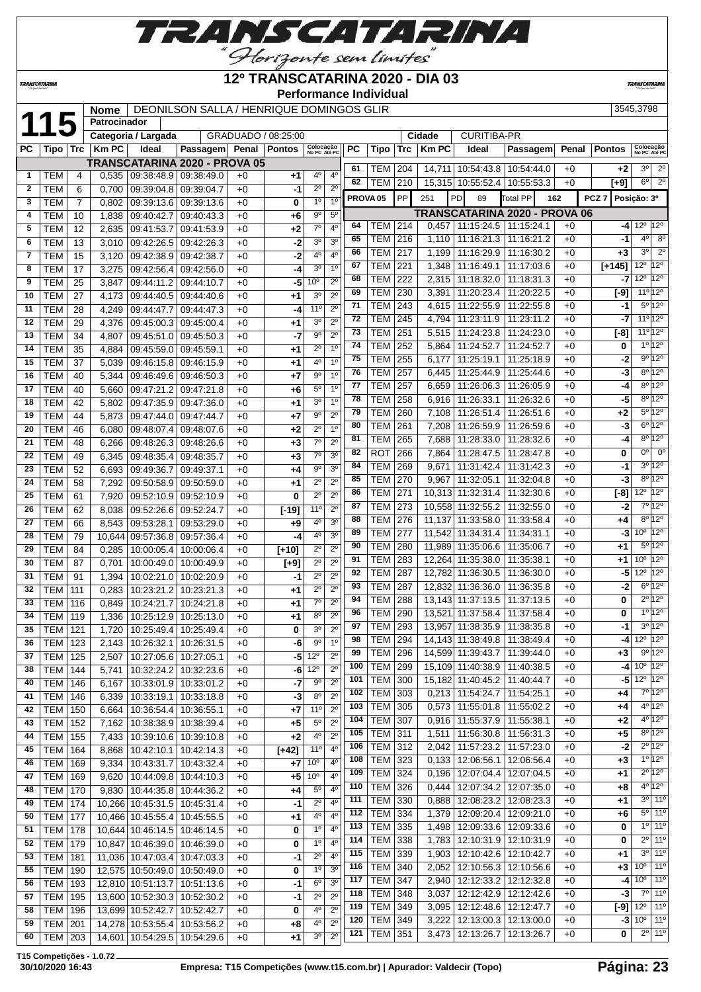

### **12º TRANSCATARINA 2020 - DIA 03**

**Performance Individual**

**TRANSCATARINI** 

**TRANSCATARINA** 

|              |                  |                | <b>Nome</b>  | DEONILSON SALLA / HENRIQUE DOMINGOS GLIR<br>Patrocinador |                 |       |                     |                           |                  |     |                     |            |                |                                      |                          | 3545,3798 |                   |                                      |                                 |
|--------------|------------------|----------------|--------------|----------------------------------------------------------|-----------------|-------|---------------------|---------------------------|------------------|-----|---------------------|------------|----------------|--------------------------------------|--------------------------|-----------|-------------------|--------------------------------------|---------------------------------|
|              | 115              |                |              |                                                          |                 |       |                     |                           |                  |     |                     |            |                |                                      |                          |           |                   |                                      |                                 |
|              |                  |                |              | Categoria / Largada                                      |                 |       | GRADUADO / 08:25:00 |                           |                  |     |                     |            | Cidade         | <b>CURITIBA-PR</b>                   |                          |           |                   |                                      |                                 |
| <b>PC</b>    | Tipo             | Trc            | <b>Km PC</b> | Ideal                                                    | <b>Passagem</b> | Penal | <b>Pontos</b>       | Colocação<br>No PC Até PC |                  | PC  | Tipo                | <b>Trc</b> | <b>Km PC</b>   | Ideal                                | Passagem                 | Penal     | <b>Pontos</b>     | Colocação<br>No PC Até PC            |                                 |
|              |                  |                |              | <b>TRANSCATARINA 2020 - PROVA 05</b>                     |                 |       |                     |                           |                  | 61  | <b>TEM   204</b>    |            |                | 14,711 10:54:43.8 10:54:44.0         |                          | $+0$      | $+2$              | 3 <sup>o</sup>                       | $2^{\circ}$                     |
| $\mathbf{1}$ | TEM              | 4              |              | $0,535$   09:38:48.9   09:38:49.0                        |                 | $+0$  | +1                  | 4°                        | 4 <sup>0</sup>   | 62  | TEM                 | 210        |                | 15,315 10:55:52.4                    | 10:55:53.3               | $+0$      | [+9]              | $6^{\circ}$                          | $\overline{2^0}$                |
| $\mathbf{2}$ | <b>TEM</b>       | 6              | 0,700        | 09:39:04.8 09:39:04.7                                    |                 | $+0$  | -1                  | $2^{\circ}$               | $2^{\circ}$      |     |                     |            |                |                                      |                          |           |                   |                                      |                                 |
| 3            | <b>TEM</b>       | $\overline{7}$ | 0,802        | 09:39:13.6                                               | 09:39:13.6      | $+0$  | 0                   | $1^{\circ}$               | 1 <sup>0</sup>   |     | PROVA <sub>05</sub> | PP         | 251            | PD<br>89                             | Total PP                 | 162       | PCZ 7 Posição: 3º |                                      |                                 |
| 4            | <b>TEM</b>       | 10             | 1,838        | 09:40:42.7                                               | 09:40:43.3      | $+0$  | $+6$                | 90                        | $5^{\circ}$      |     |                     |            |                | <b>TRANSCATARINA 2020 - PROVA 06</b> |                          |           |                   |                                      |                                 |
| 5            | TEM              | 12             | 2,635        | 09:41:53.7                                               | 09:41:53.9      | $+0$  | $+2$                | $7^\circ$                 | 4 <sup>0</sup>   | 64  | TEM                 | 214        | 0,457          | 11:15:24.5                           | 11:15:24.1               | $+0$      | -41               | $12^{\circ}$ 12 $^{\circ}$           |                                 |
| 6            | TEM              | 13             | 3,010        | 09:42:26.5                                               | 09:42:26.3      | $+0$  | $-2$                | 3 <sup>o</sup>            | 3 <sup>o</sup>   | 65  | TEM                 | 216        | 1,110          | 11:16:21.3                           | 11:16:21.2               | $+0$      | -1                | $4^{\circ}$                          | $8^{\circ}$                     |
| 7            | <b>TEM</b>       | 15             | 3,120        | 09:42:38.9                                               | 09:42:38.7      | $+0$  | -2                  | 4°                        | 4 <sup>0</sup>   | 66  | <b>TEM</b>          | 217        | 1,199          | 11:16:29.9                           | 11:16:30.2               | $+0$      | $+3$              | 3 <sup>o</sup>                       | $2^{\circ}$                     |
| 8            | <b>TEM</b>       | 17             | 3,275        | 09:42:56.4                                               | 09:42:56.0      | $+0$  | -4                  | 3 <sup>0</sup>            | 1 <sup>0</sup>   | 67  | <b>TEM</b>          | 221        | 1,348          | 11:16:49.1                           | 11:17:03.6               | $+0$      | $[+145]$          | $12^{\circ}$ 12 $^{\circ}$           |                                 |
| 9            | <b>TEM</b>       | 25             | 3,847        | 09:44:11.2                                               | 09:44:10.7      | $+0$  | -5                  | 10 <sup>o</sup>           | 2 <sup>o</sup>   | 68  | <b>TEM</b>          | 222        | 2,315          | 11:18:32.0                           | 11:18:31.3               | $+0$      | -7                | $12^{\circ}$ 12 <sup>°</sup>         |                                 |
| 10           | <b>TEM</b>       | 27             | 4,173        | 09:44:40.5 09:44:40.6                                    |                 | $+0$  | $+1$                | 3 <sup>o</sup>            | $\overline{2^0}$ | 69  | TEM                 | 230        | 3,391          | 11:20:23.4                           | 11:20:22.5               | $+0$      | [-9]              | $11^{\circ}12^{\circ}$               |                                 |
| 11           | <b>TEM</b>       | 28             | 4,249        | 09:44:47.7                                               | 09:44:47.3      | $+0$  | -4                  | 11°                       | $2^{\circ}$      | 71  | <b>TEM</b>          | 243        | 4,615          | 11:22:55.9                           | 11:22:55.8               | $+0$      | $-1$              |                                      | $5^{\circ}12^{\circ}$           |
| 12           | <b>TEM</b>       | 29             |              | 09:45:00.3                                               | 09:45:00.4      | $+0$  | $+1$                | 30                        | $2^{\circ}$      | 72  | <b>TEM</b>          | 245        | 4,794          | 11:23:11.9                           | 11:23:11.2               | $+0$      | -7                | 11°12°                               |                                 |
|              |                  |                | 4,376        |                                                          |                 |       |                     | $9^{\circ}$               | $2^{\circ}$      | 73  | TEM                 | 251        | 5,515          | 11:24:23.8                           | 11:24:23.0               | $+0$      | $[-8]$            |                                      | 11 <sup>o</sup> 12 <sup>o</sup> |
| 13           | <b>TEM</b>       | 34             | 4,807        | 09:45:51.0                                               | 09:45:50.3      | $+0$  | -7                  |                           |                  | 74  | <b>TEM</b>          | 252        | 5,864          | 11:24:52.7                           | 11:24:52.7               | $+0$      | 0                 |                                      | 10 120                          |
| 14           | <b>TEM</b>       | 35             | 4,884        | 09:45:59.0                                               | 09:45:59.1      | $+0$  | $+1$                | $2^{\circ}$               | 1 <sup>0</sup>   | 75  | TEM                 | 255        |                | 11:25:19.1                           |                          | $+0$      | -2                |                                      | 9°12°                           |
| 15           | <b>TEM</b>       | 37             | 5,039        | 09:46:15.8                                               | 09:46:15.9      | $+0$  | +1                  | 4°                        | 1 <sup>0</sup>   | 76  | <b>TEM</b>          | 257        | 6,177<br>6,445 | 11:25:44.9                           | 11:25:18.9<br>11:25:44.6 | $+0$      | -3                |                                      | $8^{\circ}12^{\circ}$           |
| 16           | <b>TEM</b>       | 40             | 5,344        | 09:46:49.6   09:46:50.3                                  |                 | $+0$  | $+7$                | 90                        | 1 <sup>0</sup>   | 77  |                     |            |                |                                      |                          |           |                   |                                      | $8^{\circ}12^{\circ}$           |
| 17           | <b>TEM</b>       | 40             | 5,660        | 09:47:21.2                                               | 09:47:21.8      | $+0$  | $+6$                | 5 <sup>0</sup>            | 1 <sup>0</sup>   |     | <b>TEM</b>          | 257        | 6,659          | 11:26:06.3                           | 11:26:05.9               | $+0$      | -4                |                                      | $8^{\circ}$ 12°                 |
| 18           | <b>TEM</b>       | 42             | 5,802        | 09:47:35.9 09:47:36.0                                    |                 | $+0$  | $+1$                | 3 <sup>o</sup>            | $\overline{1^0}$ | 78  | <b>TEM</b>          | 258        | 6,916          | 11:26:33.1                           | 11:26:32.6               | +0        | -5                |                                      |                                 |
| 19           | <b>TEM</b>       | 44             | 5,873        | 09:47:44.0 09:47:44.7                                    |                 | $+0$  | $+7$                | $9^{\circ}$               | $2^{\circ}$      | 79  | <b>TEM</b>          | 260        | 7,108          | 11:26:51.4                           | 11:26:51.6               | +0        | $+2$              |                                      | $5^{\circ}12^{\circ}$           |
| 20           | <b>TEM</b>       | 46             | 6,080        | 09:48:07.4                                               | 09:48:07.6      | $+0$  | $+2$                | $2^{\circ}$               | 1 <sup>0</sup>   | 80  | <b>TEM</b>          | 261        | 7,208          | 11:26:59.9                           | 11:26:59.6               | +0        | $-3$              |                                      | $6^{\circ}12^{\circ}$           |
| 21           | <b>TEM</b>       | 48             | 6,266        | 09:48:26.3                                               | 09:48:26.6      | $+0$  | $+3$                | $7^\circ$                 | $2^{\circ}$      | 81  | <b>TEM</b>          | 265        | 7,688          | 11:28:33.0                           | 11:28:32.6               | $+0$      | -4                |                                      | $8^{\circ}12^{\circ}$           |
| 22           | <b>TEM</b>       | 49             | 6,345        | 09:48:35.4                                               | 09:48:35.7      | $+0$  | $+3$                | $7^\circ$                 | 3 <sup>0</sup>   | 82  | ROT                 | 266        | 7,864          | 11:28:47.5                           | 11:28:47.8               | $+0$      | 0                 | $0^{\circ}$                          | $0^{\circ}$                     |
| 23           | <b>TEM</b>       | 52             | 6,693        | 09:49:36.7                                               | 09:49:37.1      | $+0$  | $+4$                | $9^{\circ}$               | 3 <sup>0</sup>   | 84  | <b>TEM</b>          | 269        | 9,671          | 11:31:42.4                           | 11:31:42.3               | $+0$      | -1                |                                      | $3^{\circ}12^{\circ}$           |
| 24           | <b>TEM</b>       | 58             | 7,292        | 09:50:58.9                                               | 09:50:59.0      | $+0$  | $+1$                | $2^{\circ}$               | $2^{\circ}$      | 85  | <b>TEM</b>          | 270        | 9,967          | 11:32:05.1                           | 11:32:04.8               | $+0$      | $-3$              |                                      | $8^{\circ}12^{\circ}$           |
| 25           | <b>TEM</b>       | 61             | 7,920        | 09:52:10.9 09:52:10.9                                    |                 | $+0$  | 0                   | $2^{\circ}$               | $2^{\circ}$      | 86  | <b>TEM</b>          | 271        |                | 10,313 11:32:31.4                    | 11:32:30.6               | $+0$      | $[-8]$            | $12^{\circ}$ 12 <sup>°</sup>         |                                 |
| 26           | <b>TEM</b>       | 62             | 8,038        | 09:52:26.6                                               | 09:52:24.7      | $+0$  | $[-19]$             | 11 <sup>0</sup>           | $2^{\circ}$      | 87  | <b>TEM</b>          | 273        |                | 10,558 11:32:55.2                    | 11:32:55.0               | $+0$      | $-2$              |                                      | 7°12°                           |
| 27           | <b>TEM</b>       | 66             | 8,543        | 09:53:28.1                                               | 09:53:29.0      | $+0$  | +9                  | 40                        | 3 <sup>o</sup>   | 88  | <b>TEM</b>          | 276        | 11,137         | 11:33:58.0                           | 11:33:58.4               | +0        | $+4$              |                                      | $8^{\circ}$ 12°                 |
| 28           | <b>TEM</b>       | 79             | 10,644       | 09:57:36.8                                               | 09:57:36.4      | $+0$  | $-4$                | 4 <sup>0</sup>            | 3 <sup>0</sup>   | 89  | <b>TEM</b>          | 277        | 11,542         | 11:34:31.4                           | 11:34:31.1               | $+0$      | -31               | $10^{\circ}$ 12°                     |                                 |
| 29           | <b>TEM</b>       | 84             | 0,285        | 10:00:05.4                                               | 10:00:06.4      | $+0$  | $[+10]$             | $2^{\circ}$               | $2^{\circ}$      | 90  | <b>TEM</b>          | 280        | 11,989         | 11:35:06.6                           | 11:35:06.7               | $+0$      | $+1$              |                                      | $5^{\circ}12^{\circ}$           |
| 30           | <b>TEM</b>       | 87             | 0,701        | 10:00:49.0                                               | 10:00:49.9      | $+0$  |                     | 2º                        | $2^{\circ}$      | 91  | <b>TEM</b>          | 283        | 12,264         | 11:35:38.0                           | 11:35:38.1               | $+0$      | +1                | $10^{\circ}$ 12°                     |                                 |
|              |                  |                |              |                                                          |                 |       | $[+9]$              | 20                        | $2^{\circ}$      | 92  | TEM                 | 287        |                | 12,782 11:36:30.5                    | 11:36:30.0               | $+0$      | -51               | $12^{\circ}$ 12 <sup>°</sup>         |                                 |
| 31           | <b>TEM</b>       | 91             | 1,394        | 10:02:21.0                                               | 10:02:20.9      | $+0$  | -1                  |                           |                  | 93  | <b>TEM</b>          | 287        |                | 12,832 11:36:36.0                    | 11:36:35.8               | $+0$      | -2                |                                      | 6°12°                           |
| 32           | <b>TEM</b>       | 111            | 0,283        | 10:23:21.2                                               | 10:23:21.3      | $+0$  | $+1$                | $2^{\circ}$               | $2^{\circ}$      | 94  | TEM                 | 288        |                | 13,143 11:37:13.5                    | 11:37:13.5               | $+0$      | 0                 |                                      | $2^{\circ}12^{\circ}$           |
| 33           | TEM              | 116            | 0,849        | 10:24:21.7                                               | 10:24:21.8      | $+0$  | $+1$                | $7^\circ$                 | $2^{\circ}$      | 96  | <b>TEM</b>          | 290        | 13,521         | 11:37:58.4                           | 11:37:58.4               | $+0$      | 0                 |                                      | $1°$ 12°                        |
| 34           | <b>TEM</b>       | 119            | 1,336        | 10:25:12.9 10:25:13.0                                    |                 | $+0$  | $+1$                | $8^{\circ}$               | $2^{\circ}$      | 97  | <b>TEM 293</b>      |            |                | 13.957 11:38:35.9 11:38:35.8         |                          | $+0$      | -1                |                                      | $3^{\circ}12^{\circ}$           |
| 35           | TEM              | 121            |              | 1,720   10:25:49.4   10:25:49.4                          |                 | $+0$  | $\mathbf{0}$        | 3 <sup>0</sup>            | $2^{\circ}$      |     |                     |            |                |                                      |                          |           |                   | $-4$ 12 <sup>o</sup> 12 <sup>o</sup> |                                 |
| 36           | <b>TEM 123</b>   |                |              | 2,143   10:26:32.1   10:26:31.5                          |                 | $+0$  | -6                  | 9 <sup>o</sup>            | 1 <sup>0</sup>   | 98  | TEM   294           |            |                | 14,143 11:38:49.8 11:38:49.4         |                          | $+0$      |                   |                                      |                                 |
| 37           | <b>TEM 125</b>   |                | 2,507        | 10:27:05.6 10:27:05.1                                    |                 | $+0$  | $-5$                | $12^{\circ}$              | $2^{\circ}$      | 99  | TEM                 | 296        |                | 14,599 11:39:43.7                    | 11:39:44.0               | $+0$      | $+3$              |                                      | 9°12°                           |
| 38           | <b>TEM 144</b>   |                |              | 5,741   10:32:24.2   10:32:23.6                          |                 | $+0$  | -6                  | $12^{\circ}$              | $2^{\circ}$      | 100 | <b>TEM</b>          | 299        |                | 15,109 11:40:38.9 11:40:38.5         |                          | $+0$      | $-4$              | $10^{\circ}$ 12°                     |                                 |
| 40           | <b>TEM 146</b>   |                | 6,167        | 10:33:01.9 10:33:01.2                                    |                 | $+0$  | $-7$                | $9^{\circ}$               | $2^{\circ}$      | 101 | <b>TEM</b>          | 300        |                | 15, 182 11: 40: 45. 2 11: 40: 44. 7  |                          | +0        | $-5$              | $12^{\circ}$ 12 <sup>°</sup>         |                                 |
| 41           | TEM              | 146            |              | 6,339   10:33:19.1                                       | 10:33:18.8      | $+0$  | -3                  | $8^{\circ}$               | $2^{\circ}$      | 102 | <b>TEM</b>          | 303        |                | $0,213$ 11:54:24.7                   | 11:54:25.1               | +0        | +4                |                                      | 7°12°                           |
| 42           | <b>TEM 150</b>   |                | 6,664        | 10:36:54.4                                               | 10:36:55.1      | $+0$  | $+7$                | 11 <sup>°</sup>           | $2^{\circ}$      | 103 | <b>TEM</b>          | 305        |                | $0,573$   11:55:01.8                 | 11:55:02.2               | $+0$      | $+4$              |                                      | $4^{\circ}$ 12 $^{\circ}$       |
| 43           | <b>TEM 152</b>   |                | 7,162        | 10:38:38.9                                               | 10:38:39.4      | $+0$  | $+5$                | $5^{\circ}$               | $2^{\circ}$      | 104 | <b>TEM</b>          | 307        |                | $0,916$   11:55:37.9   11:55:38.1    |                          | $+0$      | +2                |                                      | $4^{\circ}$ 12°                 |
| 44           | <b>TEM 155</b>   |                |              | 7,433   10:39:10.6   10:39:10.8                          |                 | $+0$  | $+2$                | $4^{\circ}$               | $2^{\circ}$      | 105 | <b>TEM 311</b>      |            | 1,511          | 11:56:30.8   11:56:31.3              |                          | $+0$      | $+5$              |                                      | $8^{\circ}$ 12°                 |
| 45           | <b>TEM</b>       | 164            | 8,868        | 10:42:10.1                                               | 10:42:14.3      | $+0$  | $[+42]$             | 11°                       | 4 <sup>0</sup>   | 106 | <b>TEM 312</b>      |            | 2,042          | 11:57:23.2   11:57:23.0              |                          | $+0$      | -2                |                                      | $2^{\circ}12^{\circ}$           |
| 46           | <b>TEM</b>       | 169            |              | $9,334$   10:43:31.7                                     | 10:43:32.4      | $+0$  | +7                  | 10 <sup>o</sup>           | 4 <sup>0</sup>   | 108 | <b>TEM</b>          | 323        | 0,133          | 12:06:56.1                           | 12:06:56.4               | $+0$      | $+3$              |                                      | 1°12°                           |
| 47           | TEM              | 169            |              | 9,620   10:44:09.8   10:44:10.3                          |                 | $+0$  | $+5$                | 10 <sup>o</sup>           | 4 <sup>0</sup>   | 109 | TEM                 | 324        | 0,196          | 12:07:04.4   12:07:04.5              |                          | $+0$      | $+1$              |                                      | $2^{\circ}12^{\circ}$           |
| 48           | <b>TEM   170</b> |                |              | 9,830   10:44:35.8   10:44:36.2                          |                 | $+0$  | +4                  | $5^{\circ}$               | 4 <sup>0</sup>   | 110 | TEM                 | 326        | 0,444          | 12:07:34.2   12:07:35.0              |                          | $+0$      | +8                |                                      | $4^{\circ}$ 12°                 |
| 49           | <b>TEM 174</b>   |                |              | 10,266 10:45:31.5 10:45:31.4                             |                 | $+0$  | $-1$                | $2^{\circ}$               | $4^{\circ}$      | 111 | TEM                 | 330        | 0,888          | 12:08:23.2 12:08:23.3                |                          | $+0$      | $+1$              |                                      | $3^{\circ}$ 11 <sup>°</sup>     |
| 50           | <b>TEM 177</b>   |                |              | 10,466 10:45:55.4 10:45:55.5                             |                 | $+0$  | $+1$                | 4°                        | 4 <sup>0</sup>   | 112 | <b>TEM</b>          | 334        | 1,379          | 12:09:20.4   12:09:21.0              |                          | $+0$      | +6                |                                      | $5°$ 11 <sup>o</sup>            |
| 51           | <b>TEM 178</b>   |                |              | 10,644 10:46:14.5 10:46:14.5                             |                 | $+0$  | 0                   | $\overline{1^{\circ}}$    | 4 <sup>0</sup>   | 113 | <b>TEM</b>          | 335        | 1,498          | 12:09:33.6   12:09:33.6              |                          | $+0$      | 0                 |                                      | $10$ 11 <sup>o</sup>            |
|              |                  |                |              |                                                          |                 |       |                     | $\overline{6}$            | 4 <sup>0</sup>   | 114 | <b>TEM 338</b>      |            | 1,783          | 12:10:31.9 12:10:31.9                |                          | $+0$      | 0                 |                                      | $2^{\circ}$ 11 <sup>°</sup>     |
| 52           | <b>TEM 179</b>   |                |              | 10,847 10:46:39.0                                        | 10:46:39.0      | $+0$  | 0                   |                           |                  | 115 | TEM 339             |            | 1,903          | 12:10:42.6   12:10:42.7              |                          | $+0$      | $+1$              |                                      | $3^{\circ}$ 11 <sup>°</sup>     |
| 53           | <b>TEM 181</b>   |                |              | 11,036 10:47:03.4                                        | 10:47:03.3      | $+0$  | -1                  | $2^{\circ}$               | $4^{\circ}$      | 116 | <b>TEM</b>          | 340        | 2,052          | 12:10:56.3 12:10:56.6                |                          | $+0$      | $+3$              | $10^{\circ}$ 11 <sup>°</sup>         |                                 |
| 55           | TEM              | 190            |              | 12,575 10:50:49.0 10:50:49.0                             |                 | $+0$  | 0                   | 1 <sup>0</sup>            | 3 <sup>0</sup>   | 117 | <b>TEM</b>          | 347        | 2,940          | 12:12:33.2 12:12:32.8                |                          | $+0$      | -4                | $10^{\circ}$ 11 <sup>°</sup>         |                                 |
| 56           | <b>TEM</b>       | 193            |              | 12,810 10:51:13.7                                        | 10:51:13.6      | $+0$  | -1                  | 6 <sup>o</sup>            | 3 <sup>o</sup>   | 118 | <b>TEM</b>          | 348        | 3,037          | 12:12:42.9 12:12:42.6                |                          |           | $-3$              |                                      | $7°$ 11°                        |
| 57           | TEM              | 195            |              | 13,600 10:52:30.3 10:52:30.2                             |                 | $+0$  | $-1$                | $2^{\circ}$               | $\overline{2^0}$ |     |                     |            |                |                                      |                          | $+0$      |                   | $12^{\circ}$ 11 <sup>°</sup>         |                                 |
| 58           | <b>TEM 196</b>   |                |              | 13,699 10:52:42.7                                        | 10:52:42.7      | $+0$  | 0                   | $4^{\circ}$               | $2^{\circ}$      | 119 | TEM                 | 349        | 3,095          | 12:12:48.6   12:12:47.7              |                          | $+0$      | $[-9]$            |                                      |                                 |
| 59           | <b>TEM 201</b>   |                |              | 14,278 10:53:55.4 10:53:56.2                             |                 | $+0$  | +8                  | 4°                        | $2^{\circ}$      | 120 | <b>TEM</b>          | 349        | 3,222          | 12:13:00.3   12:13:00.0              |                          | $+0$      |                   | $-3$ 10 <sup>o</sup> 11 <sup>o</sup> |                                 |
| 60           | TEM   203        |                |              | 14,601 10:54:29.5 10:54:29.6                             |                 | $+0$  | $+1$                | 3 <sup>o</sup>            | $2^{\circ}$      | 121 | <b>TEM 351</b>      |            | 3,473          | 12:13:26.7                           | 12:13:26.7               | +0        | 0                 |                                      | $2°$ 11 <sup>°</sup>            |